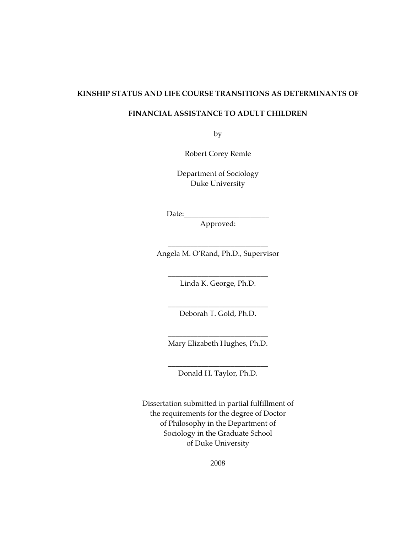#### **KINSHIP STATUS AND LIFE COURSE TRANSITIONS AS DETERMINANTS OF**

### **FINANCIAL ASSISTANCE TO ADULT CHILDREN**

by

Robert Corey Remle

Department of Sociology Duke University

 $Date:$ 

Approved:

\_\_\_\_\_\_\_\_\_\_\_\_\_\_\_\_\_\_\_\_\_\_\_\_\_\_\_ Angela M. O'Rand, Ph.D., Supervisor

> \_\_\_\_\_\_\_\_\_\_\_\_\_\_\_\_\_\_\_\_\_\_\_\_\_\_\_ Linda K. George, Ph.D.

> \_\_\_\_\_\_\_\_\_\_\_\_\_\_\_\_\_\_\_\_\_\_\_\_\_\_\_ Deborah T. Gold, Ph.D.

\_\_\_\_\_\_\_\_\_\_\_\_\_\_\_\_\_\_\_\_\_\_\_\_\_\_\_ Mary Elizabeth Hughes, Ph.D.

\_\_\_\_\_\_\_\_\_\_\_\_\_\_\_\_\_\_\_\_\_\_\_\_\_\_\_ Donald H. Taylor, Ph.D.

Dissertation submitted in partial fulfillment of the requirements for the degree of Doctor of Philosophy in the Department of Sociology in the Graduate School of Duke University

2008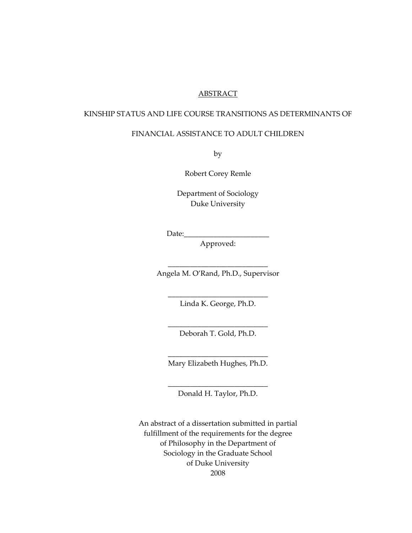#### **ABSTRACT**

#### KINSHIP STATUS AND LIFE COURSE TRANSITIONS AS DETERMINANTS OF

### FINANCIAL ASSISTANCE TO ADULT CHILDREN

by

Robert Corey Remle

Department of Sociology Duke University

Date:

Approved:

\_\_\_\_\_\_\_\_\_\_\_\_\_\_\_\_\_\_\_\_\_\_\_\_\_\_\_ Angela M. O'Rand, Ph.D., Supervisor

> \_\_\_\_\_\_\_\_\_\_\_\_\_\_\_\_\_\_\_\_\_\_\_\_\_\_\_ Linda K. George, Ph.D.

> \_\_\_\_\_\_\_\_\_\_\_\_\_\_\_\_\_\_\_\_\_\_\_\_\_\_\_ Deborah T. Gold, Ph.D.

> \_\_\_\_\_\_\_\_\_\_\_\_\_\_\_\_\_\_\_\_\_\_\_\_\_\_\_ Mary Elizabeth Hughes, Ph.D.

> \_\_\_\_\_\_\_\_\_\_\_\_\_\_\_\_\_\_\_\_\_\_\_\_\_\_\_ Donald H. Taylor, Ph.D.

An abstract of a dissertation submitted in partial fulfillment of the requirements for the degree of Philosophy in the Department of Sociology in the Graduate School of Duke University 2008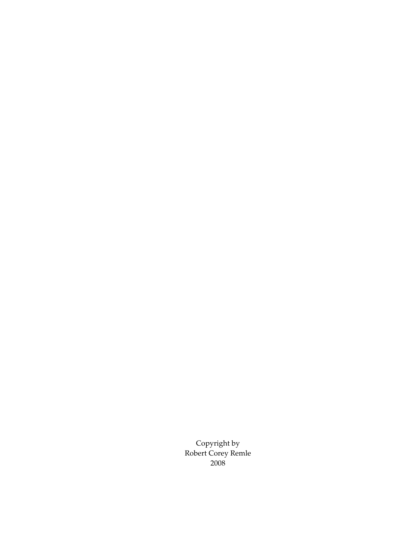Copyright by Robert Corey Remle 2008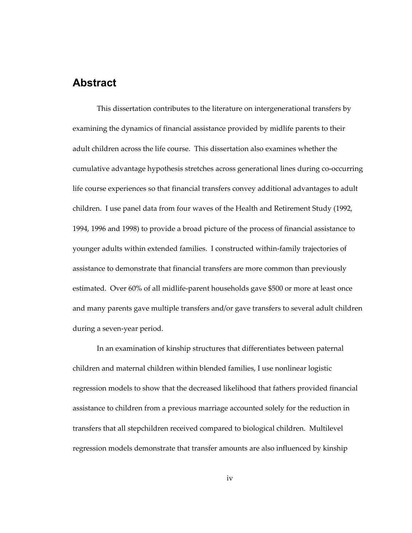# <span id="page-3-1"></span><span id="page-3-0"></span>**Abstract**

This dissertation contributes to the literature on intergenerational transfers by examining the dynamics of financial assistance provided by midlife parents to their adult children across the life course. This dissertation also examines whether the cumulative advantage hypothesis stretches across generational lines during co-occurring life course experiences so that financial transfers convey additional advantages to adult children. I use panel data from four waves of the Health and Retirement Study (1992, 1994, 1996 and 1998) to provide a broad picture of the process of financial assistance to younger adults within extended families. I constructed within-family trajectories of assistance to demonstrate that financial transfers are more common than previously estimated. Over 60% of all midlife-parent households gave \$500 or more at least once and many parents gave multiple transfers and/or gave transfers to several adult children during a seven-year period.

In an examination of kinship structures that differentiates between paternal children and maternal children within blended families, I use nonlinear logistic regression models to show that the decreased likelihood that fathers provided financial assistance to children from a previous marriage accounted solely for the reduction in transfers that all stepchildren received compared to biological children. Multilevel regression models demonstrate that transfer amounts are also influenced by kinship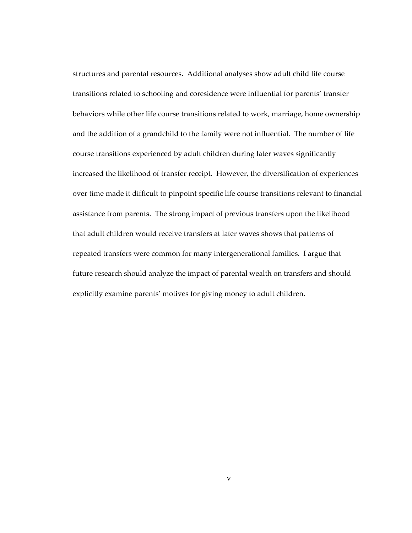structures and parental resources. Additional analyses show adult child life course transitions related to schooling and coresidence were influential for parents' transfer behaviors while other life course transitions related to work, marriage, home ownership and the addition of a grandchild to the family were not influential. The number of life course transitions experienced by adult children during later waves significantly increased the likelihood of transfer receipt. However, the diversification of experiences over time made it difficult to pinpoint specific life course transitions relevant to financial assistance from parents. The strong impact of previous transfers upon the likelihood that adult children would receive transfers at later waves shows that patterns of repeated transfers were common for many intergenerational families. I argue that future research should analyze the impact of parental wealth on transfers and should explicitly examine parents' motives for giving money to adult children.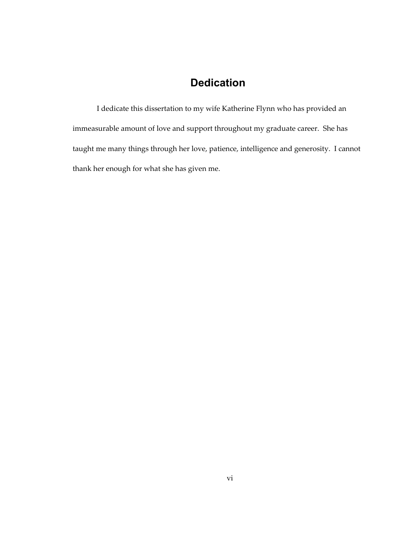# **Dedication**

<span id="page-5-1"></span><span id="page-5-0"></span>I dedicate this dissertation to my wife Katherine Flynn who has provided an immeasurable amount of love and support throughout my graduate career. She has taught me many things through her love, patience, intelligence and generosity. I cannot thank her enough for what she has given me.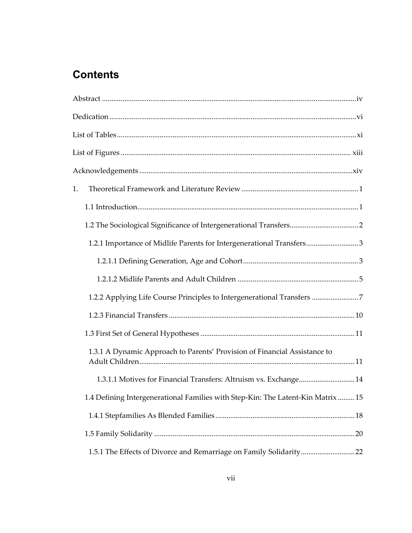# **Contents**

| 1.                                                                             |  |
|--------------------------------------------------------------------------------|--|
|                                                                                |  |
|                                                                                |  |
| 1.2.1 Importance of Midlife Parents for Intergenerational Transfers3           |  |
|                                                                                |  |
|                                                                                |  |
| 1.2.2 Applying Life Course Principles to Intergenerational Transfers 7         |  |
|                                                                                |  |
|                                                                                |  |
| 1.3.1 A Dynamic Approach to Parents' Provision of Financial Assistance to      |  |
| 1.3.1.1 Motives for Financial Transfers: Altruism vs. Exchange 14              |  |
| 1.4 Defining Intergenerational Families with Step-Kin: The Latent-Kin Matrix15 |  |
|                                                                                |  |
|                                                                                |  |
| 1.5.1 The Effects of Divorce and Remarriage on Family Solidarity22             |  |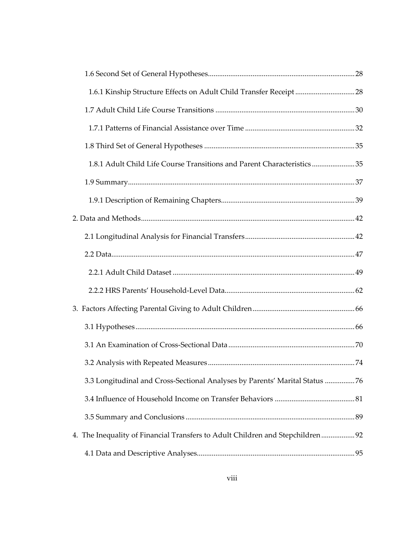| 1.6.1 Kinship Structure Effects on Adult Child Transfer Receipt 28             |  |
|--------------------------------------------------------------------------------|--|
|                                                                                |  |
|                                                                                |  |
|                                                                                |  |
| 1.8.1 Adult Child Life Course Transitions and Parent Characteristics35         |  |
|                                                                                |  |
|                                                                                |  |
|                                                                                |  |
|                                                                                |  |
|                                                                                |  |
|                                                                                |  |
|                                                                                |  |
|                                                                                |  |
|                                                                                |  |
|                                                                                |  |
|                                                                                |  |
| 3.3 Longitudinal and Cross-Sectional Analyses by Parents' Marital Status 76    |  |
|                                                                                |  |
|                                                                                |  |
| 4. The Inequality of Financial Transfers to Adult Children and Stepchildren 92 |  |
|                                                                                |  |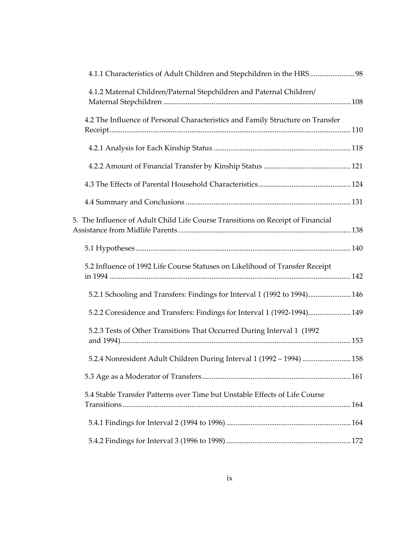| 4.1.1 Characteristics of Adult Children and Stepchildren in the HRS98           |  |
|---------------------------------------------------------------------------------|--|
| 4.1.2 Maternal Children/Paternal Stepchildren and Paternal Children/            |  |
| 4.2 The Influence of Personal Characteristics and Family Structure on Transfer  |  |
|                                                                                 |  |
|                                                                                 |  |
|                                                                                 |  |
|                                                                                 |  |
| 5. The Influence of Adult Child Life Course Transitions on Receipt of Financial |  |
|                                                                                 |  |
| 5.2 Influence of 1992 Life Course Statuses on Likelihood of Transfer Receipt    |  |
| 5.2.1 Schooling and Transfers: Findings for Interval 1 (1992 to 1994) 146       |  |
| 5.2.2 Coresidence and Transfers: Findings for Interval 1 (1992-1994) 149        |  |
| 5.2.3 Tests of Other Transitions That Occurred During Interval 1 (1992)         |  |
| 5.2.4 Nonresident Adult Children During Interval 1 (1992 - 1994)  158           |  |
|                                                                                 |  |
| 5.4 Stable Transfer Patterns over Time but Unstable Effects of Life Course      |  |
|                                                                                 |  |
|                                                                                 |  |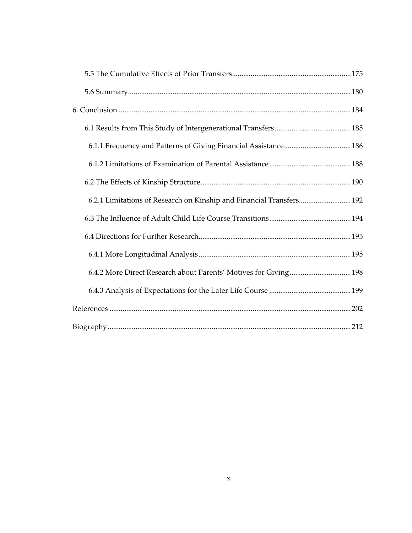| 6.2.1 Limitations of Research on Kinship and Financial Transfers 192 |  |
|----------------------------------------------------------------------|--|
|                                                                      |  |
|                                                                      |  |
|                                                                      |  |
| 6.4.2 More Direct Research about Parents' Motives for Giving 198     |  |
|                                                                      |  |
|                                                                      |  |
|                                                                      |  |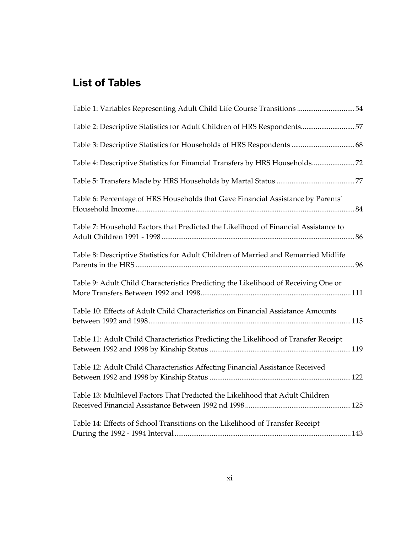# <span id="page-10-1"></span><span id="page-10-0"></span>**List of Tables**

| Table 1: Variables Representing Adult Child Life Course Transitions 54              |  |
|-------------------------------------------------------------------------------------|--|
| Table 2: Descriptive Statistics for Adult Children of HRS Respondents57             |  |
| Table 3: Descriptive Statistics for Households of HRS Respondents  68               |  |
| Table 4: Descriptive Statistics for Financial Transfers by HRS Households72         |  |
|                                                                                     |  |
| Table 6: Percentage of HRS Households that Gave Financial Assistance by Parents'    |  |
| Table 7: Household Factors that Predicted the Likelihood of Financial Assistance to |  |
| Table 8: Descriptive Statistics for Adult Children of Married and Remarried Midlife |  |
| Table 9: Adult Child Characteristics Predicting the Likelihood of Receiving One or  |  |
| Table 10: Effects of Adult Child Characteristics on Financial Assistance Amounts    |  |
| Table 11: Adult Child Characteristics Predicting the Likelihood of Transfer Receipt |  |
| Table 12: Adult Child Characteristics Affecting Financial Assistance Received       |  |
| Table 13: Multilevel Factors That Predicted the Likelihood that Adult Children      |  |
| Table 14: Effects of School Transitions on the Likelihood of Transfer Receipt       |  |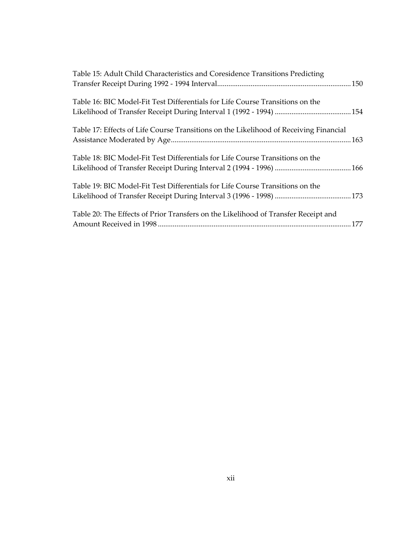| Table 15: Adult Child Characteristics and Coresidence Transitions Predicting          |  |
|---------------------------------------------------------------------------------------|--|
| Table 16: BIC Model-Fit Test Differentials for Life Course Transitions on the         |  |
| Table 17: Effects of Life Course Transitions on the Likelihood of Receiving Financial |  |
| Table 18: BIC Model-Fit Test Differentials for Life Course Transitions on the         |  |
| Table 19: BIC Model-Fit Test Differentials for Life Course Transitions on the         |  |
| Table 20: The Effects of Prior Transfers on the Likelihood of Transfer Receipt and    |  |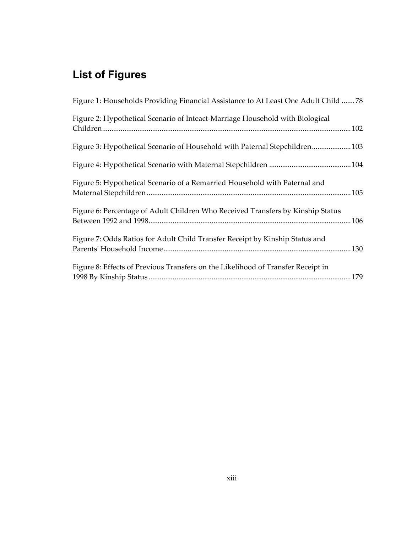# <span id="page-12-1"></span><span id="page-12-0"></span>**List of Figures**

| Figure 1: Households Providing Financial Assistance to At Least One Adult Child 78 |  |
|------------------------------------------------------------------------------------|--|
| Figure 2: Hypothetical Scenario of Inteact-Marriage Household with Biological      |  |
| Figure 3: Hypothetical Scenario of Household with Paternal Stepchildren 103        |  |
|                                                                                    |  |
| Figure 5: Hypothetical Scenario of a Remarried Household with Paternal and         |  |
| Figure 6: Percentage of Adult Children Who Received Transfers by Kinship Status    |  |
| Figure 7: Odds Ratios for Adult Child Transfer Receipt by Kinship Status and       |  |
| Figure 8: Effects of Previous Transfers on the Likelihood of Transfer Receipt in   |  |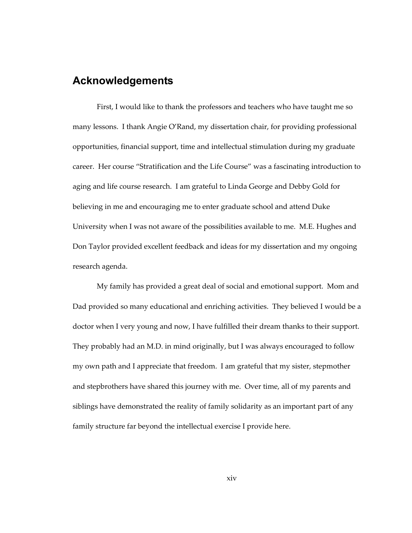## <span id="page-13-1"></span><span id="page-13-0"></span>**Acknowledgements**

First, I would like to thank the professors and teachers who have taught me so many lessons. I thank Angie O'Rand, my dissertation chair, for providing professional opportunities, financial support, time and intellectual stimulation during my graduate career. Her course "Stratification and the Life Course" was a fascinating introduction to aging and life course research. I am grateful to Linda George and Debby Gold for believing in me and encouraging me to enter graduate school and attend Duke University when I was not aware of the possibilities available to me. M.E. Hughes and Don Taylor provided excellent feedback and ideas for my dissertation and my ongoing research agenda.

My family has provided a great deal of social and emotional support. Mom and Dad provided so many educational and enriching activities. They believed I would be a doctor when I very young and now, I have fulfilled their dream thanks to their support. They probably had an M.D. in mind originally, but I was always encouraged to follow my own path and I appreciate that freedom. I am grateful that my sister, stepmother and stepbrothers have shared this journey with me. Over time, all of my parents and siblings have demonstrated the reality of family solidarity as an important part of any family structure far beyond the intellectual exercise I provide here.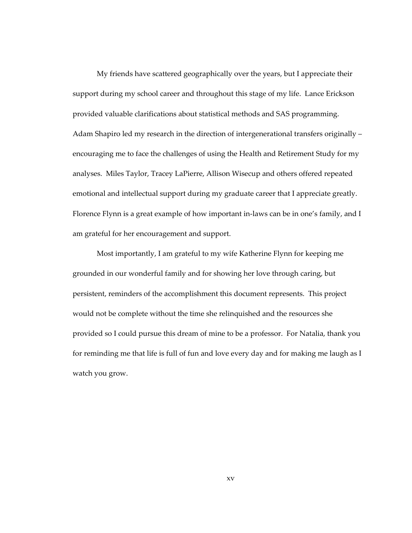My friends have scattered geographically over the years, but I appreciate their support during my school career and throughout this stage of my life. Lance Erickson provided valuable clarifications about statistical methods and SAS programming. Adam Shapiro led my research in the direction of intergenerational transfers originally – encouraging me to face the challenges of using the Health and Retirement Study for my analyses. Miles Taylor, Tracey LaPierre, Allison Wisecup and others offered repeated emotional and intellectual support during my graduate career that I appreciate greatly. Florence Flynn is a great example of how important in-laws can be in one's family, and I am grateful for her encouragement and support.

Most importantly, I am grateful to my wife Katherine Flynn for keeping me grounded in our wonderful family and for showing her love through caring, but persistent, reminders of the accomplishment this document represents. This project would not be complete without the time she relinquished and the resources she provided so I could pursue this dream of mine to be a professor. For Natalia, thank you for reminding me that life is full of fun and love every day and for making me laugh as I watch you grow.

xv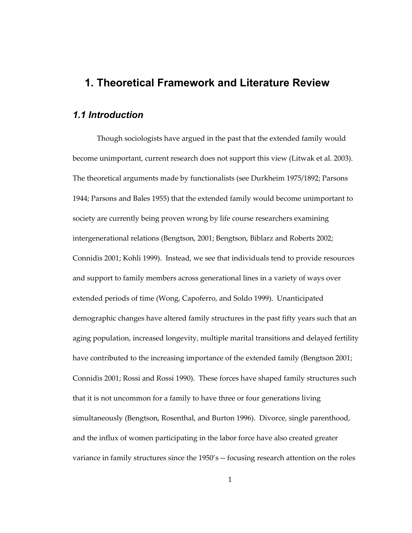## <span id="page-15-0"></span>**1. Theoretical Framework and Literature Review**

## <span id="page-15-2"></span><span id="page-15-1"></span>*1.1 Introduction*

Though sociologists have argued in the past that the extended family would become unimportant, current research does not support this view (Litwak et al. 2003). The theoretical arguments made by functionalists (see Durkheim 1975/1892; Parsons 1944; Parsons and Bales 1955) that the extended family would become unimportant to society are currently being proven wrong by life course researchers examining intergenerational relations (Bengtson, 2001; Bengtson, Biblarz and Roberts 2002; Connidis 2001; Kohli 1999). Instead, we see that individuals tend to provide resources and support to family members across generational lines in a variety of ways over extended periods of time (Wong, Capoferro, and Soldo 1999). Unanticipated demographic changes have altered family structures in the past fifty years such that an aging population, increased longevity, multiple marital transitions and delayed fertility have contributed to the increasing importance of the extended family (Bengtson 2001; Connidis 2001; Rossi and Rossi 1990). These forces have shaped family structures such that it is not uncommon for a family to have three or four generations living simultaneously (Bengtson, Rosenthal, and Burton 1996). Divorce, single parenthood, and the influx of women participating in the labor force have also created greater variance in family structures since the 1950's -- focusing research attention on the roles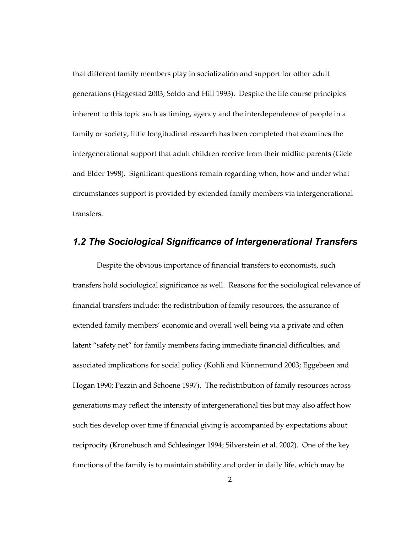<span id="page-16-0"></span>that different family members play in socialization and support for other adult generations (Hagestad 2003; Soldo and Hill 1993). Despite the life course principles inherent to this topic such as timing, agency and the interdependence of people in a family or society, little longitudinal research has been completed that examines the intergenerational support that adult children receive from their midlife parents (Giele and Elder 1998). Significant questions remain regarding when, how and under what circumstances support is provided by extended family members via intergenerational transfers.

## <span id="page-16-1"></span>*1.2 The Sociological Significance of Intergenerational Transfers*

Despite the obvious importance of financial transfers to economists, such transfers hold sociological significance as well. Reasons for the sociological relevance of financial transfers include: the redistribution of family resources, the assurance of extended family members' economic and overall well being via a private and often latent "safety net" for family members facing immediate financial difficulties, and associated implications for social policy (Kohli and Künnemund 2003; Eggebeen and Hogan 1990; Pezzin and Schoene 1997). The redistribution of family resources across generations may reflect the intensity of intergenerational ties but may also affect how such ties develop over time if financial giving is accompanied by expectations about reciprocity (Kronebusch and Schlesinger 1994; Silverstein et al. 2002). One of the key functions of the family is to maintain stability and order in daily life, which may be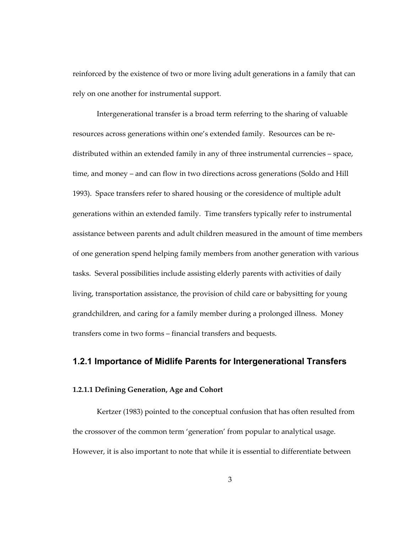<span id="page-17-0"></span>reinforced by the existence of two or more living adult generations in a family that can rely on one another for instrumental support.

Intergenerational transfer is a broad term referring to the sharing of valuable resources across generations within one's extended family. Resources can be redistributed within an extended family in any of three instrumental currencies – space, time, and money – and can flow in two directions across generations (Soldo and Hill 1993). Space transfers refer to shared housing or the coresidence of multiple adult generations within an extended family. Time transfers typically refer to instrumental assistance between parents and adult children measured in the amount of time members of one generation spend helping family members from another generation with various tasks. Several possibilities include assisting elderly parents with activities of daily living, transportation assistance, the provision of child care or babysitting for young grandchildren, and caring for a family member during a prolonged illness. Money transfers come in two forms – financial transfers and bequests.

### <span id="page-17-1"></span>**1.2.1 Importance of Midlife Parents for Intergenerational Transfers**

#### <span id="page-17-2"></span>**1.2.1.1 Defining Generation, Age and Cohort**

Kertzer (1983) pointed to the conceptual confusion that has often resulted from the crossover of the common term 'generation' from popular to analytical usage. However, it is also important to note that while it is essential to differentiate between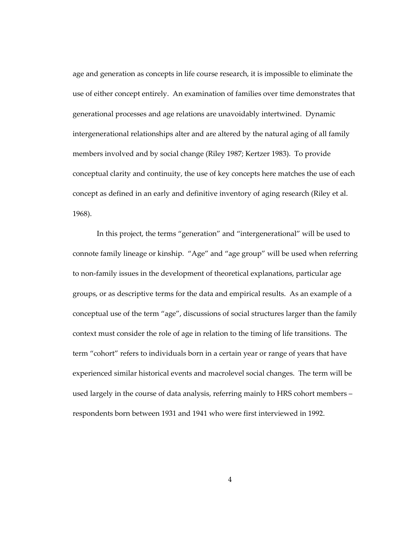age and generation as concepts in life course research, it is impossible to eliminate the use of either concept entirely. An examination of families over time demonstrates that generational processes and age relations are unavoidably intertwined. Dynamic intergenerational relationships alter and are altered by the natural aging of all family members involved and by social change (Riley 1987; Kertzer 1983). To provide conceptual clarity and continuity, the use of key concepts here matches the use of each concept as defined in an early and definitive inventory of aging research (Riley et al. 1968).

In this project, the terms "generation" and "intergenerational" will be used to connote family lineage or kinship. "Age" and "age group" will be used when referring to non-family issues in the development of theoretical explanations, particular age groups, or as descriptive terms for the data and empirical results. As an example of a conceptual use of the term "age", discussions of social structures larger than the family context must consider the role of age in relation to the timing of life transitions. The term "cohort" refers to individuals born in a certain year or range of years that have experienced similar historical events and macrolevel social changes. The term will be used largely in the course of data analysis, referring mainly to HRS cohort members – respondents born between 1931 and 1941 who were first interviewed in 1992.

4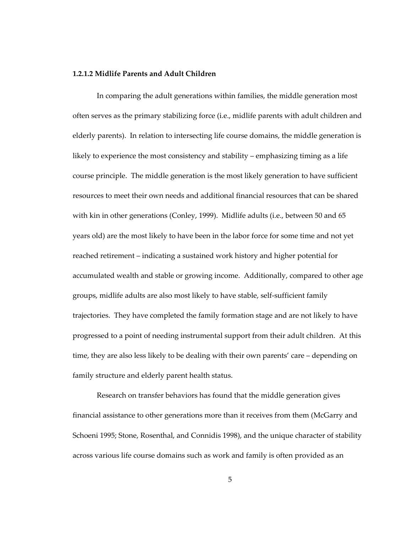#### <span id="page-19-1"></span><span id="page-19-0"></span>**1.2.1.2 Midlife Parents and Adult Children**

In comparing the adult generations within families, the middle generation most often serves as the primary stabilizing force (i.e., midlife parents with adult children and elderly parents). In relation to intersecting life course domains, the middle generation is likely to experience the most consistency and stability – emphasizing timing as a life course principle. The middle generation is the most likely generation to have sufficient resources to meet their own needs and additional financial resources that can be shared with kin in other generations (Conley, 1999). Midlife adults (i.e., between 50 and 65 years old) are the most likely to have been in the labor force for some time and not yet reached retirement – indicating a sustained work history and higher potential for accumulated wealth and stable or growing income. Additionally, compared to other age groups, midlife adults are also most likely to have stable, self-sufficient family trajectories. They have completed the family formation stage and are not likely to have progressed to a point of needing instrumental support from their adult children. At this time, they are also less likely to be dealing with their own parents' care – depending on family structure and elderly parent health status.

Research on transfer behaviors has found that the middle generation gives financial assistance to other generations more than it receives from them (McGarry and Schoeni 1995; Stone, Rosenthal, and Connidis 1998), and the unique character of stability across various life course domains such as work and family is often provided as an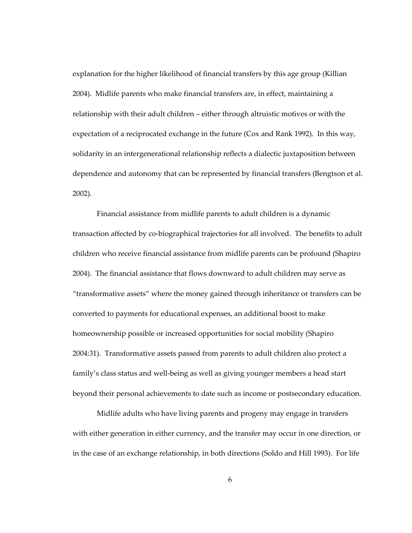explanation for the higher likelihood of financial transfers by this age group (Killian 2004). Midlife parents who make financial transfers are, in effect, maintaining a relationship with their adult children – either through altruistic motives or with the expectation of a reciprocated exchange in the future (Cox and Rank 1992). In this way, solidarity in an intergenerational relationship reflects a dialectic juxtaposition between dependence and autonomy that can be represented by financial transfers (Bengtson et al. 2002).

Financial assistance from midlife parents to adult children is a dynamic transaction affected by co-biographical trajectories for all involved. The benefits to adult children who receive financial assistance from midlife parents can be profound (Shapiro 2004). The financial assistance that flows downward to adult children may serve as "transformative assets" where the money gained through inheritance or transfers can be converted to payments for educational expenses, an additional boost to make homeownership possible or increased opportunities for social mobility (Shapiro 2004:31). Transformative assets passed from parents to adult children also protect a family's class status and well-being as well as giving younger members a head start beyond their personal achievements to date such as income or postsecondary education.

Midlife adults who have living parents and progeny may engage in transfers with either generation in either currency, and the transfer may occur in one direction, or in the case of an exchange relationship, in both directions (Soldo and Hill 1993). For life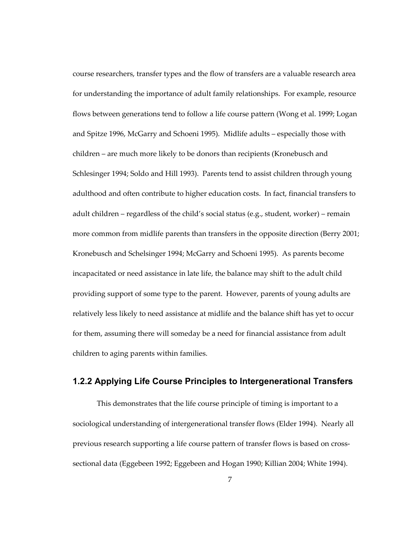<span id="page-21-0"></span>course researchers, transfer types and the flow of transfers are a valuable research area for understanding the importance of adult family relationships. For example, resource flows between generations tend to follow a life course pattern (Wong et al. 1999; Logan and Spitze 1996, McGarry and Schoeni 1995). Midlife adults – especially those with children – are much more likely to be donors than recipients (Kronebusch and Schlesinger 1994; Soldo and Hill 1993). Parents tend to assist children through young adulthood and often contribute to higher education costs. In fact, financial transfers to adult children – regardless of the child's social status (e.g., student, worker) – remain more common from midlife parents than transfers in the opposite direction (Berry 2001; Kronebusch and Schelsinger 1994; McGarry and Schoeni 1995). As parents become incapacitated or need assistance in late life, the balance may shift to the adult child providing support of some type to the parent. However, parents of young adults are relatively less likely to need assistance at midlife and the balance shift has yet to occur for them, assuming there will someday be a need for financial assistance from adult children to aging parents within families.

## <span id="page-21-1"></span>**1.2.2 Applying Life Course Principles to Intergenerational Transfers**

This demonstrates that the life course principle of timing is important to a sociological understanding of intergenerational transfer flows (Elder 1994). Nearly all previous research supporting a life course pattern of transfer flows is based on crosssectional data (Eggebeen 1992; Eggebeen and Hogan 1990; Killian 2004; White 1994).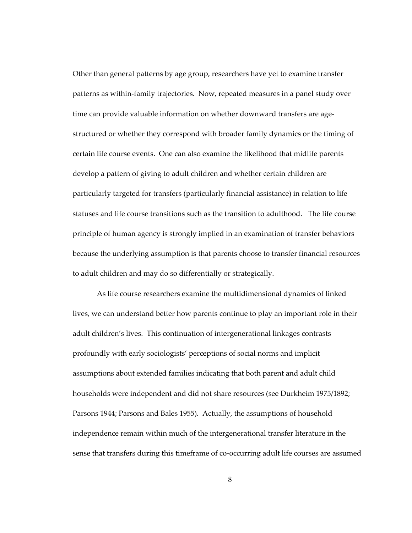Other than general patterns by age group, researchers have yet to examine transfer patterns as within-family trajectories. Now, repeated measures in a panel study over time can provide valuable information on whether downward transfers are agestructured or whether they correspond with broader family dynamics or the timing of certain life course events. One can also examine the likelihood that midlife parents develop a pattern of giving to adult children and whether certain children are particularly targeted for transfers (particularly financial assistance) in relation to life statuses and life course transitions such as the transition to adulthood. The life course principle of human agency is strongly implied in an examination of transfer behaviors because the underlying assumption is that parents choose to transfer financial resources to adult children and may do so differentially or strategically.

As life course researchers examine the multidimensional dynamics of linked lives, we can understand better how parents continue to play an important role in their adult children's lives. This continuation of intergenerational linkages contrasts profoundly with early sociologists' perceptions of social norms and implicit assumptions about extended families indicating that both parent and adult child households were independent and did not share resources (see Durkheim 1975/1892; Parsons 1944; Parsons and Bales 1955). Actually, the assumptions of household independence remain within much of the intergenerational transfer literature in the sense that transfers during this timeframe of co-occurring adult life courses are assumed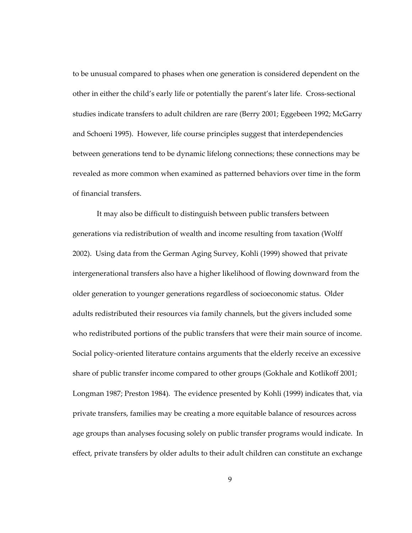to be unusual compared to phases when one generation is considered dependent on the other in either the child's early life or potentially the parent's later life. Cross-sectional studies indicate transfers to adult children are rare (Berry 2001; Eggebeen 1992; McGarry and Schoeni 1995). However, life course principles suggest that interdependencies between generations tend to be dynamic lifelong connections; these connections may be revealed as more common when examined as patterned behaviors over time in the form of financial transfers.

It may also be difficult to distinguish between public transfers between generations via redistribution of wealth and income resulting from taxation (Wolff 2002). Using data from the German Aging Survey, Kohli (1999) showed that private intergenerational transfers also have a higher likelihood of flowing downward from the older generation to younger generations regardless of socioeconomic status. Older adults redistributed their resources via family channels, but the givers included some who redistributed portions of the public transfers that were their main source of income. Social policy-oriented literature contains arguments that the elderly receive an excessive share of public transfer income compared to other groups (Gokhale and Kotlikoff 2001; Longman 1987; Preston 1984). The evidence presented by Kohli (1999) indicates that, via private transfers, families may be creating a more equitable balance of resources across age groups than analyses focusing solely on public transfer programs would indicate. In effect, private transfers by older adults to their adult children can constitute an exchange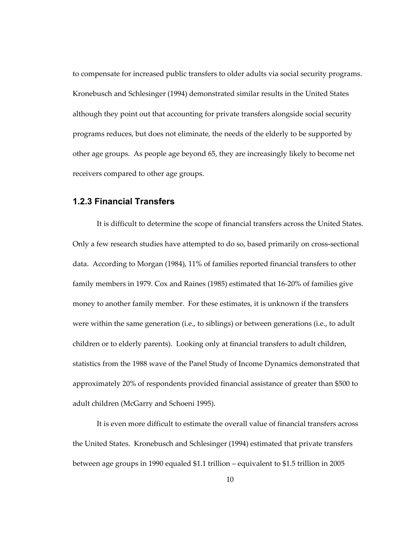<span id="page-24-0"></span>to compensate for increased public transfers to older adults via social security programs. Kronebusch and Schlesinger (1994) demonstrated similar results in the United States although they point out that accounting for private transfers alongside social security programs reduces, but does not eliminate, the needs of the elderly to be supported by other age groups. As people age beyond 65, they are increasingly likely to become net receivers compared to other age groups.

### <span id="page-24-1"></span>**1.2.3 Financial Transfers**

It is difficult to determine the scope of financial transfers across the United States. Only a few research studies have attempted to do so, based primarily on cross-sectional data. According to Morgan (1984), 11% of families reported financial transfers to other family members in 1979. Cox and Raines (1985) estimated that 16-20% of families give money to another family member. For these estimates, it is unknown if the transfers were within the same generation (i.e., to siblings) or between generations (i.e., to adult children or to elderly parents). Looking only at financial transfers to adult children, statistics from the 1988 wave of the Panel Study of Income Dynamics demonstrated that approximately 20% of respondents provided financial assistance of greater than \$500 to adult children (McGarry and Schoeni 1995).

It is even more difficult to estimate the overall value of financial transfers across the United States. Kronebusch and Schlesinger (1994) estimated that private transfers between age groups in 1990 equaled \$1.1 trillion – equivalent to \$1.5 trillion in 2005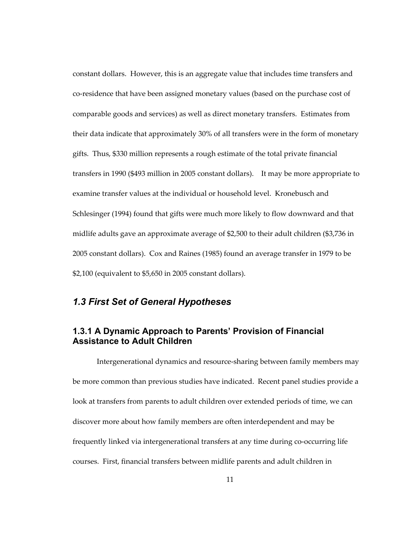<span id="page-25-0"></span>constant dollars. However, this is an aggregate value that includes time transfers and co-residence that have been assigned monetary values (based on the purchase cost of comparable goods and services) as well as direct monetary transfers. Estimates from their data indicate that approximately 30% of all transfers were in the form of monetary gifts. Thus, \$330 million represents a rough estimate of the total private financial transfers in 1990 (\$493 million in 2005 constant dollars). It may be more appropriate to examine transfer values at the individual or household level. Kronebusch and Schlesinger (1994) found that gifts were much more likely to flow downward and that midlife adults gave an approximate average of \$2,500 to their adult children (\$3,736 in 2005 constant dollars). Cox and Raines (1985) found an average transfer in 1979 to be \$2,100 (equivalent to \$5,650 in 2005 constant dollars).

## <span id="page-25-1"></span>*1.3 First Set of General Hypotheses*

## <span id="page-25-2"></span>**1.3.1 A Dynamic Approach to Parents' Provision of Financial Assistance to Adult Children**

Intergenerational dynamics and resource-sharing between family members may be more common than previous studies have indicated. Recent panel studies provide a look at transfers from parents to adult children over extended periods of time, we can discover more about how family members are often interdependent and may be frequently linked via intergenerational transfers at any time during co-occurring life courses. First, financial transfers between midlife parents and adult children in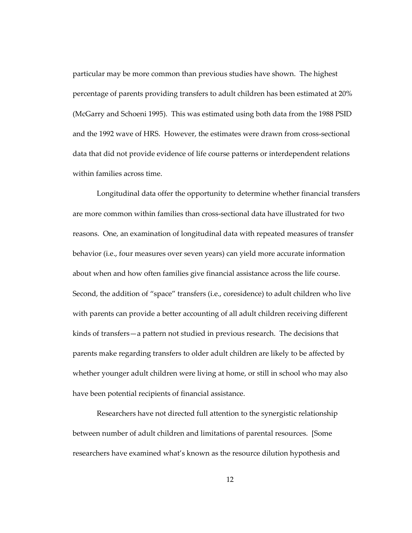particular may be more common than previous studies have shown. The highest percentage of parents providing transfers to adult children has been estimated at 20% (McGarry and Schoeni 1995). This was estimated using both data from the 1988 PSID and the 1992 wave of HRS. However, the estimates were drawn from cross-sectional data that did not provide evidence of life course patterns or interdependent relations within families across time.

Longitudinal data offer the opportunity to determine whether financial transfers are more common within families than cross-sectional data have illustrated for two reasons. One, an examination of longitudinal data with repeated measures of transfer behavior (i.e., four measures over seven years) can yield more accurate information about when and how often families give financial assistance across the life course. Second, the addition of "space" transfers (i.e., coresidence) to adult children who live with parents can provide a better accounting of all adult children receiving different kinds of transfers—a pattern not studied in previous research. The decisions that parents make regarding transfers to older adult children are likely to be affected by whether younger adult children were living at home, or still in school who may also have been potential recipients of financial assistance.

Researchers have not directed full attention to the synergistic relationship between number of adult children and limitations of parental resources. [Some researchers have examined what's known as the resource dilution hypothesis and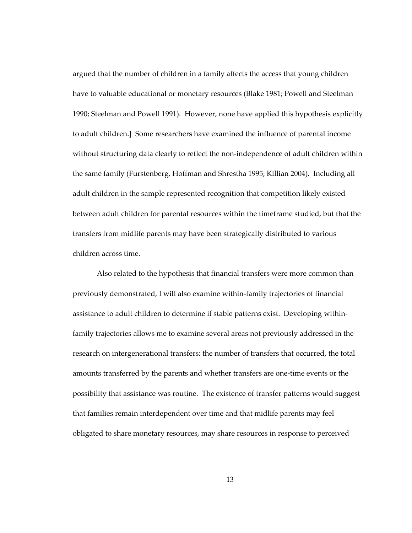argued that the number of children in a family affects the access that young children have to valuable educational or monetary resources (Blake 1981; Powell and Steelman 1990; Steelman and Powell 1991). However, none have applied this hypothesis explicitly to adult children.] Some researchers have examined the influence of parental income without structuring data clearly to reflect the non-independence of adult children within the same family (Furstenberg, Hoffman and Shrestha 1995; Killian 2004). Including all adult children in the sample represented recognition that competition likely existed between adult children for parental resources within the timeframe studied, but that the transfers from midlife parents may have been strategically distributed to various children across time.

Also related to the hypothesis that financial transfers were more common than previously demonstrated, I will also examine within-family trajectories of financial assistance to adult children to determine if stable patterns exist. Developing withinfamily trajectories allows me to examine several areas not previously addressed in the research on intergenerational transfers: the number of transfers that occurred, the total amounts transferred by the parents and whether transfers are one-time events or the possibility that assistance was routine. The existence of transfer patterns would suggest that families remain interdependent over time and that midlife parents may feel obligated to share monetary resources, may share resources in response to perceived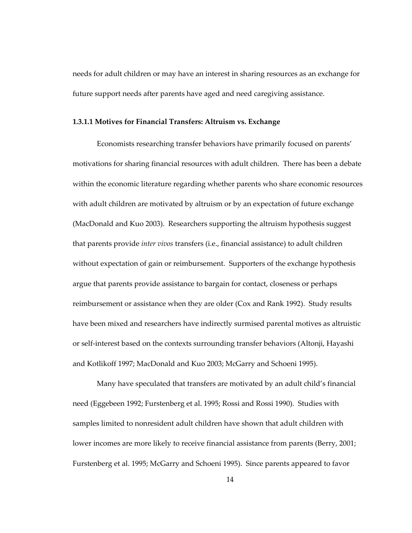<span id="page-28-0"></span>needs for adult children or may have an interest in sharing resources as an exchange for future support needs after parents have aged and need caregiving assistance.

#### <span id="page-28-1"></span>**1.3.1.1 Motives for Financial Transfers: Altruism vs. Exchange**

Economists researching transfer behaviors have primarily focused on parents' motivations for sharing financial resources with adult children. There has been a debate within the economic literature regarding whether parents who share economic resources with adult children are motivated by altruism or by an expectation of future exchange (MacDonald and Kuo 2003). Researchers supporting the altruism hypothesis suggest that parents provide *inter vivos* transfers (i.e., financial assistance) to adult children without expectation of gain or reimbursement. Supporters of the exchange hypothesis argue that parents provide assistance to bargain for contact, closeness or perhaps reimbursement or assistance when they are older (Cox and Rank 1992). Study results have been mixed and researchers have indirectly surmised parental motives as altruistic or self-interest based on the contexts surrounding transfer behaviors (Altonji, Hayashi and Kotlikoff 1997; MacDonald and Kuo 2003; McGarry and Schoeni 1995).

Many have speculated that transfers are motivated by an adult child's financial need (Eggebeen 1992; Furstenberg et al. 1995; Rossi and Rossi 1990). Studies with samples limited to nonresident adult children have shown that adult children with lower incomes are more likely to receive financial assistance from parents (Berry, 2001; Furstenberg et al. 1995; McGarry and Schoeni 1995). Since parents appeared to favor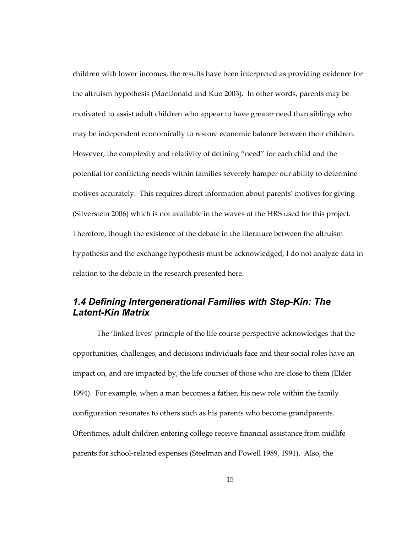<span id="page-29-0"></span>children with lower incomes, the results have been interpreted as providing evidence for the altruism hypothesis (MacDonald and Kuo 2003). In other words, parents may be motivated to assist adult children who appear to have greater need than siblings who may be independent economically to restore economic balance between their children. However, the complexity and relativity of defining "need" for each child and the potential for conflicting needs within families severely hamper our ability to determine motives accurately. This requires direct information about parents' motives for giving (Silverstein 2006) which is not available in the waves of the HRS used for this project. Therefore, though the existence of the debate in the literature between the altruism hypothesis and the exchange hypothesis must be acknowledged, I do not analyze data in relation to the debate in the research presented here.

## <span id="page-29-1"></span>*1.4 Defining Intergenerational Families with Step-Kin: The Latent-Kin Matrix*

The 'linked lives' principle of the life course perspective acknowledges that the opportunities, challenges, and decisions individuals face and their social roles have an impact on, and are impacted by, the life courses of those who are close to them (Elder 1994). For example, when a man becomes a father, his new role within the family configuration resonates to others such as his parents who become grandparents. Oftentimes, adult children entering college receive financial assistance from midlife parents for school-related expenses (Steelman and Powell 1989, 1991). Also, the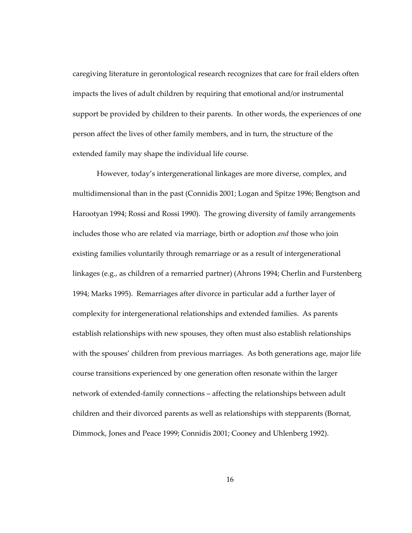caregiving literature in gerontological research recognizes that care for frail elders often impacts the lives of adult children by requiring that emotional and/or instrumental support be provided by children to their parents. In other words, the experiences of one person affect the lives of other family members, and in turn, the structure of the extended family may shape the individual life course.

However, today's intergenerational linkages are more diverse, complex, and multidimensional than in the past (Connidis 2001; Logan and Spitze 1996; Bengtson and Harootyan 1994; Rossi and Rossi 1990). The growing diversity of family arrangements includes those who are related via marriage, birth or adoption *and* those who join existing families voluntarily through remarriage or as a result of intergenerational linkages (e.g., as children of a remarried partner) (Ahrons 1994; Cherlin and Furstenberg 1994; Marks 1995). Remarriages after divorce in particular add a further layer of complexity for intergenerational relationships and extended families. As parents establish relationships with new spouses, they often must also establish relationships with the spouses' children from previous marriages. As both generations age, major life course transitions experienced by one generation often resonate within the larger network of extended-family connections – affecting the relationships between adult children and their divorced parents as well as relationships with stepparents (Bornat, Dimmock, Jones and Peace 1999; Connidis 2001; Cooney and Uhlenberg 1992).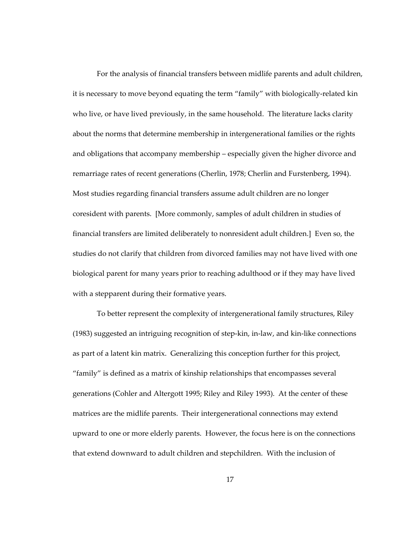For the analysis of financial transfers between midlife parents and adult children, it is necessary to move beyond equating the term "family" with biologically-related kin who live, or have lived previously, in the same household. The literature lacks clarity about the norms that determine membership in intergenerational families or the rights and obligations that accompany membership – especially given the higher divorce and remarriage rates of recent generations (Cherlin, 1978; Cherlin and Furstenberg, 1994). Most studies regarding financial transfers assume adult children are no longer coresident with parents. [More commonly, samples of adult children in studies of financial transfers are limited deliberately to nonresident adult children.] Even so, the studies do not clarify that children from divorced families may not have lived with one biological parent for many years prior to reaching adulthood or if they may have lived with a stepparent during their formative years.

To better represent the complexity of intergenerational family structures, Riley (1983) suggested an intriguing recognition of step-kin, in-law, and kin-like connections as part of a latent kin matrix. Generalizing this conception further for this project, "family" is defined as a matrix of kinship relationships that encompasses several generations (Cohler and Altergott 1995; Riley and Riley 1993). At the center of these matrices are the midlife parents. Their intergenerational connections may extend upward to one or more elderly parents. However, the focus here is on the connections that extend downward to adult children and stepchildren. With the inclusion of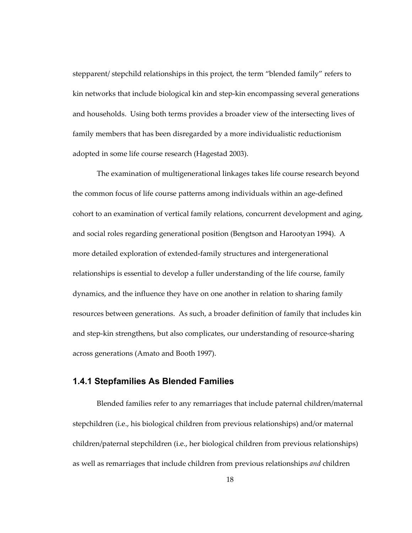<span id="page-32-0"></span>stepparent/ stepchild relationships in this project, the term "blended family" refers to kin networks that include biological kin and step-kin encompassing several generations and households. Using both terms provides a broader view of the intersecting lives of family members that has been disregarded by a more individualistic reductionism adopted in some life course research (Hagestad 2003).

The examination of multigenerational linkages takes life course research beyond the common focus of life course patterns among individuals within an age-defined cohort to an examination of vertical family relations, concurrent development and aging, and social roles regarding generational position (Bengtson and Harootyan 1994). A more detailed exploration of extended-family structures and intergenerational relationships is essential to develop a fuller understanding of the life course, family dynamics, and the influence they have on one another in relation to sharing family resources between generations. As such, a broader definition of family that includes kin and step-kin strengthens, but also complicates, our understanding of resource-sharing across generations (Amato and Booth 1997).

## <span id="page-32-1"></span>**1.4.1 Stepfamilies As Blended Families**

Blended families refer to any remarriages that include paternal children/maternal stepchildren (i.e., his biological children from previous relationships) and/or maternal children/paternal stepchildren (i.e., her biological children from previous relationships) as well as remarriages that include children from previous relationships *and* children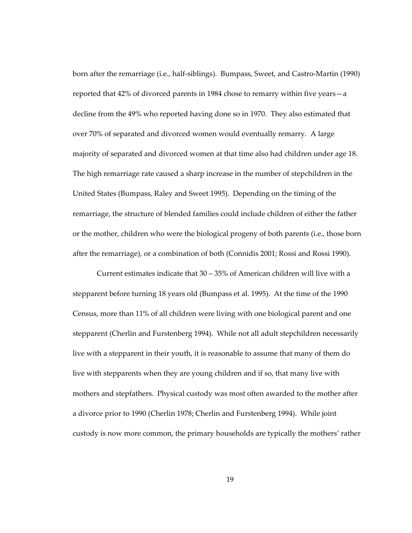born after the remarriage (i.e., half-siblings). Bumpass, Sweet, and Castro-Martin (1990) reported that 42% of divorced parents in 1984 chose to remarry within five years—a decline from the 49% who reported having done so in 1970. They also estimated that over 70% of separated and divorced women would eventually remarry. A large majority of separated and divorced women at that time also had children under age 18. The high remarriage rate caused a sharp increase in the number of stepchildren in the United States (Bumpass, Raley and Sweet 1995). Depending on the timing of the remarriage, the structure of blended families could include children of either the father or the mother, children who were the biological progeny of both parents (i.e., those born after the remarriage), or a combination of both (Connidis 2001; Rossi and Rossi 1990).

Current estimates indicate that 30 – 35% of American children will live with a stepparent before turning 18 years old (Bumpass et al. 1995). At the time of the 1990 Census, more than 11% of all children were living with one biological parent and one stepparent (Cherlin and Furstenberg 1994). While not all adult stepchildren necessarily live with a stepparent in their youth, it is reasonable to assume that many of them do live with stepparents when they are young children and if so, that many live with mothers and stepfathers. Physical custody was most often awarded to the mother after a divorce prior to 1990 (Cherlin 1978; Cherlin and Furstenberg 1994). While joint custody is now more common, the primary households are typically the mothers' rather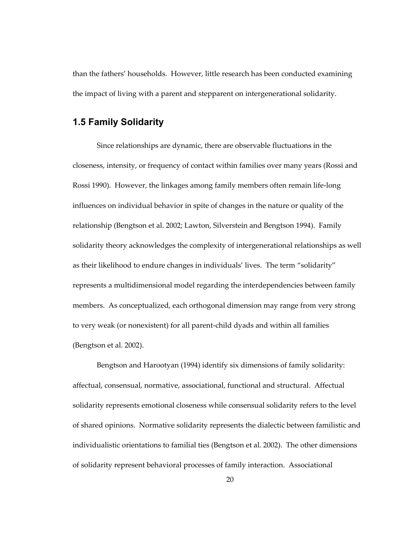<span id="page-34-0"></span>than the fathers' households. However, little research has been conducted examining the impact of living with a parent and stepparent on intergenerational solidarity.

## <span id="page-34-1"></span>**1.5 Family Solidarity**

Since relationships are dynamic, there are observable fluctuations in the closeness, intensity, or frequency of contact within families over many years (Rossi and Rossi 1990). However, the linkages among family members often remain life-long influences on individual behavior in spite of changes in the nature or quality of the relationship (Bengtson et al. 2002; Lawton, Silverstein and Bengtson 1994). Family solidarity theory acknowledges the complexity of intergenerational relationships as well as their likelihood to endure changes in individuals' lives. The term "solidarity" represents a multidimensional model regarding the interdependencies between family members. As conceptualized, each orthogonal dimension may range from very strong to very weak (or nonexistent) for all parent-child dyads and within all families (Bengtson et al. 2002).

Bengtson and Harootyan (1994) identify six dimensions of family solidarity: affectual, consensual, normative, associational, functional and structural. Affectual solidarity represents emotional closeness while consensual solidarity refers to the level of shared opinions. Normative solidarity represents the dialectic between familistic and individualistic orientations to familial ties (Bengtson et al. 2002). The other dimensions of solidarity represent behavioral processes of family interaction. Associational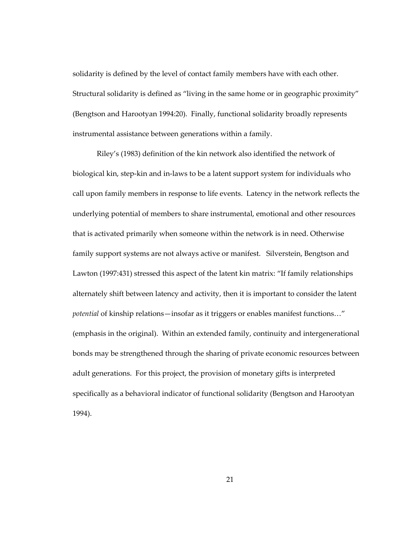solidarity is defined by the level of contact family members have with each other. Structural solidarity is defined as "living in the same home or in geographic proximity" (Bengtson and Harootyan 1994:20). Finally, functional solidarity broadly represents instrumental assistance between generations within a family.

Riley's (1983) definition of the kin network also identified the network of biological kin, step-kin and in-laws to be a latent support system for individuals who call upon family members in response to life events. Latency in the network reflects the underlying potential of members to share instrumental, emotional and other resources that is activated primarily when someone within the network is in need. Otherwise family support systems are not always active or manifest. Silverstein, Bengtson and Lawton (1997:431) stressed this aspect of the latent kin matrix: "If family relationships alternately shift between latency and activity, then it is important to consider the latent *potential* of kinship relations—insofar as it triggers or enables manifest functions…" (emphasis in the original). Within an extended family, continuity and intergenerational bonds may be strengthened through the sharing of private economic resources between adult generations. For this project, the provision of monetary gifts is interpreted specifically as a behavioral indicator of functional solidarity (Bengtson and Harootyan 1994).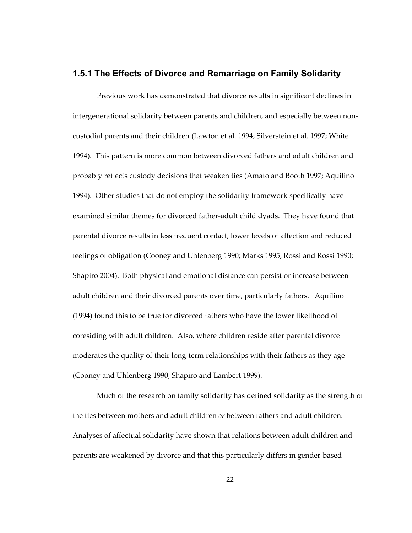## **1.5.1 The Effects of Divorce and Remarriage on Family Solidarity**

Previous work has demonstrated that divorce results in significant declines in intergenerational solidarity between parents and children, and especially between noncustodial parents and their children (Lawton et al. 1994; Silverstein et al. 1997; White 1994). This pattern is more common between divorced fathers and adult children and probably reflects custody decisions that weaken ties (Amato and Booth 1997; Aquilino 1994). Other studies that do not employ the solidarity framework specifically have examined similar themes for divorced father-adult child dyads. They have found that parental divorce results in less frequent contact, lower levels of affection and reduced feelings of obligation (Cooney and Uhlenberg 1990; Marks 1995; Rossi and Rossi 1990; Shapiro 2004). Both physical and emotional distance can persist or increase between adult children and their divorced parents over time, particularly fathers. Aquilino (1994) found this to be true for divorced fathers who have the lower likelihood of coresiding with adult children. Also, where children reside after parental divorce moderates the quality of their long-term relationships with their fathers as they age (Cooney and Uhlenberg 1990; Shapiro and Lambert 1999).

Much of the research on family solidarity has defined solidarity as the strength of the ties between mothers and adult children *or* between fathers and adult children. Analyses of affectual solidarity have shown that relations between adult children and parents are weakened by divorce and that this particularly differs in gender-based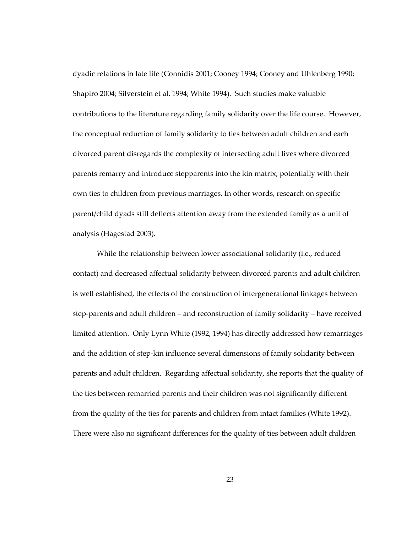dyadic relations in late life (Connidis 2001; Cooney 1994; Cooney and Uhlenberg 1990; Shapiro 2004; Silverstein et al. 1994; White 1994). Such studies make valuable contributions to the literature regarding family solidarity over the life course. However, the conceptual reduction of family solidarity to ties between adult children and each divorced parent disregards the complexity of intersecting adult lives where divorced parents remarry and introduce stepparents into the kin matrix, potentially with their own ties to children from previous marriages. In other words, research on specific parent/child dyads still deflects attention away from the extended family as a unit of analysis (Hagestad 2003).

While the relationship between lower associational solidarity (i.e., reduced contact) and decreased affectual solidarity between divorced parents and adult children is well established, the effects of the construction of intergenerational linkages between step-parents and adult children – and reconstruction of family solidarity – have received limited attention. Only Lynn White (1992, 1994) has directly addressed how remarriages and the addition of step-kin influence several dimensions of family solidarity between parents and adult children. Regarding affectual solidarity, she reports that the quality of the ties between remarried parents and their children was not significantly different from the quality of the ties for parents and children from intact families (White 1992). There were also no significant differences for the quality of ties between adult children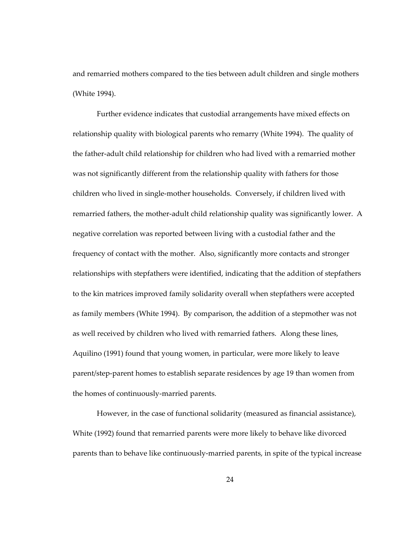and remarried mothers compared to the ties between adult children and single mothers (White 1994).

Further evidence indicates that custodial arrangements have mixed effects on relationship quality with biological parents who remarry (White 1994). The quality of the father-adult child relationship for children who had lived with a remarried mother was not significantly different from the relationship quality with fathers for those children who lived in single-mother households. Conversely, if children lived with remarried fathers, the mother-adult child relationship quality was significantly lower. A negative correlation was reported between living with a custodial father and the frequency of contact with the mother. Also, significantly more contacts and stronger relationships with stepfathers were identified, indicating that the addition of stepfathers to the kin matrices improved family solidarity overall when stepfathers were accepted as family members (White 1994). By comparison, the addition of a stepmother was not as well received by children who lived with remarried fathers. Along these lines, Aquilino (1991) found that young women, in particular, were more likely to leave parent/step-parent homes to establish separate residences by age 19 than women from the homes of continuously-married parents.

However, in the case of functional solidarity (measured as financial assistance), White (1992) found that remarried parents were more likely to behave like divorced parents than to behave like continuously-married parents, in spite of the typical increase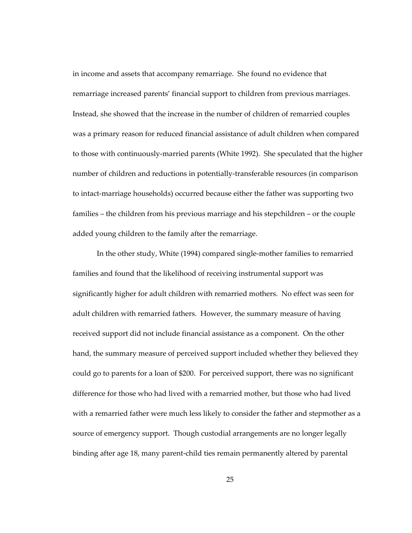in income and assets that accompany remarriage. She found no evidence that remarriage increased parents' financial support to children from previous marriages. Instead, she showed that the increase in the number of children of remarried couples was a primary reason for reduced financial assistance of adult children when compared to those with continuously-married parents (White 1992). She speculated that the higher number of children and reductions in potentially-transferable resources (in comparison to intact-marriage households) occurred because either the father was supporting two families – the children from his previous marriage and his stepchildren – or the couple added young children to the family after the remarriage.

In the other study, White (1994) compared single-mother families to remarried families and found that the likelihood of receiving instrumental support was significantly higher for adult children with remarried mothers. No effect was seen for adult children with remarried fathers. However, the summary measure of having received support did not include financial assistance as a component. On the other hand, the summary measure of perceived support included whether they believed they could go to parents for a loan of \$200. For perceived support, there was no significant difference for those who had lived with a remarried mother, but those who had lived with a remarried father were much less likely to consider the father and stepmother as a source of emergency support. Though custodial arrangements are no longer legally binding after age 18, many parent-child ties remain permanently altered by parental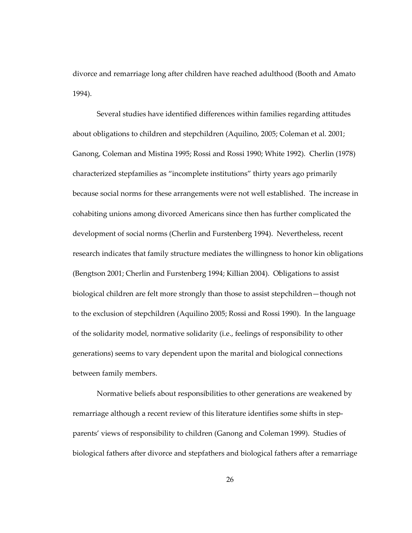divorce and remarriage long after children have reached adulthood (Booth and Amato 1994).

Several studies have identified differences within families regarding attitudes about obligations to children and stepchildren (Aquilino, 2005; Coleman et al. 2001; Ganong, Coleman and Mistina 1995; Rossi and Rossi 1990; White 1992). Cherlin (1978) characterized stepfamilies as "incomplete institutions" thirty years ago primarily because social norms for these arrangements were not well established. The increase in cohabiting unions among divorced Americans since then has further complicated the development of social norms (Cherlin and Furstenberg 1994). Nevertheless, recent research indicates that family structure mediates the willingness to honor kin obligations (Bengtson 2001; Cherlin and Furstenberg 1994; Killian 2004). Obligations to assist biological children are felt more strongly than those to assist stepchildren—though not to the exclusion of stepchildren (Aquilino 2005; Rossi and Rossi 1990). In the language of the solidarity model, normative solidarity (i.e., feelings of responsibility to other generations) seems to vary dependent upon the marital and biological connections between family members.

Normative beliefs about responsibilities to other generations are weakened by remarriage although a recent review of this literature identifies some shifts in stepparents' views of responsibility to children (Ganong and Coleman 1999). Studies of biological fathers after divorce and stepfathers and biological fathers after a remarriage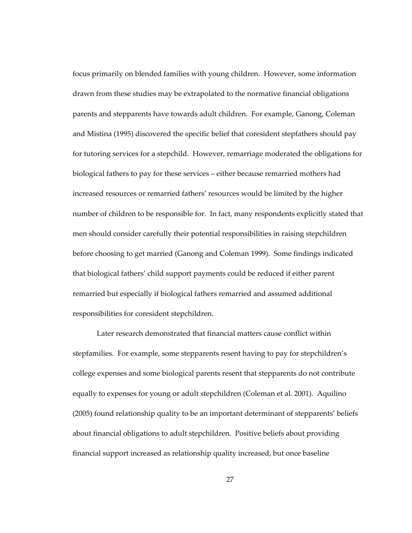focus primarily on blended families with young children. However, some information drawn from these studies may be extrapolated to the normative financial obligations parents and stepparents have towards adult children. For example, Ganong, Coleman and Mistina (1995) discovered the specific belief that coresident stepfathers should pay for tutoring services for a stepchild. However, remarriage moderated the obligations for biological fathers to pay for these services – either because remarried mothers had increased resources or remarried fathers' resources would be limited by the higher number of children to be responsible for. In fact, many respondents explicitly stated that men should consider carefully their potential responsibilities in raising stepchildren before choosing to get married (Ganong and Coleman 1999). Some findings indicated that biological fathers' child support payments could be reduced if either parent remarried but especially if biological fathers remarried and assumed additional responsibilities for coresident stepchildren.

Later research demonstrated that financial matters cause conflict within stepfamilies. For example, some stepparents resent having to pay for stepchildren's college expenses and some biological parents resent that stepparents do not contribute equally to expenses for young or adult stepchildren (Coleman et al. 2001). Aquilino (2005) found relationship quality to be an important determinant of stepparents' beliefs about financial obligations to adult stepchildren. Positive beliefs about providing financial support increased as relationship quality increased, but once baseline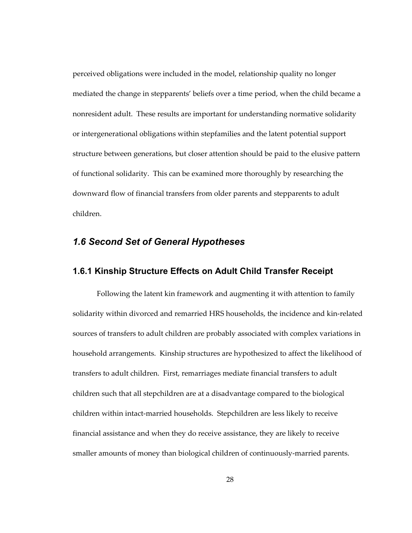perceived obligations were included in the model, relationship quality no longer mediated the change in stepparents' beliefs over a time period, when the child became a nonresident adult. These results are important for understanding normative solidarity or intergenerational obligations within stepfamilies and the latent potential support structure between generations, but closer attention should be paid to the elusive pattern of functional solidarity. This can be examined more thoroughly by researching the downward flow of financial transfers from older parents and stepparents to adult children.

# *1.6 Second Set of General Hypotheses*

# **1.6.1 Kinship Structure Effects on Adult Child Transfer Receipt**

Following the latent kin framework and augmenting it with attention to family solidarity within divorced and remarried HRS households, the incidence and kin-related sources of transfers to adult children are probably associated with complex variations in household arrangements. Kinship structures are hypothesized to affect the likelihood of transfers to adult children. First, remarriages mediate financial transfers to adult children such that all stepchildren are at a disadvantage compared to the biological children within intact-married households. Stepchildren are less likely to receive financial assistance and when they do receive assistance, they are likely to receive smaller amounts of money than biological children of continuously-married parents.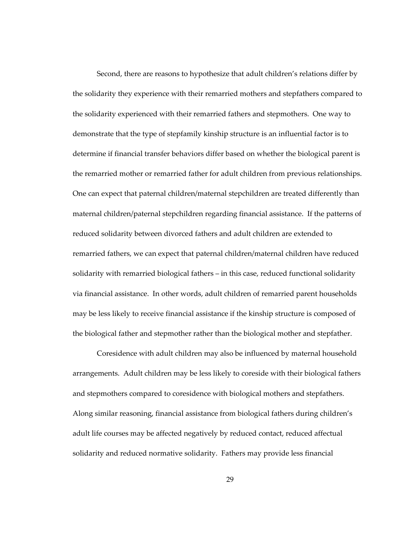Second, there are reasons to hypothesize that adult children's relations differ by the solidarity they experience with their remarried mothers and stepfathers compared to the solidarity experienced with their remarried fathers and stepmothers. One way to demonstrate that the type of stepfamily kinship structure is an influential factor is to determine if financial transfer behaviors differ based on whether the biological parent is the remarried mother or remarried father for adult children from previous relationships. One can expect that paternal children/maternal stepchildren are treated differently than maternal children/paternal stepchildren regarding financial assistance. If the patterns of reduced solidarity between divorced fathers and adult children are extended to remarried fathers, we can expect that paternal children/maternal children have reduced solidarity with remarried biological fathers – in this case, reduced functional solidarity via financial assistance. In other words, adult children of remarried parent households may be less likely to receive financial assistance if the kinship structure is composed of the biological father and stepmother rather than the biological mother and stepfather.

Coresidence with adult children may also be influenced by maternal household arrangements. Adult children may be less likely to coreside with their biological fathers and stepmothers compared to coresidence with biological mothers and stepfathers. Along similar reasoning, financial assistance from biological fathers during children's adult life courses may be affected negatively by reduced contact, reduced affectual solidarity and reduced normative solidarity. Fathers may provide less financial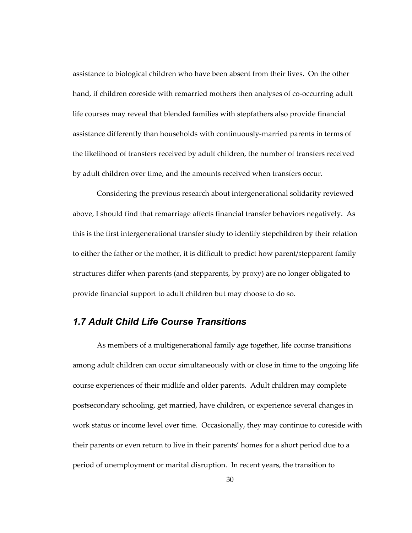assistance to biological children who have been absent from their lives. On the other hand, if children coreside with remarried mothers then analyses of co-occurring adult life courses may reveal that blended families with stepfathers also provide financial assistance differently than households with continuously-married parents in terms of the likelihood of transfers received by adult children, the number of transfers received by adult children over time, and the amounts received when transfers occur.

Considering the previous research about intergenerational solidarity reviewed above, I should find that remarriage affects financial transfer behaviors negatively. As this is the first intergenerational transfer study to identify stepchildren by their relation to either the father or the mother, it is difficult to predict how parent/stepparent family structures differ when parents (and stepparents, by proxy) are no longer obligated to provide financial support to adult children but may choose to do so.

# *1.7 Adult Child Life Course Transitions*

As members of a multigenerational family age together, life course transitions among adult children can occur simultaneously with or close in time to the ongoing life course experiences of their midlife and older parents. Adult children may complete postsecondary schooling, get married, have children, or experience several changes in work status or income level over time. Occasionally, they may continue to coreside with their parents or even return to live in their parents' homes for a short period due to a period of unemployment or marital disruption. In recent years, the transition to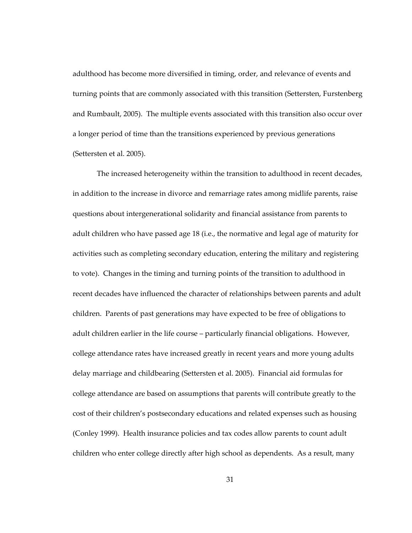adulthood has become more diversified in timing, order, and relevance of events and turning points that are commonly associated with this transition (Settersten, Furstenberg and Rumbault, 2005). The multiple events associated with this transition also occur over a longer period of time than the transitions experienced by previous generations (Settersten et al. 2005).

The increased heterogeneity within the transition to adulthood in recent decades, in addition to the increase in divorce and remarriage rates among midlife parents, raise questions about intergenerational solidarity and financial assistance from parents to adult children who have passed age 18 (i.e., the normative and legal age of maturity for activities such as completing secondary education, entering the military and registering to vote). Changes in the timing and turning points of the transition to adulthood in recent decades have influenced the character of relationships between parents and adult children. Parents of past generations may have expected to be free of obligations to adult children earlier in the life course – particularly financial obligations. However, college attendance rates have increased greatly in recent years and more young adults delay marriage and childbearing (Settersten et al. 2005). Financial aid formulas for college attendance are based on assumptions that parents will contribute greatly to the cost of their children's postsecondary educations and related expenses such as housing (Conley 1999). Health insurance policies and tax codes allow parents to count adult children who enter college directly after high school as dependents. As a result, many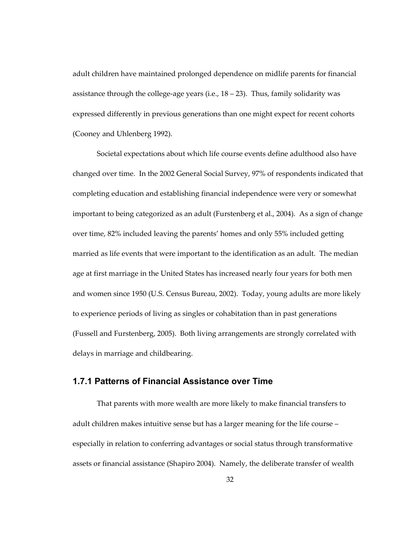adult children have maintained prolonged dependence on midlife parents for financial assistance through the college-age years (i.e.,  $18 - 23$ ). Thus, family solidarity was expressed differently in previous generations than one might expect for recent cohorts (Cooney and Uhlenberg 1992).

Societal expectations about which life course events define adulthood also have changed over time. In the 2002 General Social Survey, 97% of respondents indicated that completing education and establishing financial independence were very or somewhat important to being categorized as an adult (Furstenberg et al., 2004). As a sign of change over time, 82% included leaving the parents' homes and only 55% included getting married as life events that were important to the identification as an adult. The median age at first marriage in the United States has increased nearly four years for both men and women since 1950 (U.S. Census Bureau, 2002). Today, young adults are more likely to experience periods of living as singles or cohabitation than in past generations (Fussell and Furstenberg, 2005). Both living arrangements are strongly correlated with delays in marriage and childbearing.

## **1.7.1 Patterns of Financial Assistance over Time**

That parents with more wealth are more likely to make financial transfers to adult children makes intuitive sense but has a larger meaning for the life course – especially in relation to conferring advantages or social status through transformative assets or financial assistance (Shapiro 2004). Namely, the deliberate transfer of wealth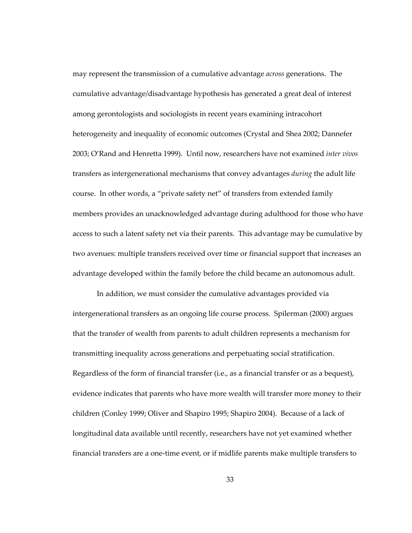may represent the transmission of a cumulative advantage *across* generations. The cumulative advantage/disadvantage hypothesis has generated a great deal of interest among gerontologists and sociologists in recent years examining intracohort heterogeneity and inequality of economic outcomes (Crystal and Shea 2002; Dannefer 2003; O'Rand and Henretta 1999). Until now, researchers have not examined *inter vivos*  transfers as intergenerational mechanisms that convey advantages *during* the adult life course. In other words, a "private safety net" of transfers from extended family members provides an unacknowledged advantage during adulthood for those who have access to such a latent safety net via their parents. This advantage may be cumulative by two avenues: multiple transfers received over time or financial support that increases an advantage developed within the family before the child became an autonomous adult.

In addition, we must consider the cumulative advantages provided via intergenerational transfers as an ongoing life course process. Spilerman (2000) argues that the transfer of wealth from parents to adult children represents a mechanism for transmitting inequality across generations and perpetuating social stratification. Regardless of the form of financial transfer (i.e., as a financial transfer or as a bequest), evidence indicates that parents who have more wealth will transfer more money to their children (Conley 1999; Oliver and Shapiro 1995; Shapiro 2004). Because of a lack of longitudinal data available until recently, researchers have not yet examined whether financial transfers are a one-time event, or if midlife parents make multiple transfers to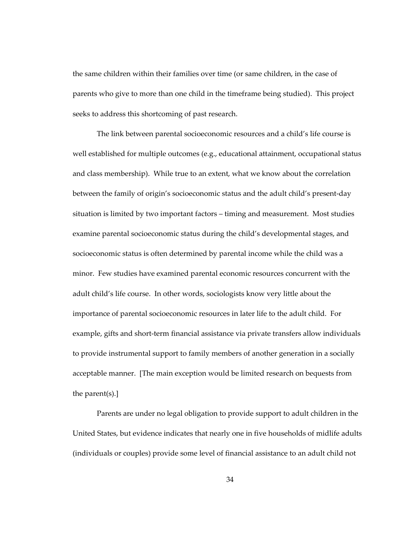the same children within their families over time (or same children, in the case of parents who give to more than one child in the timeframe being studied). This project seeks to address this shortcoming of past research.

The link between parental socioeconomic resources and a child's life course is well established for multiple outcomes (e.g., educational attainment, occupational status and class membership). While true to an extent, what we know about the correlation between the family of origin's socioeconomic status and the adult child's present-day situation is limited by two important factors – timing and measurement. Most studies examine parental socioeconomic status during the child's developmental stages, and socioeconomic status is often determined by parental income while the child was a minor. Few studies have examined parental economic resources concurrent with the adult child's life course. In other words, sociologists know very little about the importance of parental socioeconomic resources in later life to the adult child. For example, gifts and short-term financial assistance via private transfers allow individuals to provide instrumental support to family members of another generation in a socially acceptable manner. [The main exception would be limited research on bequests from the parent(s).]

Parents are under no legal obligation to provide support to adult children in the United States, but evidence indicates that nearly one in five households of midlife adults (individuals or couples) provide some level of financial assistance to an adult child not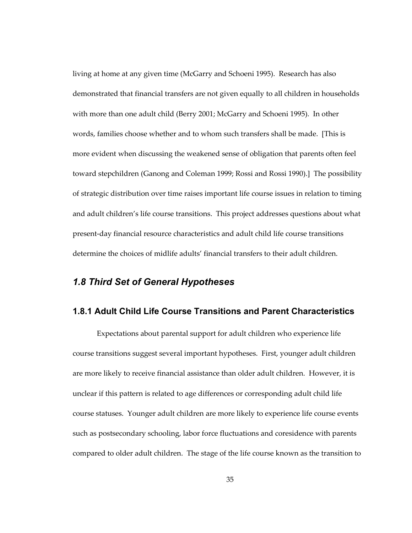living at home at any given time (McGarry and Schoeni 1995). Research has also demonstrated that financial transfers are not given equally to all children in households with more than one adult child (Berry 2001; McGarry and Schoeni 1995). In other words, families choose whether and to whom such transfers shall be made. [This is more evident when discussing the weakened sense of obligation that parents often feel toward stepchildren (Ganong and Coleman 1999; Rossi and Rossi 1990).] The possibility of strategic distribution over time raises important life course issues in relation to timing and adult children's life course transitions. This project addresses questions about what present-day financial resource characteristics and adult child life course transitions determine the choices of midlife adults' financial transfers to their adult children.

# *1.8 Third Set of General Hypotheses*

## **1.8.1 Adult Child Life Course Transitions and Parent Characteristics**

Expectations about parental support for adult children who experience life course transitions suggest several important hypotheses. First, younger adult children are more likely to receive financial assistance than older adult children. However, it is unclear if this pattern is related to age differences or corresponding adult child life course statuses. Younger adult children are more likely to experience life course events such as postsecondary schooling, labor force fluctuations and coresidence with parents compared to older adult children. The stage of the life course known as the transition to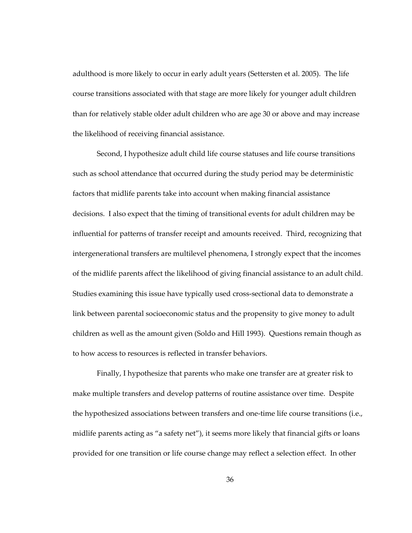adulthood is more likely to occur in early adult years (Settersten et al. 2005). The life course transitions associated with that stage are more likely for younger adult children than for relatively stable older adult children who are age 30 or above and may increase the likelihood of receiving financial assistance.

Second, I hypothesize adult child life course statuses and life course transitions such as school attendance that occurred during the study period may be deterministic factors that midlife parents take into account when making financial assistance decisions. I also expect that the timing of transitional events for adult children may be influential for patterns of transfer receipt and amounts received. Third, recognizing that intergenerational transfers are multilevel phenomena, I strongly expect that the incomes of the midlife parents affect the likelihood of giving financial assistance to an adult child. Studies examining this issue have typically used cross-sectional data to demonstrate a link between parental socioeconomic status and the propensity to give money to adult children as well as the amount given (Soldo and Hill 1993). Questions remain though as to how access to resources is reflected in transfer behaviors.

Finally, I hypothesize that parents who make one transfer are at greater risk to make multiple transfers and develop patterns of routine assistance over time. Despite the hypothesized associations between transfers and one-time life course transitions (i.e., midlife parents acting as "a safety net"), it seems more likely that financial gifts or loans provided for one transition or life course change may reflect a selection effect. In other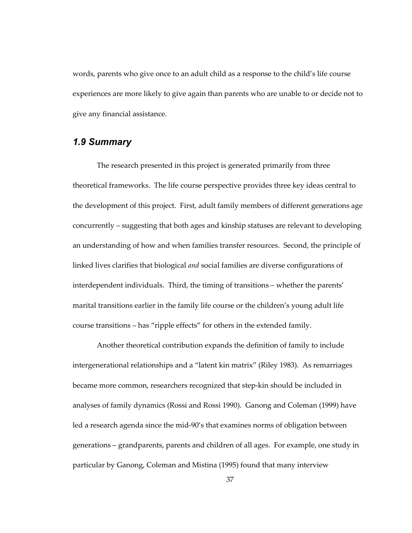words, parents who give once to an adult child as a response to the child's life course experiences are more likely to give again than parents who are unable to or decide not to give any financial assistance.

# *1.9 Summary*

The research presented in this project is generated primarily from three theoretical frameworks. The life course perspective provides three key ideas central to the development of this project. First, adult family members of different generations age concurrently – suggesting that both ages and kinship statuses are relevant to developing an understanding of how and when families transfer resources. Second, the principle of linked lives clarifies that biological *and* social families are diverse configurations of interdependent individuals. Third, the timing of transitions – whether the parents' marital transitions earlier in the family life course or the children's young adult life course transitions – has "ripple effects" for others in the extended family.

Another theoretical contribution expands the definition of family to include intergenerational relationships and a "latent kin matrix" (Riley 1983). As remarriages became more common, researchers recognized that step-kin should be included in analyses of family dynamics (Rossi and Rossi 1990). Ganong and Coleman (1999) have led a research agenda since the mid-90's that examines norms of obligation between generations – grandparents, parents and children of all ages. For example, one study in particular by Ganong, Coleman and Mistina (1995) found that many interview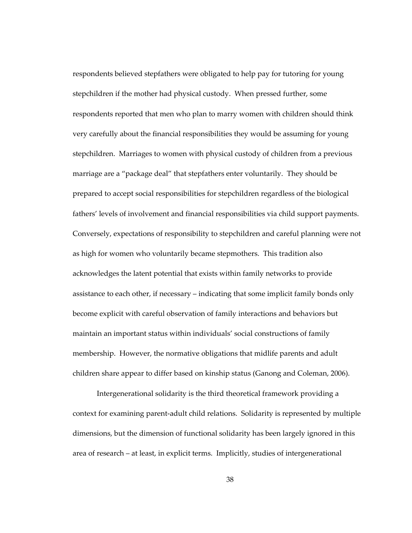respondents believed stepfathers were obligated to help pay for tutoring for young stepchildren if the mother had physical custody. When pressed further, some respondents reported that men who plan to marry women with children should think very carefully about the financial responsibilities they would be assuming for young stepchildren. Marriages to women with physical custody of children from a previous marriage are a "package deal" that stepfathers enter voluntarily. They should be prepared to accept social responsibilities for stepchildren regardless of the biological fathers' levels of involvement and financial responsibilities via child support payments. Conversely, expectations of responsibility to stepchildren and careful planning were not as high for women who voluntarily became stepmothers. This tradition also acknowledges the latent potential that exists within family networks to provide assistance to each other, if necessary – indicating that some implicit family bonds only become explicit with careful observation of family interactions and behaviors but maintain an important status within individuals' social constructions of family membership. However, the normative obligations that midlife parents and adult children share appear to differ based on kinship status (Ganong and Coleman, 2006).

Intergenerational solidarity is the third theoretical framework providing a context for examining parent-adult child relations. Solidarity is represented by multiple dimensions, but the dimension of functional solidarity has been largely ignored in this area of research – at least, in explicit terms. Implicitly, studies of intergenerational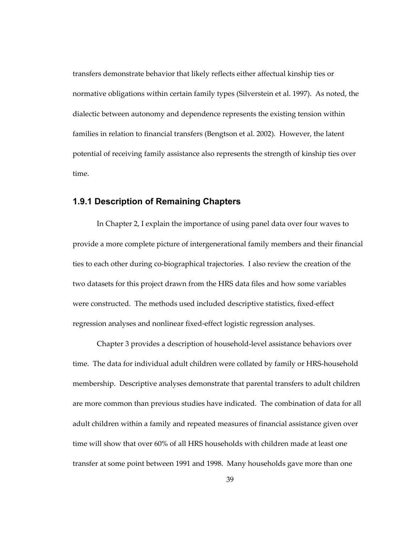transfers demonstrate behavior that likely reflects either affectual kinship ties or normative obligations within certain family types (Silverstein et al. 1997). As noted, the dialectic between autonomy and dependence represents the existing tension within families in relation to financial transfers (Bengtson et al. 2002). However, the latent potential of receiving family assistance also represents the strength of kinship ties over time.

## **1.9.1 Description of Remaining Chapters**

In Chapter 2, I explain the importance of using panel data over four waves to provide a more complete picture of intergenerational family members and their financial ties to each other during co-biographical trajectories. I also review the creation of the two datasets for this project drawn from the HRS data files and how some variables were constructed. The methods used included descriptive statistics, fixed-effect regression analyses and nonlinear fixed-effect logistic regression analyses.

Chapter 3 provides a description of household-level assistance behaviors over time. The data for individual adult children were collated by family or HRS-household membership. Descriptive analyses demonstrate that parental transfers to adult children are more common than previous studies have indicated. The combination of data for all adult children within a family and repeated measures of financial assistance given over time will show that over 60% of all HRS households with children made at least one transfer at some point between 1991 and 1998. Many households gave more than one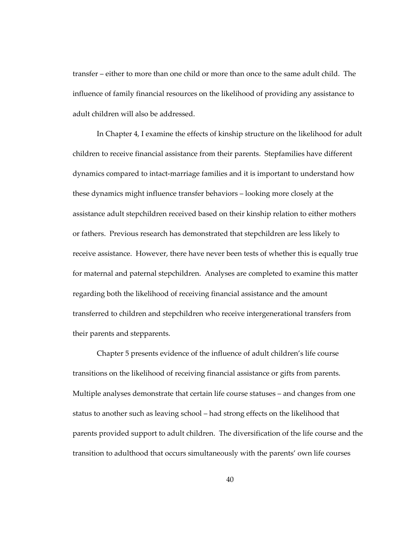transfer – either to more than one child or more than once to the same adult child. The influence of family financial resources on the likelihood of providing any assistance to adult children will also be addressed.

In Chapter 4, I examine the effects of kinship structure on the likelihood for adult children to receive financial assistance from their parents. Stepfamilies have different dynamics compared to intact-marriage families and it is important to understand how these dynamics might influence transfer behaviors – looking more closely at the assistance adult stepchildren received based on their kinship relation to either mothers or fathers. Previous research has demonstrated that stepchildren are less likely to receive assistance. However, there have never been tests of whether this is equally true for maternal and paternal stepchildren. Analyses are completed to examine this matter regarding both the likelihood of receiving financial assistance and the amount transferred to children and stepchildren who receive intergenerational transfers from their parents and stepparents.

Chapter 5 presents evidence of the influence of adult children's life course transitions on the likelihood of receiving financial assistance or gifts from parents. Multiple analyses demonstrate that certain life course statuses – and changes from one status to another such as leaving school – had strong effects on the likelihood that parents provided support to adult children. The diversification of the life course and the transition to adulthood that occurs simultaneously with the parents' own life courses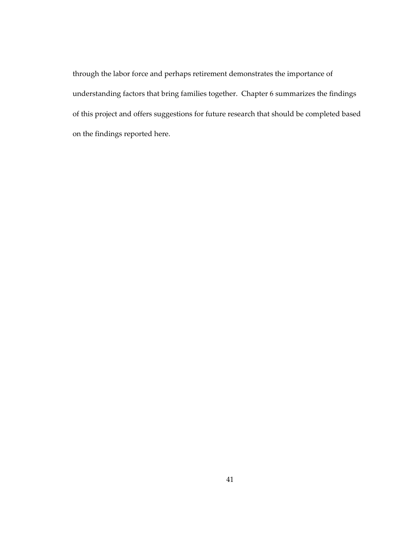through the labor force and perhaps retirement demonstrates the importance of understanding factors that bring families together. Chapter 6 summarizes the findings of this project and offers suggestions for future research that should be completed based on the findings reported here.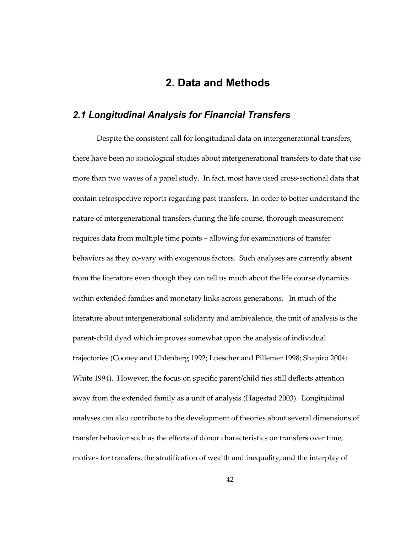# **2. Data and Methods**

# *2.1 Longitudinal Analysis for Financial Transfers*

Despite the consistent call for longitudinal data on intergenerational transfers, there have been no sociological studies about intergenerational transfers to date that use more than two waves of a panel study. In fact, most have used cross-sectional data that contain retrospective reports regarding past transfers. In order to better understand the nature of intergenerational transfers during the life course, thorough measurement requires data from multiple time points – allowing for examinations of transfer behaviors as they co-vary with exogenous factors. Such analyses are currently absent from the literature even though they can tell us much about the life course dynamics within extended families and monetary links across generations. In much of the literature about intergenerational solidarity and ambivalence, the unit of analysis is the parent-child dyad which improves somewhat upon the analysis of individual trajectories (Cooney and Uhlenberg 1992; Luescher and Pillemer 1998; Shapiro 2004; White 1994). However, the focus on specific parent/child ties still deflects attention away from the extended family as a unit of analysis (Hagestad 2003). Longitudinal analyses can also contribute to the development of theories about several dimensions of transfer behavior such as the effects of donor characteristics on transfers over time, motives for transfers, the stratification of wealth and inequality, and the interplay of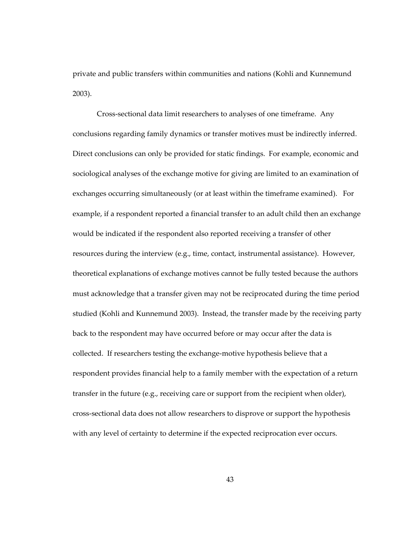private and public transfers within communities and nations (Kohli and Kunnemund 2003).

Cross-sectional data limit researchers to analyses of one timeframe. Any conclusions regarding family dynamics or transfer motives must be indirectly inferred. Direct conclusions can only be provided for static findings. For example, economic and sociological analyses of the exchange motive for giving are limited to an examination of exchanges occurring simultaneously (or at least within the timeframe examined). For example, if a respondent reported a financial transfer to an adult child then an exchange would be indicated if the respondent also reported receiving a transfer of other resources during the interview (e.g., time, contact, instrumental assistance). However, theoretical explanations of exchange motives cannot be fully tested because the authors must acknowledge that a transfer given may not be reciprocated during the time period studied (Kohli and Kunnemund 2003). Instead, the transfer made by the receiving party back to the respondent may have occurred before or may occur after the data is collected. If researchers testing the exchange-motive hypothesis believe that a respondent provides financial help to a family member with the expectation of a return transfer in the future (e.g., receiving care or support from the recipient when older), cross-sectional data does not allow researchers to disprove or support the hypothesis with any level of certainty to determine if the expected reciprocation ever occurs.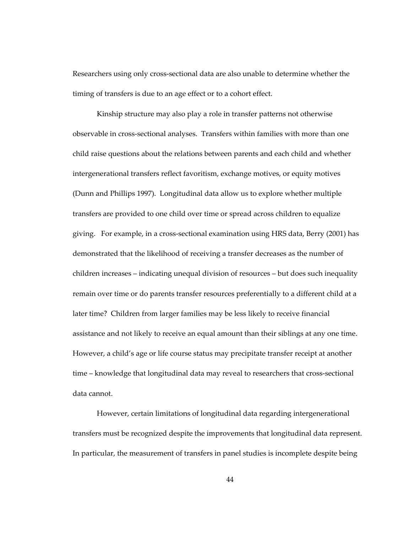Researchers using only cross-sectional data are also unable to determine whether the timing of transfers is due to an age effect or to a cohort effect.

Kinship structure may also play a role in transfer patterns not otherwise observable in cross-sectional analyses. Transfers within families with more than one child raise questions about the relations between parents and each child and whether intergenerational transfers reflect favoritism, exchange motives, or equity motives (Dunn and Phillips 1997). Longitudinal data allow us to explore whether multiple transfers are provided to one child over time or spread across children to equalize giving. For example, in a cross-sectional examination using HRS data, Berry (2001) has demonstrated that the likelihood of receiving a transfer decreases as the number of children increases – indicating unequal division of resources – but does such inequality remain over time or do parents transfer resources preferentially to a different child at a later time? Children from larger families may be less likely to receive financial assistance and not likely to receive an equal amount than their siblings at any one time. However, a child's age or life course status may precipitate transfer receipt at another time – knowledge that longitudinal data may reveal to researchers that cross-sectional data cannot.

However, certain limitations of longitudinal data regarding intergenerational transfers must be recognized despite the improvements that longitudinal data represent. In particular, the measurement of transfers in panel studies is incomplete despite being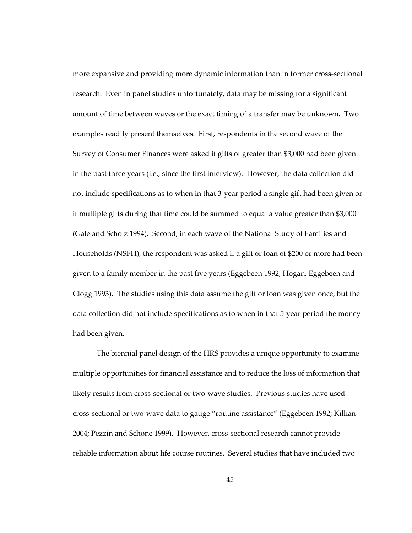more expansive and providing more dynamic information than in former cross-sectional research. Even in panel studies unfortunately, data may be missing for a significant amount of time between waves or the exact timing of a transfer may be unknown. Two examples readily present themselves. First, respondents in the second wave of the Survey of Consumer Finances were asked if gifts of greater than \$3,000 had been given in the past three years (i.e., since the first interview). However, the data collection did not include specifications as to when in that 3-year period a single gift had been given or if multiple gifts during that time could be summed to equal a value greater than \$3,000 (Gale and Scholz 1994). Second, in each wave of the National Study of Families and Households (NSFH), the respondent was asked if a gift or loan of \$200 or more had been given to a family member in the past five years (Eggebeen 1992; Hogan, Eggebeen and Clogg 1993). The studies using this data assume the gift or loan was given once, but the data collection did not include specifications as to when in that 5-year period the money had been given.

The biennial panel design of the HRS provides a unique opportunity to examine multiple opportunities for financial assistance and to reduce the loss of information that likely results from cross-sectional or two-wave studies. Previous studies have used cross-sectional or two-wave data to gauge "routine assistance" (Eggebeen 1992; Killian 2004; Pezzin and Schone 1999). However, cross-sectional research cannot provide reliable information about life course routines. Several studies that have included two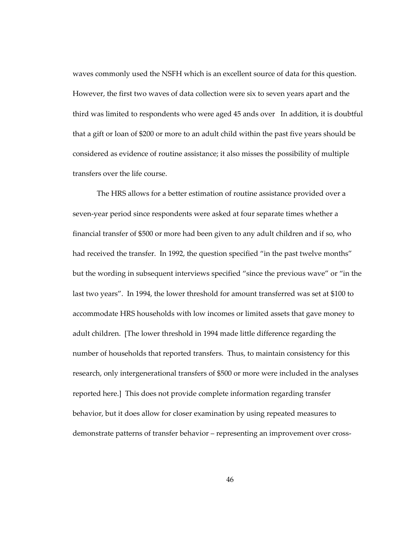waves commonly used the NSFH which is an excellent source of data for this question. However, the first two waves of data collection were six to seven years apart and the third was limited to respondents who were aged 45 ands over In addition, it is doubtful that a gift or loan of \$200 or more to an adult child within the past five years should be considered as evidence of routine assistance; it also misses the possibility of multiple transfers over the life course.

The HRS allows for a better estimation of routine assistance provided over a seven-year period since respondents were asked at four separate times whether a financial transfer of \$500 or more had been given to any adult children and if so, who had received the transfer. In 1992, the question specified "in the past twelve months" but the wording in subsequent interviews specified "since the previous wave" or "in the last two years". In 1994, the lower threshold for amount transferred was set at \$100 to accommodate HRS households with low incomes or limited assets that gave money to adult children. [The lower threshold in 1994 made little difference regarding the number of households that reported transfers. Thus, to maintain consistency for this research, only intergenerational transfers of \$500 or more were included in the analyses reported here.] This does not provide complete information regarding transfer behavior, but it does allow for closer examination by using repeated measures to demonstrate patterns of transfer behavior – representing an improvement over cross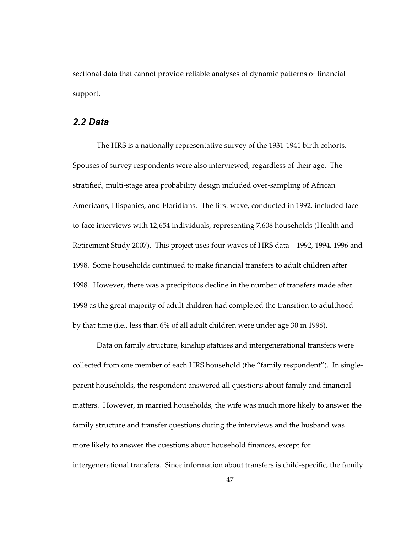sectional data that cannot provide reliable analyses of dynamic patterns of financial support.

# *2.2 Data*

The HRS is a nationally representative survey of the 1931-1941 birth cohorts. Spouses of survey respondents were also interviewed, regardless of their age. The stratified, multi-stage area probability design included over-sampling of African Americans, Hispanics, and Floridians. The first wave, conducted in 1992, included faceto-face interviews with 12,654 individuals, representing 7,608 households (Health and Retirement Study 2007). This project uses four waves of HRS data – 1992, 1994, 1996 and 1998. Some households continued to make financial transfers to adult children after 1998. However, there was a precipitous decline in the number of transfers made after 1998 as the great majority of adult children had completed the transition to adulthood by that time (i.e., less than 6% of all adult children were under age 30 in 1998).

Data on family structure, kinship statuses and intergenerational transfers were collected from one member of each HRS household (the "family respondent"). In singleparent households, the respondent answered all questions about family and financial matters. However, in married households, the wife was much more likely to answer the family structure and transfer questions during the interviews and the husband was more likely to answer the questions about household finances, except for intergenerational transfers. Since information about transfers is child-specific, the family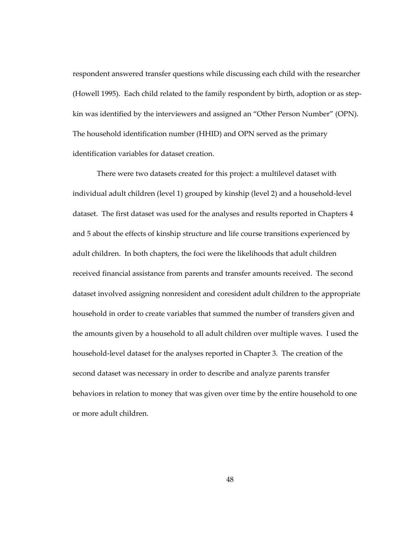respondent answered transfer questions while discussing each child with the researcher (Howell 1995). Each child related to the family respondent by birth, adoption or as stepkin was identified by the interviewers and assigned an "Other Person Number" (OPN). The household identification number (HHID) and OPN served as the primary identification variables for dataset creation.

There were two datasets created for this project: a multilevel dataset with individual adult children (level 1) grouped by kinship (level 2) and a household-level dataset. The first dataset was used for the analyses and results reported in Chapters 4 and 5 about the effects of kinship structure and life course transitions experienced by adult children. In both chapters, the foci were the likelihoods that adult children received financial assistance from parents and transfer amounts received. The second dataset involved assigning nonresident and coresident adult children to the appropriate household in order to create variables that summed the number of transfers given and the amounts given by a household to all adult children over multiple waves. I used the household-level dataset for the analyses reported in Chapter 3. The creation of the second dataset was necessary in order to describe and analyze parents transfer behaviors in relation to money that was given over time by the entire household to one or more adult children.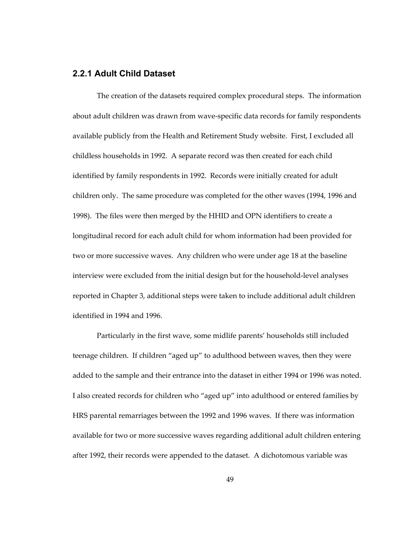# **2.2.1 Adult Child Dataset**

The creation of the datasets required complex procedural steps. The information about adult children was drawn from wave-specific data records for family respondents available publicly from the Health and Retirement Study website. First, I excluded all childless households in 1992. A separate record was then created for each child identified by family respondents in 1992. Records were initially created for adult children only. The same procedure was completed for the other waves (1994, 1996 and 1998). The files were then merged by the HHID and OPN identifiers to create a longitudinal record for each adult child for whom information had been provided for two or more successive waves. Any children who were under age 18 at the baseline interview were excluded from the initial design but for the household-level analyses reported in Chapter 3, additional steps were taken to include additional adult children identified in 1994 and 1996.

Particularly in the first wave, some midlife parents' households still included teenage children. If children "aged up" to adulthood between waves, then they were added to the sample and their entrance into the dataset in either 1994 or 1996 was noted. I also created records for children who "aged up" into adulthood or entered families by HRS parental remarriages between the 1992 and 1996 waves. If there was information available for two or more successive waves regarding additional adult children entering after 1992, their records were appended to the dataset. A dichotomous variable was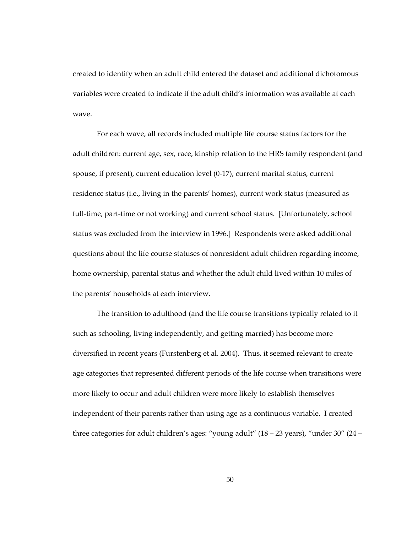created to identify when an adult child entered the dataset and additional dichotomous variables were created to indicate if the adult child's information was available at each wave.

For each wave, all records included multiple life course status factors for the adult children: current age, sex, race, kinship relation to the HRS family respondent (and spouse, if present), current education level (0-17), current marital status, current residence status (i.e., living in the parents' homes), current work status (measured as full-time, part-time or not working) and current school status. [Unfortunately, school status was excluded from the interview in 1996.] Respondents were asked additional questions about the life course statuses of nonresident adult children regarding income, home ownership, parental status and whether the adult child lived within 10 miles of the parents' households at each interview.

The transition to adulthood (and the life course transitions typically related to it such as schooling, living independently, and getting married) has become more diversified in recent years (Furstenberg et al. 2004). Thus, it seemed relevant to create age categories that represented different periods of the life course when transitions were more likely to occur and adult children were more likely to establish themselves independent of their parents rather than using age as a continuous variable. I created three categories for adult children's ages: "young adult" (18 – 23 years), "under 30" (24 –

50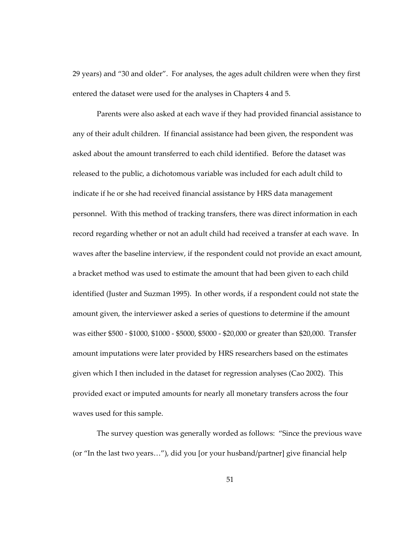29 years) and "30 and older". For analyses, the ages adult children were when they first entered the dataset were used for the analyses in Chapters 4 and 5.

Parents were also asked at each wave if they had provided financial assistance to any of their adult children. If financial assistance had been given, the respondent was asked about the amount transferred to each child identified. Before the dataset was released to the public, a dichotomous variable was included for each adult child to indicate if he or she had received financial assistance by HRS data management personnel. With this method of tracking transfers, there was direct information in each record regarding whether or not an adult child had received a transfer at each wave. In waves after the baseline interview, if the respondent could not provide an exact amount, a bracket method was used to estimate the amount that had been given to each child identified (Juster and Suzman 1995). In other words, if a respondent could not state the amount given, the interviewer asked a series of questions to determine if the amount was either \$500 - \$1000, \$1000 - \$5000, \$5000 - \$20,000 or greater than \$20,000. Transfer amount imputations were later provided by HRS researchers based on the estimates given which I then included in the dataset for regression analyses (Cao 2002). This provided exact or imputed amounts for nearly all monetary transfers across the four waves used for this sample.

The survey question was generally worded as follows: "Since the previous wave (or "In the last two years…"), did you [or your husband/partner] give financial help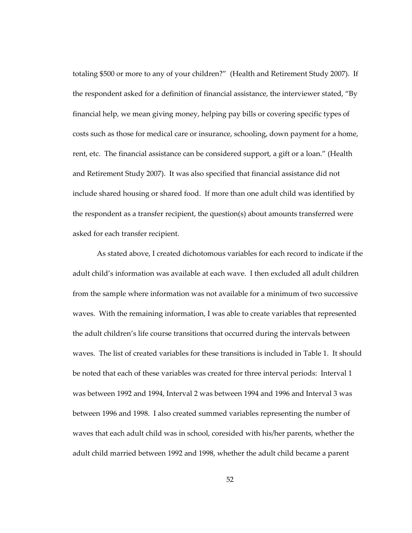totaling \$500 or more to any of your children?" (Health and Retirement Study 2007). If the respondent asked for a definition of financial assistance, the interviewer stated, "By financial help, we mean giving money, helping pay bills or covering specific types of costs such as those for medical care or insurance, schooling, down payment for a home, rent, etc. The financial assistance can be considered support, a gift or a loan." (Health and Retirement Study 2007). It was also specified that financial assistance did not include shared housing or shared food. If more than one adult child was identified by the respondent as a transfer recipient, the question(s) about amounts transferred were asked for each transfer recipient.

As stated above, I created dichotomous variables for each record to indicate if the adult child's information was available at each wave. I then excluded all adult children from the sample where information was not available for a minimum of two successive waves. With the remaining information, I was able to create variables that represented the adult children's life course transitions that occurred during the intervals between waves. The list of created variables for these transitions is included in Table 1. It should be noted that each of these variables was created for three interval periods: Interval 1 was between 1992 and 1994, Interval 2 was between 1994 and 1996 and Interval 3 was between 1996 and 1998. I also created summed variables representing the number of waves that each adult child was in school, coresided with his/her parents, whether the adult child married between 1992 and 1998, whether the adult child became a parent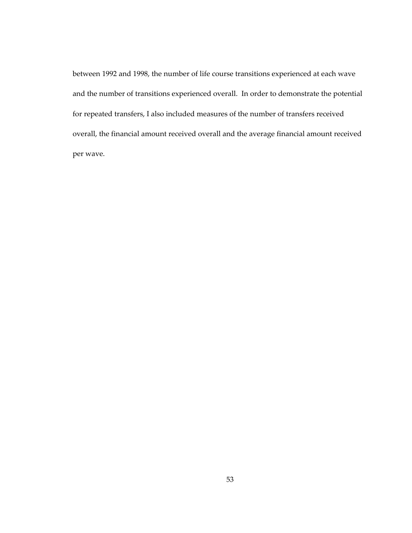between 1992 and 1998, the number of life course transitions experienced at each wave and the number of transitions experienced overall. In order to demonstrate the potential for repeated transfers, I also included measures of the number of transfers received overall, the financial amount received overall and the average financial amount received per wave.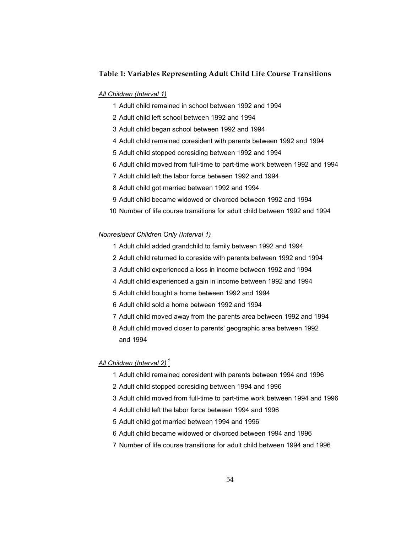#### **Table 1: Variables Representing Adult Child Life Course Transitions**

#### *All Children (Interval 1)*

- 1 Adult child remained in school between 1992 and 1994
- 2 Adult child left school between 1992 and 1994
- 3 Adult child began school between 1992 and 1994
- 4 Adult child remained coresident with parents between 1992 and 1994
- 5 Adult child stopped coresiding between 1992 and 1994
- 6 Adult child moved from full-time to part-time work between 1992 and 1994
- 7 Adult child left the labor force between 1992 and 1994
- 8 Adult child got married between 1992 and 1994
- 9 Adult child became widowed or divorced between 1992 and 1994
- 10 Number of life course transitions for adult child between 1992 and 1994

#### *Nonresident Children Only (Interval 1)*

- 1 Adult child added grandchild to family between 1992 and 1994
- 2 Adult child returned to coreside with parents between 1992 and 1994
- 3 Adult child experienced a loss in income between 1992 and 1994
- 4 Adult child experienced a gain in income between 1992 and 1994
- 5 Adult child bought a home between 1992 and 1994
- 6 Adult child sold a home between 1992 and 1994
- 7 Adult child moved away from the parents area between 1992 and 1994
- 8 Adult child moved closer to parents' geographic area between 1992 and 1994

#### *All Children (Interval 2) <sup>1</sup>*

- 1 Adult child remained coresident with parents between 1994 and 1996
- 2 Adult child stopped coresiding between 1994 and 1996
- 3 Adult child moved from full-time to part-time work between 1994 and 1996
- 4 Adult child left the labor force between 1994 and 1996
- 5 Adult child got married between 1994 and 1996
- 6 Adult child became widowed or divorced between 1994 and 1996
- 7 Number of life course transitions for adult child between 1994 and 1996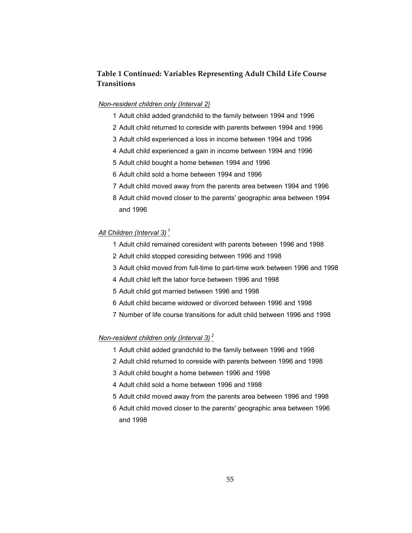# **Table 1 Continued: Variables Representing Adult Child Life Course Transitions**

#### *Non-resident children only (Interval 2)*

- 1 Adult child added grandchild to the family between 1994 and 1996
- 2 Adult child returned to coreside with parents between 1994 and 1996
- 3 Adult child experienced a loss in income between 1994 and 1996
- 4 Adult child experienced a gain in income between 1994 and 1996
- 5 Adult child bought a home between 1994 and 1996
- 6 Adult child sold a home between 1994 and 1996
- 7 Adult child moved away from the parents area between 1994 and 1996
- 8 Adult child moved closer to the parents' geographic area between 1994 and 1996

## *All Children (Interval 3) <sup>1</sup>*

- 1 Adult child remained coresident with parents between 1996 and 1998
- 2 Adult child stopped coresiding between 1996 and 1998
- 3 Adult child moved from full-time to part-time work between 1996 and 1998
- 4 Adult child left the labor force between 1996 and 1998
- 5 Adult child got married between 1996 and 1998
- 6 Adult child became widowed or divorced between 1996 and 1998
- 7 Number of life course transitions for adult child between 1996 and 1998

#### *Non-resident children only (Interval 3) <sup>2</sup>*

- 1 Adult child added grandchild to the family between 1996 and 1998
- 2 Adult child returned to coreside with parents between 1996 and 1998
- 3 Adult child bought a home between 1996 and 1998
- 4 Adult child sold a home between 1996 and 1998
- 5 Adult child moved away from the parents area between 1996 and 1998
- 6 Adult child moved closer to the parents' geographic area between 1996 and 1998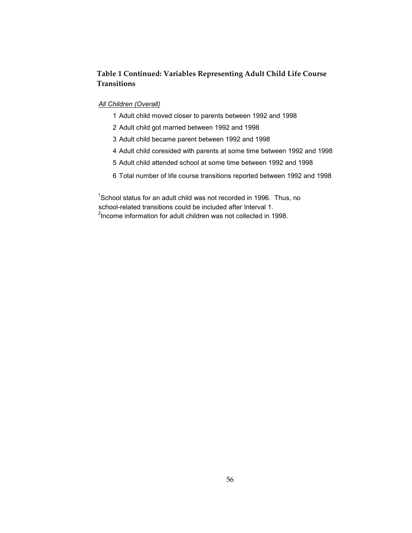# **Table 1 Continued: Variables Representing Adult Child Life Course Transitions**

### *All Children (Overall)*

- 1 Adult child moved closer to parents between 1992 and 1998
- 2 Adult child got married between 1992 and 1998
- 3 Adult child became parent between 1992 and 1998
- 4 Adult child coresided with parents at some time between 1992 and 1998
- 5 Adult child attended school at some time between 1992 and 1998
- 6 Total number of life course transitions reported between 1992 and 1998

 $1$ School status for an adult child was not recorded in 1996. Thus, no school-related transitions could be included after Interval 1.

<sup>2</sup>Income information for adult children was not collected in 1998.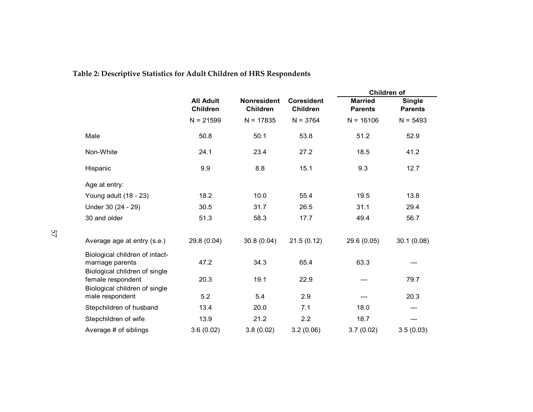|                                                                                     | <b>All Adult</b><br><b>Children</b> | <b>Nonresident</b><br>Children | <b>Coresident</b><br><b>Children</b> | Children of                      |                                 |
|-------------------------------------------------------------------------------------|-------------------------------------|--------------------------------|--------------------------------------|----------------------------------|---------------------------------|
|                                                                                     |                                     |                                |                                      | <b>Married</b><br><b>Parents</b> | <b>Single</b><br><b>Parents</b> |
|                                                                                     | $N = 21599$                         | $N = 17835$                    | $N = 3764$                           | $N = 16106$                      | $N = 5493$                      |
| Male                                                                                | 50.8                                | 50.1                           | 53.8                                 | 51.2                             | 52.9                            |
| Non-White                                                                           | 24.1                                | 23.4                           | 27.2                                 | 18.5                             | 41.2                            |
| Hispanic                                                                            | 9.9                                 | 8.8                            | 15.1                                 | 9.3                              | 12.7                            |
| Age at entry:                                                                       |                                     |                                |                                      |                                  |                                 |
| Young adult (18 - 23)                                                               | 18.2                                | 10.0                           | 55.4                                 | 19.5                             | 13.8                            |
| Under 30 (24 - 29)                                                                  | 30.5                                | 31.7                           | 26.5                                 | 31.1                             | 29.4                            |
| 30 and older                                                                        | 51.3                                | 58.3                           | 17.7                                 | 49.4                             | 56.7                            |
| Average age at entry (s.e.)                                                         | 29.8 (0.04)                         | 30.8(0.04)                     | 21.5(0.12)                           | 29.6 (0.05)                      | 30.1(0.08)                      |
| Biological children of intact-<br>marriage parents<br>Biological children of single | 47.2                                | 34.3                           | 65.4                                 | 63.3                             |                                 |
| female respondent<br>Biological children of single                                  | 20.3                                | 19.1                           | 22.9                                 |                                  | 79.7                            |
| male respondent                                                                     | 5.2                                 | 5.4                            | 2.9                                  |                                  | 20.3                            |
| Stepchildren of husband                                                             | 13.4                                | 20.0                           | 7.1                                  | 18.0                             | ---                             |
| Stepchildren of wife                                                                | 13.9                                | 21.2                           | 2.2                                  | 18.7                             | ---                             |
| Average # of siblings                                                               | 3.6(0.02)                           | 3.8(0.02)                      | 3.2(0.06)                            | 3.7(0.02)                        | 3.5(0.03)                       |

# **Table 2: Descriptive Statistics for Adult Children of HRS Respondents**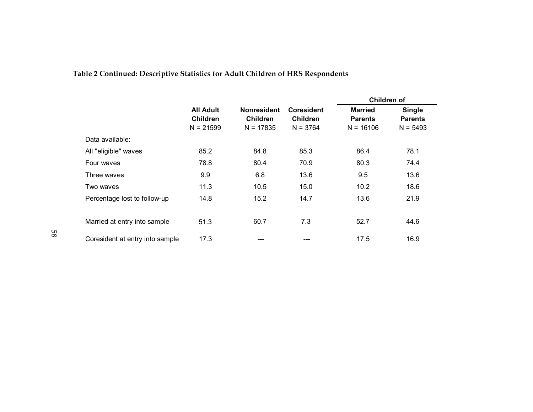|                                 |                                                    |                                                      |                                             | Children of                                     |                                               |  |
|---------------------------------|----------------------------------------------------|------------------------------------------------------|---------------------------------------------|-------------------------------------------------|-----------------------------------------------|--|
|                                 | <b>All Adult</b><br><b>Children</b><br>$N = 21599$ | <b>Nonresident</b><br><b>Children</b><br>$N = 17835$ | Coresident<br><b>Children</b><br>$N = 3764$ | <b>Married</b><br><b>Parents</b><br>$N = 16106$ | <b>Single</b><br><b>Parents</b><br>$N = 5493$ |  |
| Data available:                 |                                                    |                                                      |                                             |                                                 |                                               |  |
| All "eligible" waves            | 85.2                                               | 84.8                                                 | 85.3                                        | 86.4                                            | 78.1                                          |  |
| Four waves                      | 78.8                                               | 80.4                                                 | 70.9                                        | 80.3                                            | 74.4                                          |  |
| Three waves                     | 9.9                                                | 6.8                                                  | 13.6                                        | 9.5                                             | 13.6                                          |  |
| Two waves                       | 11.3                                               | 10.5                                                 | 15.0                                        | 10.2                                            | 18.6                                          |  |
| Percentage lost to follow-up    | 14.8                                               | 15.2                                                 | 14.7                                        | 13.6                                            | 21.9                                          |  |
| Married at entry into sample    | 51.3                                               | 60.7                                                 | 7.3                                         | 52.7                                            | 44.6                                          |  |
| Coresident at entry into sample | 17.3                                               |                                                      |                                             | 17.5                                            | 16.9                                          |  |

# **Table 2 Continued: Descriptive Statistics for Adult Children of HRS Respondents**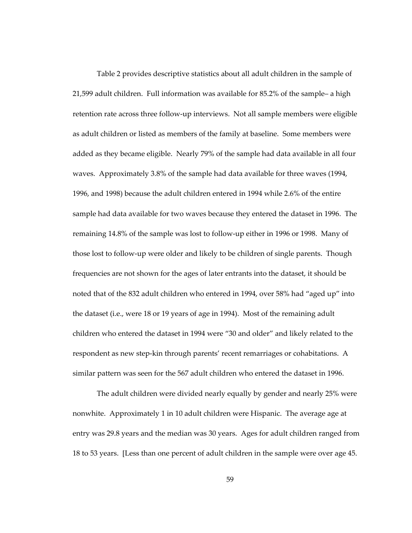Table 2 provides descriptive statistics about all adult children in the sample of 21,599 adult children. Full information was available for 85.2% of the sample– a high retention rate across three follow-up interviews. Not all sample members were eligible as adult children or listed as members of the family at baseline. Some members were added as they became eligible. Nearly 79% of the sample had data available in all four waves. Approximately 3.8% of the sample had data available for three waves (1994, 1996, and 1998) because the adult children entered in 1994 while 2.6% of the entire sample had data available for two waves because they entered the dataset in 1996. The remaining 14.8% of the sample was lost to follow-up either in 1996 or 1998. Many of those lost to follow-up were older and likely to be children of single parents. Though frequencies are not shown for the ages of later entrants into the dataset, it should be noted that of the 832 adult children who entered in 1994, over 58% had "aged up" into the dataset (i.e., were 18 or 19 years of age in 1994). Most of the remaining adult children who entered the dataset in 1994 were "30 and older" and likely related to the respondent as new step-kin through parents' recent remarriages or cohabitations. A similar pattern was seen for the 567 adult children who entered the dataset in 1996.

The adult children were divided nearly equally by gender and nearly 25% were nonwhite. Approximately 1 in 10 adult children were Hispanic. The average age at entry was 29.8 years and the median was 30 years. Ages for adult children ranged from 18 to 53 years. [Less than one percent of adult children in the sample were over age 45.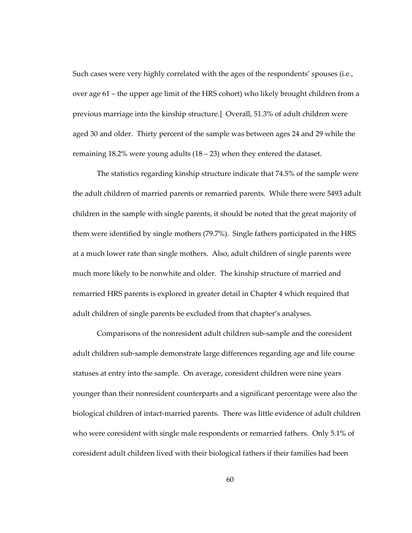Such cases were very highly correlated with the ages of the respondents' spouses (i.e., over age 61 – the upper age limit of the HRS cohort) who likely brought children from a previous marriage into the kinship structure.] Overall, 51.3% of adult children were aged 30 and older. Thirty percent of the sample was between ages 24 and 29 while the remaining 18.2% were young adults (18 – 23) when they entered the dataset.

The statistics regarding kinship structure indicate that 74.5% of the sample were the adult children of married parents or remarried parents. While there were 5493 adult children in the sample with single parents, it should be noted that the great majority of them were identified by single mothers (79.7%). Single fathers participated in the HRS at a much lower rate than single mothers. Also, adult children of single parents were much more likely to be nonwhite and older. The kinship structure of married and remarried HRS parents is explored in greater detail in Chapter 4 which required that adult children of single parents be excluded from that chapter's analyses.

Comparisons of the nonresident adult children sub-sample and the coresident adult children sub-sample demonstrate large differences regarding age and life course statuses at entry into the sample. On average, coresident children were nine years younger than their nonresident counterparts and a significant percentage were also the biological children of intact-married parents. There was little evidence of adult children who were coresident with single male respondents or remarried fathers. Only 5.1% of coresident adult children lived with their biological fathers if their families had been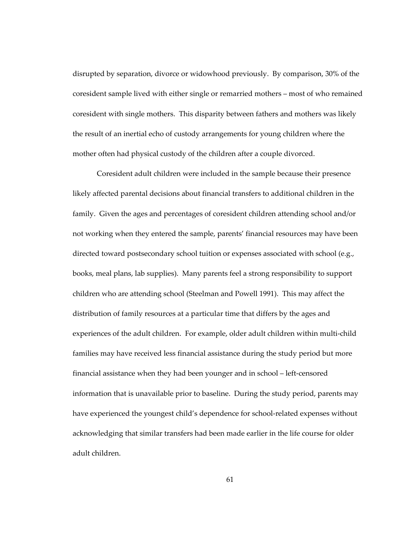disrupted by separation, divorce or widowhood previously. By comparison, 30% of the coresident sample lived with either single or remarried mothers – most of who remained coresident with single mothers. This disparity between fathers and mothers was likely the result of an inertial echo of custody arrangements for young children where the mother often had physical custody of the children after a couple divorced.

Coresident adult children were included in the sample because their presence likely affected parental decisions about financial transfers to additional children in the family. Given the ages and percentages of coresident children attending school and/or not working when they entered the sample, parents' financial resources may have been directed toward postsecondary school tuition or expenses associated with school (e.g., books, meal plans, lab supplies). Many parents feel a strong responsibility to support children who are attending school (Steelman and Powell 1991). This may affect the distribution of family resources at a particular time that differs by the ages and experiences of the adult children. For example, older adult children within multi-child families may have received less financial assistance during the study period but more financial assistance when they had been younger and in school – left-censored information that is unavailable prior to baseline. During the study period, parents may have experienced the youngest child's dependence for school-related expenses without acknowledging that similar transfers had been made earlier in the life course for older adult children.

61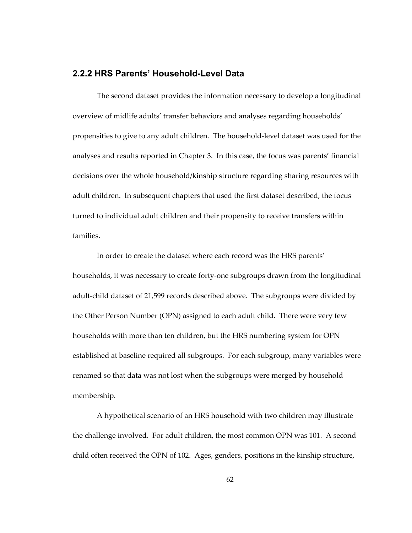#### **2.2.2 HRS Parents' Household-Level Data**

The second dataset provides the information necessary to develop a longitudinal overview of midlife adults' transfer behaviors and analyses regarding households' propensities to give to any adult children. The household-level dataset was used for the analyses and results reported in Chapter 3. In this case, the focus was parents' financial decisions over the whole household/kinship structure regarding sharing resources with adult children. In subsequent chapters that used the first dataset described, the focus turned to individual adult children and their propensity to receive transfers within families.

In order to create the dataset where each record was the HRS parents' households, it was necessary to create forty-one subgroups drawn from the longitudinal adult-child dataset of 21,599 records described above. The subgroups were divided by the Other Person Number (OPN) assigned to each adult child. There were very few households with more than ten children, but the HRS numbering system for OPN established at baseline required all subgroups. For each subgroup, many variables were renamed so that data was not lost when the subgroups were merged by household membership.

A hypothetical scenario of an HRS household with two children may illustrate the challenge involved. For adult children, the most common OPN was 101. A second child often received the OPN of 102. Ages, genders, positions in the kinship structure,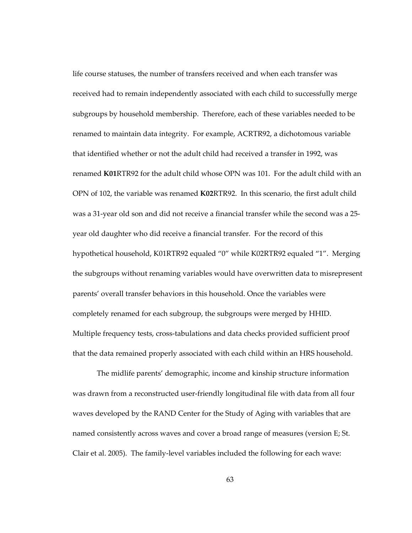life course statuses, the number of transfers received and when each transfer was received had to remain independently associated with each child to successfully merge subgroups by household membership. Therefore, each of these variables needed to be renamed to maintain data integrity. For example, ACRTR92, a dichotomous variable that identified whether or not the adult child had received a transfer in 1992, was renamed **K01**RTR92 for the adult child whose OPN was 101. For the adult child with an OPN of 102, the variable was renamed **K02**RTR92. In this scenario, the first adult child was a 31-year old son and did not receive a financial transfer while the second was a 25 year old daughter who did receive a financial transfer. For the record of this hypothetical household, K01RTR92 equaled "0" while K02RTR92 equaled "1". Merging the subgroups without renaming variables would have overwritten data to misrepresent parents' overall transfer behaviors in this household. Once the variables were completely renamed for each subgroup, the subgroups were merged by HHID. Multiple frequency tests, cross-tabulations and data checks provided sufficient proof that the data remained properly associated with each child within an HRS household.

The midlife parents' demographic, income and kinship structure information was drawn from a reconstructed user-friendly longitudinal file with data from all four waves developed by the RAND Center for the Study of Aging with variables that are named consistently across waves and cover a broad range of measures (version E; St. Clair et al. 2005). The family-level variables included the following for each wave: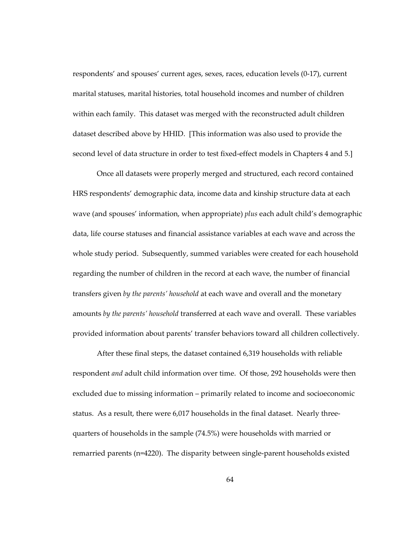respondents' and spouses' current ages, sexes, races, education levels (0-17), current marital statuses, marital histories, total household incomes and number of children within each family. This dataset was merged with the reconstructed adult children dataset described above by HHID. [This information was also used to provide the second level of data structure in order to test fixed-effect models in Chapters 4 and 5.]

Once all datasets were properly merged and structured, each record contained HRS respondents' demographic data, income data and kinship structure data at each wave (and spouses' information, when appropriate) *plus* each adult child's demographic data, life course statuses and financial assistance variables at each wave and across the whole study period. Subsequently, summed variables were created for each household regarding the number of children in the record at each wave, the number of financial transfers given *by the parents' household* at each wave and overall and the monetary amounts *by the parents' household* transferred at each wave and overall. These variables provided information about parents' transfer behaviors toward all children collectively.

After these final steps, the dataset contained 6,319 households with reliable respondent *and* adult child information over time. Of those, 292 households were then excluded due to missing information – primarily related to income and socioeconomic status. As a result, there were 6,017 households in the final dataset. Nearly threequarters of households in the sample (74.5%) were households with married or remarried parents (n=4220). The disparity between single-parent households existed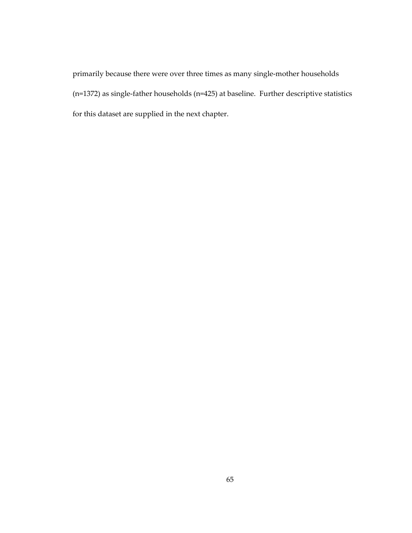primarily because there were over three times as many single-mother households (n=1372) as single-father households (n=425) at baseline. Further descriptive statistics for this dataset are supplied in the next chapter.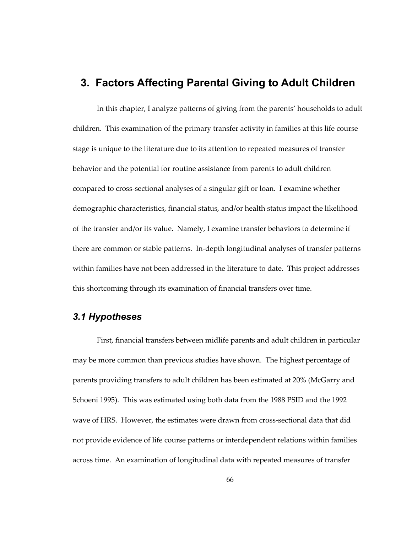## **3. Factors Affecting Parental Giving to Adult Children**

In this chapter, I analyze patterns of giving from the parents' households to adult children. This examination of the primary transfer activity in families at this life course stage is unique to the literature due to its attention to repeated measures of transfer behavior and the potential for routine assistance from parents to adult children compared to cross-sectional analyses of a singular gift or loan. I examine whether demographic characteristics, financial status, and/or health status impact the likelihood of the transfer and/or its value. Namely, I examine transfer behaviors to determine if there are common or stable patterns. In-depth longitudinal analyses of transfer patterns within families have not been addressed in the literature to date. This project addresses this shortcoming through its examination of financial transfers over time.

### *3.1 Hypotheses*

First, financial transfers between midlife parents and adult children in particular may be more common than previous studies have shown. The highest percentage of parents providing transfers to adult children has been estimated at 20% (McGarry and Schoeni 1995). This was estimated using both data from the 1988 PSID and the 1992 wave of HRS. However, the estimates were drawn from cross-sectional data that did not provide evidence of life course patterns or interdependent relations within families across time. An examination of longitudinal data with repeated measures of transfer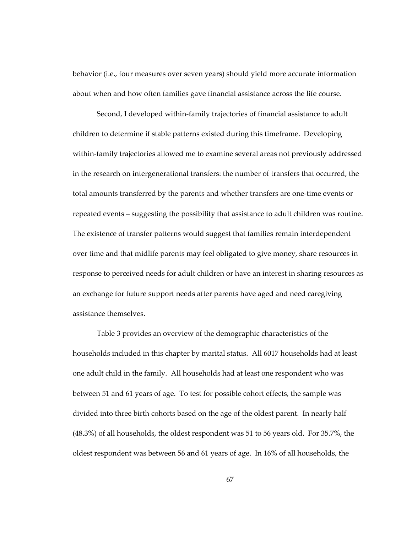behavior (i.e., four measures over seven years) should yield more accurate information about when and how often families gave financial assistance across the life course.

Second, I developed within-family trajectories of financial assistance to adult children to determine if stable patterns existed during this timeframe. Developing within-family trajectories allowed me to examine several areas not previously addressed in the research on intergenerational transfers: the number of transfers that occurred, the total amounts transferred by the parents and whether transfers are one-time events or repeated events – suggesting the possibility that assistance to adult children was routine. The existence of transfer patterns would suggest that families remain interdependent over time and that midlife parents may feel obligated to give money, share resources in response to perceived needs for adult children or have an interest in sharing resources as an exchange for future support needs after parents have aged and need caregiving assistance themselves.

Table 3 provides an overview of the demographic characteristics of the households included in this chapter by marital status. All 6017 households had at least one adult child in the family. All households had at least one respondent who was between 51 and 61 years of age. To test for possible cohort effects, the sample was divided into three birth cohorts based on the age of the oldest parent. In nearly half (48.3%) of all households, the oldest respondent was 51 to 56 years old. For 35.7%, the oldest respondent was between 56 and 61 years of age. In 16% of all households, the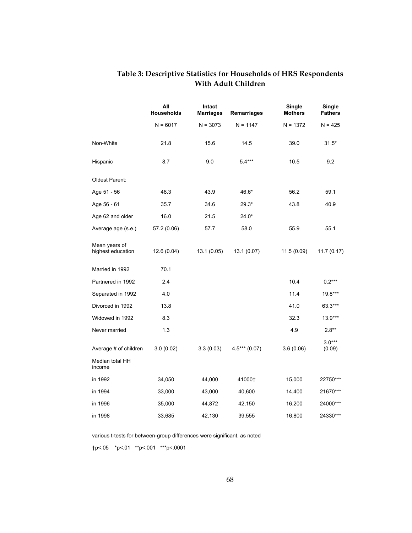|                                    | All<br><b>Households</b> | Intact<br><b>Marriages</b> | Remarriages    | Single<br><b>Mothers</b> | <b>Single</b><br><b>Fathers</b> |
|------------------------------------|--------------------------|----------------------------|----------------|--------------------------|---------------------------------|
|                                    | $N = 6017$               | $N = 3073$                 | $N = 1147$     | $N = 1372$               | $N = 425$                       |
| Non-White                          | 21.8                     | 15.6                       | 14.5           | 39.0                     | $31.5*$                         |
| Hispanic                           | 8.7                      | 9.0                        | $5.4***$       | 10.5                     | 9.2                             |
| Oldest Parent:                     |                          |                            |                |                          |                                 |
| Age 51 - 56                        | 48.3                     | 43.9                       | 46.6*          | 56.2                     | 59.1                            |
| Age 56 - 61                        | 35.7                     | 34.6                       | 29.3*          | 43.8                     | 40.9                            |
| Age 62 and older                   | 16.0                     | 21.5                       | $24.0*$        |                          |                                 |
| Average age (s.e.)                 | 57.2 (0.06)              | 57.7                       | 58.0           | 55.9                     | 55.1                            |
| Mean years of<br>highest education | 12.6 (0.04)              | 13.1 (0.05)                | 13.1 (0.07)    | 11.5 (0.09)              | 11.7(0.17)                      |
| Married in 1992                    | 70.1                     |                            |                |                          |                                 |
| Partnered in 1992                  | 2.4                      |                            |                | 10.4                     | $0.2***$                        |
| Separated in 1992                  | 4.0                      |                            |                | 11.4                     | 19.8***                         |
| Divorced in 1992                   | 13.8                     |                            |                | 41.0                     | 63.3***                         |
| Widowed in 1992                    | 8.3                      |                            |                | 32.3                     | $13.9***$                       |
| Never married                      | 1.3                      |                            |                | 4.9                      | $2.8**$                         |
| Average # of children              | 3.0(0.02)                | 3.3(0.03)                  | $4.5***(0.07)$ | 3.6(0.06)                | $3.0***$<br>(0.09)              |
| Median total HH<br>income          |                          |                            |                |                          |                                 |
| in 1992                            | 34,050                   | 44,000                     | 41000+         | 15,000                   | 22750***                        |
| in 1994                            | 33,000                   | 43,000                     | 40,600         | 14,400                   | 21670***                        |
| in 1996                            | 35,000                   | 44,872                     | 42,150         | 16,200                   | 24000***                        |
| in 1998                            | 33,685                   | 42,130                     | 39,555         | 16,800                   | 24330***                        |

#### **Table 3: Descriptive Statistics for Households of HRS Respondents With Adult Children**

various t-tests for between-group differences were significant, as noted

†p<.05 \*p<.01 \*\*p<.001 \*\*\*p<.0001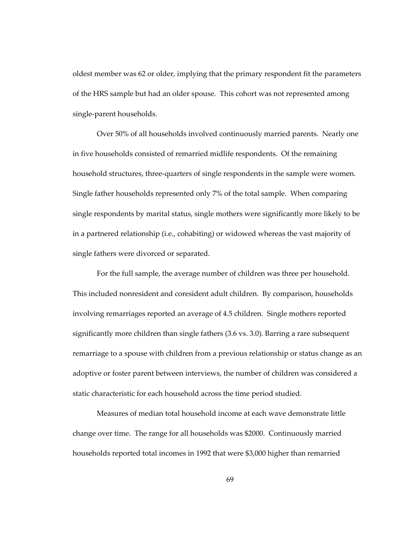oldest member was 62 or older, implying that the primary respondent fit the parameters of the HRS sample but had an older spouse. This cohort was not represented among single-parent households.

Over 50% of all households involved continuously married parents. Nearly one in five households consisted of remarried midlife respondents. Of the remaining household structures, three-quarters of single respondents in the sample were women. Single father households represented only 7% of the total sample. When comparing single respondents by marital status, single mothers were significantly more likely to be in a partnered relationship (i.e., cohabiting) or widowed whereas the vast majority of single fathers were divorced or separated.

For the full sample, the average number of children was three per household. This included nonresident and coresident adult children. By comparison, households involving remarriages reported an average of 4.5 children. Single mothers reported significantly more children than single fathers (3.6 vs. 3.0). Barring a rare subsequent remarriage to a spouse with children from a previous relationship or status change as an adoptive or foster parent between interviews, the number of children was considered a static characteristic for each household across the time period studied.

Measures of median total household income at each wave demonstrate little change over time. The range for all households was \$2000. Continuously married households reported total incomes in 1992 that were \$3,000 higher than remarried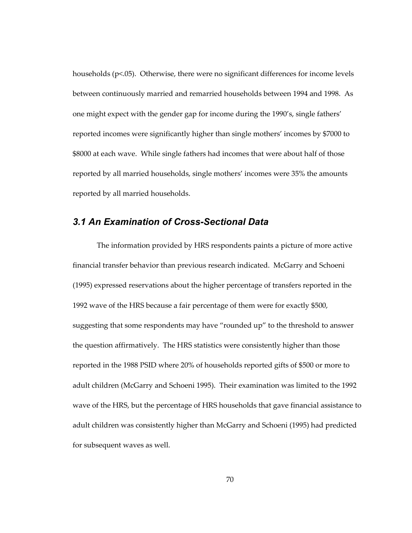households (p<.05). Otherwise, there were no significant differences for income levels between continuously married and remarried households between 1994 and 1998. As one might expect with the gender gap for income during the 1990's, single fathers' reported incomes were significantly higher than single mothers' incomes by \$7000 to \$8000 at each wave. While single fathers had incomes that were about half of those reported by all married households, single mothers' incomes were 35% the amounts reported by all married households.

#### *3.1 An Examination of Cross-Sectional Data*

The information provided by HRS respondents paints a picture of more active financial transfer behavior than previous research indicated. McGarry and Schoeni (1995) expressed reservations about the higher percentage of transfers reported in the 1992 wave of the HRS because a fair percentage of them were for exactly \$500, suggesting that some respondents may have "rounded up" to the threshold to answer the question affirmatively. The HRS statistics were consistently higher than those reported in the 1988 PSID where 20% of households reported gifts of \$500 or more to adult children (McGarry and Schoeni 1995). Their examination was limited to the 1992 wave of the HRS, but the percentage of HRS households that gave financial assistance to adult children was consistently higher than McGarry and Schoeni (1995) had predicted for subsequent waves as well.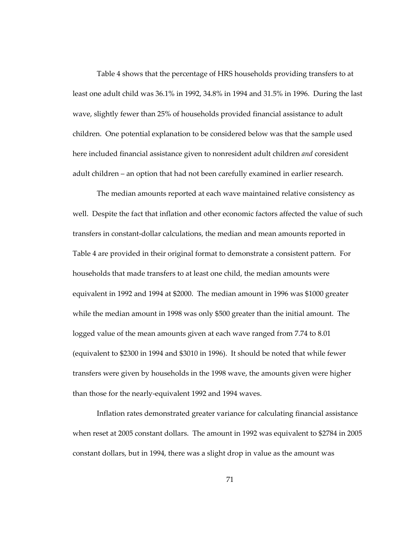Table 4 shows that the percentage of HRS households providing transfers to at least one adult child was 36.1% in 1992, 34.8% in 1994 and 31.5% in 1996. During the last wave, slightly fewer than 25% of households provided financial assistance to adult children. One potential explanation to be considered below was that the sample used here included financial assistance given to nonresident adult children *and* coresident adult children – an option that had not been carefully examined in earlier research.

The median amounts reported at each wave maintained relative consistency as well. Despite the fact that inflation and other economic factors affected the value of such transfers in constant-dollar calculations, the median and mean amounts reported in Table 4 are provided in their original format to demonstrate a consistent pattern. For households that made transfers to at least one child, the median amounts were equivalent in 1992 and 1994 at \$2000. The median amount in 1996 was \$1000 greater while the median amount in 1998 was only \$500 greater than the initial amount. The logged value of the mean amounts given at each wave ranged from 7.74 to 8.01 (equivalent to \$2300 in 1994 and \$3010 in 1996). It should be noted that while fewer transfers were given by households in the 1998 wave, the amounts given were higher than those for the nearly-equivalent 1992 and 1994 waves.

Inflation rates demonstrated greater variance for calculating financial assistance when reset at 2005 constant dollars. The amount in 1992 was equivalent to \$2784 in 2005 constant dollars, but in 1994, there was a slight drop in value as the amount was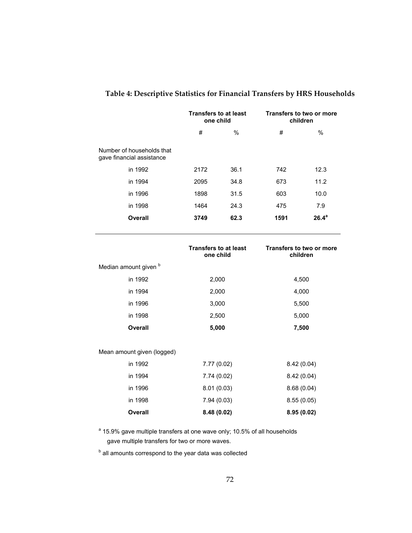|                                                        | <b>Transfers to at least</b><br>one child |      | Transfers to two or more<br>children |          |
|--------------------------------------------------------|-------------------------------------------|------|--------------------------------------|----------|
|                                                        | #                                         | $\%$ | #                                    | $\%$     |
| Number of households that<br>gave financial assistance |                                           |      |                                      |          |
| in 1992                                                | 2172                                      | 36.1 | 742                                  | 12.3     |
| in 1994                                                | 2095                                      | 34.8 | 673                                  | 11.2     |
| in 1996                                                | 1898                                      | 31.5 | 603                                  | 10.0     |
| in 1998                                                | 1464                                      | 24.3 | 475                                  | 7.9      |
| <b>Overall</b>                                         | 3749                                      | 62.3 | 1591                                 | $26.4^a$ |

### **Table 4: Descriptive Statistics for Financial Transfers by HRS Households**

|                            | <b>Transfers to at least</b><br>one child | <b>Transfers to two or more</b><br>children |
|----------------------------|-------------------------------------------|---------------------------------------------|
| Median amount given b      |                                           |                                             |
| in 1992                    | 2,000                                     | 4,500                                       |
| in 1994                    | 2,000                                     | 4,000                                       |
| in 1996                    | 3,000                                     | 5,500                                       |
| in 1998                    | 2,500                                     | 5,000                                       |
| <b>Overall</b>             | 5,000                                     | 7,500                                       |
|                            |                                           |                                             |
| Mean amount given (logged) |                                           |                                             |
| in 1992                    | 7.77 (0.02)                               | 8.42(0.04)                                  |
| in 1994                    | 7.74 (0.02)                               | 8.42(0.04)                                  |
| in 1996                    | 8.01(0.03)                                | 8.68(0.04)                                  |
| in 1998                    | 7.94(0.03)                                | 8.55(0.05)                                  |
| <b>Overall</b>             | 8.48(0.02)                                | 8.95(0.02)                                  |

<sup>a</sup> 15.9% gave multiple transfers at one wave only; 10.5% of all households gave multiple transfers for two or more waves.

**b** all amounts correspond to the year data was collected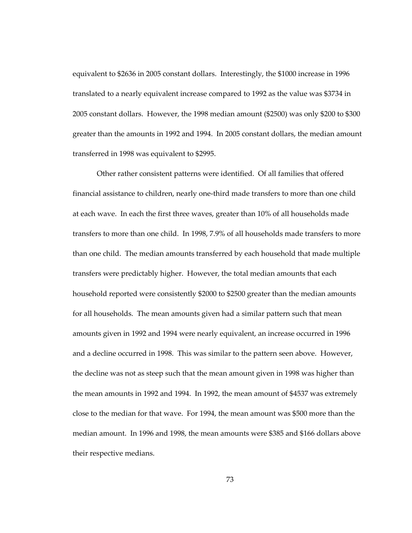equivalent to \$2636 in 2005 constant dollars. Interestingly, the \$1000 increase in 1996 translated to a nearly equivalent increase compared to 1992 as the value was \$3734 in 2005 constant dollars. However, the 1998 median amount (\$2500) was only \$200 to \$300 greater than the amounts in 1992 and 1994. In 2005 constant dollars, the median amount transferred in 1998 was equivalent to \$2995.

Other rather consistent patterns were identified. Of all families that offered financial assistance to children, nearly one-third made transfers to more than one child at each wave. In each the first three waves, greater than 10% of all households made transfers to more than one child. In 1998, 7.9% of all households made transfers to more than one child. The median amounts transferred by each household that made multiple transfers were predictably higher. However, the total median amounts that each household reported were consistently \$2000 to \$2500 greater than the median amounts for all households. The mean amounts given had a similar pattern such that mean amounts given in 1992 and 1994 were nearly equivalent, an increase occurred in 1996 and a decline occurred in 1998. This was similar to the pattern seen above. However, the decline was not as steep such that the mean amount given in 1998 was higher than the mean amounts in 1992 and 1994. In 1992, the mean amount of \$4537 was extremely close to the median for that wave. For 1994, the mean amount was \$500 more than the median amount. In 1996 and 1998, the mean amounts were \$385 and \$166 dollars above their respective medians.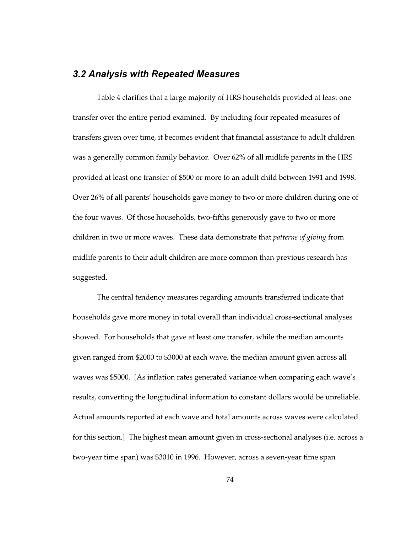#### *3.2 Analysis with Repeated Measures*

Table 4 clarifies that a large majority of HRS households provided at least one transfer over the entire period examined. By including four repeated measures of transfers given over time, it becomes evident that financial assistance to adult children was a generally common family behavior. Over 62% of all midlife parents in the HRS provided at least one transfer of \$500 or more to an adult child between 1991 and 1998. Over 26% of all parents' households gave money to two or more children during one of the four waves. Of those households, two-fifths generously gave to two or more children in two or more waves. These data demonstrate that *patterns of giving* from midlife parents to their adult children are more common than previous research has suggested.

The central tendency measures regarding amounts transferred indicate that households gave more money in total overall than individual cross-sectional analyses showed. For households that gave at least one transfer, while the median amounts given ranged from \$2000 to \$3000 at each wave, the median amount given across all waves was \$5000. [As inflation rates generated variance when comparing each wave's results, converting the longitudinal information to constant dollars would be unreliable. Actual amounts reported at each wave and total amounts across waves were calculated for this section.] The highest mean amount given in cross-sectional analyses (i.e. across a two-year time span) was \$3010 in 1996. However, across a seven-year time span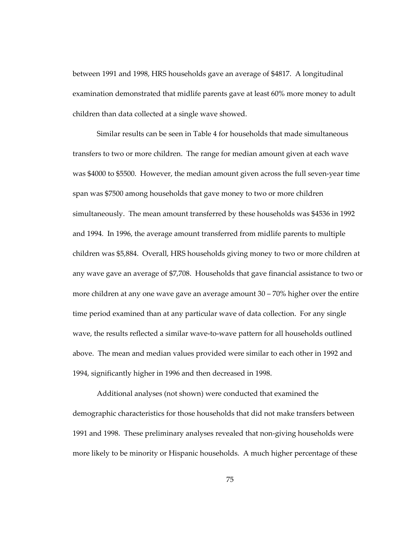between 1991 and 1998, HRS households gave an average of \$4817. A longitudinal examination demonstrated that midlife parents gave at least 60% more money to adult children than data collected at a single wave showed.

Similar results can be seen in Table 4 for households that made simultaneous transfers to two or more children. The range for median amount given at each wave was \$4000 to \$5500. However, the median amount given across the full seven-year time span was \$7500 among households that gave money to two or more children simultaneously. The mean amount transferred by these households was \$4536 in 1992 and 1994. In 1996, the average amount transferred from midlife parents to multiple children was \$5,884. Overall, HRS households giving money to two or more children at any wave gave an average of \$7,708. Households that gave financial assistance to two or more children at any one wave gave an average amount 30 – 70% higher over the entire time period examined than at any particular wave of data collection. For any single wave, the results reflected a similar wave-to-wave pattern for all households outlined above. The mean and median values provided were similar to each other in 1992 and 1994, significantly higher in 1996 and then decreased in 1998.

Additional analyses (not shown) were conducted that examined the demographic characteristics for those households that did not make transfers between 1991 and 1998. These preliminary analyses revealed that non-giving households were more likely to be minority or Hispanic households. A much higher percentage of these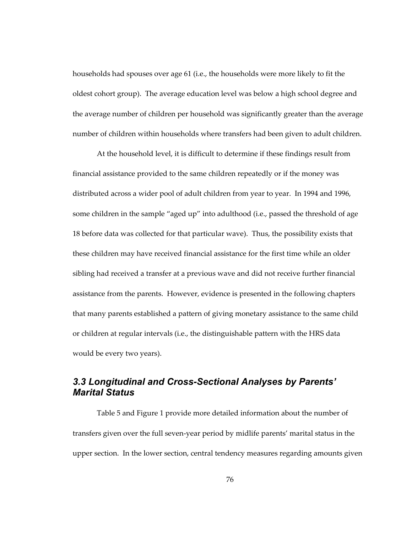households had spouses over age 61 (i.e., the households were more likely to fit the oldest cohort group). The average education level was below a high school degree and the average number of children per household was significantly greater than the average number of children within households where transfers had been given to adult children.

At the household level, it is difficult to determine if these findings result from financial assistance provided to the same children repeatedly or if the money was distributed across a wider pool of adult children from year to year. In 1994 and 1996, some children in the sample "aged up" into adulthood (i.e., passed the threshold of age 18 before data was collected for that particular wave). Thus, the possibility exists that these children may have received financial assistance for the first time while an older sibling had received a transfer at a previous wave and did not receive further financial assistance from the parents. However, evidence is presented in the following chapters that many parents established a pattern of giving monetary assistance to the same child or children at regular intervals (i.e., the distinguishable pattern with the HRS data would be every two years).

### *3.3 Longitudinal and Cross-Sectional Analyses by Parents' Marital Status*

Table 5 and Figure 1 provide more detailed information about the number of transfers given over the full seven-year period by midlife parents' marital status in the upper section. In the lower section, central tendency measures regarding amounts given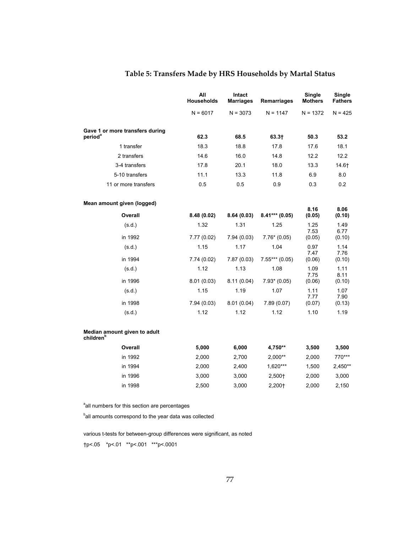|                                                        | All<br><b>Households</b> | Intact<br><b>Marriages</b> | Remarriages      | Single<br><b>Mothers</b> | Single<br><b>Fathers</b> |
|--------------------------------------------------------|--------------------------|----------------------------|------------------|--------------------------|--------------------------|
|                                                        | $N = 6017$               | $N = 3073$                 | $N = 1147$       | $N = 1372$               | $N = 425$                |
| Gave 1 or more transfers during<br>period <sup>a</sup> | 62.3                     | 68.5                       | $63.3+$          | 50.3                     | 53.2                     |
| 1 transfer                                             | 18.3                     | 18.8                       | 17.8             | 17.6                     | 18.1                     |
| 2 transfers                                            | 14.6                     | 16.0                       | 14.8             | 12.2                     | 12.2                     |
| 3-4 transfers                                          | 17.8                     | 20.1                       | 18.0             | 13.3                     | 14.6†                    |
| 5-10 transfers                                         | 11.1                     | 13.3                       | 11.8             | 6.9                      | 8.0                      |
| 11 or more transfers                                   | 0.5                      | 0.5                        | 0.9              | 0.3                      | 0.2                      |
| Mean amount given (logged)                             |                          |                            |                  |                          |                          |
| Overall                                                | 8.48(0.02)               | 8.64(0.03)                 | $8.41***$ (0.05) | 8.16<br>(0.05)           | 8.06<br>(0.10)           |
| (s.d.)                                                 | 1.32                     | 1.31                       | 1.25             | 1.25                     | 1.49                     |
| in 1992                                                | 7.77(0.02)               | 7.94(0.03)                 | $7.76*(0.05)$    | 7.53<br>(0.05)           | 6.77<br>(0.10)           |
| (s.d.)                                                 | 1.15                     | 1.17                       | 1.04             | 0.97<br>7.47             | 1.14<br>7.76             |
| in 1994                                                | 7.74(0.02)               | 7.87(0.03)                 | $7.55***(0.05)$  | (0.06)                   | (0.10)                   |
| (s.d.)                                                 | 1.12                     | 1.13                       | 1.08             | 1.09<br>7.75             | 1.11<br>8.11             |
| in 1996                                                | 8.01(0.03)               | 8.11 (0.04)                | $7.93*(0.05)$    | (0.06)                   | (0.10)                   |
| (s.d.)                                                 | 1.15                     | 1.19                       | 1.07             | 1.11<br>7.77             | 1.07<br>7.90             |
| in 1998                                                | 7.94(0.03)               | 8.01(0.04)                 | 7.89(0.07)       | (0.07)                   | (0.13)                   |
| (s.d.)                                                 | 1.12                     | 1.12                       | 1.12             | 1.10                     | 1.19                     |
| Median amount given to adult<br>children <sup>b</sup>  |                          |                            |                  |                          |                          |
| Overall                                                | 5,000                    | 6,000                      | 4,750**          | 3,500                    | 3,500                    |
| in 1992                                                | 2,000                    | 2,700                      | $2,000**$        | 2,000                    | 770***                   |
| in 1994                                                | 2,000                    | 2,400                      | 1,620***         | 1,500                    | 2,450**                  |
| in 1996                                                | 3,000                    | 3,000                      | 2,500+           | 2,000                    | 3,000                    |
| in 1998                                                | 2,500                    | 3,000                      | 2,200+           | 2,000                    | 2,150                    |

<sup>a</sup>all numbers for this section are percentages

<sup>b</sup>all amounts correspond to the year data was collected

various t-tests for between-group differences were significant, as noted

†p<.05 \*p<.01 \*\*p<.001 \*\*\*p<.0001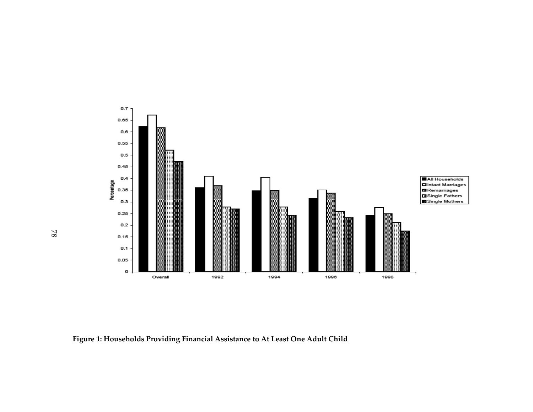

**Figure 1: Households Providing Financial Assistance to At Least One Adult Child** 

78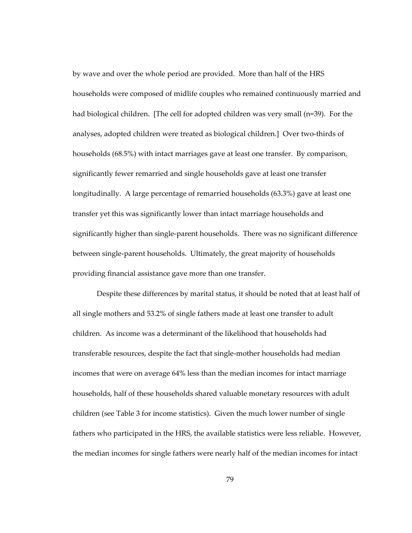by wave and over the whole period are provided. More than half of the HRS households were composed of midlife couples who remained continuously married and had biological children. [The cell for adopted children was very small (n=39). For the analyses, adopted children were treated as biological children.] Over two-thirds of households (68.5%) with intact marriages gave at least one transfer. By comparison, significantly fewer remarried and single households gave at least one transfer longitudinally. A large percentage of remarried households (63.3%) gave at least one transfer yet this was significantly lower than intact marriage households and significantly higher than single-parent households. There was no significant difference between single-parent households. Ultimately, the great majority of households providing financial assistance gave more than one transfer.

Despite these differences by marital status, it should be noted that at least half of all single mothers and 53.2% of single fathers made at least one transfer to adult children. As income was a determinant of the likelihood that households had transferable resources, despite the fact that single-mother households had median incomes that were on average 64% less than the median incomes for intact marriage households, half of these households shared valuable monetary resources with adult children (see Table 3 for income statistics). Given the much lower number of single fathers who participated in the HRS, the available statistics were less reliable. However, the median incomes for single fathers were nearly half of the median incomes for intact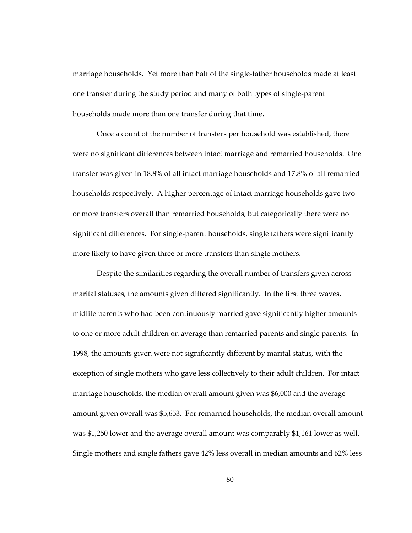marriage households. Yet more than half of the single-father households made at least one transfer during the study period and many of both types of single-parent households made more than one transfer during that time.

Once a count of the number of transfers per household was established, there were no significant differences between intact marriage and remarried households. One transfer was given in 18.8% of all intact marriage households and 17.8% of all remarried households respectively. A higher percentage of intact marriage households gave two or more transfers overall than remarried households, but categorically there were no significant differences. For single-parent households, single fathers were significantly more likely to have given three or more transfers than single mothers.

Despite the similarities regarding the overall number of transfers given across marital statuses, the amounts given differed significantly. In the first three waves, midlife parents who had been continuously married gave significantly higher amounts to one or more adult children on average than remarried parents and single parents. In 1998, the amounts given were not significantly different by marital status, with the exception of single mothers who gave less collectively to their adult children. For intact marriage households, the median overall amount given was \$6,000 and the average amount given overall was \$5,653. For remarried households, the median overall amount was \$1,250 lower and the average overall amount was comparably \$1,161 lower as well. Single mothers and single fathers gave 42% less overall in median amounts and 62% less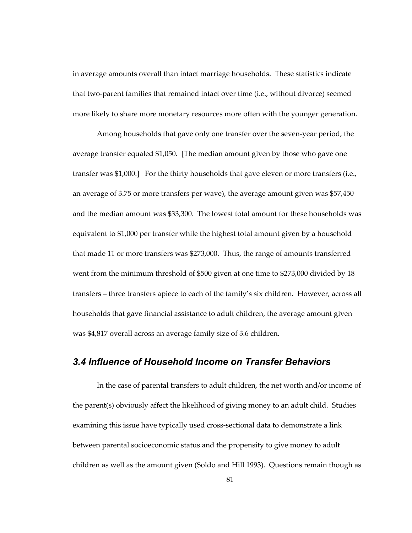in average amounts overall than intact marriage households. These statistics indicate that two-parent families that remained intact over time (i.e., without divorce) seemed more likely to share more monetary resources more often with the younger generation.

Among households that gave only one transfer over the seven-year period, the average transfer equaled \$1,050. [The median amount given by those who gave one transfer was \$1,000.] For the thirty households that gave eleven or more transfers (i.e., an average of 3.75 or more transfers per wave), the average amount given was \$57,450 and the median amount was \$33,300. The lowest total amount for these households was equivalent to \$1,000 per transfer while the highest total amount given by a household that made 11 or more transfers was \$273,000. Thus, the range of amounts transferred went from the minimum threshold of \$500 given at one time to \$273,000 divided by 18 transfers – three transfers apiece to each of the family's six children. However, across all households that gave financial assistance to adult children, the average amount given was \$4,817 overall across an average family size of 3.6 children.

#### *3.4 Influence of Household Income on Transfer Behaviors*

In the case of parental transfers to adult children, the net worth and/or income of the parent(s) obviously affect the likelihood of giving money to an adult child. Studies examining this issue have typically used cross-sectional data to demonstrate a link between parental socioeconomic status and the propensity to give money to adult children as well as the amount given (Soldo and Hill 1993). Questions remain though as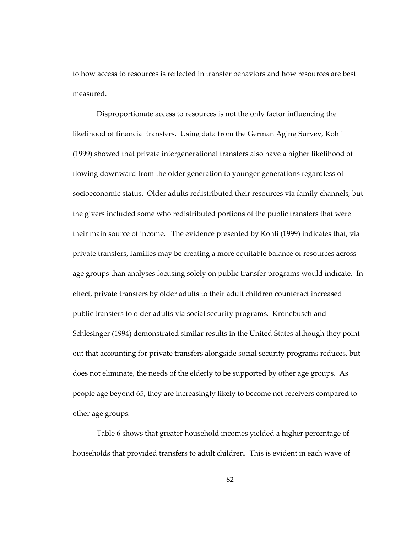to how access to resources is reflected in transfer behaviors and how resources are best measured.

Disproportionate access to resources is not the only factor influencing the likelihood of financial transfers. Using data from the German Aging Survey, Kohli (1999) showed that private intergenerational transfers also have a higher likelihood of flowing downward from the older generation to younger generations regardless of socioeconomic status. Older adults redistributed their resources via family channels, but the givers included some who redistributed portions of the public transfers that were their main source of income. The evidence presented by Kohli (1999) indicates that, via private transfers, families may be creating a more equitable balance of resources across age groups than analyses focusing solely on public transfer programs would indicate. In effect, private transfers by older adults to their adult children counteract increased public transfers to older adults via social security programs. Kronebusch and Schlesinger (1994) demonstrated similar results in the United States although they point out that accounting for private transfers alongside social security programs reduces, but does not eliminate, the needs of the elderly to be supported by other age groups. As people age beyond 65, they are increasingly likely to become net receivers compared to other age groups.

Table 6 shows that greater household incomes yielded a higher percentage of households that provided transfers to adult children. This is evident in each wave of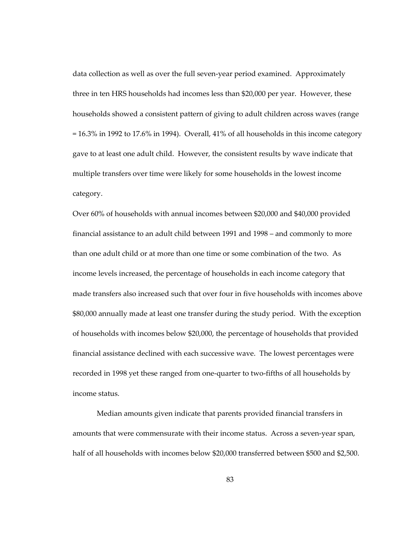data collection as well as over the full seven-year period examined. Approximately three in ten HRS households had incomes less than \$20,000 per year. However, these households showed a consistent pattern of giving to adult children across waves (range  $= 16.3\%$  in 1992 to 17.6% in 1994). Overall, 41% of all households in this income category gave to at least one adult child. However, the consistent results by wave indicate that multiple transfers over time were likely for some households in the lowest income category.

Over 60% of households with annual incomes between \$20,000 and \$40,000 provided financial assistance to an adult child between 1991 and 1998 – and commonly to more than one adult child or at more than one time or some combination of the two. As income levels increased, the percentage of households in each income category that made transfers also increased such that over four in five households with incomes above \$80,000 annually made at least one transfer during the study period. With the exception of households with incomes below \$20,000, the percentage of households that provided financial assistance declined with each successive wave. The lowest percentages were recorded in 1998 yet these ranged from one-quarter to two-fifths of all households by income status.

Median amounts given indicate that parents provided financial transfers in amounts that were commensurate with their income status. Across a seven-year span, half of all households with incomes below \$20,000 transferred between \$500 and \$2,500.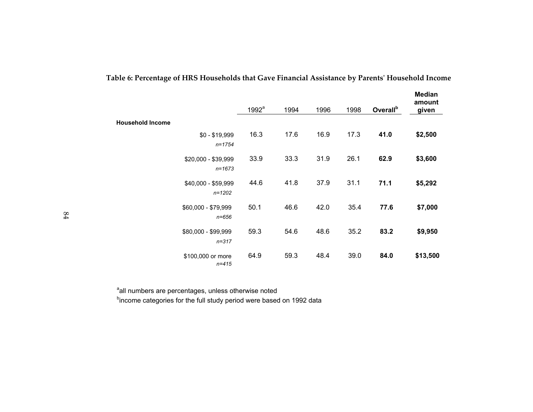|                         |                                   | 1992 <sup>a</sup> | 1994 | 1996 | 1998 | Overall <sup>b</sup> | <b>Median</b><br>amount<br>given |
|-------------------------|-----------------------------------|-------------------|------|------|------|----------------------|----------------------------------|
| <b>Household Income</b> |                                   |                   |      |      |      |                      |                                  |
|                         | $$0 - $19,999$<br>$n = 1754$      | 16.3              | 17.6 | 16.9 | 17.3 | 41.0                 | \$2,500                          |
|                         | \$20,000 - \$39,999<br>$n = 1673$ | 33.9              | 33.3 | 31.9 | 26.1 | 62.9                 | \$3,600                          |
|                         | \$40,000 - \$59,999<br>$n = 1202$ | 44.6              | 41.8 | 37.9 | 31.1 | 71.1                 | \$5,292                          |
|                         | \$60,000 - \$79,999<br>$n = 656$  | 50.1              | 46.6 | 42.0 | 35.4 | 77.6                 | \$7,000                          |
|                         | \$80,000 - \$99,999<br>$n = 317$  | 59.3              | 54.6 | 48.6 | 35.2 | 83.2                 | \$9,950                          |
|                         | \$100,000 or more<br>$n = 415$    | 64.9              | 59.3 | 48.4 | 39.0 | 84.0                 | \$13,500                         |

**Table 6: Percentage of HRS Households that Gave Financial Assistance by Parents' Household Income** 

<sup>a</sup>all numbers are percentages, unless otherwise noted

bincome categories for the full study period were based on 1992 data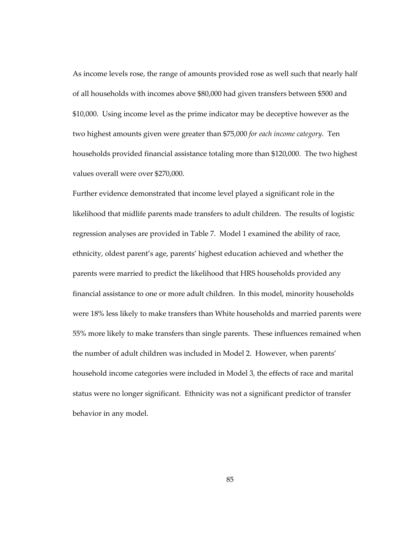As income levels rose, the range of amounts provided rose as well such that nearly half of all households with incomes above \$80,000 had given transfers between \$500 and \$10,000. Using income level as the prime indicator may be deceptive however as the two highest amounts given were greater than \$75,000 *for each income category*. Ten households provided financial assistance totaling more than \$120,000. The two highest values overall were over \$270,000.

Further evidence demonstrated that income level played a significant role in the likelihood that midlife parents made transfers to adult children. The results of logistic regression analyses are provided in Table 7. Model 1 examined the ability of race, ethnicity, oldest parent's age, parents' highest education achieved and whether the parents were married to predict the likelihood that HRS households provided any financial assistance to one or more adult children. In this model, minority households were 18% less likely to make transfers than White households and married parents were 55% more likely to make transfers than single parents. These influences remained when the number of adult children was included in Model 2. However, when parents' household income categories were included in Model 3, the effects of race and marital status were no longer significant. Ethnicity was not a significant predictor of transfer behavior in any model.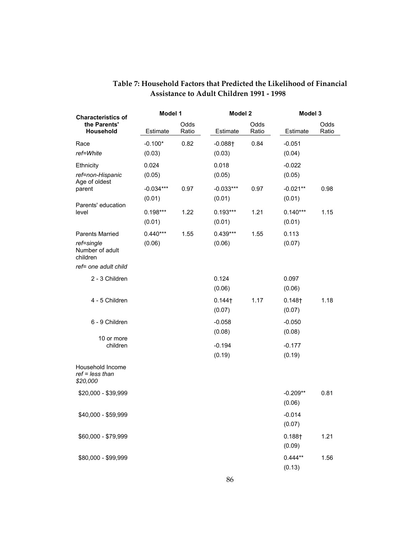| <b>Characteristics of</b>                                           | Model 1               |               | Model 2                         |               |                              | Model 3       |  |
|---------------------------------------------------------------------|-----------------------|---------------|---------------------------------|---------------|------------------------------|---------------|--|
| the Parents'<br><b>Household</b>                                    | Estimate              | Odds<br>Ratio | Estimate                        | Odds<br>Ratio | Estimate                     | Odds<br>Ratio |  |
| Race<br>ref=White                                                   | $-0.100*$<br>(0.03)   | 0.82          | $-0.088$ <sup>+</sup><br>(0.03) | 0.84          | $-0.051$<br>(0.04)           |               |  |
| <b>Ethnicity</b><br>ref=non-Hispanic                                | 0.024<br>(0.05)       |               | 0.018<br>(0.05)                 |               | $-0.022$<br>(0.05)           |               |  |
| Age of oldest<br>parent                                             | $-0.034***$<br>(0.01) | 0.97          | $-0.033***$<br>(0.01)           | 0.97          | $-0.021**$<br>(0.01)         | 0.98          |  |
| Parents' education<br>level                                         | $0.198***$<br>(0.01)  | 1.22          | $0.193***$<br>(0.01)            | 1.21          | $0.140***$<br>(0.01)         | 1.15          |  |
| <b>Parents Married</b><br>ref=single<br>Number of adult<br>children | $0.440***$<br>(0.06)  | 1.55          | $0.439***$<br>(0.06)            | 1.55          | 0.113<br>(0.07)              |               |  |
| ref= one adult child                                                |                       |               |                                 |               |                              |               |  |
| 2 - 3 Children                                                      |                       |               | 0.124<br>(0.06)                 |               | 0.097<br>(0.06)              |               |  |
| 4 - 5 Children                                                      |                       |               | $0.144$ †<br>(0.07)             | 1.17          | 0.148 <sub>†</sub><br>(0.07) | 1.18          |  |
| 6 - 9 Children                                                      |                       |               | $-0.058$<br>(0.08)              |               | $-0.050$<br>(0.08)           |               |  |
| 10 or more<br>children                                              |                       |               | $-0.194$<br>(0.19)              |               | $-0.177$<br>(0.19)           |               |  |
| Household Income<br>$ref = less than$<br>\$20,000                   |                       |               |                                 |               |                              |               |  |
| \$20,000 - \$39,999                                                 |                       |               |                                 |               | $-0.209**$<br>(0.06)         | 0.81          |  |
| \$40,000 - \$59,999                                                 |                       |               |                                 |               | $-0.014$<br>(0.07)           |               |  |
| \$60,000 - \$79,999                                                 |                       |               |                                 |               | $0.188 +$<br>(0.09)          | 1.21          |  |
| \$80,000 - \$99,999                                                 |                       |               |                                 |               | $0.444**$<br>(0.13)          | 1.56          |  |

#### **Table 7: Household Factors that Predicted the Likelihood of Financial Assistance to Adult Children 1991 - 1998**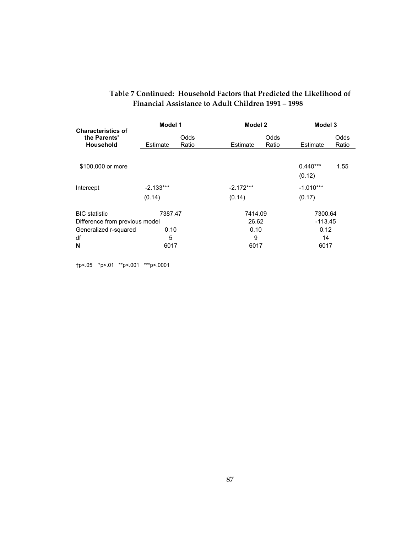|                                                        | Model 1     |               | Model 2     |               |                      | Model 3       |  |
|--------------------------------------------------------|-------------|---------------|-------------|---------------|----------------------|---------------|--|
| <b>Characteristics of</b><br>the Parents'<br>Household | Estimate    | Odds<br>Ratio | Estimate    | Odds<br>Ratio | Estimate             | Odds<br>Ratio |  |
|                                                        |             |               |             |               |                      |               |  |
| \$100,000 or more                                      |             |               |             |               | $0.440***$<br>(0.12) | 1.55          |  |
|                                                        |             |               |             |               |                      |               |  |
| Intercept                                              | $-2.133***$ |               | $-2.172***$ |               | $-1.010***$          |               |  |
|                                                        | (0.14)      |               | (0.14)      |               | (0.17)               |               |  |
| <b>BIC</b> statistic                                   | 7387.47     |               | 7414.09     |               | 7300.64              |               |  |
| Difference from previous model                         |             |               | 26.62       |               | $-113.45$            |               |  |
| Generalized r-squared                                  | 0.10        |               | 0.10        |               | 0.12                 |               |  |
| df                                                     | 5           |               | 9           |               | 14                   |               |  |
| N                                                      | 6017        |               | 6017        |               | 6017                 |               |  |

#### **Table 7 Continued: Household Factors that Predicted the Likelihood of Financial Assistance to Adult Children 1991 – 1998**

†p<.05 \*p<.01 \*\*p<.001 \*\*\*p<.0001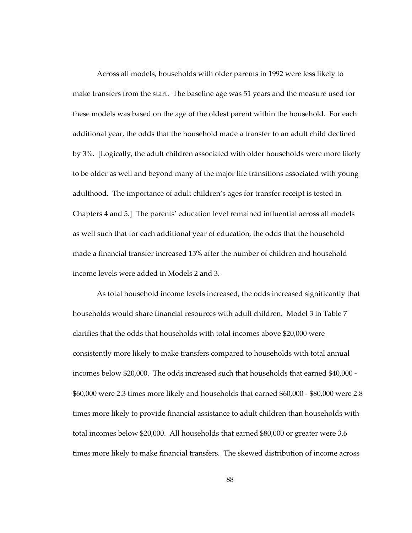Across all models, households with older parents in 1992 were less likely to make transfers from the start. The baseline age was 51 years and the measure used for these models was based on the age of the oldest parent within the household. For each additional year, the odds that the household made a transfer to an adult child declined by 3%. [Logically, the adult children associated with older households were more likely to be older as well and beyond many of the major life transitions associated with young adulthood. The importance of adult children's ages for transfer receipt is tested in Chapters 4 and 5.] The parents' education level remained influential across all models as well such that for each additional year of education, the odds that the household made a financial transfer increased 15% after the number of children and household income levels were added in Models 2 and 3.

As total household income levels increased, the odds increased significantly that households would share financial resources with adult children. Model 3 in Table 7 clarifies that the odds that households with total incomes above \$20,000 were consistently more likely to make transfers compared to households with total annual incomes below \$20,000. The odds increased such that households that earned \$40,000 - \$60,000 were 2.3 times more likely and households that earned \$60,000 - \$80,000 were 2.8 times more likely to provide financial assistance to adult children than households with total incomes below \$20,000. All households that earned \$80,000 or greater were 3.6 times more likely to make financial transfers. The skewed distribution of income across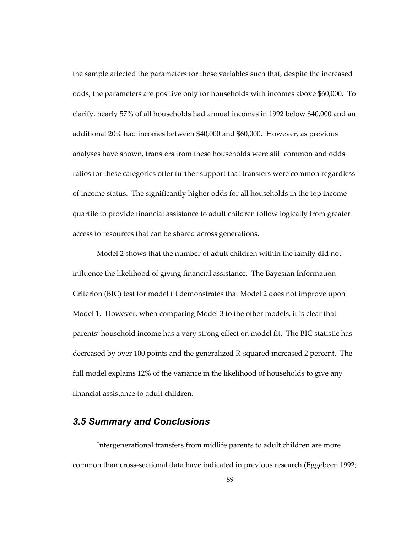the sample affected the parameters for these variables such that, despite the increased odds, the parameters are positive only for households with incomes above \$60,000. To clarify, nearly 57% of all households had annual incomes in 1992 below \$40,000 and an additional 20% had incomes between \$40,000 and \$60,000. However, as previous analyses have shown, transfers from these households were still common and odds ratios for these categories offer further support that transfers were common regardless of income status. The significantly higher odds for all households in the top income quartile to provide financial assistance to adult children follow logically from greater access to resources that can be shared across generations.

Model 2 shows that the number of adult children within the family did not influence the likelihood of giving financial assistance. The Bayesian Information Criterion (BIC) test for model fit demonstrates that Model 2 does not improve upon Model 1. However, when comparing Model 3 to the other models, it is clear that parents' household income has a very strong effect on model fit. The BIC statistic has decreased by over 100 points and the generalized R-squared increased 2 percent. The full model explains 12% of the variance in the likelihood of households to give any financial assistance to adult children.

#### *3.5 Summary and Conclusions*

Intergenerational transfers from midlife parents to adult children are more common than cross-sectional data have indicated in previous research (Eggebeen 1992;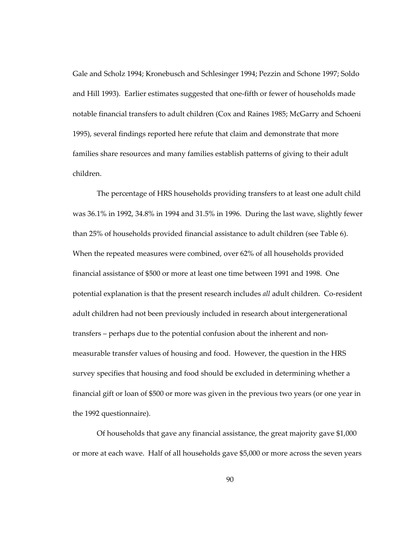Gale and Scholz 1994; Kronebusch and Schlesinger 1994; Pezzin and Schone 1997; Soldo and Hill 1993). Earlier estimates suggested that one-fifth or fewer of households made notable financial transfers to adult children (Cox and Raines 1985; McGarry and Schoeni 1995), several findings reported here refute that claim and demonstrate that more families share resources and many families establish patterns of giving to their adult children.

The percentage of HRS households providing transfers to at least one adult child was 36.1% in 1992, 34.8% in 1994 and 31.5% in 1996. During the last wave, slightly fewer than 25% of households provided financial assistance to adult children (see Table 6). When the repeated measures were combined, over 62% of all households provided financial assistance of \$500 or more at least one time between 1991 and 1998. One potential explanation is that the present research includes *all* adult children. Co-resident adult children had not been previously included in research about intergenerational transfers – perhaps due to the potential confusion about the inherent and nonmeasurable transfer values of housing and food. However, the question in the HRS survey specifies that housing and food should be excluded in determining whether a financial gift or loan of \$500 or more was given in the previous two years (or one year in the 1992 questionnaire).

Of households that gave any financial assistance, the great majority gave \$1,000 or more at each wave. Half of all households gave \$5,000 or more across the seven years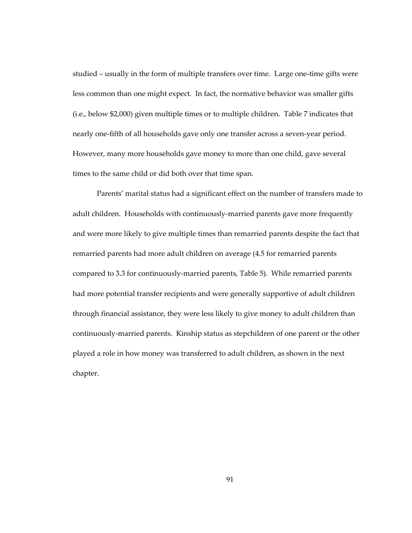studied – usually in the form of multiple transfers over time. Large one-time gifts were less common than one might expect. In fact, the normative behavior was smaller gifts (i.e., below \$2,000) given multiple times or to multiple children. Table 7 indicates that nearly one-fifth of all households gave only one transfer across a seven-year period. However, many more households gave money to more than one child, gave several times to the same child or did both over that time span.

Parents' marital status had a significant effect on the number of transfers made to adult children. Households with continuously-married parents gave more frequently and were more likely to give multiple times than remarried parents despite the fact that remarried parents had more adult children on average (4.5 for remarried parents compared to 3.3 for continuously-married parents, Table 5). While remarried parents had more potential transfer recipients and were generally supportive of adult children through financial assistance, they were less likely to give money to adult children than continuously-married parents. Kinship status as stepchildren of one parent or the other played a role in how money was transferred to adult children, as shown in the next chapter.

91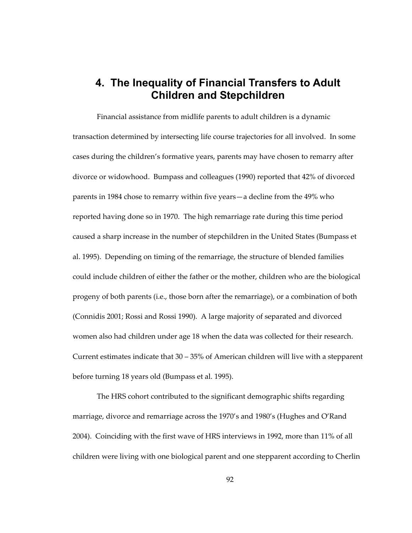## **4. The Inequality of Financial Transfers to Adult Children and Stepchildren**

Financial assistance from midlife parents to adult children is a dynamic transaction determined by intersecting life course trajectories for all involved. In some cases during the children's formative years, parents may have chosen to remarry after divorce or widowhood. Bumpass and colleagues (1990) reported that 42% of divorced parents in 1984 chose to remarry within five years—a decline from the 49% who reported having done so in 1970. The high remarriage rate during this time period caused a sharp increase in the number of stepchildren in the United States (Bumpass et al. 1995). Depending on timing of the remarriage, the structure of blended families could include children of either the father or the mother, children who are the biological progeny of both parents (i.e., those born after the remarriage), or a combination of both (Connidis 2001; Rossi and Rossi 1990). A large majority of separated and divorced women also had children under age 18 when the data was collected for their research. Current estimates indicate that  $30 - 35\%$  of American children will live with a stepparent before turning 18 years old (Bumpass et al. 1995).

The HRS cohort contributed to the significant demographic shifts regarding marriage, divorce and remarriage across the 1970's and 1980's (Hughes and O'Rand 2004). Coinciding with the first wave of HRS interviews in 1992, more than 11% of all children were living with one biological parent and one stepparent according to Cherlin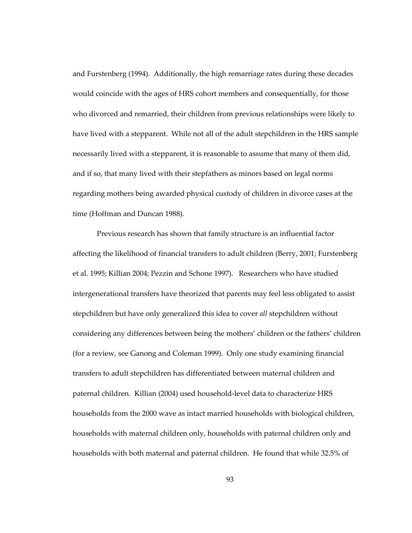and Furstenberg (1994). Additionally, the high remarriage rates during these decades would coincide with the ages of HRS cohort members and consequentially, for those who divorced and remarried, their children from previous relationships were likely to have lived with a stepparent. While not all of the adult stepchildren in the HRS sample necessarily lived with a stepparent, it is reasonable to assume that many of them did, and if so, that many lived with their stepfathers as minors based on legal norms regarding mothers being awarded physical custody of children in divorce cases at the time (Hoffman and Duncan 1988).

Previous research has shown that family structure is an influential factor affecting the likelihood of financial transfers to adult children (Berry, 2001; Furstenberg et al. 1995; Killian 2004; Pezzin and Schone 1997). Researchers who have studied intergenerational transfers have theorized that parents may feel less obligated to assist stepchildren but have only generalized this idea to cover *all* stepchildren without considering any differences between being the mothers' children or the fathers' children (for a review, see Ganong and Coleman 1999). Only one study examining financial transfers to adult stepchildren has differentiated between maternal children and paternal children. Killian (2004) used household-level data to characterize HRS households from the 2000 wave as intact married households with biological children, households with maternal children only, households with paternal children only and households with both maternal and paternal children. He found that while 32.5% of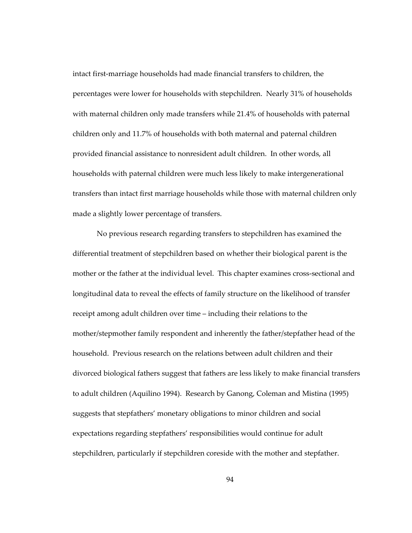intact first-marriage households had made financial transfers to children, the percentages were lower for households with stepchildren. Nearly 31% of households with maternal children only made transfers while 21.4% of households with paternal children only and 11.7% of households with both maternal and paternal children provided financial assistance to nonresident adult children. In other words, all households with paternal children were much less likely to make intergenerational transfers than intact first marriage households while those with maternal children only made a slightly lower percentage of transfers.

No previous research regarding transfers to stepchildren has examined the differential treatment of stepchildren based on whether their biological parent is the mother or the father at the individual level. This chapter examines cross-sectional and longitudinal data to reveal the effects of family structure on the likelihood of transfer receipt among adult children over time – including their relations to the mother/stepmother family respondent and inherently the father/stepfather head of the household. Previous research on the relations between adult children and their divorced biological fathers suggest that fathers are less likely to make financial transfers to adult children (Aquilino 1994). Research by Ganong, Coleman and Mistina (1995) suggests that stepfathers' monetary obligations to minor children and social expectations regarding stepfathers' responsibilities would continue for adult stepchildren, particularly if stepchildren coreside with the mother and stepfather.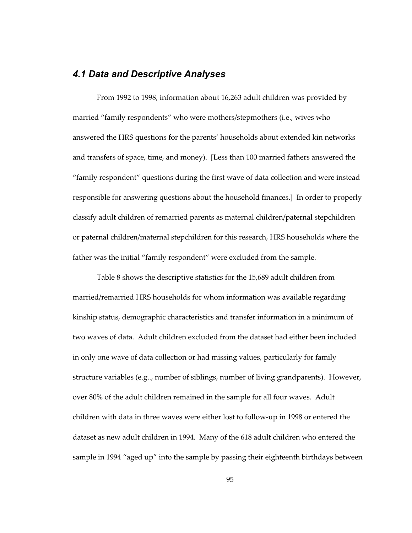# *4.1 Data and Descriptive Analyses*

From 1992 to 1998, information about 16,263 adult children was provided by married "family respondents" who were mothers/stepmothers (i.e., wives who answered the HRS questions for the parents' households about extended kin networks and transfers of space, time, and money). [Less than 100 married fathers answered the "family respondent" questions during the first wave of data collection and were instead responsible for answering questions about the household finances.] In order to properly classify adult children of remarried parents as maternal children/paternal stepchildren or paternal children/maternal stepchildren for this research, HRS households where the father was the initial "family respondent" were excluded from the sample.

Table 8 shows the descriptive statistics for the 15,689 adult children from married/remarried HRS households for whom information was available regarding kinship status, demographic characteristics and transfer information in a minimum of two waves of data. Adult children excluded from the dataset had either been included in only one wave of data collection or had missing values, particularly for family structure variables (e.g.., number of siblings, number of living grandparents). However, over 80% of the adult children remained in the sample for all four waves. Adult children with data in three waves were either lost to follow-up in 1998 or entered the dataset as new adult children in 1994. Many of the 618 adult children who entered the sample in 1994 "aged up" into the sample by passing their eighteenth birthdays between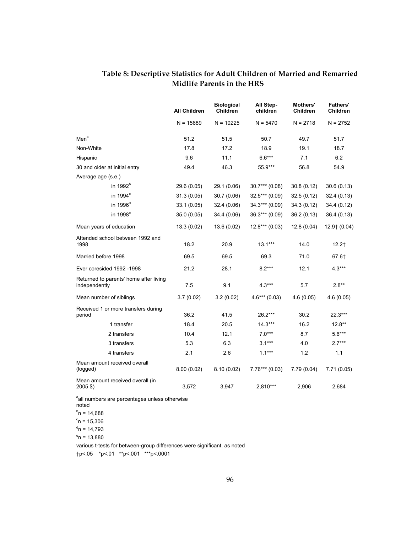## **Table 8: Descriptive Statistics for Adult Children of Married and Remarried Midlife Parents in the HRS**

|                                                                         | <b>All Children</b> | <b>Biological</b><br><b>Children</b> | All Step-<br>children | Mothers'<br><b>Children</b> | <b>Fathers'</b><br><b>Children</b> |
|-------------------------------------------------------------------------|---------------------|--------------------------------------|-----------------------|-----------------------------|------------------------------------|
|                                                                         | $N = 15689$         | $N = 10225$                          | $N = 5470$            | $N = 2718$                  | $N = 2752$                         |
| Men <sup>a</sup>                                                        | 51.2                | 51.5                                 | 50.7                  | 49.7                        | 51.7                               |
| Non-White                                                               | 17.8                | 17.2                                 | 18.9                  | 19.1                        | 18.7                               |
| Hispanic                                                                | 9.6                 | 11.1                                 | $6.6***$              | 7.1                         | 6.2                                |
| 30 and older at initial entry                                           | 49.4                | 46.3                                 | 55.9***               | 56.8                        | 54.9                               |
| Average age (s.e.)                                                      |                     |                                      |                       |                             |                                    |
| in 1992 <sup>b</sup>                                                    | 29.6 (0.05)         | 29.1 (0.06)                          | $30.7***(0.08)$       | 30.8(0.12)                  | 30.6(0.13)                         |
| in $1994^\circ$                                                         | 31.3(0.05)          | 30.7(0.06)                           | $32.5***(0.09)$       | 32.5(0.12)                  | 32.4 (0.13)                        |
| in 1996 <sup>d</sup>                                                    | 33.1(0.05)          | 32.4(0.06)                           | $34.3***(0.09)$       | 34.3 (0.12)                 | 34.4 (0.12)                        |
| in 1998 <sup>e</sup>                                                    | 35.0 (0.05)         | 34.4 (0.06)                          | $36.3***(0.09)$       | 36.2(0.13)                  | 36.4 (0.13)                        |
| Mean years of education                                                 | 13.3(0.02)          | 13.6 (0.02)                          | $12.8***(0.03)$       | 12.8(0.04)                  | $12.9$ $(0.04)$                    |
| Attended school between 1992 and<br>1998                                | 18.2                | 20.9                                 | $13.1***$             | 14.0                        | $12.2+$                            |
| Married before 1998                                                     | 69.5                | 69.5                                 | 69.3                  | 71.0                        | 67.61                              |
| Ever coresided 1992 -1998                                               | 21.2                | 28.1                                 | $8.2***$              | 12.1                        | $4.3***$                           |
| Returned to parents' home after living<br>independently                 | 7.5                 | 9.1                                  | $4.3***$              | 5.7                         | $2.8**$                            |
| Mean number of siblings                                                 | 3.7(0.02)           | 3.2(0.02)                            | $4.6***(0.03)$        | 4.6(0.05)                   | 4.6(0.05)                          |
| Received 1 or more transfers during<br>period                           | 36.2                | 41.5                                 | 26.2***               | 30.2                        | 22.3***                            |
| 1 transfer                                                              | 18.4                | 20.5                                 | $14.3***$             | 16.2                        | $12.8**$                           |
| 2 transfers                                                             | 10.4                | 12.1                                 | $7.0***$              | 8.7                         | $5.6***$                           |
| 3 transfers                                                             | 5.3                 | 6.3                                  | $3.1***$              | 4.0                         | $2.7***$                           |
| 4 transfers                                                             | 2.1                 | 2.6                                  | $1.1***$              | 1.2                         | 1.1                                |
| Mean amount received overall<br>(logged)                                | 8.00(0.02)          | 8.10(0.02)                           | $7.76***$ (0.03)      | 7.79(0.04)                  | 7.71(0.05)                         |
| Mean amount received overall (in<br>2005 \$)                            | 3,572               | 3,947                                | 2,810***              | 2,906                       | 2,684                              |
| all numbers are percentages unless otherwise<br>noted<br>$b_n = 14,688$ |                     |                                      |                       |                             |                                    |

 $c_{n}$  = 15,306

 $n = 14,793$ 

 $^{\circ}$ n = 13,880

various t-tests for between-group differences were significant, as noted †p<.05 \*p<.01 \*\*p<.001 \*\*\*p<.0001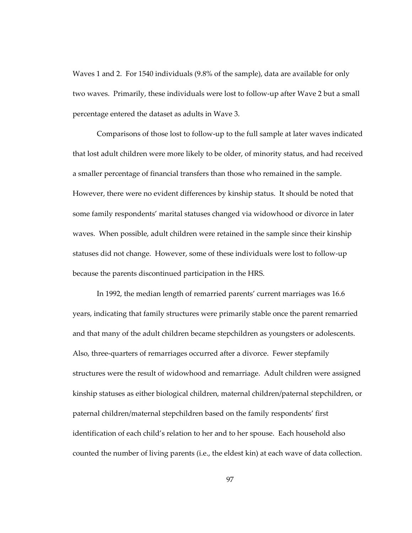Waves 1 and 2. For 1540 individuals (9.8% of the sample), data are available for only two waves. Primarily, these individuals were lost to follow-up after Wave 2 but a small percentage entered the dataset as adults in Wave 3.

Comparisons of those lost to follow-up to the full sample at later waves indicated that lost adult children were more likely to be older, of minority status, and had received a smaller percentage of financial transfers than those who remained in the sample. However, there were no evident differences by kinship status. It should be noted that some family respondents' marital statuses changed via widowhood or divorce in later waves. When possible, adult children were retained in the sample since their kinship statuses did not change. However, some of these individuals were lost to follow-up because the parents discontinued participation in the HRS.

In 1992, the median length of remarried parents' current marriages was 16.6 years, indicating that family structures were primarily stable once the parent remarried and that many of the adult children became stepchildren as youngsters or adolescents. Also, three-quarters of remarriages occurred after a divorce. Fewer stepfamily structures were the result of widowhood and remarriage. Adult children were assigned kinship statuses as either biological children, maternal children/paternal stepchildren, or paternal children/maternal stepchildren based on the family respondents' first identification of each child's relation to her and to her spouse. Each household also counted the number of living parents (i.e., the eldest kin) at each wave of data collection.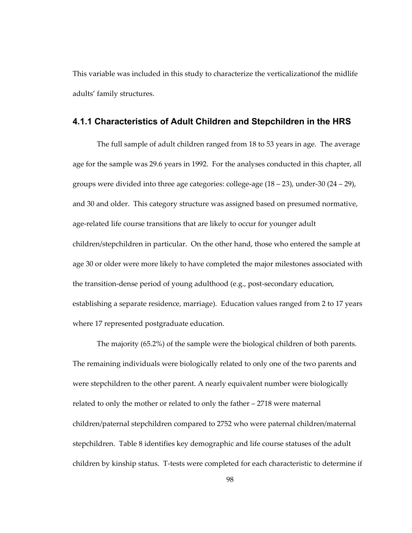This variable was included in this study to characterize the verticalizationof the midlife adults' family structures.

#### **4.1.1 Characteristics of Adult Children and Stepchildren in the HRS**

The full sample of adult children ranged from 18 to 53 years in age. The average age for the sample was 29.6 years in 1992. For the analyses conducted in this chapter, all groups were divided into three age categories: college-age (18 – 23), under-30 (24 – 29), and 30 and older. This category structure was assigned based on presumed normative, age-related life course transitions that are likely to occur for younger adult children/stepchildren in particular. On the other hand, those who entered the sample at age 30 or older were more likely to have completed the major milestones associated with the transition-dense period of young adulthood (e.g., post-secondary education, establishing a separate residence, marriage). Education values ranged from 2 to 17 years where 17 represented postgraduate education.

The majority (65.2%) of the sample were the biological children of both parents. The remaining individuals were biologically related to only one of the two parents and were stepchildren to the other parent. A nearly equivalent number were biologically related to only the mother or related to only the father – 2718 were maternal children/paternal stepchildren compared to 2752 who were paternal children/maternal stepchildren. Table 8 identifies key demographic and life course statuses of the adult children by kinship status. T-tests were completed for each characteristic to determine if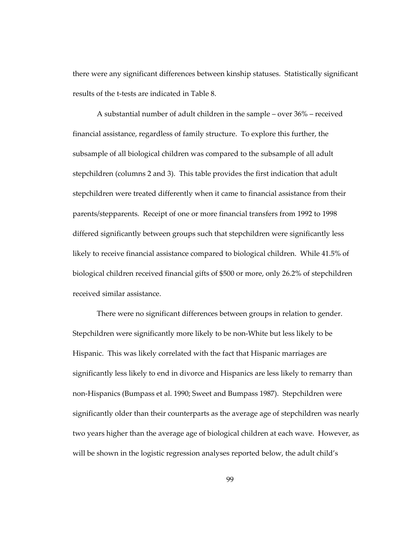there were any significant differences between kinship statuses. Statistically significant results of the t-tests are indicated in Table 8.

A substantial number of adult children in the sample – over 36% – received financial assistance, regardless of family structure. To explore this further, the subsample of all biological children was compared to the subsample of all adult stepchildren (columns 2 and 3). This table provides the first indication that adult stepchildren were treated differently when it came to financial assistance from their parents/stepparents. Receipt of one or more financial transfers from 1992 to 1998 differed significantly between groups such that stepchildren were significantly less likely to receive financial assistance compared to biological children. While 41.5% of biological children received financial gifts of \$500 or more, only 26.2% of stepchildren received similar assistance.

There were no significant differences between groups in relation to gender. Stepchildren were significantly more likely to be non-White but less likely to be Hispanic. This was likely correlated with the fact that Hispanic marriages are significantly less likely to end in divorce and Hispanics are less likely to remarry than non-Hispanics (Bumpass et al. 1990; Sweet and Bumpass 1987). Stepchildren were significantly older than their counterparts as the average age of stepchildren was nearly two years higher than the average age of biological children at each wave. However, as will be shown in the logistic regression analyses reported below, the adult child's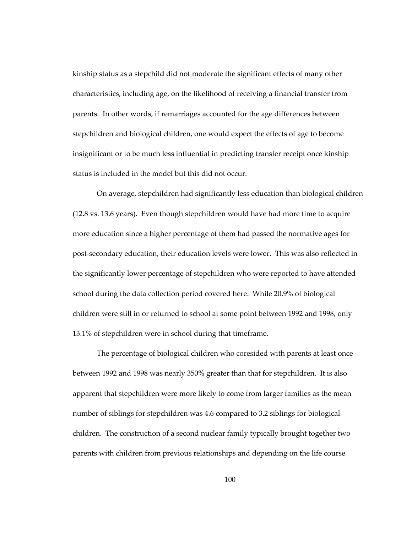kinship status as a stepchild did not moderate the significant effects of many other characteristics, including age, on the likelihood of receiving a financial transfer from parents. In other words, if remarriages accounted for the age differences between stepchildren and biological children, one would expect the effects of age to become insignificant or to be much less influential in predicting transfer receipt once kinship status is included in the model but this did not occur.

On average, stepchildren had significantly less education than biological children (12.8 vs. 13.6 years). Even though stepchildren would have had more time to acquire more education since a higher percentage of them had passed the normative ages for post-secondary education, their education levels were lower. This was also reflected in the significantly lower percentage of stepchildren who were reported to have attended school during the data collection period covered here. While 20.9% of biological children were still in or returned to school at some point between 1992 and 1998, only 13.1% of stepchildren were in school during that timeframe.

The percentage of biological children who coresided with parents at least once between 1992 and 1998 was nearly 350% greater than that for stepchildren. It is also apparent that stepchildren were more likely to come from larger families as the mean number of siblings for stepchildren was 4.6 compared to 3.2 siblings for biological children. The construction of a second nuclear family typically brought together two parents with children from previous relationships and depending on the life course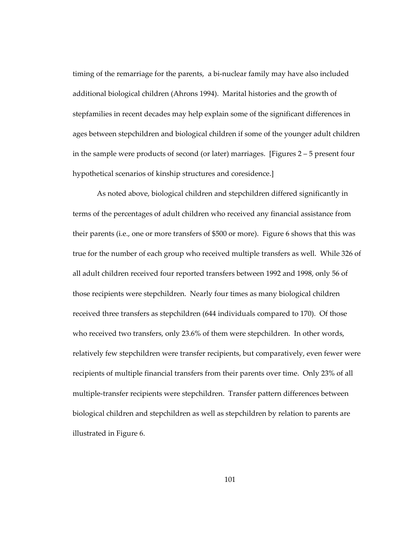timing of the remarriage for the parents, a bi-nuclear family may have also included additional biological children (Ahrons 1994). Marital histories and the growth of stepfamilies in recent decades may help explain some of the significant differences in ages between stepchildren and biological children if some of the younger adult children in the sample were products of second (or later) marriages. [Figures 2 – 5 present four hypothetical scenarios of kinship structures and coresidence.]

As noted above, biological children and stepchildren differed significantly in terms of the percentages of adult children who received any financial assistance from their parents (i.e., one or more transfers of \$500 or more). Figure 6 shows that this was true for the number of each group who received multiple transfers as well. While 326 of all adult children received four reported transfers between 1992 and 1998, only 56 of those recipients were stepchildren. Nearly four times as many biological children received three transfers as stepchildren (644 individuals compared to 170). Of those who received two transfers, only 23.6% of them were stepchildren. In other words, relatively few stepchildren were transfer recipients, but comparatively, even fewer were recipients of multiple financial transfers from their parents over time. Only 23% of all multiple-transfer recipients were stepchildren. Transfer pattern differences between biological children and stepchildren as well as stepchildren by relation to parents are illustrated in Figure 6.

101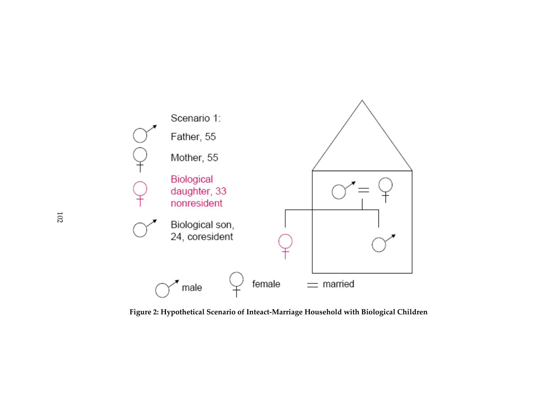

**Figure 2: Hypothetical Scenario of Inteact-Marriage Household with Biological Children**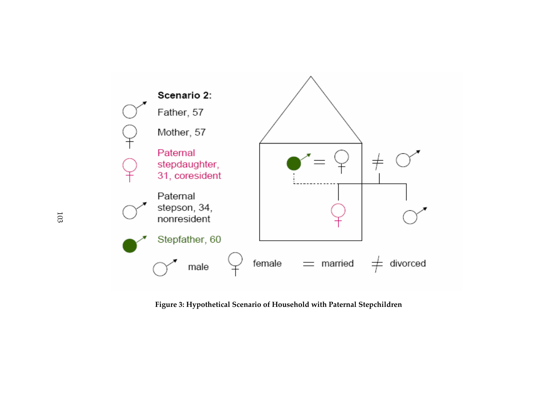

**Figure 3: Hypothetical Scenario of Household with Paternal Stepchildren**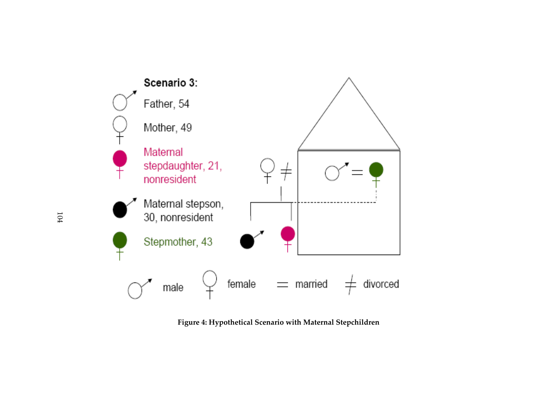

**Figure 4: Hypothetical Scenario with Maternal Stepchildren**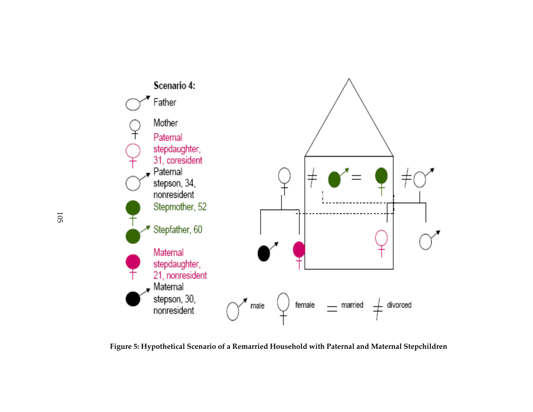

**Figure 5: Hypothetical Scenario of a Remarried Household with Paternal and Maternal Stepchildren**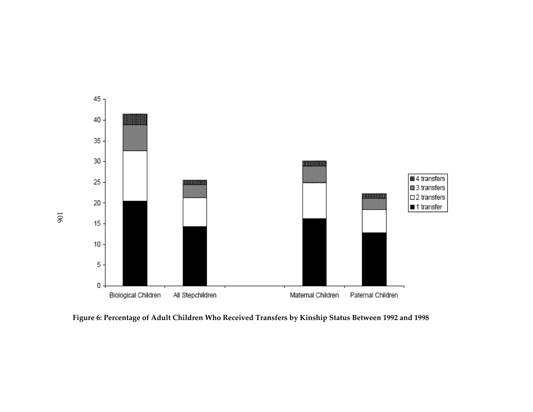

**Figure 6: Percentage of Adult Children Who Received Transfers by Kinship Status Between 1992 and 1998**

106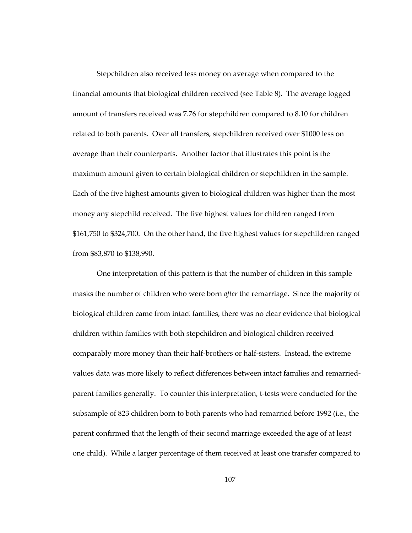Stepchildren also received less money on average when compared to the financial amounts that biological children received (see Table 8). The average logged amount of transfers received was 7.76 for stepchildren compared to 8.10 for children related to both parents. Over all transfers, stepchildren received over \$1000 less on average than their counterparts. Another factor that illustrates this point is the maximum amount given to certain biological children or stepchildren in the sample. Each of the five highest amounts given to biological children was higher than the most money any stepchild received. The five highest values for children ranged from \$161,750 to \$324,700. On the other hand, the five highest values for stepchildren ranged from \$83,870 to \$138,990.

One interpretation of this pattern is that the number of children in this sample masks the number of children who were born *after* the remarriage. Since the majority of biological children came from intact families, there was no clear evidence that biological children within families with both stepchildren and biological children received comparably more money than their half-brothers or half-sisters. Instead, the extreme values data was more likely to reflect differences between intact families and remarriedparent families generally. To counter this interpretation, t-tests were conducted for the subsample of 823 children born to both parents who had remarried before 1992 (i.e., the parent confirmed that the length of their second marriage exceeded the age of at least one child). While a larger percentage of them received at least one transfer compared to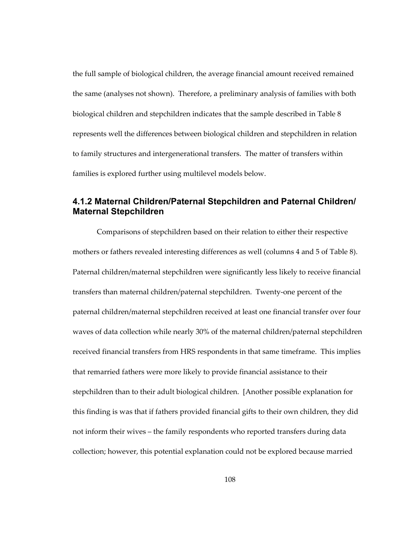the full sample of biological children, the average financial amount received remained the same (analyses not shown). Therefore, a preliminary analysis of families with both biological children and stepchildren indicates that the sample described in Table 8 represents well the differences between biological children and stepchildren in relation to family structures and intergenerational transfers. The matter of transfers within families is explored further using multilevel models below.

# **4.1.2 Maternal Children/Paternal Stepchildren and Paternal Children/ Maternal Stepchildren**

Comparisons of stepchildren based on their relation to either their respective mothers or fathers revealed interesting differences as well (columns 4 and 5 of Table 8). Paternal children/maternal stepchildren were significantly less likely to receive financial transfers than maternal children/paternal stepchildren. Twenty-one percent of the paternal children/maternal stepchildren received at least one financial transfer over four waves of data collection while nearly 30% of the maternal children/paternal stepchildren received financial transfers from HRS respondents in that same timeframe. This implies that remarried fathers were more likely to provide financial assistance to their stepchildren than to their adult biological children. [Another possible explanation for this finding is was that if fathers provided financial gifts to their own children, they did not inform their wives – the family respondents who reported transfers during data collection; however, this potential explanation could not be explored because married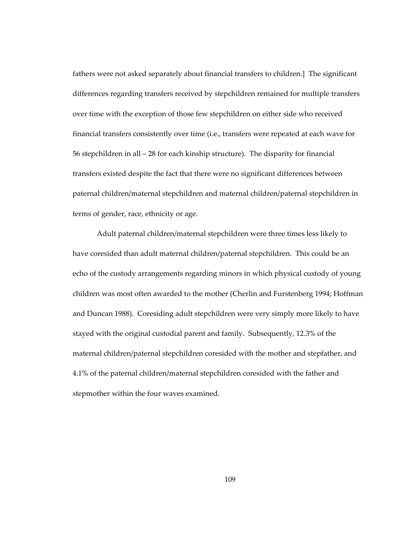fathers were not asked separately about financial transfers to children.] The significant differences regarding transfers received by stepchildren remained for multiple transfers over time with the exception of those few stepchildren on either side who received financial transfers consistently over time (i.e., transfers were repeated at each wave for 56 stepchildren in all – 28 for each kinship structure). The disparity for financial transfers existed despite the fact that there were no significant differences between paternal children/maternal stepchildren and maternal children/paternal stepchildren in terms of gender, race, ethnicity or age.

Adult paternal children/maternal stepchildren were three times less likely to have coresided than adult maternal children/paternal stepchildren. This could be an echo of the custody arrangements regarding minors in which physical custody of young children was most often awarded to the mother (Cherlin and Furstenberg 1994; Hoffman and Duncan 1988). Coresiding adult stepchildren were very simply more likely to have stayed with the original custodial parent and family. Subsequently, 12.3% of the maternal children/paternal stepchildren coresided with the mother and stepfather, and 4.1% of the paternal children/maternal stepchildren coresided with the father and stepmother within the four waves examined.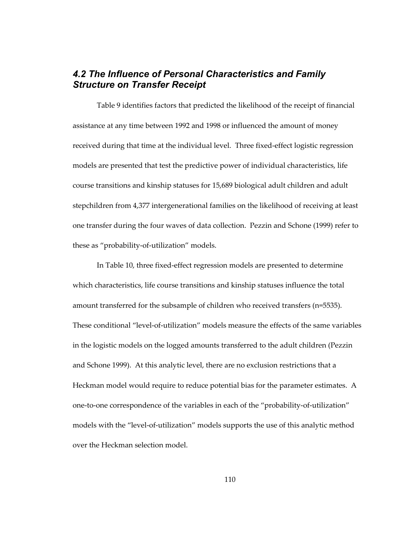# *4.2 The Influence of Personal Characteristics and Family Structure on Transfer Receipt*

Table 9 identifies factors that predicted the likelihood of the receipt of financial assistance at any time between 1992 and 1998 or influenced the amount of money received during that time at the individual level. Three fixed-effect logistic regression models are presented that test the predictive power of individual characteristics, life course transitions and kinship statuses for 15,689 biological adult children and adult stepchildren from 4,377 intergenerational families on the likelihood of receiving at least one transfer during the four waves of data collection. Pezzin and Schone (1999) refer to these as "probability-of-utilization" models.

In Table 10, three fixed-effect regression models are presented to determine which characteristics, life course transitions and kinship statuses influence the total amount transferred for the subsample of children who received transfers (n=5535). These conditional "level-of-utilization" models measure the effects of the same variables in the logistic models on the logged amounts transferred to the adult children (Pezzin and Schone 1999). At this analytic level, there are no exclusion restrictions that a Heckman model would require to reduce potential bias for the parameter estimates. A one-to-one correspondence of the variables in each of the "probability-of-utilization" models with the "level-of-utilization" models supports the use of this analytic method over the Heckman selection model.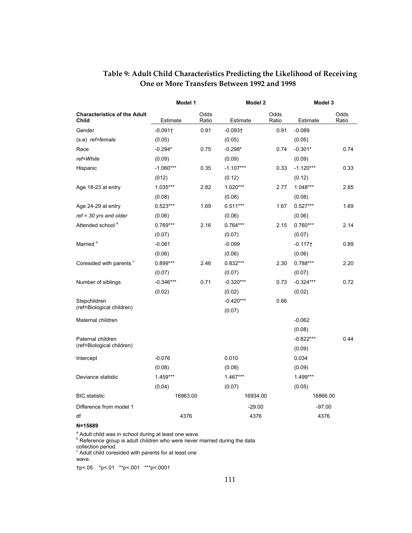|                                                     | Model 1               |               | Model 2     |               | Model 3               |               |
|-----------------------------------------------------|-----------------------|---------------|-------------|---------------|-----------------------|---------------|
| <b>Characteristics of the Adult</b><br><b>Child</b> | Estimate              | Odds<br>Ratio | Estimate    | Odds<br>Ratio | Estimate              | Odds<br>Ratio |
| Gender                                              | $-0.091$ <sup>+</sup> | 0.91          | $-0.093 +$  | 0.91          | $-0.089$              |               |
| (s.e) ref=female                                    | (0.05)                |               | (0.05)      |               | (0.05)                |               |
| Race                                                | $-0.294*$             | 0.75          | $-0.298*$   | 0.74          | $-0.301*$             | 0.74          |
| ref=White                                           | (0.09)                |               | (0.09)      |               | (0.09)                |               |
| Hispanic                                            | $-1.060***$           | 0.35          | $-1.107***$ | 0.33          | $-1.120***$           | 0.33          |
|                                                     | (012)                 |               | (0.12)      |               | (0.12)                |               |
| Age 18-23 at entry                                  | 1.035***              | 2.82          | $1.020***$  | 2.77          | 1.048***              | 2.85          |
|                                                     | (0.08)                |               | (0.08)      |               | (0.08)                |               |
| Age 24-29 at entry                                  | $0.523***$            | 1.69          | $0.511***$  | 1.67          | $0.527***$            | 1.69          |
| $ref = 30$ yrs and older                            | (0.06)                |               | (0.06)      |               | (0.06)                |               |
| Attended school <sup>a</sup>                        | $0.769***$            | 2.16          | $0.764***$  | 2.15          | $0.760***$            | 2.14          |
|                                                     | (0.07)                |               | (0.07)      |               | (0.07)                |               |
| Married <sup>b</sup>                                | $-0.081$              |               | $-0.099$    |               | $-0.117$ <sup>+</sup> | 0.89          |
|                                                     | (0.06)                |               | (0.06)      |               | (0.06)                |               |
| Coresided with parents °                            | $0.899***$            | 2.46          | $0.832***$  | 2.30          | $0.788***$            | 2.20          |
|                                                     | (0.07)                |               | (0.07)      |               | (0.07)                |               |
| Number of siblings                                  | $-0.346***$           | 0.71          | $-0.320***$ | 0.73          | $-0.324***$           | 0.72          |
|                                                     | (0.02)                |               | (0.02)      |               | (0.02)                |               |
| Stepchildren                                        |                       |               | $-0.420***$ | 0.66          |                       |               |
| (ref=Biological children)                           |                       |               | (0.07)      |               |                       |               |
| Maternal children                                   |                       |               |             |               | $-0.062$              |               |
|                                                     |                       |               |             |               | (0.08)                |               |
| Paternal children                                   |                       |               |             |               | $-0.822***$           | 0.44          |
| (ref=Biological children)                           |                       |               |             |               | (0.09)                |               |
| Intercept                                           | $-0.076$              |               | 0.010       |               | 0.034                 |               |
|                                                     | (0.08)                |               | (0.08)      |               | (0.09)                |               |
| Deviance statistic                                  | 1.459***              |               | $1.467***$  |               | 1.499***              |               |
|                                                     | (0.04)                |               | (0.07)      |               | (0.05)                |               |
| <b>BIC</b> statistic                                | 16963.00              |               | 16934.00    |               | 16866.00              |               |
| Difference from model 1                             |                       |               | $-29.00$    |               | -97.00                |               |
| df                                                  | 4376                  |               | 4376        |               | 4376                  |               |

### **Table 9: Adult Child Characteristics Predicting the Likelihood of Receiving One or More Transfers Between 1992 and 1998**

#### **N=15689**

<sup>a</sup> Adult child was in school during at least one wave.

Reference group is adult children who were never married during the data

collection period.<br><sup>c</sup> Adult child coresided with parents for at least one

wave.

†p<.05 \*p<.01 \*\*p<.001 \*\*\*p<.0001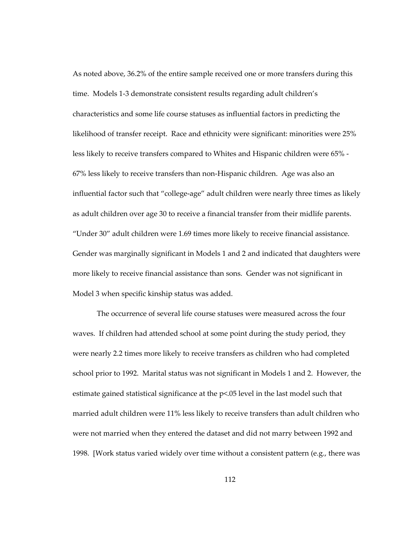As noted above, 36.2% of the entire sample received one or more transfers during this time. Models 1-3 demonstrate consistent results regarding adult children's characteristics and some life course statuses as influential factors in predicting the likelihood of transfer receipt. Race and ethnicity were significant: minorities were 25% less likely to receive transfers compared to Whites and Hispanic children were 65% - 67% less likely to receive transfers than non-Hispanic children. Age was also an influential factor such that "college-age" adult children were nearly three times as likely as adult children over age 30 to receive a financial transfer from their midlife parents. "Under 30" adult children were 1.69 times more likely to receive financial assistance. Gender was marginally significant in Models 1 and 2 and indicated that daughters were more likely to receive financial assistance than sons. Gender was not significant in Model 3 when specific kinship status was added.

The occurrence of several life course statuses were measured across the four waves. If children had attended school at some point during the study period, they were nearly 2.2 times more likely to receive transfers as children who had completed school prior to 1992. Marital status was not significant in Models 1 and 2. However, the estimate gained statistical significance at the p<.05 level in the last model such that married adult children were 11% less likely to receive transfers than adult children who were not married when they entered the dataset and did not marry between 1992 and 1998. [Work status varied widely over time without a consistent pattern (e.g., there was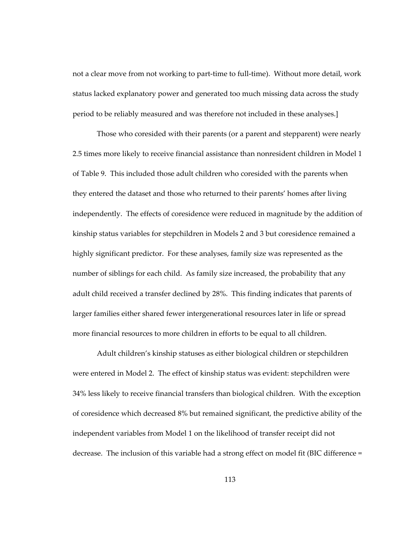not a clear move from not working to part-time to full-time). Without more detail, work status lacked explanatory power and generated too much missing data across the study period to be reliably measured and was therefore not included in these analyses.]

Those who coresided with their parents (or a parent and stepparent) were nearly 2.5 times more likely to receive financial assistance than nonresident children in Model 1 of Table 9. This included those adult children who coresided with the parents when they entered the dataset and those who returned to their parents' homes after living independently. The effects of coresidence were reduced in magnitude by the addition of kinship status variables for stepchildren in Models 2 and 3 but coresidence remained a highly significant predictor. For these analyses, family size was represented as the number of siblings for each child. As family size increased, the probability that any adult child received a transfer declined by 28%. This finding indicates that parents of larger families either shared fewer intergenerational resources later in life or spread more financial resources to more children in efforts to be equal to all children.

Adult children's kinship statuses as either biological children or stepchildren were entered in Model 2. The effect of kinship status was evident: stepchildren were 34% less likely to receive financial transfers than biological children. With the exception of coresidence which decreased 8% but remained significant, the predictive ability of the independent variables from Model 1 on the likelihood of transfer receipt did not decrease. The inclusion of this variable had a strong effect on model fit (BIC difference =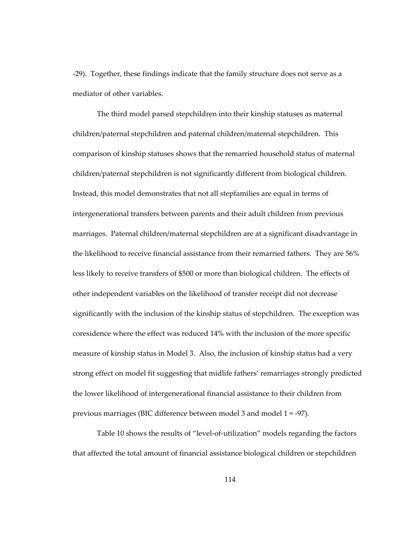-29). Together, these findings indicate that the family structure does not serve as a mediator of other variables.

The third model parsed stepchildren into their kinship statuses as maternal children/paternal stepchildren and paternal children/maternal stepchildren. This comparison of kinship statuses shows that the remarried household status of maternal children/paternal stepchildren is not significantly different from biological children. Instead, this model demonstrates that not all stepfamilies are equal in terms of intergenerational transfers between parents and their adult children from previous marriages. Paternal children/maternal stepchildren are at a significant disadvantage in the likelihood to receive financial assistance from their remarried fathers. They are 56% less likely to receive transfers of \$500 or more than biological children. The effects of other independent variables on the likelihood of transfer receipt did not decrease significantly with the inclusion of the kinship status of stepchildren. The exception was coresidence where the effect was reduced 14% with the inclusion of the more specific measure of kinship status in Model 3. Also, the inclusion of kinship status had a very strong effect on model fit suggesting that midlife fathers' remarriages strongly predicted the lower likelihood of intergenerational financial assistance to their children from previous marriages (BIC difference between model 3 and model 1 = -97).

Table 10 shows the results of "level-of-utilization" models regarding the factors that affected the total amount of financial assistance biological children or stepchildren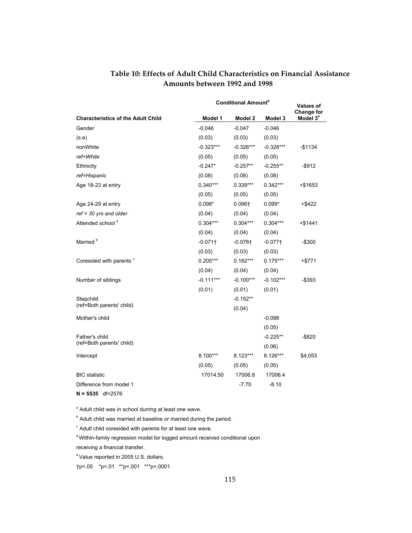### **Table 10: Effects of Adult Child Characteristics on Financial Assistance Amounts between 1992 and 1998**

|                                           | <b>Conditional Amountd</b> | <b>Values of</b><br>Change for |             |                      |
|-------------------------------------------|----------------------------|--------------------------------|-------------|----------------------|
| <b>Characteristics of the Adult Child</b> | Model 1                    | Model 2                        | Model 3     | Model 3 <sup>e</sup> |
| Gender                                    | $-0.046$                   | $-0.047$                       | $-0.046$    |                      |
| (s.e)                                     | (0.03)                     | (0.03)                         | (0.03)      |                      |
| nonWhite                                  | $-0.323***$                | $-0.326***$                    | $-0.328***$ | $-$1134$             |
| ref=White                                 | (0.05)                     | (0.05)                         | (0.05)      |                      |
| Ethnicity                                 | $-0.247*$                  | $-0.257**$                     | $-0.255**$  | $-$ \$912            |
| ref=Hispanic                              | (0.08)                     | (0.08)                         | (0.08)      |                      |
| Age 18-23 at entry                        | $0.340***$                 | $0.339***$                     | $0.342***$  | +\$1653              |
|                                           | (0.05)                     | (0.05)                         | (0.05)      |                      |
| Age 24-29 at entry                        | $0.098*$                   | $0.096 +$                      | $0.099*$    | $+$ \$422            |
| $ref = 30$ yrs and older                  | (0.04)                     | (0.04)                         | (0.04)      |                      |
| Attended school <sup>a</sup>              | $0.304***$                 | $0.304***$                     | $0.304***$  | $+ $1441$            |
|                                           | (0.04)                     | (0.04)                         | (0.04)      |                      |
| Married <sup>b</sup>                      | $-0.071$                   | $-0.076$ <sup>+</sup>          | $-0.077$ †  | $-$300$              |
|                                           | (0.03)                     | (0.03)                         | (0.03)      |                      |
| Coresided with parents c                  | $0.205***$                 | $0.182***$                     | $0.175***$  | +\$771               |
|                                           | (0.04)                     | (0.04)                         | (0.04)      |                      |
| Number of siblings                        | $-0.111***$                | $-0.100***$                    | $-0.102***$ | -\$393               |
|                                           | (0.01)                     | (0.01)                         | (0.01)      |                      |
| Stepchild                                 |                            | $-0.152**$                     |             |                      |
| (ref=Both parents' child)                 |                            | (0.04)                         |             |                      |
| Mother's child                            |                            |                                | $-0.098$    |                      |
|                                           |                            |                                | (0.05)      |                      |
| Father's child                            |                            |                                | $-0.225**$  | $-$ \$820            |
| (ref=Both parents' child)                 |                            |                                | (0.06)      |                      |
| Intercept                                 | 8.100***                   | 8.123***                       | 8.126***    | \$4,053              |
|                                           | (0.05)                     | (0.05)                         | (0.05)      |                      |
| <b>BIC</b> statistic                      | 17014.50                   | 17006.8                        | 17006.4     |                      |
| Difference from model 1                   |                            | -7.70                          | $-8.10$     |                      |
| $N = 5535$ df=2576                        |                            |                                |             |                      |

<sup>a</sup> Adult child was in school durring at least one wave.

<sup>b</sup> Adult child was married at baseline or married during the period.

 $\textdegree$  Adult child coresided with parents for at least one wave.

<sup>d</sup> Within-family regression model for logged amount received conditional upon receiving a financial transfer.

e Value reported in 2005 U.S. dollars.

†p<.05 \*p<.01 \*\*p<.001 \*\*\*p<.0001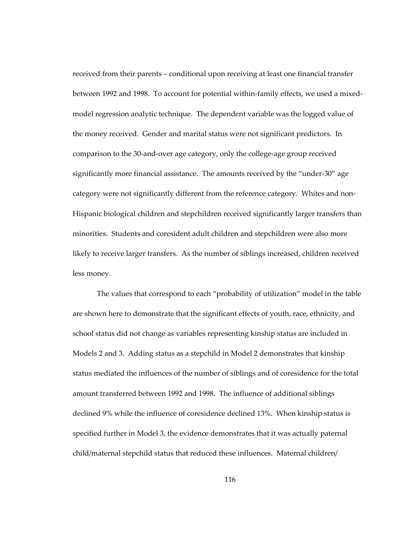received from their parents – conditional upon receiving at least one financial transfer between 1992 and 1998. To account for potential within-family effects, we used a mixedmodel regression analytic technique. The dependent variable was the logged value of the money received. Gender and marital status were not significant predictors. In comparison to the 30-and-over age category, only the college-age group received significantly more financial assistance. The amounts received by the "under-30" age category were not significantly different from the reference category. Whites and non-Hispanic biological children and stepchildren received significantly larger transfers than minorities. Students and coresident adult children and stepchildren were also more likely to receive larger transfers. As the number of siblings increased, children received less money.

The values that correspond to each "probability of utilization" model in the table are shown here to demonstrate that the significant effects of youth, race, ethnicity, and school status did not change as variables representing kinship status are included in Models 2 and 3. Adding status as a stepchild in Model 2 demonstrates that kinship status mediated the influences of the number of siblings and of coresidence for the total amount transferred between 1992 and 1998. The influence of additional siblings declined 9% while the influence of coresidence declined 13%. When kinship status is specified further in Model 3, the evidence demonstrates that it was actually paternal child/maternal stepchild status that reduced these influences. Maternal children/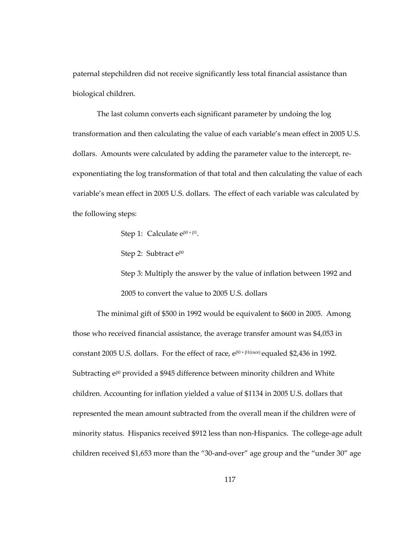paternal stepchildren did not receive significantly less total financial assistance than biological children.

The last column converts each significant parameter by undoing the log transformation and then calculating the value of each variable's mean effect in 2005 U.S. dollars. Amounts were calculated by adding the parameter value to the intercept, reexponentiating the log transformation of that total and then calculating the value of each variable's mean effect in 2005 U.S. dollars. The effect of each variable was calculated by the following steps:

Step 1: Calculate  $e^{\beta 0 + \beta 1}$ .

Step 2: Subtract  $e^{\beta 0}$ 

Step 3: Multiply the answer by the value of inflation between 1992 and 2005 to convert the value to 2005 U.S. dollars

The minimal gift of \$500 in 1992 would be equivalent to \$600 in 2005. Among those who received financial assistance, the average transfer amount was \$4,053 in constant 2005 U.S. dollars. For the effect of race,  $e^{\beta 0 + \beta 1$  (race) equaled \$2,436 in 1992. Subtracting e<sup>β0</sup> provided a \$945 difference between minority children and White children. Accounting for inflation yielded a value of \$1134 in 2005 U.S. dollars that represented the mean amount subtracted from the overall mean if the children were of minority status. Hispanics received \$912 less than non-Hispanics. The college-age adult children received \$1,653 more than the "30-and-over" age group and the "under 30" age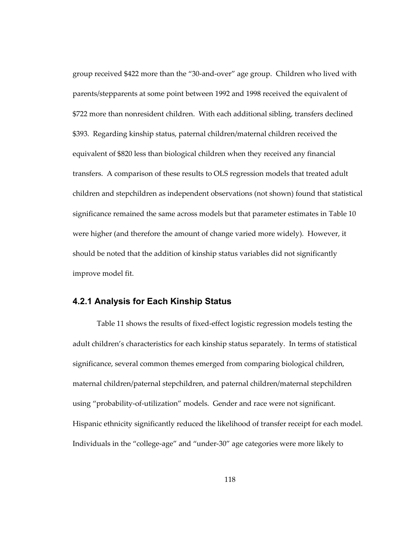group received \$422 more than the "30-and-over" age group. Children who lived with parents/stepparents at some point between 1992 and 1998 received the equivalent of \$722 more than nonresident children. With each additional sibling, transfers declined \$393. Regarding kinship status, paternal children/maternal children received the equivalent of \$820 less than biological children when they received any financial transfers. A comparison of these results to OLS regression models that treated adult children and stepchildren as independent observations (not shown) found that statistical significance remained the same across models but that parameter estimates in Table 10 were higher (and therefore the amount of change varied more widely). However, it should be noted that the addition of kinship status variables did not significantly improve model fit.

#### **4.2.1 Analysis for Each Kinship Status**

Table 11 shows the results of fixed-effect logistic regression models testing the adult children's characteristics for each kinship status separately. In terms of statistical significance, several common themes emerged from comparing biological children, maternal children/paternal stepchildren, and paternal children/maternal stepchildren using "probability-of-utilization" models. Gender and race were not significant. Hispanic ethnicity significantly reduced the likelihood of transfer receipt for each model. Individuals in the "college-age" and "under-30" age categories were more likely to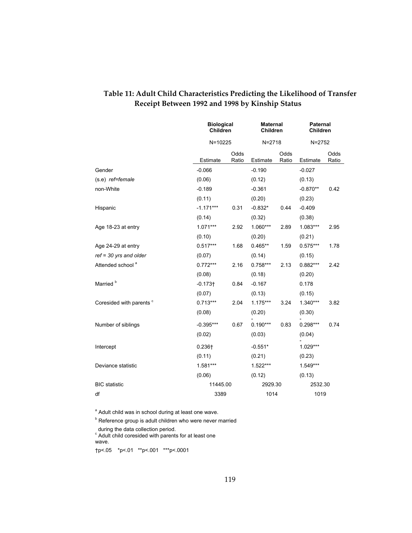|                              |             | <b>Biological</b><br><b>Children</b> |            | <b>Maternal</b><br><b>Children</b> |            | <b>Paternal</b><br><b>Children</b> |  |
|------------------------------|-------------|--------------------------------------|------------|------------------------------------|------------|------------------------------------|--|
|                              |             | $N = 10225$                          |            | $N = 2718$                         | $N = 2752$ |                                    |  |
|                              | Estimate    | Odds<br>Ratio                        | Estimate   | Odds<br>Ratio                      | Estimate   | Odds<br>Ratio                      |  |
| Gender                       | $-0.066$    |                                      | $-0.190$   |                                    | $-0.027$   |                                    |  |
| (s.e) ref=female             | (0.06)      |                                      | (0.12)     |                                    | (0.13)     |                                    |  |
| non-White                    | $-0.189$    |                                      | $-0.361$   |                                    | $-0.870**$ | 0.42                               |  |
|                              | (0.11)      |                                      | (0.20)     |                                    | (0.23)     |                                    |  |
| Hispanic                     | $-1.171***$ | 0.31                                 | $-0.832*$  | 0.44                               | $-0.409$   |                                    |  |
|                              | (0.14)      |                                      | (0.32)     |                                    | (0.38)     |                                    |  |
| Age 18-23 at entry           | $1.071***$  | 2.92                                 | $1.060***$ | 2.89                               | 1.083***   | 2.95                               |  |
|                              | (0.10)      |                                      | (0.20)     |                                    | (0.21)     |                                    |  |
| Age 24-29 at entry           | $0.517***$  | 1.68                                 | $0.465**$  | 1.59                               | $0.575***$ | 1.78                               |  |
| $ref = 30$ yrs and older     | (0.07)      |                                      | (0.14)     |                                    | (0.15)     |                                    |  |
| Attended school <sup>a</sup> | $0.772***$  | 2.16                                 | $0.758***$ | 2.13                               | $0.882***$ | 2.42                               |  |
|                              | (0.08)      |                                      | (0.18)     |                                    | (0.20)     |                                    |  |
| Married <sup>b</sup>         | $-0.173 +$  | 0.84                                 | $-0.167$   |                                    | 0.178      |                                    |  |
|                              | (0.07)      |                                      | (0.13)     |                                    | (0.15)     |                                    |  |
| Coresided with parents °     | $0.713***$  | 2.04                                 | $1.175***$ | 3.24                               | $1.340***$ | 3.82                               |  |
|                              | (0.08)      |                                      | (0.20)     |                                    | (0.30)     |                                    |  |
| Number of siblings           | $-0.395***$ | 0.67                                 | $0.190***$ | 0.83                               | $0.298***$ | 0.74                               |  |
|                              | (0.02)      |                                      | (0.03)     |                                    | (0.04)     |                                    |  |
| Intercept                    | $0.236 +$   |                                      | $-0.551*$  |                                    | 1.029***   |                                    |  |
|                              | (0.11)      |                                      | (0.21)     |                                    | (0.23)     |                                    |  |
| Deviance statistic           | 1.581***    |                                      | $1.522***$ |                                    | $1.549***$ |                                    |  |
|                              | (0.06)      |                                      | (0.12)     |                                    | (0.13)     |                                    |  |
| <b>BIC</b> statistic         | 11445.00    |                                      | 2929.30    |                                    | 2532.30    |                                    |  |
| df                           |             | 3389                                 |            | 1014                               |            | 1019                               |  |

# **Table 11: Adult Child Characteristics Predicting the Likelihood of Transfer Receipt Between 1992 and 1998 by Kinship Status**

<sup>a</sup> Adult child was in school during at least one wave.

<sup>b</sup> Reference group is adult children who were never married

during the data collection period.<br><sup>c</sup> Adult child coresided with parents for at least one wave.

†p<.05 \*p<.01 \*\*p<.001 \*\*\*p<.0001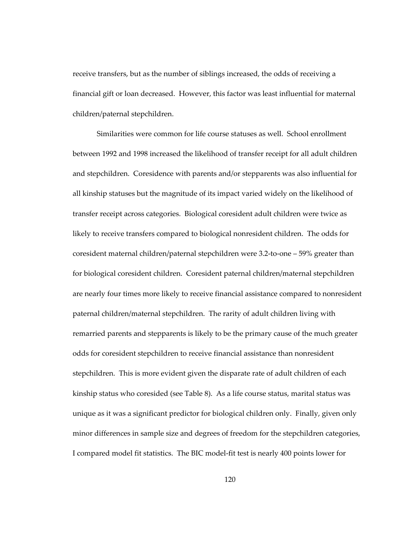receive transfers, but as the number of siblings increased, the odds of receiving a financial gift or loan decreased. However, this factor was least influential for maternal children/paternal stepchildren.

Similarities were common for life course statuses as well. School enrollment between 1992 and 1998 increased the likelihood of transfer receipt for all adult children and stepchildren. Coresidence with parents and/or stepparents was also influential for all kinship statuses but the magnitude of its impact varied widely on the likelihood of transfer receipt across categories. Biological coresident adult children were twice as likely to receive transfers compared to biological nonresident children. The odds for coresident maternal children/paternal stepchildren were 3.2-to-one – 59% greater than for biological coresident children. Coresident paternal children/maternal stepchildren are nearly four times more likely to receive financial assistance compared to nonresident paternal children/maternal stepchildren. The rarity of adult children living with remarried parents and stepparents is likely to be the primary cause of the much greater odds for coresident stepchildren to receive financial assistance than nonresident stepchildren. This is more evident given the disparate rate of adult children of each kinship status who coresided (see Table 8). As a life course status, marital status was unique as it was a significant predictor for biological children only. Finally, given only minor differences in sample size and degrees of freedom for the stepchildren categories, I compared model fit statistics. The BIC model-fit test is nearly 400 points lower for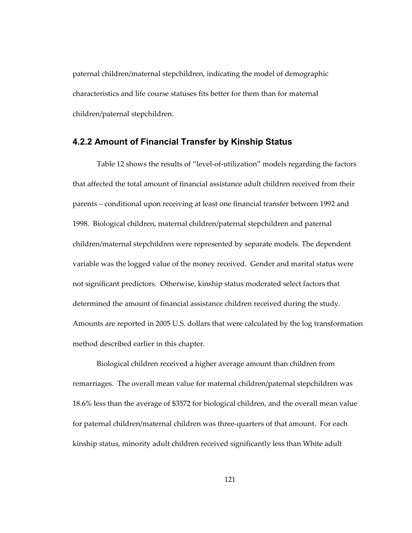paternal children/maternal stepchildren, indicating the model of demographic characteristics and life course statuses fits better for them than for maternal children/paternal stepchildren.

### **4.2.2 Amount of Financial Transfer by Kinship Status**

Table 12 shows the results of "level-of-utilization" models regarding the factors that affected the total amount of financial assistance adult children received from their parents – conditional upon receiving at least one financial transfer between 1992 and 1998. Biological children, maternal children/paternal stepchildren and paternal children/maternal stepchildren were represented by separate models. The dependent variable was the logged value of the money received. Gender and marital status were not significant predictors. Otherwise, kinship status moderated select factors that determined the amount of financial assistance children received during the study. Amounts are reported in 2005 U.S. dollars that were calculated by the log transformation method described earlier in this chapter.

Biological children received a higher average amount than children from remarriages. The overall mean value for maternal children/paternal stepchildren was 18.6% less than the average of \$3572 for biological children, and the overall mean value for paternal children/maternal children was three-quarters of that amount. For each kinship status, minority adult children received significantly less than White adult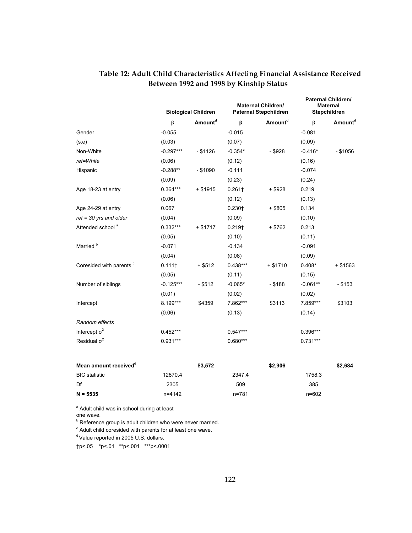|                                   | <b>Biological Children</b> |                     |                    | <b>Maternal Children/</b><br><b>Paternal Stepchildren</b> |            | <b>Paternal Children/</b><br><b>Maternal</b><br>Stepchildren |  |
|-----------------------------------|----------------------------|---------------------|--------------------|-----------------------------------------------------------|------------|--------------------------------------------------------------|--|
|                                   | ß                          | Amount <sup>d</sup> | ß                  | Amount <sup>d</sup>                                       | ß          | Amount <sup>d</sup>                                          |  |
| Gender                            | $-0.055$                   |                     | $-0.015$           |                                                           | $-0.081$   |                                                              |  |
| (s.e)                             | (0.03)                     |                     | (0.07)             |                                                           | (0.09)     |                                                              |  |
| Non-White                         | $-0.297***$                | $-$ \$1126          | $-0.354*$          | $-$ \$928                                                 | $-0.416*$  | $-$ \$1056                                                   |  |
| ref=White                         | (0.06)                     |                     | (0.12)             |                                                           | (0.16)     |                                                              |  |
| Hispanic                          | $-0.288**$                 | $-$ \$1090          | $-0.111$           |                                                           | $-0.074$   |                                                              |  |
|                                   | (0.09)                     |                     | (0.23)             |                                                           | (0.24)     |                                                              |  |
| Age 18-23 at entry                | $0.364***$                 | $+ $1915$           | 0.261              | + \$928                                                   | 0.219      |                                                              |  |
|                                   | (0.06)                     |                     | (0.12)             |                                                           | (0.13)     |                                                              |  |
| Age 24-29 at entry                | 0.067                      |                     | $0.230 +$          | $+$ \$805                                                 | 0.134      |                                                              |  |
| $ref = 30 yrs$ and older          | (0.04)                     |                     | (0.09)             |                                                           | (0.10)     |                                                              |  |
| Attended school <sup>a</sup>      | $0.332***$                 | + \$1717            | 0.219 <sub>1</sub> | + \$762                                                   | 0.213      |                                                              |  |
|                                   | (0.05)                     |                     | (0.10)             |                                                           | (0.11)     |                                                              |  |
| Married <sup>b</sup>              | $-0.071$                   |                     | $-0.134$           |                                                           | $-0.091$   |                                                              |  |
|                                   | (0.04)                     |                     | (0.08)             |                                                           | (0.09)     |                                                              |  |
| Coresided with parents °          | 0.111                      | $+$ \$512           | $0.438***$         | $+ $1710$                                                 | $0.408*$   | $+$ \$1563                                                   |  |
|                                   | (0.05)                     |                     | (0.11)             |                                                           | (0.15)     |                                                              |  |
| Number of siblings                | $-0.125***$                | $-$ \$512           | $-0.065*$          | $-$ \$188                                                 | $-0.061**$ | $-$ \$153                                                    |  |
|                                   | (0.01)                     |                     | (0.02)             |                                                           | (0.02)     |                                                              |  |
| Intercept                         | 8.199***                   | \$4359              | 7.862***           | \$3113                                                    | 7.859***   | \$3103                                                       |  |
|                                   | (0.06)                     |                     | (0.13)             |                                                           | (0.14)     |                                                              |  |
| Random effects                    |                            |                     |                    |                                                           |            |                                                              |  |
| Intercept $\sigma^2$              | $0.452***$                 |                     | $0.547***$         |                                                           | $0.396***$ |                                                              |  |
| Residual $\sigma^2$               | $0.931***$                 |                     | $0.680***$         |                                                           | $0.731***$ |                                                              |  |
| Mean amount received <sup>a</sup> |                            | \$3,572             |                    | \$2,906                                                   |            | \$2,684                                                      |  |
| <b>BIC</b> statistic              | 12870.4                    |                     | 2347.4             |                                                           | 1758.3     |                                                              |  |
| Df                                | 2305                       |                     | 509                |                                                           | 385        |                                                              |  |
| $N = 5535$                        | n=4142                     |                     | n=781              |                                                           | n=602      |                                                              |  |

# **Table 12: Adult Child Characteristics Affecting Financial Assistance Received Between 1992 and 1998 by Kinship Status**

<sup>a</sup> Adult child was in school during at least

one wave.

<sup>b</sup> Reference group is adult children who were never married.

 $\textdegree$  Adult child coresided with parents for at least one wave.

 $d$  Value reported in 2005 U.S. dollars.

†p<.05 \*p<.01 \*\*p<.001 \*\*\*p<.0001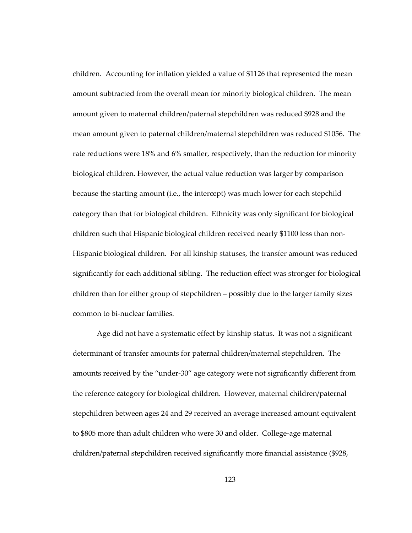children. Accounting for inflation yielded a value of \$1126 that represented the mean amount subtracted from the overall mean for minority biological children. The mean amount given to maternal children/paternal stepchildren was reduced \$928 and the mean amount given to paternal children/maternal stepchildren was reduced \$1056. The rate reductions were 18% and 6% smaller, respectively, than the reduction for minority biological children. However, the actual value reduction was larger by comparison because the starting amount (i.e., the intercept) was much lower for each stepchild category than that for biological children. Ethnicity was only significant for biological children such that Hispanic biological children received nearly \$1100 less than non-Hispanic biological children. For all kinship statuses, the transfer amount was reduced significantly for each additional sibling. The reduction effect was stronger for biological children than for either group of stepchildren – possibly due to the larger family sizes common to bi-nuclear families.

Age did not have a systematic effect by kinship status. It was not a significant determinant of transfer amounts for paternal children/maternal stepchildren. The amounts received by the "under-30" age category were not significantly different from the reference category for biological children. However, maternal children/paternal stepchildren between ages 24 and 29 received an average increased amount equivalent to \$805 more than adult children who were 30 and older. College-age maternal children/paternal stepchildren received significantly more financial assistance (\$928,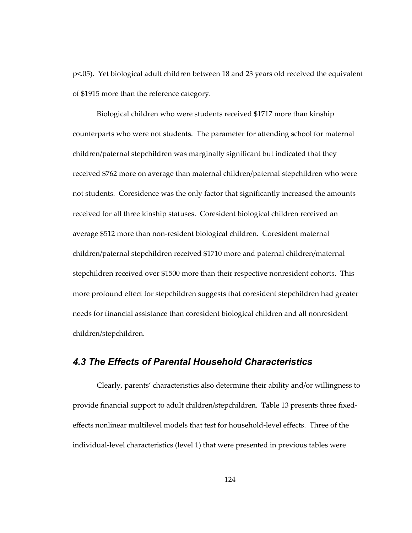p<.05). Yet biological adult children between 18 and 23 years old received the equivalent of \$1915 more than the reference category.

Biological children who were students received \$1717 more than kinship counterparts who were not students. The parameter for attending school for maternal children/paternal stepchildren was marginally significant but indicated that they received \$762 more on average than maternal children/paternal stepchildren who were not students. Coresidence was the only factor that significantly increased the amounts received for all three kinship statuses. Coresident biological children received an average \$512 more than non-resident biological children. Coresident maternal children/paternal stepchildren received \$1710 more and paternal children/maternal stepchildren received over \$1500 more than their respective nonresident cohorts. This more profound effect for stepchildren suggests that coresident stepchildren had greater needs for financial assistance than coresident biological children and all nonresident children/stepchildren.

# *4.3 The Effects of Parental Household Characteristics*

Clearly, parents' characteristics also determine their ability and/or willingness to provide financial support to adult children/stepchildren. Table 13 presents three fixedeffects nonlinear multilevel models that test for household-level effects. Three of the individual-level characteristics (level 1) that were presented in previous tables were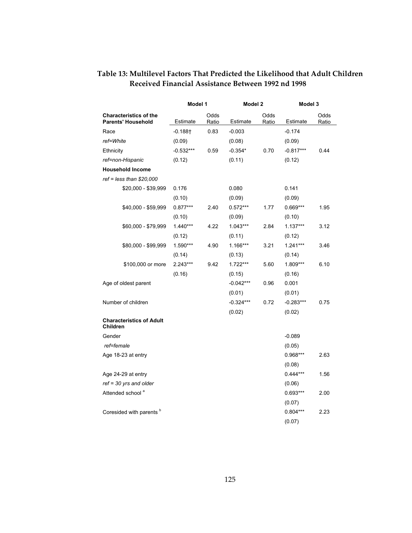|                                                            | Model 1               |               | Model 2     |               | Model 3     |               |
|------------------------------------------------------------|-----------------------|---------------|-------------|---------------|-------------|---------------|
| <b>Characteristics of the</b><br><b>Parents' Household</b> | Estimate              | Odds<br>Ratio | Estimate    | Odds<br>Ratio | Estimate    | Odds<br>Ratio |
| Race                                                       | $-0.188$ <sup>+</sup> | 0.83          | $-0.003$    |               | $-0.174$    |               |
| ref=White                                                  | (0.09)                |               | (0.08)      |               | (0.09)      |               |
| Ethnicity                                                  | $-0.532***$           | 0.59          | $-0.354*$   | 0.70          | $-0.817***$ | 0.44          |
| ref=non-Hispanic                                           | (0.12)                |               | (0.11)      |               | (0.12)      |               |
| <b>Household Income</b>                                    |                       |               |             |               |             |               |
| $ref = less than $20,000$                                  |                       |               |             |               |             |               |
| \$20,000 - \$39,999                                        | 0.176                 |               | 0.080       |               | 0.141       |               |
|                                                            | (0.10)                |               | (0.09)      |               | (0.09)      |               |
| \$40,000 - \$59,999                                        | $0.877***$            | 2.40          | $0.572***$  | 1.77          | $0.669***$  | 1.95          |
|                                                            | (0.10)                |               | (0.09)      |               | (0.10)      |               |
| \$60,000 - \$79,999                                        | $1.440***$            | 4.22          | $1.043***$  | 2.84          | $1.137***$  | 3.12          |
|                                                            | (0.12)                |               | (0.11)      |               | (0.12)      |               |
| \$80,000 - \$99,999                                        | 1.590***              | 4.90          | 1.166***    | 3.21          | $1.241***$  | 3.46          |
|                                                            | (0.14)                |               | (0.13)      |               | (0.14)      |               |
| \$100,000 or more                                          | 2.243***              | 9.42          | $1.722***$  | 5.60          | 1.809***    | 6.10          |
|                                                            | (0.16)                |               | (0.15)      |               | (0.16)      |               |
| Age of oldest parent                                       |                       |               | $-0.042***$ | 0.96          | 0.001       |               |
|                                                            |                       |               | (0.01)      |               | (0.01)      |               |
| Number of children                                         |                       |               | $-0.324***$ | 0.72          | $-0.283***$ | 0.75          |
|                                                            |                       |               | (0.02)      |               | (0.02)      |               |
| <b>Characteristics of Adult</b><br>Children                |                       |               |             |               |             |               |
| Gender                                                     |                       |               |             |               | $-0.089$    |               |
| ref=female                                                 |                       |               |             |               | (0.05)      |               |
| Age 18-23 at entry                                         |                       |               |             |               | $0.968***$  | 2.63          |
|                                                            |                       |               |             |               | (0.08)      |               |
| Age 24-29 at entry                                         |                       |               |             |               | $0.444***$  | 1.56          |
| $ref = 30$ yrs and older                                   |                       |               |             |               | (0.06)      |               |
| Attended school <sup>a</sup>                               |                       |               |             |               | $0.693***$  | 2.00          |
|                                                            |                       |               |             |               | (0.07)      |               |
| Coresided with parents <sup>b</sup>                        |                       |               |             |               | $0.804***$  | 2.23          |
|                                                            |                       |               |             |               | (0.07)      |               |

## **Table 13: Multilevel Factors That Predicted the Likelihood that Adult Children Received Financial Assistance Between 1992 nd 1998**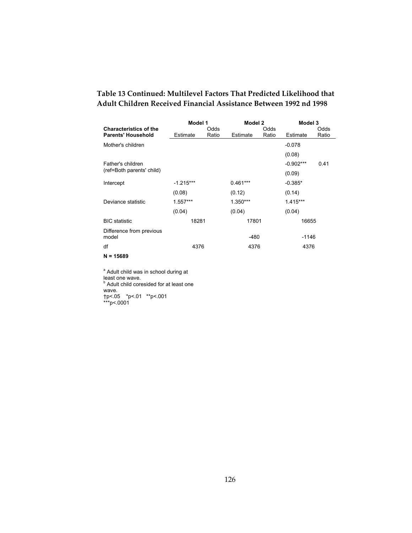### **Table 13 Continued: Multilevel Factors That Predicted Likelihood that Adult Children Received Financial Assistance Between 1992 nd 1998**

|                                   |             | Model 1<br>Model 2 |            |       | Model 3     |       |
|-----------------------------------|-------------|--------------------|------------|-------|-------------|-------|
| <b>Characteristics of the</b>     |             | Odds               |            | Odds  |             | Odds  |
| <b>Parents' Household</b>         | Estimate    | Ratio              | Estimate   | Ratio | Estimate    | Ratio |
| Mother's children                 |             |                    |            |       | $-0.078$    |       |
|                                   |             |                    |            |       | (0.08)      |       |
| Father's children                 |             |                    |            |       | $-0.902***$ | 0.41  |
| (ref=Both parents' child)         |             |                    |            |       | (0.09)      |       |
| Intercept                         | $-1.215***$ |                    | $0.461***$ |       | $-0.385*$   |       |
|                                   | (0.08)      |                    | (0.12)     |       | (0.14)      |       |
| Deviance statistic                | $1.557***$  |                    | $1.350***$ |       | $1.415***$  |       |
|                                   | (0.04)      |                    | (0.04)     |       | (0.04)      |       |
| <b>BIC</b> statistic              | 18281       |                    | 17801      |       | 16655       |       |
| Difference from previous<br>model |             |                    | $-480$     |       | $-1146$     |       |
| df                                | 4376        |                    | 4376       |       | 4376        |       |
| $N = 15689$                       |             |                    |            |       |             |       |

<sup>a</sup> Adult child was in school during at least one wave.<br><sup>b</sup> Adult child coresided for at least one wave. †p<.05 \*p<.01 \*\*p<.001 \*\*\*p<.0001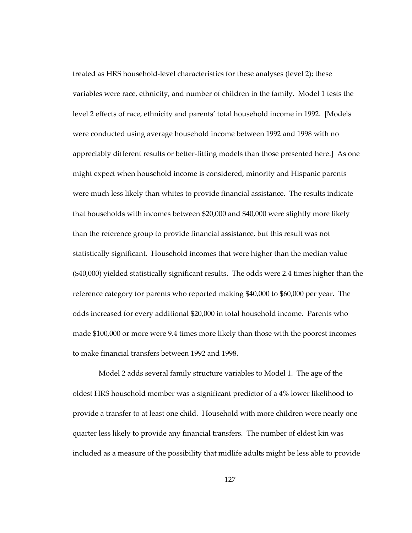treated as HRS household-level characteristics for these analyses (level 2); these variables were race, ethnicity, and number of children in the family. Model 1 tests the level 2 effects of race, ethnicity and parents' total household income in 1992. [Models were conducted using average household income between 1992 and 1998 with no appreciably different results or better-fitting models than those presented here.] As one might expect when household income is considered, minority and Hispanic parents were much less likely than whites to provide financial assistance. The results indicate that households with incomes between \$20,000 and \$40,000 were slightly more likely than the reference group to provide financial assistance, but this result was not statistically significant. Household incomes that were higher than the median value (\$40,000) yielded statistically significant results. The odds were 2.4 times higher than the reference category for parents who reported making \$40,000 to \$60,000 per year. The odds increased for every additional \$20,000 in total household income. Parents who made \$100,000 or more were 9.4 times more likely than those with the poorest incomes to make financial transfers between 1992 and 1998.

 Model 2 adds several family structure variables to Model 1. The age of the oldest HRS household member was a significant predictor of a 4% lower likelihood to provide a transfer to at least one child. Household with more children were nearly one quarter less likely to provide any financial transfers. The number of eldest kin was included as a measure of the possibility that midlife adults might be less able to provide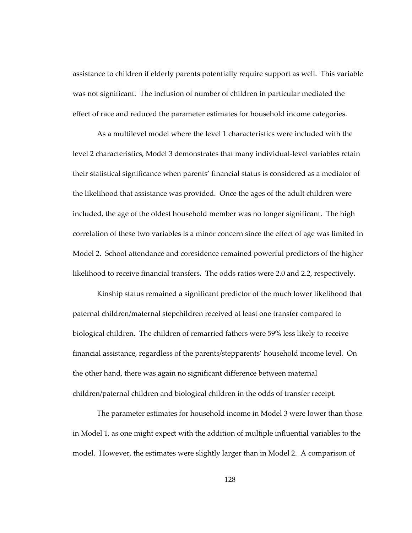assistance to children if elderly parents potentially require support as well. This variable was not significant. The inclusion of number of children in particular mediated the effect of race and reduced the parameter estimates for household income categories.

As a multilevel model where the level 1 characteristics were included with the level 2 characteristics, Model 3 demonstrates that many individual-level variables retain their statistical significance when parents' financial status is considered as a mediator of the likelihood that assistance was provided. Once the ages of the adult children were included, the age of the oldest household member was no longer significant. The high correlation of these two variables is a minor concern since the effect of age was limited in Model 2. School attendance and coresidence remained powerful predictors of the higher likelihood to receive financial transfers. The odds ratios were 2.0 and 2.2, respectively.

Kinship status remained a significant predictor of the much lower likelihood that paternal children/maternal stepchildren received at least one transfer compared to biological children. The children of remarried fathers were 59% less likely to receive financial assistance, regardless of the parents/stepparents' household income level. On the other hand, there was again no significant difference between maternal children/paternal children and biological children in the odds of transfer receipt.

The parameter estimates for household income in Model 3 were lower than those in Model 1, as one might expect with the addition of multiple influential variables to the model. However, the estimates were slightly larger than in Model 2. A comparison of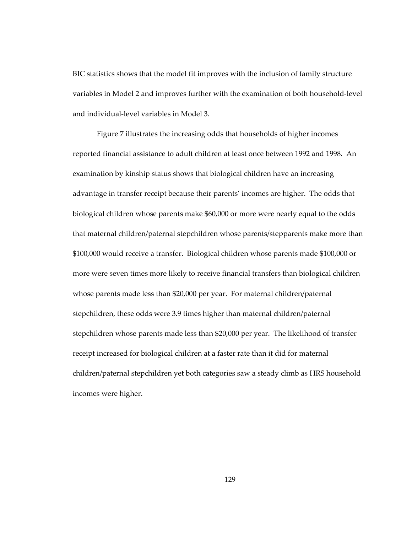BIC statistics shows that the model fit improves with the inclusion of family structure variables in Model 2 and improves further with the examination of both household-level and individual-level variables in Model 3.

Figure 7 illustrates the increasing odds that households of higher incomes reported financial assistance to adult children at least once between 1992 and 1998. An examination by kinship status shows that biological children have an increasing advantage in transfer receipt because their parents' incomes are higher. The odds that biological children whose parents make \$60,000 or more were nearly equal to the odds that maternal children/paternal stepchildren whose parents/stepparents make more than \$100,000 would receive a transfer. Biological children whose parents made \$100,000 or more were seven times more likely to receive financial transfers than biological children whose parents made less than \$20,000 per year. For maternal children/paternal stepchildren, these odds were 3.9 times higher than maternal children/paternal stepchildren whose parents made less than \$20,000 per year. The likelihood of transfer receipt increased for biological children at a faster rate than it did for maternal children/paternal stepchildren yet both categories saw a steady climb as HRS household incomes were higher.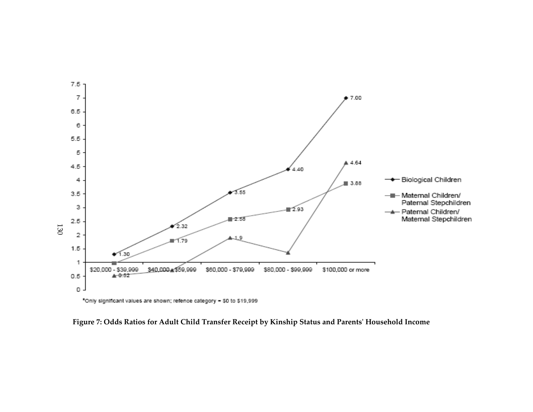

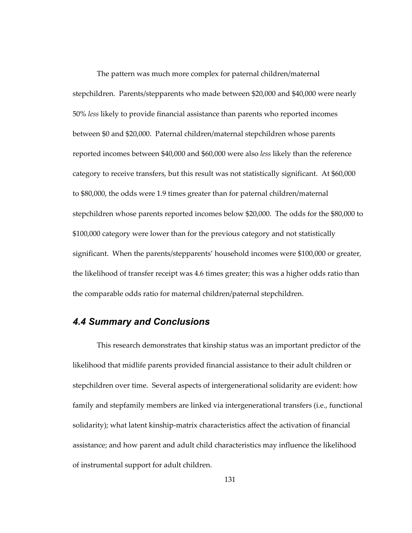The pattern was much more complex for paternal children/maternal stepchildren. Parents/stepparents who made between \$20,000 and \$40,000 were nearly 50% *less* likely to provide financial assistance than parents who reported incomes between \$0 and \$20,000. Paternal children/maternal stepchildren whose parents reported incomes between \$40,000 and \$60,000 were also *less* likely than the reference category to receive transfers, but this result was not statistically significant. At \$60,000 to \$80,000, the odds were 1.9 times greater than for paternal children/maternal stepchildren whose parents reported incomes below \$20,000. The odds for the \$80,000 to \$100,000 category were lower than for the previous category and not statistically significant. When the parents/stepparents' household incomes were \$100,000 or greater, the likelihood of transfer receipt was 4.6 times greater; this was a higher odds ratio than the comparable odds ratio for maternal children/paternal stepchildren.

#### *4.4 Summary and Conclusions*

This research demonstrates that kinship status was an important predictor of the likelihood that midlife parents provided financial assistance to their adult children or stepchildren over time. Several aspects of intergenerational solidarity are evident: how family and stepfamily members are linked via intergenerational transfers (i.e., functional solidarity); what latent kinship-matrix characteristics affect the activation of financial assistance; and how parent and adult child characteristics may influence the likelihood of instrumental support for adult children.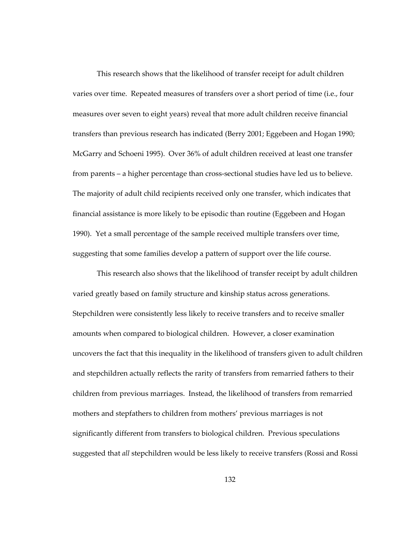This research shows that the likelihood of transfer receipt for adult children varies over time. Repeated measures of transfers over a short period of time (i.e., four measures over seven to eight years) reveal that more adult children receive financial transfers than previous research has indicated (Berry 2001; Eggebeen and Hogan 1990; McGarry and Schoeni 1995). Over 36% of adult children received at least one transfer from parents – a higher percentage than cross-sectional studies have led us to believe. The majority of adult child recipients received only one transfer, which indicates that financial assistance is more likely to be episodic than routine (Eggebeen and Hogan 1990). Yet a small percentage of the sample received multiple transfers over time, suggesting that some families develop a pattern of support over the life course.

This research also shows that the likelihood of transfer receipt by adult children varied greatly based on family structure and kinship status across generations. Stepchildren were consistently less likely to receive transfers and to receive smaller amounts when compared to biological children. However, a closer examination uncovers the fact that this inequality in the likelihood of transfers given to adult children and stepchildren actually reflects the rarity of transfers from remarried fathers to their children from previous marriages. Instead, the likelihood of transfers from remarried mothers and stepfathers to children from mothers' previous marriages is not significantly different from transfers to biological children. Previous speculations suggested that *all* stepchildren would be less likely to receive transfers (Rossi and Rossi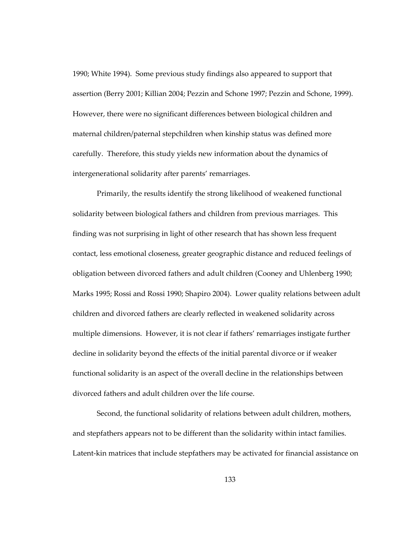1990; White 1994). Some previous study findings also appeared to support that assertion (Berry 2001; Killian 2004; Pezzin and Schone 1997; Pezzin and Schone, 1999). However, there were no significant differences between biological children and maternal children/paternal stepchildren when kinship status was defined more carefully. Therefore, this study yields new information about the dynamics of intergenerational solidarity after parents' remarriages.

Primarily, the results identify the strong likelihood of weakened functional solidarity between biological fathers and children from previous marriages. This finding was not surprising in light of other research that has shown less frequent contact, less emotional closeness, greater geographic distance and reduced feelings of obligation between divorced fathers and adult children (Cooney and Uhlenberg 1990; Marks 1995; Rossi and Rossi 1990; Shapiro 2004). Lower quality relations between adult children and divorced fathers are clearly reflected in weakened solidarity across multiple dimensions. However, it is not clear if fathers' remarriages instigate further decline in solidarity beyond the effects of the initial parental divorce or if weaker functional solidarity is an aspect of the overall decline in the relationships between divorced fathers and adult children over the life course.

Second, the functional solidarity of relations between adult children, mothers, and stepfathers appears not to be different than the solidarity within intact families. Latent-kin matrices that include stepfathers may be activated for financial assistance on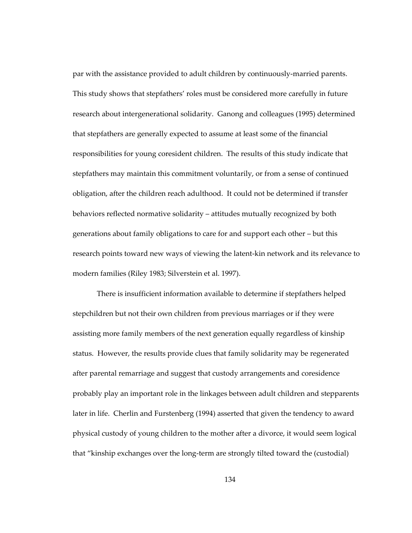par with the assistance provided to adult children by continuously-married parents. This study shows that stepfathers' roles must be considered more carefully in future research about intergenerational solidarity. Ganong and colleagues (1995) determined that stepfathers are generally expected to assume at least some of the financial responsibilities for young coresident children. The results of this study indicate that stepfathers may maintain this commitment voluntarily, or from a sense of continued obligation, after the children reach adulthood. It could not be determined if transfer behaviors reflected normative solidarity – attitudes mutually recognized by both generations about family obligations to care for and support each other – but this research points toward new ways of viewing the latent-kin network and its relevance to modern families (Riley 1983; Silverstein et al. 1997).

There is insufficient information available to determine if stepfathers helped stepchildren but not their own children from previous marriages or if they were assisting more family members of the next generation equally regardless of kinship status. However, the results provide clues that family solidarity may be regenerated after parental remarriage and suggest that custody arrangements and coresidence probably play an important role in the linkages between adult children and stepparents later in life. Cherlin and Furstenberg (1994) asserted that given the tendency to award physical custody of young children to the mother after a divorce, it would seem logical that "kinship exchanges over the long-term are strongly tilted toward the (custodial)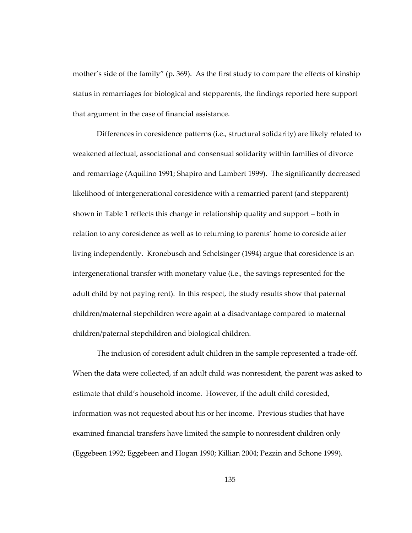mother's side of the family" (p. 369). As the first study to compare the effects of kinship status in remarriages for biological and stepparents, the findings reported here support that argument in the case of financial assistance.

Differences in coresidence patterns (i.e., structural solidarity) are likely related to weakened affectual, associational and consensual solidarity within families of divorce and remarriage (Aquilino 1991; Shapiro and Lambert 1999). The significantly decreased likelihood of intergenerational coresidence with a remarried parent (and stepparent) shown in Table 1 reflects this change in relationship quality and support – both in relation to any coresidence as well as to returning to parents' home to coreside after living independently. Kronebusch and Schelsinger (1994) argue that coresidence is an intergenerational transfer with monetary value (i.e., the savings represented for the adult child by not paying rent). In this respect, the study results show that paternal children/maternal stepchildren were again at a disadvantage compared to maternal children/paternal stepchildren and biological children.

The inclusion of coresident adult children in the sample represented a trade-off. When the data were collected, if an adult child was nonresident, the parent was asked to estimate that child's household income. However, if the adult child coresided, information was not requested about his or her income. Previous studies that have examined financial transfers have limited the sample to nonresident children only (Eggebeen 1992; Eggebeen and Hogan 1990; Killian 2004; Pezzin and Schone 1999).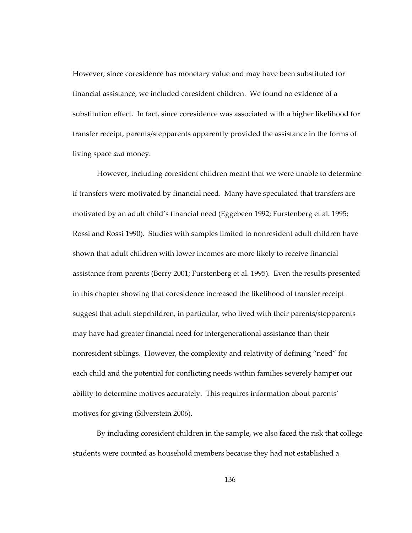However, since coresidence has monetary value and may have been substituted for financial assistance, we included coresident children. We found no evidence of a substitution effect. In fact, since coresidence was associated with a higher likelihood for transfer receipt, parents/stepparents apparently provided the assistance in the forms of living space *and* money.

However, including coresident children meant that we were unable to determine if transfers were motivated by financial need. Many have speculated that transfers are motivated by an adult child's financial need (Eggebeen 1992; Furstenberg et al. 1995; Rossi and Rossi 1990). Studies with samples limited to nonresident adult children have shown that adult children with lower incomes are more likely to receive financial assistance from parents (Berry 2001; Furstenberg et al. 1995). Even the results presented in this chapter showing that coresidence increased the likelihood of transfer receipt suggest that adult stepchildren, in particular, who lived with their parents/stepparents may have had greater financial need for intergenerational assistance than their nonresident siblings. However, the complexity and relativity of defining "need" for each child and the potential for conflicting needs within families severely hamper our ability to determine motives accurately. This requires information about parents' motives for giving (Silverstein 2006).

By including coresident children in the sample, we also faced the risk that college students were counted as household members because they had not established a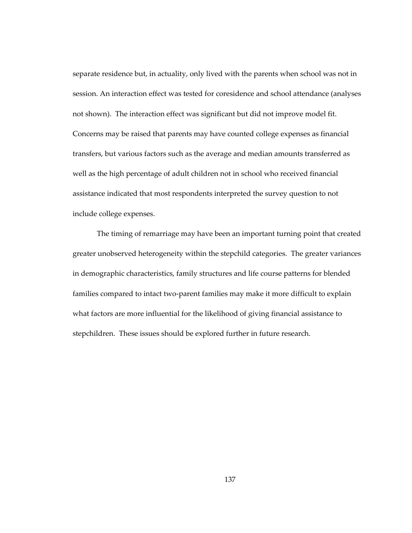separate residence but, in actuality, only lived with the parents when school was not in session. An interaction effect was tested for coresidence and school attendance (analyses not shown). The interaction effect was significant but did not improve model fit. Concerns may be raised that parents may have counted college expenses as financial transfers, but various factors such as the average and median amounts transferred as well as the high percentage of adult children not in school who received financial assistance indicated that most respondents interpreted the survey question to not include college expenses.

The timing of remarriage may have been an important turning point that created greater unobserved heterogeneity within the stepchild categories. The greater variances in demographic characteristics, family structures and life course patterns for blended families compared to intact two-parent families may make it more difficult to explain what factors are more influential for the likelihood of giving financial assistance to stepchildren. These issues should be explored further in future research.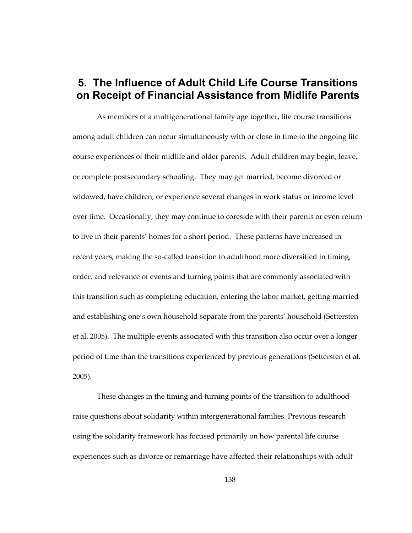# **5. The Influence of Adult Child Life Course Transitions on Receipt of Financial Assistance from Midlife Parents**

As members of a multigenerational family age together, life course transitions among adult children can occur simultaneously with or close in time to the ongoing life course experiences of their midlife and older parents. Adult children may begin, leave, or complete postsecondary schooling. They may get married, become divorced or widowed, have children, or experience several changes in work status or income level over time. Occasionally, they may continue to coreside with their parents or even return to live in their parents' homes for a short period. These patterns have increased in recent years, making the so-called transition to adulthood more diversified in timing, order, and relevance of events and turning points that are commonly associated with this transition such as completing education, entering the labor market, getting married and establishing one's own household separate from the parents' household (Settersten et al. 2005). The multiple events associated with this transition also occur over a longer period of time than the transitions experienced by previous generations (Settersten et al. 2005).

These changes in the timing and turning points of the transition to adulthood raise questions about solidarity within intergenerational families. Previous research using the solidarity framework has focused primarily on how parental life course experiences such as divorce or remarriage have affected their relationships with adult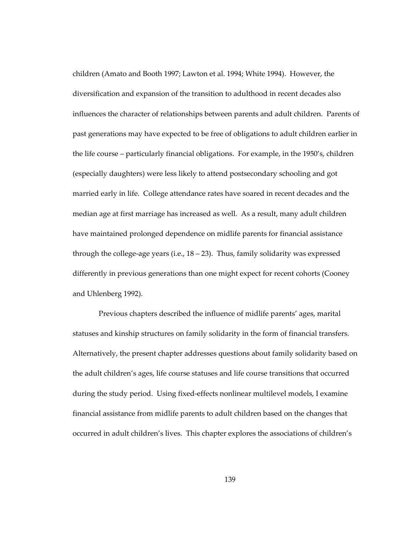children (Amato and Booth 1997; Lawton et al. 1994; White 1994). However, the diversification and expansion of the transition to adulthood in recent decades also influences the character of relationships between parents and adult children. Parents of past generations may have expected to be free of obligations to adult children earlier in the life course – particularly financial obligations. For example, in the 1950's, children (especially daughters) were less likely to attend postsecondary schooling and got married early in life. College attendance rates have soared in recent decades and the median age at first marriage has increased as well. As a result, many adult children have maintained prolonged dependence on midlife parents for financial assistance through the college-age years (i.e.,  $18 - 23$ ). Thus, family solidarity was expressed differently in previous generations than one might expect for recent cohorts (Cooney and Uhlenberg 1992).

 Previous chapters described the influence of midlife parents' ages, marital statuses and kinship structures on family solidarity in the form of financial transfers. Alternatively, the present chapter addresses questions about family solidarity based on the adult children's ages, life course statuses and life course transitions that occurred during the study period. Using fixed-effects nonlinear multilevel models, I examine financial assistance from midlife parents to adult children based on the changes that occurred in adult children's lives. This chapter explores the associations of children's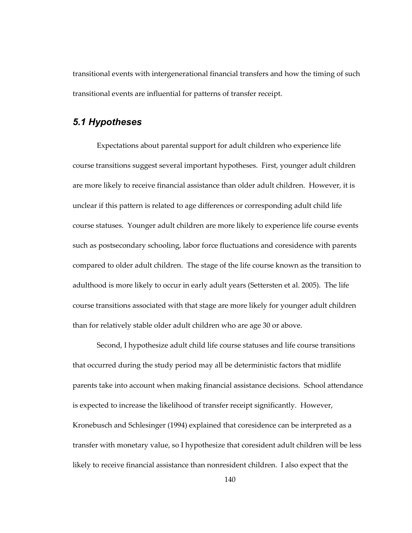transitional events with intergenerational financial transfers and how the timing of such transitional events are influential for patterns of transfer receipt.

### *5.1 Hypotheses*

Expectations about parental support for adult children who experience life course transitions suggest several important hypotheses. First, younger adult children are more likely to receive financial assistance than older adult children. However, it is unclear if this pattern is related to age differences or corresponding adult child life course statuses. Younger adult children are more likely to experience life course events such as postsecondary schooling, labor force fluctuations and coresidence with parents compared to older adult children. The stage of the life course known as the transition to adulthood is more likely to occur in early adult years (Settersten et al. 2005). The life course transitions associated with that stage are more likely for younger adult children than for relatively stable older adult children who are age 30 or above.

Second, I hypothesize adult child life course statuses and life course transitions that occurred during the study period may all be deterministic factors that midlife parents take into account when making financial assistance decisions. School attendance is expected to increase the likelihood of transfer receipt significantly. However, Kronebusch and Schlesinger (1994) explained that coresidence can be interpreted as a transfer with monetary value, so I hypothesize that coresident adult children will be less likely to receive financial assistance than nonresident children. I also expect that the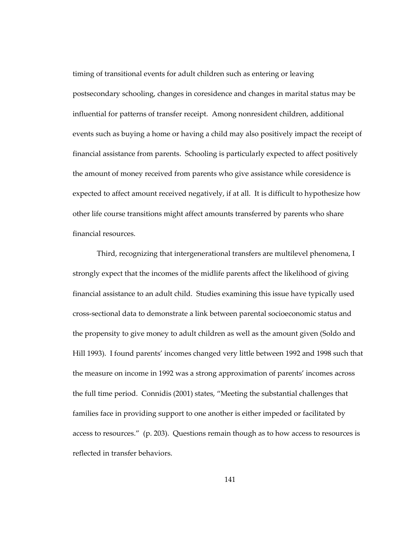timing of transitional events for adult children such as entering or leaving postsecondary schooling, changes in coresidence and changes in marital status may be influential for patterns of transfer receipt. Among nonresident children, additional events such as buying a home or having a child may also positively impact the receipt of financial assistance from parents. Schooling is particularly expected to affect positively the amount of money received from parents who give assistance while coresidence is expected to affect amount received negatively, if at all. It is difficult to hypothesize how other life course transitions might affect amounts transferred by parents who share financial resources.

Third, recognizing that intergenerational transfers are multilevel phenomena, I strongly expect that the incomes of the midlife parents affect the likelihood of giving financial assistance to an adult child. Studies examining this issue have typically used cross-sectional data to demonstrate a link between parental socioeconomic status and the propensity to give money to adult children as well as the amount given (Soldo and Hill 1993). I found parents' incomes changed very little between 1992 and 1998 such that the measure on income in 1992 was a strong approximation of parents' incomes across the full time period. Connidis (2001) states, "Meeting the substantial challenges that families face in providing support to one another is either impeded or facilitated by access to resources." (p. 203). Questions remain though as to how access to resources is reflected in transfer behaviors.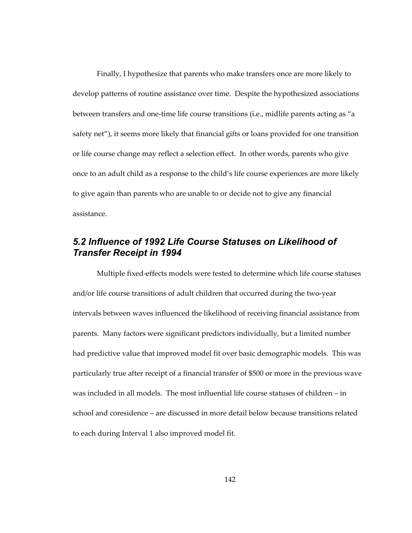Finally, I hypothesize that parents who make transfers once are more likely to develop patterns of routine assistance over time. Despite the hypothesized associations between transfers and one-time life course transitions (i.e., midlife parents acting as "a safety net"), it seems more likely that financial gifts or loans provided for one transition or life course change may reflect a selection effect. In other words, parents who give once to an adult child as a response to the child's life course experiences are more likely to give again than parents who are unable to or decide not to give any financial assistance.

# *5.2 Influence of 1992 Life Course Statuses on Likelihood of Transfer Receipt in 1994*

Multiple fixed-effects models were tested to determine which life course statuses and/or life course transitions of adult children that occurred during the two-year intervals between waves influenced the likelihood of receiving financial assistance from parents. Many factors were significant predictors individually, but a limited number had predictive value that improved model fit over basic demographic models. This was particularly true after receipt of a financial transfer of \$500 or more in the previous wave was included in all models. The most influential life course statuses of children – in school and coresidence – are discussed in more detail below because transitions related to each during Interval 1 also improved model fit.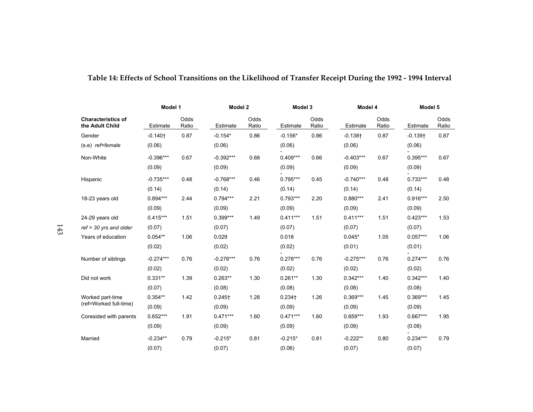|                                              | Model 1     |               | Model 2              |               | Model 3    |               | Model 4     |               | Model 5    |               |
|----------------------------------------------|-------------|---------------|----------------------|---------------|------------|---------------|-------------|---------------|------------|---------------|
| <b>Characteristics of</b><br>the Adult Child | Estimate    | Odds<br>Ratio | Estimate             | Odds<br>Ratio | Estimate   | Odds<br>Ratio | Estimate    | Odds<br>Ratio | Estimate   | Odds<br>Ratio |
| Gender                                       | $-0.140 +$  | 0.87          | $-0.154*$            | 0.86          | $-0.156*$  | 0.86          | $-0.138 +$  | 0.87          | $-0.139 +$ | 0.87          |
| (s.e) ref=female                             | (0.06)      |               | (0.06)               |               | (0.06)     |               | (0.06)      |               | (0.06)     |               |
| Non-White                                    | $-0.396***$ | 0.67          | $-0.392***$          | 0.68          | $0.409***$ | 0.66          | $-0.403***$ | 0.67          | $0.395***$ | 0.67          |
|                                              | (0.09)      |               | (0.09)               |               | (0.09)     |               | (0.09)      |               | (0.09)     |               |
| Hispanic                                     | $-0.735***$ | 0.48          | $-0.768***$          | 0.46          | $0.795***$ | 0.45          | $-0.740***$ | 0.48          | $0.733***$ | 0.48          |
|                                              | (0.14)      |               | (0.14)               |               | (0.14)     |               | (0.14)      |               | (0.14)     |               |
| 18-23 years old                              | $0.894***$  | 2.44          | $0.794***$           | 2.21          | $0.793***$ | 2.20          | $0.880***$  | 2.41          | $0.916***$ | 2.50          |
|                                              | (0.09)      |               | (0.09)               |               | (0.09)     |               | (0.09)      |               | (0.09)     |               |
| 24-29 years old                              | $0.415***$  | 1.51          | $0.399***$           | 1.49          | $0.411***$ | 1.51          | $0.411***$  | 1.51          | $0.423***$ | 1.53          |
| $ref = 30$ yrs and older                     | (0.07)      |               | (0.07)               |               | (0.07)     |               | (0.07)      |               | (0.07)     |               |
| Years of education                           | $0.054**$   | 1.06          | 0.029                |               | 0.018      |               | $0.045*$    | 1.05          | $0.057***$ | 1.06          |
|                                              | (0.02)      |               | (0.02)               |               | (0.02)     |               | (0.01)      |               | (0.01)     |               |
| Number of siblings                           | $-0.274***$ | 0.76          | $-0.278***$          | 0.76          | $0.278***$ | 0.76          | $-0.275***$ | 0.76          | $0.274***$ | 0.76          |
|                                              | (0.02)      |               | (0.02)               |               | (0.02)     |               | (0.02)      |               | (0.02)     |               |
| Did not work                                 | $0.331**$   | 1.39          | $0.263**$            | 1.30          | $0.261**$  | 1.30          | $0.342***$  | 1.40          | $0.342***$ | 1.40          |
|                                              | (0.07)      |               | (0.08)               |               | (0.08)     |               | (0.08)      |               | (0.08)     |               |
| Worked part-time                             | $0.354**$   | 1.42          | $0.245$ <sup>†</sup> | 1.28          | $0.234 +$  | 1.26          | $0.369***$  | 1.45          | $0.369***$ | 1.45          |
| (ref=Worked full-time)                       | (0.09)      |               | (0.09)               |               | (0.09)     |               | (0.09)      |               | (0.09)     |               |
| Coresided with parents                       | $0.652***$  | 1.91          | $0.471***$           | 1.60          | $0.471***$ | 1.60          | $0.659***$  | 1.93          | $0.667***$ | 1.95          |
|                                              | (0.09)      |               | (0.09)               |               | (0.09)     |               | (0.09)      |               | (0.08)     |               |
| Married                                      | $-0.234**$  | 0.79          | $-0.215*$            | 0.81          | $-0.215*$  | 0.81          | $-0.222**$  | 0.80          | $0.234***$ | 0.79          |
|                                              | (0.07)      |               | (0.07)               |               | (0.06)     |               | (0.07)      |               | (0.07)     |               |

# **Table 14: Effects of School Transitions on the Likelihood of Transfer Receipt During the 1992 - 1994 Interval**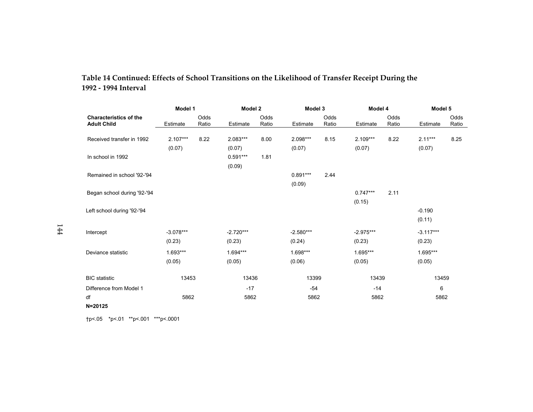| Table 14 Continued: Effects of School Transitions on the Likelihood of Transfer Receipt During the |  |  |  |  |  |
|----------------------------------------------------------------------------------------------------|--|--|--|--|--|
| 1992 - 1994 Interval                                                                               |  |  |  |  |  |

|                                                     | Model 1     |               | Model 2              |               | Model 3     |               | Model 4     |               | Model 5     |               |
|-----------------------------------------------------|-------------|---------------|----------------------|---------------|-------------|---------------|-------------|---------------|-------------|---------------|
| <b>Characteristics of the</b><br><b>Adult Child</b> | Estimate    | Odds<br>Ratio | Estimate             | Odds<br>Ratio | Estimate    | Odds<br>Ratio | Estimate    | Odds<br>Ratio | Estimate    | Odds<br>Ratio |
| Received transfer in 1992                           | $2.107***$  | 8.22          | 2.083***             | 8.00          | 2.098***    | 8.15          | $2.109***$  | 8.22          | $2.11***$   | 8.25          |
|                                                     | (0.07)      |               | (0.07)               |               | (0.07)      |               | (0.07)      |               | (0.07)      |               |
| In school in 1992                                   |             |               | $0.591***$<br>(0.09) | 1.81          |             |               |             |               |             |               |
| Remained in school '92-'94                          |             |               |                      |               | $0.891***$  | 2.44          |             |               |             |               |
|                                                     |             |               |                      |               | (0.09)      |               |             |               |             |               |
| Began school during '92-'94                         |             |               |                      |               |             |               | $0.747***$  | 2.11          |             |               |
|                                                     |             |               |                      |               |             |               | (0.15)      |               |             |               |
| Left school during '92-'94                          |             |               |                      |               |             |               |             |               | $-0.190$    |               |
|                                                     |             |               |                      |               |             |               |             |               | (0.11)      |               |
| Intercept                                           | $-3.078***$ |               | $-2.720***$          |               | $-2.580***$ |               | $-2.975***$ |               | $-3.117***$ |               |
|                                                     | (0.23)      |               | (0.23)               |               | (0.24)      |               | (0.23)      |               | (0.23)      |               |
| Deviance statistic                                  | $1.693***$  |               | 1.694***             |               | 1.698***    |               | 1.695***    |               | 1.695***    |               |
|                                                     | (0.05)      |               | (0.05)               |               | (0.06)      |               | (0.05)      |               | (0.05)      |               |
| <b>BIC</b> statistic                                | 13453       |               | 13436                |               | 13399       |               | 13439       |               | 13459       |               |
| Difference from Model 1                             |             |               | $-17$                |               | $-54$       |               | $-14$       |               | 6           |               |
| df                                                  | 5862        |               | 5862                 |               | 5862        |               | 5862        |               | 5862        |               |
| $N = 20125$                                         |             |               |                      |               |             |               |             |               |             |               |

†p<.05 \*p<.01 \*\*p<.001 \*\*\*p<.0001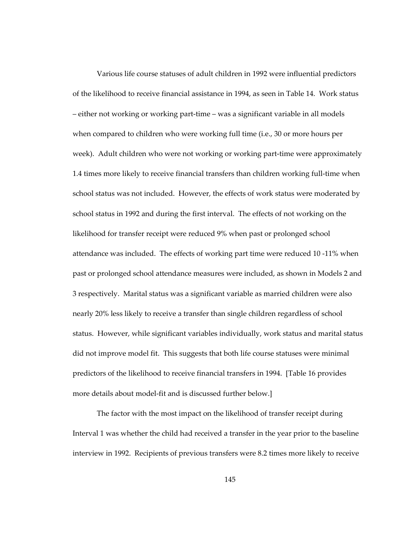Various life course statuses of adult children in 1992 were influential predictors of the likelihood to receive financial assistance in 1994, as seen in Table 14. Work status – either not working or working part-time – was a significant variable in all models when compared to children who were working full time (i.e., 30 or more hours per week). Adult children who were not working or working part-time were approximately 1.4 times more likely to receive financial transfers than children working full-time when school status was not included. However, the effects of work status were moderated by school status in 1992 and during the first interval. The effects of not working on the likelihood for transfer receipt were reduced 9% when past or prolonged school attendance was included. The effects of working part time were reduced 10 -11% when past or prolonged school attendance measures were included, as shown in Models 2 and 3 respectively. Marital status was a significant variable as married children were also nearly 20% less likely to receive a transfer than single children regardless of school status. However, while significant variables individually, work status and marital status did not improve model fit. This suggests that both life course statuses were minimal predictors of the likelihood to receive financial transfers in 1994. [Table 16 provides more details about model-fit and is discussed further below.]

The factor with the most impact on the likelihood of transfer receipt during Interval 1 was whether the child had received a transfer in the year prior to the baseline interview in 1992. Recipients of previous transfers were 8.2 times more likely to receive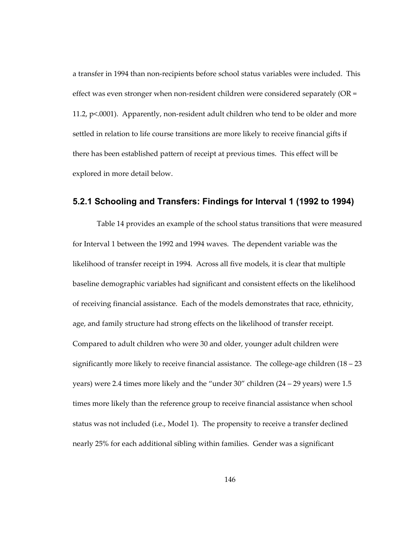a transfer in 1994 than non-recipients before school status variables were included. This effect was even stronger when non-resident children were considered separately (OR = 11.2, p<.0001). Apparently, non-resident adult children who tend to be older and more settled in relation to life course transitions are more likely to receive financial gifts if there has been established pattern of receipt at previous times. This effect will be explored in more detail below.

#### **5.2.1 Schooling and Transfers: Findings for Interval 1 (1992 to 1994)**

Table 14 provides an example of the school status transitions that were measured for Interval 1 between the 1992 and 1994 waves. The dependent variable was the likelihood of transfer receipt in 1994. Across all five models, it is clear that multiple baseline demographic variables had significant and consistent effects on the likelihood of receiving financial assistance. Each of the models demonstrates that race, ethnicity, age, and family structure had strong effects on the likelihood of transfer receipt. Compared to adult children who were 30 and older, younger adult children were significantly more likely to receive financial assistance. The college-age children  $(18 - 23)$ years) were 2.4 times more likely and the "under 30" children (24 – 29 years) were 1.5 times more likely than the reference group to receive financial assistance when school status was not included (i.e., Model 1). The propensity to receive a transfer declined nearly 25% for each additional sibling within families. Gender was a significant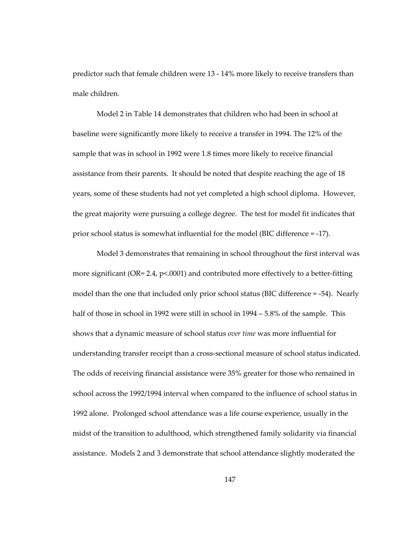predictor such that female children were 13 - 14% more likely to receive transfers than male children.

Model 2 in Table 14 demonstrates that children who had been in school at baseline were significantly more likely to receive a transfer in 1994. The 12% of the sample that was in school in 1992 were 1.8 times more likely to receive financial assistance from their parents. It should be noted that despite reaching the age of 18 years, some of these students had not yet completed a high school diploma. However, the great majority were pursuing a college degree. The test for model fit indicates that prior school status is somewhat influential for the model (BIC difference = -17).

Model 3 demonstrates that remaining in school throughout the first interval was more significant (OR= 2.4, p<.0001) and contributed more effectively to a better-fitting model than the one that included only prior school status (BIC difference = -54). Nearly half of those in school in 1992 were still in school in 1994 – 5.8% of the sample. This shows that a dynamic measure of school status *over time* was more influential for understanding transfer receipt than a cross-sectional measure of school status indicated. The odds of receiving financial assistance were 35% greater for those who remained in school across the 1992/1994 interval when compared to the influence of school status in 1992 alone. Prolonged school attendance was a life course experience, usually in the midst of the transition to adulthood, which strengthened family solidarity via financial assistance. Models 2 and 3 demonstrate that school attendance slightly moderated the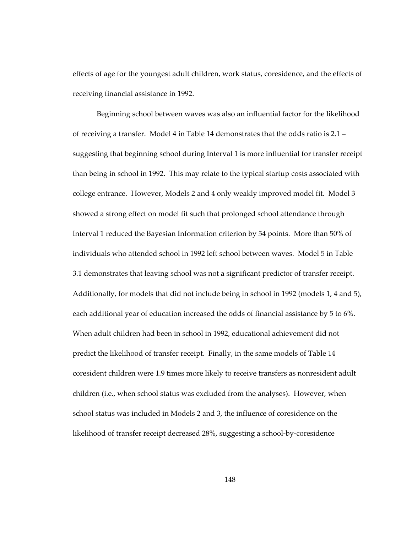effects of age for the youngest adult children, work status, coresidence, and the effects of receiving financial assistance in 1992.

Beginning school between waves was also an influential factor for the likelihood of receiving a transfer. Model 4 in Table 14 demonstrates that the odds ratio is 2.1 – suggesting that beginning school during Interval 1 is more influential for transfer receipt than being in school in 1992. This may relate to the typical startup costs associated with college entrance. However, Models 2 and 4 only weakly improved model fit. Model 3 showed a strong effect on model fit such that prolonged school attendance through Interval 1 reduced the Bayesian Information criterion by 54 points. More than 50% of individuals who attended school in 1992 left school between waves. Model 5 in Table 3.1 demonstrates that leaving school was not a significant predictor of transfer receipt. Additionally, for models that did not include being in school in 1992 (models 1, 4 and 5), each additional year of education increased the odds of financial assistance by 5 to 6%. When adult children had been in school in 1992, educational achievement did not predict the likelihood of transfer receipt. Finally, in the same models of Table 14 coresident children were 1.9 times more likely to receive transfers as nonresident adult children (i.e., when school status was excluded from the analyses). However, when school status was included in Models 2 and 3, the influence of coresidence on the likelihood of transfer receipt decreased 28%, suggesting a school-by-coresidence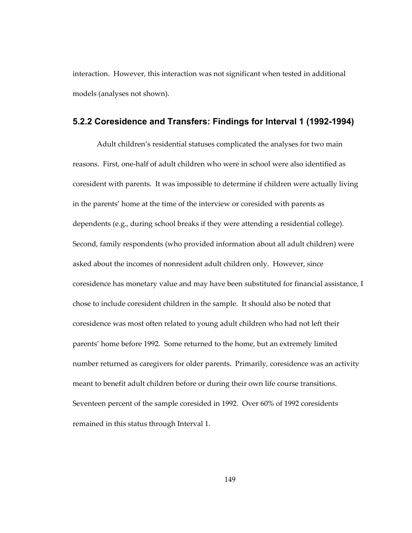interaction. However, this interaction was not significant when tested in additional models (analyses not shown).

#### **5.2.2 Coresidence and Transfers: Findings for Interval 1 (1992-1994)**

Adult children's residential statuses complicated the analyses for two main reasons. First, one-half of adult children who were in school were also identified as coresident with parents. It was impossible to determine if children were actually living in the parents' home at the time of the interview or coresided with parents as dependents (e.g., during school breaks if they were attending a residential college). Second, family respondents (who provided information about all adult children) were asked about the incomes of nonresident adult children only. However, since coresidence has monetary value and may have been substituted for financial assistance, I chose to include coresident children in the sample. It should also be noted that coresidence was most often related to young adult children who had not left their parents' home before 1992. Some returned to the home, but an extremely limited number returned as caregivers for older parents. Primarily, coresidence was an activity meant to benefit adult children before or during their own life course transitions. Seventeen percent of the sample coresided in 1992. Over 60% of 1992 coresidents remained in this status through Interval 1.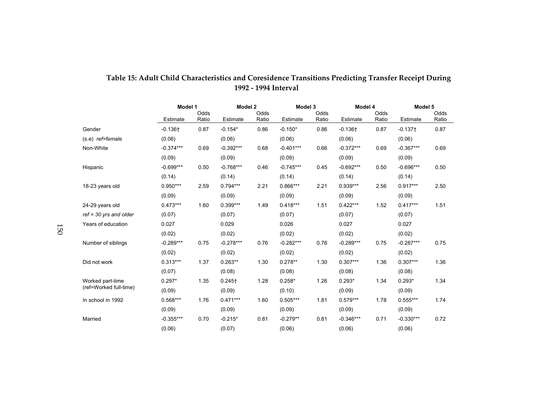|                          | Model 1     |               | Model 2     |               | Model 3     |               | Model 4     |               | Model 5     |               |
|--------------------------|-------------|---------------|-------------|---------------|-------------|---------------|-------------|---------------|-------------|---------------|
|                          | Estimate    | Odds<br>Ratio | Estimate    | Odds<br>Ratio | Estimate    | Odds<br>Ratio | Estimate    | Odds<br>Ratio | Estimate    | Odds<br>Ratio |
| Gender                   | $-0.136 +$  | 0.87          | $-0.154*$   | 0.86          | $-0.150*$   | 0.86          | $-0.136 +$  | 0.87          | $-0.137 +$  | 0.87          |
| (s.e) ref=female         | (0.06)      |               | (0.06)      |               | (0.06)      |               | (0.06)      |               | (0.06)      |               |
| Non-White                | $-0.374***$ | 0.69          | $-0.392***$ | 0.68          | $-0.401***$ | 0.66          | $-0.372***$ | 0.69          | $-0.367***$ | 0.69          |
|                          | (0.09)      |               | (0.09)      |               | (0.09)      |               | (0.09)      |               | (0.09)      |               |
| Hispanic                 | $-0.699***$ | 0.50          | $-0.768***$ | 0.46          | $-0.745***$ | 0.45          | $-0.692***$ | 0.50          | $-0.696***$ | 0.50          |
|                          | (0.14)      |               | (0.14)      |               | (0.14)      |               | (0.14)      |               | (0.14)      |               |
| 18-23 years old          | $0.950***$  | 2.59          | $0.794***$  | 2.21          | $0.866***$  | 2.21          | $0.939***$  | 2.56          | $0.917***$  | 2.50          |
|                          | (0.09)      |               | (0.09)      |               | (0.09)      |               | (0.09)      |               | (0.09)      |               |
| 24-29 years old          | $0.473***$  | 1.60          | $0.399***$  | 1.49          | $0.418***$  | 1.51          | $0.422***$  | 1.52          | $0.417***$  | 1.51          |
| $ref = 30$ yrs and older | (0.07)      |               | (0.07)      |               | (0.07)      |               | (0.07)      |               | (0.07)      |               |
| Years of education       | 0.027       |               | 0.029       |               | 0.026       |               | 0.027       |               | 0.027       |               |
|                          | (0.02)      |               | (0.02)      |               | (0.02)      |               | (0.02)      |               | (0.02)      |               |
| Number of siblings       | $-0.289***$ | 0.75          | $-0.278***$ | 0.76          | $-0.282***$ | 0.76          | $-0.289***$ | 0.75          | $-0.287***$ | 0.75          |
|                          | (0.02)      |               | (0.02)      |               | (0.02)      |               | (0.02)      |               | (0.02)      |               |
| Did not work             | $0.313***$  | 1.37          | $0.263**$   | 1.30          | $0.278**$   | 1.30          | $0.307***$  | 1.36          | $0.307***$  | 1.36          |
|                          | (0.07)      |               | (0.08)      |               | (0.08)      |               | (0.08)      |               | (0.08)      |               |
| Worked part-time         | $0.297*$    | 1.35          | $0.245+$    | 1.28          | $0.258*$    | 1.26          | $0.293*$    | 1.34          | $0.293*$    | 1.34          |
| (ref=Worked full-time)   | (0.09)      |               | (0.09)      |               | (0.10)      |               | (0.09)      |               | (0.09)      |               |
| In school in 1992        | $0.568***$  | 1.76          | $0.471***$  | 1.60          | $0.505***$  | 1.81          | $0.579***$  | 1.78          | $0.555***$  | 1.74          |
|                          | (0.09)      |               | (0.09)      |               | (0.09)      |               | (0.09)      |               | (0.09)      |               |
| Married                  | $-0.355***$ | 0.70          | $-0.215*$   | 0.81          | $-0.279**$  | 0.81          | $-0.346***$ | 0.71          | $-0.330***$ | 0.72          |
|                          | (0.06)      |               | (0.07)      |               | (0.06)      |               | (0.06)      |               | (0.06)      |               |

### **Table 15: Adult Child Characteristics and Coresidence Transitions Predicting Transfer Receipt During 1992 - 1994 Interval**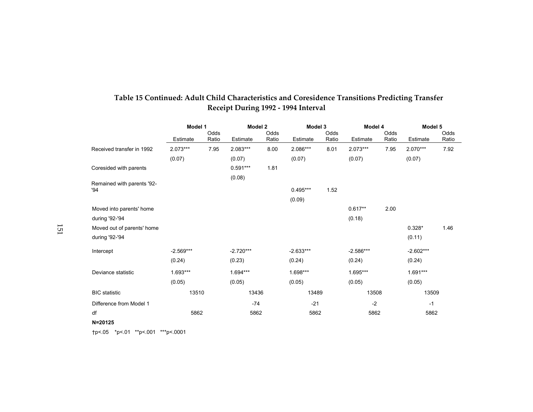|                                   | Model 1     |       | Model 2     |       | Model 3     |       | Model 4     |       | Model 5     |       |
|-----------------------------------|-------------|-------|-------------|-------|-------------|-------|-------------|-------|-------------|-------|
|                                   |             | Odds  |             | Odds  |             | Odds  |             | Odds  |             | Odds  |
|                                   | Estimate    | Ratio | Estimate    | Ratio | Estimate    | Ratio | Estimate    | Ratio | Estimate    | Ratio |
| Received transfer in 1992         | $2.073***$  | 7.95  | 2.083***    | 8.00  | 2.086***    | 8.01  | $2.073***$  | 7.95  | 2.070***    | 7.92  |
|                                   | (0.07)      |       | (0.07)      |       | (0.07)      |       | (0.07)      |       | (0.07)      |       |
| Coresided with parents            |             |       | $0.591***$  | 1.81  |             |       |             |       |             |       |
|                                   |             |       | (0.08)      |       |             |       |             |       |             |       |
| Remained with parents '92-<br>'94 |             |       |             |       | $0.495***$  | 1.52  |             |       |             |       |
|                                   |             |       |             |       |             |       |             |       |             |       |
|                                   |             |       |             |       | (0.09)      |       |             |       |             |       |
| Moved into parents' home          |             |       |             |       |             |       | $0.617**$   | 2.00  |             |       |
| during '92-'94                    |             |       |             |       |             |       | (0.18)      |       |             |       |
| Moved out of parents' home        |             |       |             |       |             |       |             |       | $0.328*$    | 1.46  |
| during '92-'94                    |             |       |             |       |             |       |             |       | (0.11)      |       |
| Intercept                         | $-2.569***$ |       | $-2.720***$ |       | $-2.633***$ |       | $-2.586***$ |       | $-2.602***$ |       |
|                                   | (0.24)      |       | (0.23)      |       | (0.24)      |       | (0.24)      |       | (0.24)      |       |
| Deviance statistic                | $1.693***$  |       | $1.694***$  |       | 1.698***    |       | 1.695***    |       | $1.691***$  |       |
|                                   | (0.05)      |       | (0.05)      |       | (0.05)      |       | (0.05)      |       | (0.05)      |       |
| <b>BIC</b> statistic              | 13510       |       | 13436       |       | 13489       |       | 13508       |       | 13509       |       |
| Difference from Model 1           |             |       | $-74$       |       | $-21$       |       | $-2$        |       | $-1$        |       |
| df                                | 5862        |       | 5862        |       | 5862        |       | 5862        |       | 5862        |       |
| N=20125                           |             |       |             |       |             |       |             |       |             |       |

# **Table 15 Continued: Adult Child Characteristics and Coresidence Transitions Predicting Transfer Receipt During 1992 - 1994 Interval**

†p<.05 \*p<.01 \*\*p<.001 \*\*\*p<.0001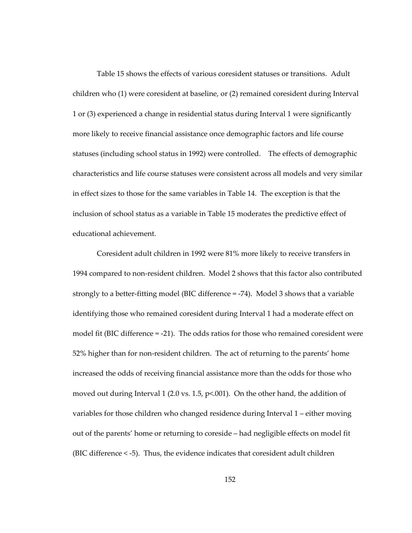Table 15 shows the effects of various coresident statuses or transitions. Adult children who (1) were coresident at baseline, or (2) remained coresident during Interval 1 or (3) experienced a change in residential status during Interval 1 were significantly more likely to receive financial assistance once demographic factors and life course statuses (including school status in 1992) were controlled. The effects of demographic characteristics and life course statuses were consistent across all models and very similar in effect sizes to those for the same variables in Table 14. The exception is that the inclusion of school status as a variable in Table 15 moderates the predictive effect of educational achievement.

Coresident adult children in 1992 were 81% more likely to receive transfers in 1994 compared to non-resident children. Model 2 shows that this factor also contributed strongly to a better-fitting model (BIC difference = -74). Model 3 shows that a variable identifying those who remained coresident during Interval 1 had a moderate effect on model fit (BIC difference = -21). The odds ratios for those who remained coresident were 52% higher than for non-resident children. The act of returning to the parents' home increased the odds of receiving financial assistance more than the odds for those who moved out during Interval 1 (2.0 vs. 1.5, p<.001). On the other hand, the addition of variables for those children who changed residence during Interval 1 – either moving out of the parents' home or returning to coreside – had negligible effects on model fit (BIC difference < -5). Thus, the evidence indicates that coresident adult children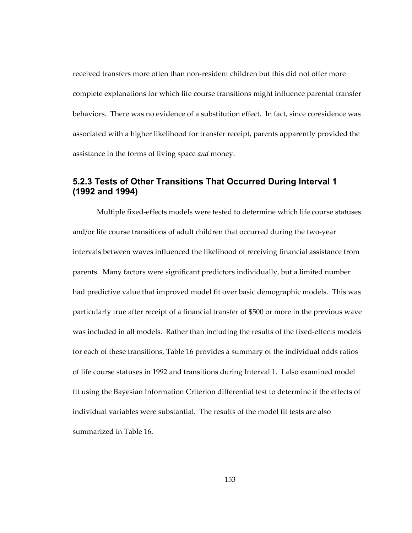received transfers more often than non-resident children but this did not offer more complete explanations for which life course transitions might influence parental transfer behaviors. There was no evidence of a substitution effect. In fact, since coresidence was associated with a higher likelihood for transfer receipt, parents apparently provided the assistance in the forms of living space *and* money.

### **5.2.3 Tests of Other Transitions That Occurred During Interval 1 (1992 and 1994)**

Multiple fixed-effects models were tested to determine which life course statuses and/or life course transitions of adult children that occurred during the two-year intervals between waves influenced the likelihood of receiving financial assistance from parents. Many factors were significant predictors individually, but a limited number had predictive value that improved model fit over basic demographic models. This was particularly true after receipt of a financial transfer of \$500 or more in the previous wave was included in all models. Rather than including the results of the fixed-effects models for each of these transitions, Table 16 provides a summary of the individual odds ratios of life course statuses in 1992 and transitions during Interval 1. I also examined model fit using the Bayesian Information Criterion differential test to determine if the effects of individual variables were substantial. The results of the model fit tests are also summarized in Table 16.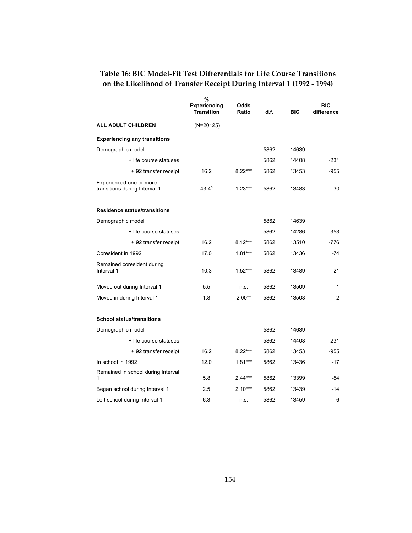# **Table 16: BIC Model-Fit Test Differentials for Life Course Transitions on the Likelihood of Transfer Receipt During Interval 1 (1992 - 1994)**

|                                                          | %<br><b>Experiencing</b><br><b>Transition</b> | Odds<br>Ratio | d.f. | <b>BIC</b> | <b>BIC</b><br>difference |
|----------------------------------------------------------|-----------------------------------------------|---------------|------|------------|--------------------------|
| ALL ADULT CHILDREN                                       | (N=20125)                                     |               |      |            |                          |
| <b>Experiencing any transitions</b>                      |                                               |               |      |            |                          |
| Demographic model                                        |                                               |               | 5862 | 14639      |                          |
| + life course statuses                                   |                                               |               | 5862 | 14408      | $-231$                   |
| + 92 transfer receipt                                    | 16.2                                          | $8.22***$     | 5862 | 13453      | $-955$                   |
| Experienced one or more<br>transitions during Interval 1 | $43.4^a$                                      | $1.23***$     | 5862 | 13483      | 30                       |
| <b>Residence status/transitions</b>                      |                                               |               |      |            |                          |
| Demographic model                                        |                                               |               | 5862 | 14639      |                          |
| + life course statuses                                   |                                               |               | 5862 | 14286      | $-353$                   |
| + 92 transfer receipt                                    | 16.2                                          | $8.12***$     | 5862 | 13510      | -776                     |
| Coresident in 1992                                       | 17.0                                          | $1.81***$     | 5862 | 13436      | -74                      |
| Remained coresident during<br>Interval 1                 | 10.3                                          | $1.52***$     | 5862 | 13489      | $-21$                    |
| Moved out during Interval 1                              | 5.5                                           | n.s.          | 5862 | 13509      | -1                       |
| Moved in during Interval 1                               | 1.8                                           | $2.00**$      | 5862 | 13508      | $-2$                     |
| <b>School status/transitions</b>                         |                                               |               |      |            |                          |
| Demographic model                                        |                                               |               | 5862 | 14639      |                          |
| + life course statuses                                   |                                               |               | 5862 | 14408      | $-231$                   |
| + 92 transfer receipt                                    | 16.2                                          | $8.22***$     | 5862 | 13453      | $-955$                   |
| In school in 1992                                        | 12.0                                          | $1.81***$     | 5862 | 13436      | $-17$                    |
| Remained in school during Interval<br>1                  | 5.8                                           | $2.44***$     | 5862 | 13399      | -54                      |
| Began school during Interval 1                           | 2.5                                           | $2.10***$     | 5862 | 13439      | -14                      |
| Left school during Interval 1                            | 6.3                                           | n.s.          | 5862 | 13459      | 6                        |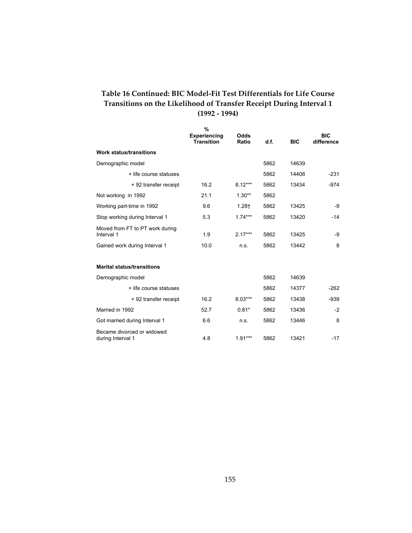### **Table 16 Continued: BIC Model-Fit Test Differentials for Life Course Transitions on the Likelihood of Transfer Receipt During Interval 1 (1992 - 1994)**

|                                                 | %<br><b>Experiencing</b><br><b>Transition</b> | Odds<br>Ratio | d.f. | <b>BIC</b> | <b>BIC</b><br>difference |
|-------------------------------------------------|-----------------------------------------------|---------------|------|------------|--------------------------|
| <b>Work status/transitions</b>                  |                                               |               |      |            |                          |
| Demographic model                               |                                               |               | 5862 | 14639      |                          |
| + life course statuses                          |                                               |               | 5862 | 14408      | $-231$                   |
| + 92 transfer receipt                           | 16.2                                          | $8.12***$     | 5862 | 13434      | $-974$                   |
| Not working in 1992                             | 21.1                                          | $1.30**$      | 5862 |            |                          |
| Working part-time in 1992                       | 9.6                                           | $1.28+$       | 5862 | 13425      | -9                       |
| Stop working during Interval 1                  | 5.3                                           | $1.74***$     | 5862 | 13420      | $-14$                    |
| Moved from FT to PT work during<br>Interval 1   | 1.9                                           | $2.17***$     | 5862 | 13425      | -9                       |
| Gained work during Interval 1                   | 10.0                                          | n.s.          | 5862 | 13442      | 8                        |
|                                                 |                                               |               |      |            |                          |
| <b>Marital status/transitions</b>               |                                               |               |      |            |                          |
| Demographic model                               |                                               |               | 5862 | 14639      |                          |
| + life course statuses                          |                                               |               | 5862 | 14377      | $-262$                   |
| + 92 transfer receipt                           | 16.2                                          | $8.03***$     | 5862 | 13438      | $-939$                   |
| Married in 1992                                 | 52.7                                          | $0.81*$       | 5862 | 13436      | $-2$                     |
| Got married during Interval 1                   | 6.6                                           | n.s.          | 5862 | 13446      | 8                        |
| Became divorced or widowed<br>during Interval 1 | 4.8                                           | $1.91***$     | 5862 | 13421      | $-17$                    |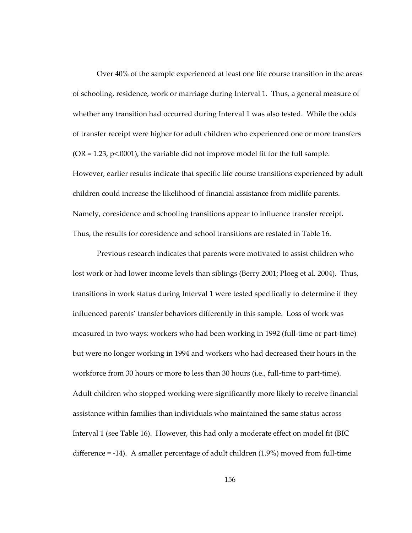Over 40% of the sample experienced at least one life course transition in the areas of schooling, residence, work or marriage during Interval 1. Thus, a general measure of whether any transition had occurred during Interval 1 was also tested. While the odds of transfer receipt were higher for adult children who experienced one or more transfers  $(OR = 1.23, p < 0.001)$ , the variable did not improve model fit for the full sample. However, earlier results indicate that specific life course transitions experienced by adult children could increase the likelihood of financial assistance from midlife parents. Namely, coresidence and schooling transitions appear to influence transfer receipt. Thus, the results for coresidence and school transitions are restated in Table 16.

Previous research indicates that parents were motivated to assist children who lost work or had lower income levels than siblings (Berry 2001; Ploeg et al. 2004). Thus, transitions in work status during Interval 1 were tested specifically to determine if they influenced parents' transfer behaviors differently in this sample. Loss of work was measured in two ways: workers who had been working in 1992 (full-time or part-time) but were no longer working in 1994 and workers who had decreased their hours in the workforce from 30 hours or more to less than 30 hours (i.e., full-time to part-time). Adult children who stopped working were significantly more likely to receive financial assistance within families than individuals who maintained the same status across Interval 1 (see Table 16). However, this had only a moderate effect on model fit (BIC difference = -14). A smaller percentage of adult children (1.9%) moved from full-time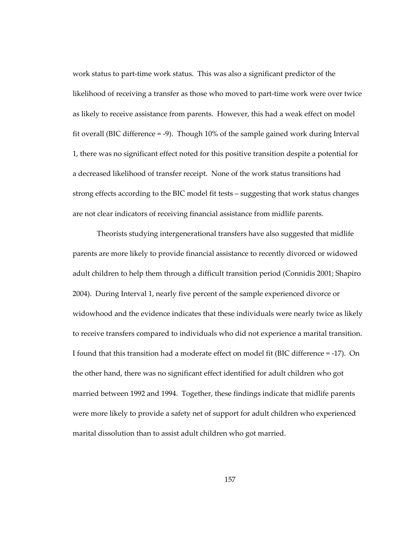work status to part-time work status. This was also a significant predictor of the likelihood of receiving a transfer as those who moved to part-time work were over twice as likely to receive assistance from parents. However, this had a weak effect on model fit overall (BIC difference = -9). Though 10% of the sample gained work during Interval 1, there was no significant effect noted for this positive transition despite a potential for a decreased likelihood of transfer receipt. None of the work status transitions had strong effects according to the BIC model fit tests – suggesting that work status changes are not clear indicators of receiving financial assistance from midlife parents.

Theorists studying intergenerational transfers have also suggested that midlife parents are more likely to provide financial assistance to recently divorced or widowed adult children to help them through a difficult transition period (Connidis 2001; Shapiro 2004). During Interval 1, nearly five percent of the sample experienced divorce or widowhood and the evidence indicates that these individuals were nearly twice as likely to receive transfers compared to individuals who did not experience a marital transition. I found that this transition had a moderate effect on model fit (BIC difference = -17). On the other hand, there was no significant effect identified for adult children who got married between 1992 and 1994. Together, these findings indicate that midlife parents were more likely to provide a safety net of support for adult children who experienced marital dissolution than to assist adult children who got married.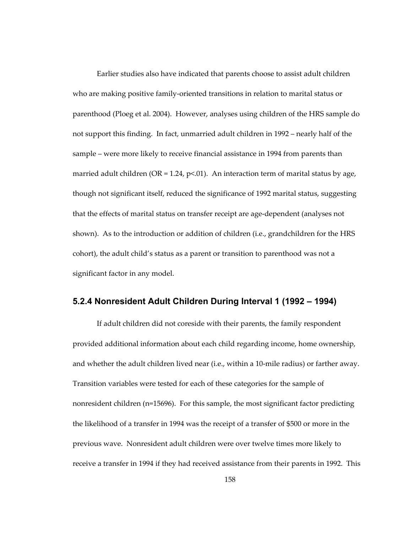Earlier studies also have indicated that parents choose to assist adult children who are making positive family-oriented transitions in relation to marital status or parenthood (Ploeg et al. 2004). However, analyses using children of the HRS sample do not support this finding. In fact, unmarried adult children in 1992 – nearly half of the sample – were more likely to receive financial assistance in 1994 from parents than married adult children (OR = 1.24,  $p<01$ ). An interaction term of marital status by age, though not significant itself, reduced the significance of 1992 marital status, suggesting that the effects of marital status on transfer receipt are age-dependent (analyses not shown). As to the introduction or addition of children (i.e., grandchildren for the HRS cohort), the adult child's status as a parent or transition to parenthood was not a significant factor in any model.

#### **5.2.4 Nonresident Adult Children During Interval 1 (1992 – 1994)**

If adult children did not coreside with their parents, the family respondent provided additional information about each child regarding income, home ownership, and whether the adult children lived near (i.e., within a 10-mile radius) or farther away. Transition variables were tested for each of these categories for the sample of nonresident children (n=15696). For this sample, the most significant factor predicting the likelihood of a transfer in 1994 was the receipt of a transfer of \$500 or more in the previous wave. Nonresident adult children were over twelve times more likely to receive a transfer in 1994 if they had received assistance from their parents in 1992. This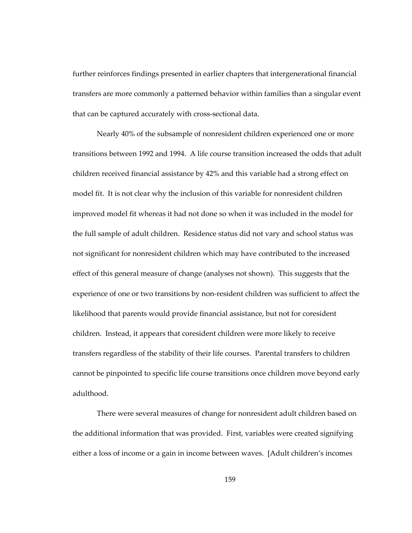further reinforces findings presented in earlier chapters that intergenerational financial transfers are more commonly a patterned behavior within families than a singular event that can be captured accurately with cross-sectional data.

Nearly 40% of the subsample of nonresident children experienced one or more transitions between 1992 and 1994. A life course transition increased the odds that adult children received financial assistance by 42% and this variable had a strong effect on model fit. It is not clear why the inclusion of this variable for nonresident children improved model fit whereas it had not done so when it was included in the model for the full sample of adult children. Residence status did not vary and school status was not significant for nonresident children which may have contributed to the increased effect of this general measure of change (analyses not shown). This suggests that the experience of one or two transitions by non-resident children was sufficient to affect the likelihood that parents would provide financial assistance, but not for coresident children. Instead, it appears that coresident children were more likely to receive transfers regardless of the stability of their life courses. Parental transfers to children cannot be pinpointed to specific life course transitions once children move beyond early adulthood.

There were several measures of change for nonresident adult children based on the additional information that was provided. First, variables were created signifying either a loss of income or a gain in income between waves. [Adult children's incomes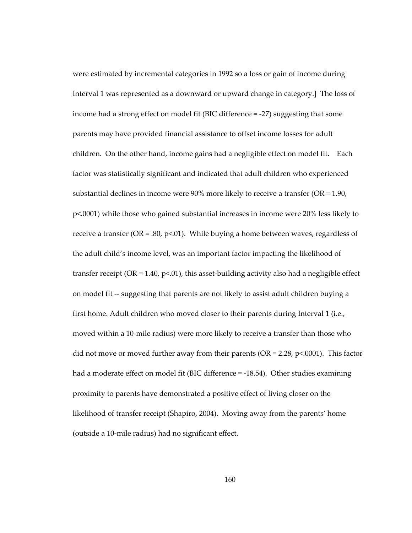were estimated by incremental categories in 1992 so a loss or gain of income during Interval 1 was represented as a downward or upward change in category.] The loss of income had a strong effect on model fit (BIC difference = -27) suggesting that some parents may have provided financial assistance to offset income losses for adult children. On the other hand, income gains had a negligible effect on model fit. Each factor was statistically significant and indicated that adult children who experienced substantial declines in income were  $90\%$  more likely to receive a transfer (OR = 1.90, p<.0001) while those who gained substantial increases in income were 20% less likely to receive a transfer (OR = .80,  $p$ <.01). While buying a home between waves, regardless of the adult child's income level, was an important factor impacting the likelihood of transfer receipt ( $OR = 1.40$ ,  $p < .01$ ), this asset-building activity also had a negligible effect on model fit -- suggesting that parents are not likely to assist adult children buying a first home. Adult children who moved closer to their parents during Interval 1 (i.e., moved within a 10-mile radius) were more likely to receive a transfer than those who did not move or moved further away from their parents ( $OR = 2.28$ ,  $p \le 0.0001$ ). This factor had a moderate effect on model fit (BIC difference = -18.54). Other studies examining proximity to parents have demonstrated a positive effect of living closer on the likelihood of transfer receipt (Shapiro, 2004). Moving away from the parents' home (outside a 10-mile radius) had no significant effect.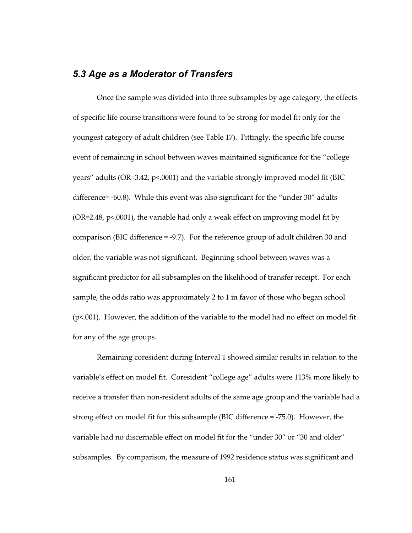#### *5.3 Age as a Moderator of Transfers*

Once the sample was divided into three subsamples by age category, the effects of specific life course transitions were found to be strong for model fit only for the youngest category of adult children (see Table 17). Fittingly, the specific life course event of remaining in school between waves maintained significance for the "college years" adults (OR=3.42, p<.0001) and the variable strongly improved model fit (BIC difference= -60.8). While this event was also significant for the "under 30" adults (OR=2.48, p<.0001), the variable had only a weak effect on improving model fit by comparison (BIC difference = -9.7). For the reference group of adult children 30 and older, the variable was not significant. Beginning school between waves was a significant predictor for all subsamples on the likelihood of transfer receipt. For each sample, the odds ratio was approximately 2 to 1 in favor of those who began school (p<.001). However, the addition of the variable to the model had no effect on model fit for any of the age groups.

Remaining coresident during Interval 1 showed similar results in relation to the variable's effect on model fit. Coresident "college age" adults were 113% more likely to receive a transfer than non-resident adults of the same age group and the variable had a strong effect on model fit for this subsample (BIC difference = -75.0). However, the variable had no discernable effect on model fit for the "under 30" or "30 and older" subsamples. By comparison, the measure of 1992 residence status was significant and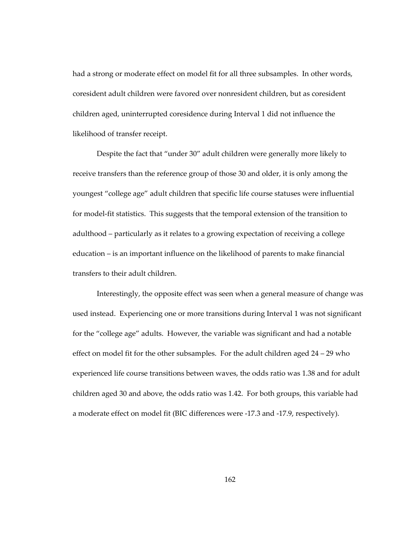had a strong or moderate effect on model fit for all three subsamples. In other words, coresident adult children were favored over nonresident children, but as coresident children aged, uninterrupted coresidence during Interval 1 did not influence the likelihood of transfer receipt.

Despite the fact that "under 30" adult children were generally more likely to receive transfers than the reference group of those 30 and older, it is only among the youngest "college age" adult children that specific life course statuses were influential for model-fit statistics. This suggests that the temporal extension of the transition to adulthood – particularly as it relates to a growing expectation of receiving a college education – is an important influence on the likelihood of parents to make financial transfers to their adult children.

Interestingly, the opposite effect was seen when a general measure of change was used instead. Experiencing one or more transitions during Interval 1 was not significant for the "college age" adults. However, the variable was significant and had a notable effect on model fit for the other subsamples. For the adult children aged 24 – 29 who experienced life course transitions between waves, the odds ratio was 1.38 and for adult children aged 30 and above, the odds ratio was 1.42. For both groups, this variable had a moderate effect on model fit (BIC differences were -17.3 and -17.9, respectively).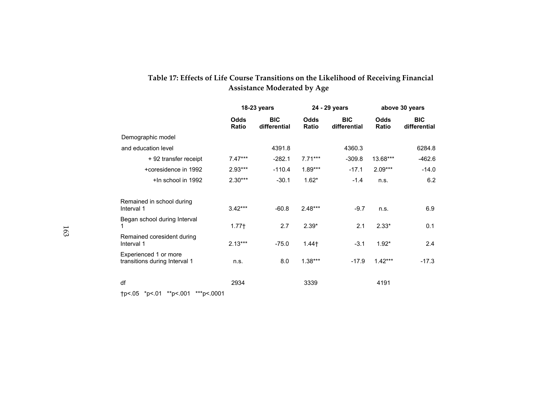### **Table 17: Effects of Life Course Transitions on the Likelihood of Receiving Financial Assistance Moderated by Age**

|                                                        |                      | 18-23 years                |                   | 24 - 29 years              |                      | above 30 years             |  |  |
|--------------------------------------------------------|----------------------|----------------------------|-------------------|----------------------------|----------------------|----------------------------|--|--|
|                                                        | <b>Odds</b><br>Ratio | <b>BIC</b><br>differential | Odds<br>Ratio     | <b>BIC</b><br>differential | <b>Odds</b><br>Ratio | <b>BIC</b><br>differential |  |  |
| Demographic model                                      |                      |                            |                   |                            |                      |                            |  |  |
| and education level                                    |                      | 4391.8                     |                   | 4360.3                     |                      | 6284.8                     |  |  |
| + 92 transfer receipt                                  | $7.47***$            | $-282.1$                   | $7.71***$         | $-309.8$                   | 13.68***             | $-462.6$                   |  |  |
| +coresidence in 1992                                   | $2.93***$            | $-110.4$                   | 1.89***           | $-17.1$                    | $2.09***$            | $-14.0$                    |  |  |
| +In school in 1992                                     | $2.30***$            | $-30.1$                    | $1.62*$           | $-1.4$                     | n.s.                 | 6.2                        |  |  |
| Remained in school during<br>Interval 1                | $3.42***$            | $-60.8$                    | 2.48***           | $-9.7$                     | n.s.                 | 6.9                        |  |  |
| Began school during Interval<br>1                      | 1.77 <sup>†</sup>    | 2.7                        | $2.39*$           | 2.1                        | $2.33*$              | 0.1                        |  |  |
| Remained coresident during<br>Interval 1               | $2.13***$            | $-75.0$                    | 1.44 <sub>†</sub> | $-3.1$                     | $1.92*$              | 2.4                        |  |  |
| Experienced 1 or more<br>transitions during Interval 1 | n.s.                 | 8.0                        | $1.38***$         | $-17.9$                    | $1.42***$            | $-17.3$                    |  |  |
| df                                                     | 2934                 |                            | 3339              |                            | 4191                 |                            |  |  |

†p<.05 \*p<.01 \*\*p<.001 \*\*\*p<.0001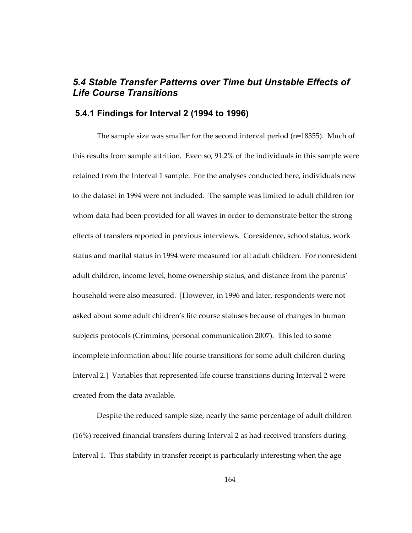# *5.4 Stable Transfer Patterns over Time but Unstable Effects of Life Course Transitions*

#### **5.4.1 Findings for Interval 2 (1994 to 1996)**

The sample size was smaller for the second interval period (n=18355). Much of this results from sample attrition. Even so, 91.2% of the individuals in this sample were retained from the Interval 1 sample. For the analyses conducted here, individuals new to the dataset in 1994 were not included. The sample was limited to adult children for whom data had been provided for all waves in order to demonstrate better the strong effects of transfers reported in previous interviews. Coresidence, school status, work status and marital status in 1994 were measured for all adult children. For nonresident adult children, income level, home ownership status, and distance from the parents' household were also measured. [However, in 1996 and later, respondents were not asked about some adult children's life course statuses because of changes in human subjects protocols (Crimmins, personal communication 2007). This led to some incomplete information about life course transitions for some adult children during Interval 2.] Variables that represented life course transitions during Interval 2 were created from the data available.

Despite the reduced sample size, nearly the same percentage of adult children (16%) received financial transfers during Interval 2 as had received transfers during Interval 1. This stability in transfer receipt is particularly interesting when the age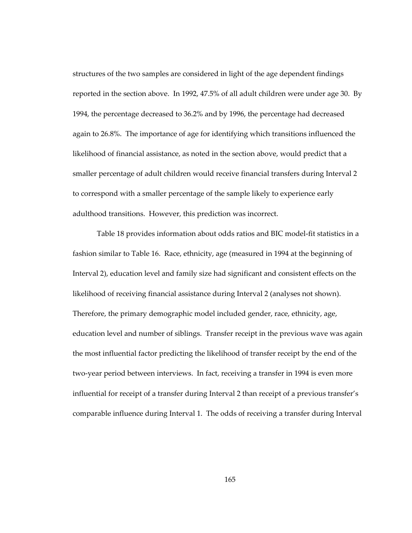structures of the two samples are considered in light of the age dependent findings reported in the section above. In 1992, 47.5% of all adult children were under age 30. By 1994, the percentage decreased to 36.2% and by 1996, the percentage had decreased again to 26.8%. The importance of age for identifying which transitions influenced the likelihood of financial assistance, as noted in the section above, would predict that a smaller percentage of adult children would receive financial transfers during Interval 2 to correspond with a smaller percentage of the sample likely to experience early adulthood transitions. However, this prediction was incorrect.

Table 18 provides information about odds ratios and BIC model-fit statistics in a fashion similar to Table 16. Race, ethnicity, age (measured in 1994 at the beginning of Interval 2), education level and family size had significant and consistent effects on the likelihood of receiving financial assistance during Interval 2 (analyses not shown). Therefore, the primary demographic model included gender, race, ethnicity, age, education level and number of siblings. Transfer receipt in the previous wave was again the most influential factor predicting the likelihood of transfer receipt by the end of the two-year period between interviews. In fact, receiving a transfer in 1994 is even more influential for receipt of a transfer during Interval 2 than receipt of a previous transfer's comparable influence during Interval 1. The odds of receiving a transfer during Interval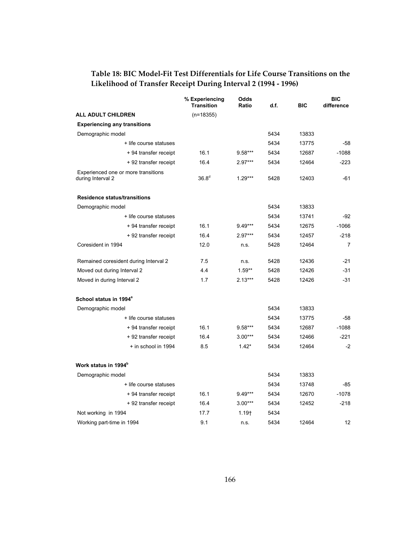|                                                          | % Experiencing<br><b>Transition</b> | Odds<br>Ratio     | d.f. | <b>BIC</b> | <b>BIC</b><br>difference |
|----------------------------------------------------------|-------------------------------------|-------------------|------|------------|--------------------------|
| <b>ALL ADULT CHILDREN</b>                                | $(n=18355)$                         |                   |      |            |                          |
| <b>Experiencing any transitions</b>                      |                                     |                   |      |            |                          |
| Demographic model                                        |                                     |                   | 5434 | 13833      |                          |
| + life course statuses                                   |                                     |                   | 5434 | 13775      | -58                      |
| + 94 transfer receipt                                    | 16.1                                | $9.58***$         | 5434 | 12687      | $-1088$                  |
| + 92 transfer receipt                                    | 16.4                                | $2.97***$         | 5434 | 12464      | $-223$                   |
| Experienced one or more transitions<br>during Interval 2 | 36.8 <sup>d</sup>                   | $1.29***$         | 5428 | 12403      | -61                      |
| <b>Residence status/transitions</b>                      |                                     |                   |      |            |                          |
| Demographic model                                        |                                     |                   | 5434 | 13833      |                          |
| + life course statuses                                   |                                     |                   | 5434 | 13741      | $-92$                    |
| + 94 transfer receipt                                    | 16.1                                | $9.49***$         | 5434 | 12675      | $-1066$                  |
| + 92 transfer receipt                                    | 16.4                                | $2.97***$         | 5434 | 12457      | $-218$                   |
| Coresident in 1994                                       | 12.0                                | n.s.              | 5428 | 12464      | 7                        |
| Remained coresident during Interval 2                    | 7.5                                 | n.s.              | 5428 | 12436      | $-21$                    |
| Moved out during Interval 2                              | 4.4                                 | $1.59**$          | 5428 | 12426      | $-31$                    |
| Moved in during Interval 2                               | 1.7                                 | $2.13***$         | 5428 | 12426      | $-31$                    |
| School status in 1994 <sup>ª</sup>                       |                                     |                   |      |            |                          |
| Demographic model                                        |                                     |                   | 5434 | 13833      |                          |
| + life course statuses                                   |                                     |                   | 5434 | 13775      | -58                      |
| + 94 transfer receipt                                    | 16.1                                | $9.58***$         | 5434 | 12687      | $-1088$                  |
| + 92 transfer receipt                                    | 16.4                                | $3.00***$         | 5434 | 12466      | $-221$                   |
| + in school in 1994                                      | 8.5                                 | $1.42*$           | 5434 | 12464      | $-2$                     |
| Work status in 1994 <sup>b</sup>                         |                                     |                   |      |            |                          |
| Demographic model                                        |                                     |                   | 5434 | 13833      |                          |
| + life course statuses                                   |                                     |                   | 5434 | 13748      | -85                      |
| + 94 transfer receipt                                    | 16.1                                | $9.49***$         | 5434 | 12670      | $-1078$                  |
| + 92 transfer receipt                                    | 16.4                                | $3.00***$         | 5434 | 12452      | $-218$                   |
| Not working in 1994                                      | 17.7                                | 1.19 <sub>1</sub> | 5434 |            |                          |
| Working part-time in 1994                                | 9.1                                 | n.s.              | 5434 | 12464      | 12                       |

## **Table 18: BIC Model-Fit Test Differentials for Life Course Transitions on the Likelihood of Transfer Receipt During Interval 2 (1994 - 1996)**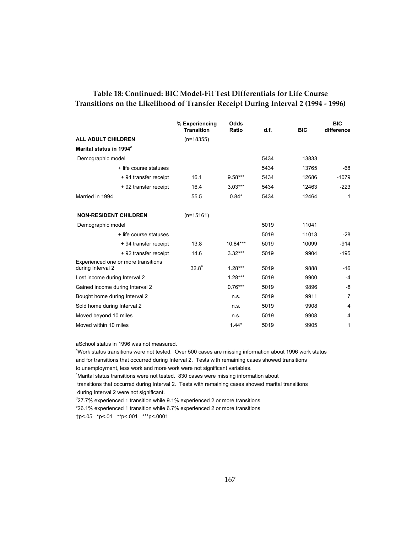#### **Table 18: Continued: BIC Model-Fit Test Differentials for Life Course Transitions on the Likelihood of Transfer Receipt During Interval 2 (1994 - 1996)**

|                                                          | % Experiencing<br>Odds<br><b>Transition</b><br><b>Ratio</b> |           | d.f. | <b>BIC</b> | <b>BIC</b><br>difference |
|----------------------------------------------------------|-------------------------------------------------------------|-----------|------|------------|--------------------------|
| <b>ALL ADULT CHILDREN</b>                                | $(n=18355)$                                                 |           |      |            |                          |
| Marital status in 1994 <sup>c</sup>                      |                                                             |           |      |            |                          |
| Demographic model                                        |                                                             |           | 5434 | 13833      |                          |
| + life course statuses                                   |                                                             |           | 5434 | 13765      | -68                      |
| + 94 transfer receipt                                    | 16.1<br>$9.58***$                                           |           | 5434 | 12686      | $-1079$                  |
| + 92 transfer receipt                                    | 16.4                                                        | $3.03***$ | 5434 | 12463      | $-223$                   |
| Married in 1994                                          | 55.5                                                        | $0.84*$   | 5434 | 12464      | 1                        |
| <b>NON-RESIDENT CHILDREN</b>                             | $(n=15161)$                                                 |           |      |            |                          |
| Demographic model                                        |                                                             |           | 5019 | 11041      |                          |
| + life course statuses                                   |                                                             |           | 5019 | 11013      | $-28$                    |
| + 94 transfer receipt                                    | 13.8                                                        | 10.84***  | 5019 | 10099      | $-914$                   |
| + 92 transfer receipt                                    | 14.6                                                        | $3.32***$ | 5019 | 9904       | $-195$                   |
| Experienced one or more transitions<br>during Interval 2 | 32.8 <sup>e</sup>                                           | $1.28***$ | 5019 | 9888       | $-16$                    |
| Lost income during Interval 2                            |                                                             | $1.28***$ | 5019 | 9900       | $-4$                     |
| Gained income during Interval 2                          |                                                             | $0.76***$ | 5019 | 9896       | -8                       |
| Bought home during Interval 2                            |                                                             | n.s.      | 5019 | 9911       | 7                        |
| Sold home during Interval 2                              |                                                             | n.s.      | 5019 | 9908       | 4                        |
| Moved beyond 10 miles                                    |                                                             | n.s.      | 5019 | 9908       | $\overline{4}$           |
| Moved within 10 miles                                    |                                                             | $1.44*$   | 5019 | 9905       | 1                        |

aSchool status in 1996 was not measured.

bWork status transitions were not tested. Over 500 cases are missing information about 1996 work status and for transitions that occurred during Interval 2. Tests with remaining cases showed transitions

to unemployment, less work and more work were not significant variables.

Marital status transitions were not tested. 830 cases were missing information about

 transitions that occurred during Interval 2. Tests with remaining cases showed marital transitions during Interval 2 were not significant.

<sup>d</sup>27.7% experienced 1 transition while 9.1% experienced 2 or more transitions

e 26.1% experienced 1 transition while 6.7% experienced 2 or more transitions

†p<.05 \*p<.01 \*\*p<.001 \*\*\*p<.0001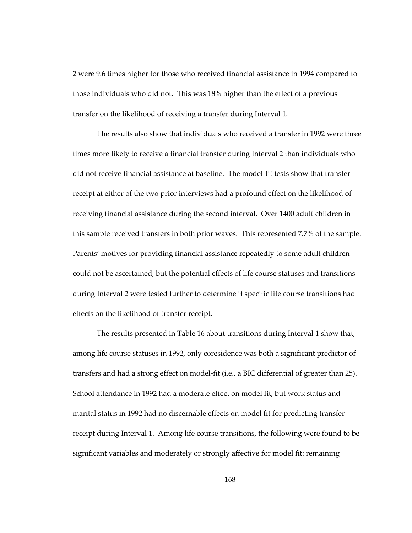2 were 9.6 times higher for those who received financial assistance in 1994 compared to those individuals who did not. This was 18% higher than the effect of a previous transfer on the likelihood of receiving a transfer during Interval 1.

The results also show that individuals who received a transfer in 1992 were three times more likely to receive a financial transfer during Interval 2 than individuals who did not receive financial assistance at baseline. The model-fit tests show that transfer receipt at either of the two prior interviews had a profound effect on the likelihood of receiving financial assistance during the second interval. Over 1400 adult children in this sample received transfers in both prior waves. This represented 7.7% of the sample. Parents' motives for providing financial assistance repeatedly to some adult children could not be ascertained, but the potential effects of life course statuses and transitions during Interval 2 were tested further to determine if specific life course transitions had effects on the likelihood of transfer receipt.

The results presented in Table 16 about transitions during Interval 1 show that, among life course statuses in 1992, only coresidence was both a significant predictor of transfers and had a strong effect on model-fit (i.e., a BIC differential of greater than 25). School attendance in 1992 had a moderate effect on model fit, but work status and marital status in 1992 had no discernable effects on model fit for predicting transfer receipt during Interval 1. Among life course transitions, the following were found to be significant variables and moderately or strongly affective for model fit: remaining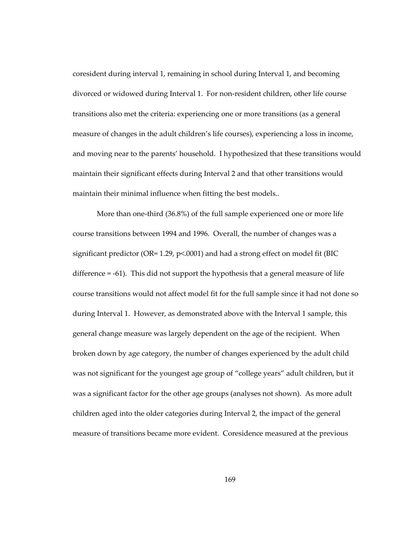coresident during interval 1, remaining in school during Interval 1, and becoming divorced or widowed during Interval 1. For non-resident children, other life course transitions also met the criteria: experiencing one or more transitions (as a general measure of changes in the adult children's life courses), experiencing a loss in income, and moving near to the parents' household. I hypothesized that these transitions would maintain their significant effects during Interval 2 and that other transitions would maintain their minimal influence when fitting the best models..

More than one-third (36.8%) of the full sample experienced one or more life course transitions between 1994 and 1996. Overall, the number of changes was a significant predictor ( $OR = 1.29$ ,  $p<0.001$ ) and had a strong effect on model fit (BIC difference = -61). This did not support the hypothesis that a general measure of life course transitions would not affect model fit for the full sample since it had not done so during Interval 1. However, as demonstrated above with the Interval 1 sample, this general change measure was largely dependent on the age of the recipient. When broken down by age category, the number of changes experienced by the adult child was not significant for the youngest age group of "college years" adult children, but it was a significant factor for the other age groups (analyses not shown). As more adult children aged into the older categories during Interval 2, the impact of the general measure of transitions became more evident. Coresidence measured at the previous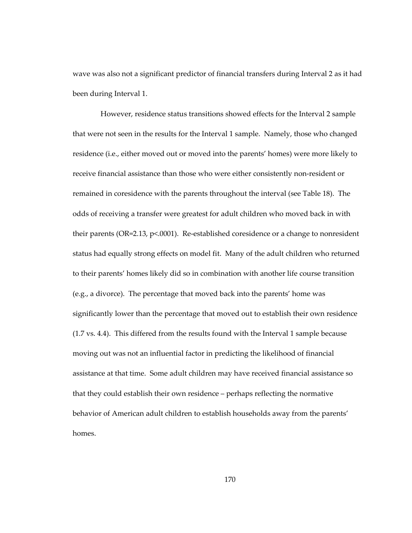wave was also not a significant predictor of financial transfers during Interval 2 as it had been during Interval 1.

 However, residence status transitions showed effects for the Interval 2 sample that were not seen in the results for the Interval 1 sample. Namely, those who changed residence (i.e., either moved out or moved into the parents' homes) were more likely to receive financial assistance than those who were either consistently non-resident or remained in coresidence with the parents throughout the interval (see Table 18). The odds of receiving a transfer were greatest for adult children who moved back in with their parents (OR=2.13, p<.0001). Re-established coresidence or a change to nonresident status had equally strong effects on model fit. Many of the adult children who returned to their parents' homes likely did so in combination with another life course transition (e.g., a divorce). The percentage that moved back into the parents' home was significantly lower than the percentage that moved out to establish their own residence (1.7 vs. 4.4). This differed from the results found with the Interval 1 sample because moving out was not an influential factor in predicting the likelihood of financial assistance at that time. Some adult children may have received financial assistance so that they could establish their own residence – perhaps reflecting the normative behavior of American adult children to establish households away from the parents' homes.

170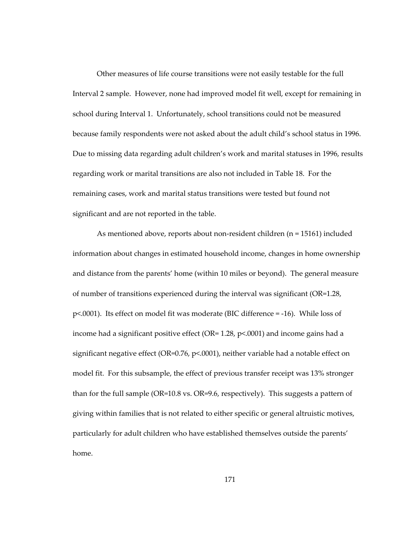Other measures of life course transitions were not easily testable for the full Interval 2 sample. However, none had improved model fit well, except for remaining in school during Interval 1. Unfortunately, school transitions could not be measured because family respondents were not asked about the adult child's school status in 1996. Due to missing data regarding adult children's work and marital statuses in 1996, results regarding work or marital transitions are also not included in Table 18. For the remaining cases, work and marital status transitions were tested but found not significant and are not reported in the table.

As mentioned above, reports about non-resident children (n = 15161) included information about changes in estimated household income, changes in home ownership and distance from the parents' home (within 10 miles or beyond). The general measure of number of transitions experienced during the interval was significant (OR=1.28, p<.0001). Its effect on model fit was moderate (BIC difference = -16). While loss of income had a significant positive effect (OR= 1.28, p<.0001) and income gains had a significant negative effect (OR=0.76, p<.0001), neither variable had a notable effect on model fit. For this subsample, the effect of previous transfer receipt was 13% stronger than for the full sample (OR=10.8 vs. OR=9.6, respectively). This suggests a pattern of giving within families that is not related to either specific or general altruistic motives, particularly for adult children who have established themselves outside the parents' home.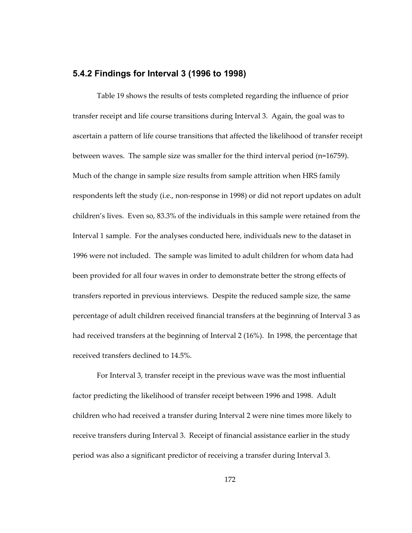#### **5.4.2 Findings for Interval 3 (1996 to 1998)**

Table 19 shows the results of tests completed regarding the influence of prior transfer receipt and life course transitions during Interval 3. Again, the goal was to ascertain a pattern of life course transitions that affected the likelihood of transfer receipt between waves. The sample size was smaller for the third interval period (n=16759). Much of the change in sample size results from sample attrition when HRS family respondents left the study (i.e., non-response in 1998) or did not report updates on adult children's lives. Even so, 83.3% of the individuals in this sample were retained from the Interval 1 sample. For the analyses conducted here, individuals new to the dataset in 1996 were not included. The sample was limited to adult children for whom data had been provided for all four waves in order to demonstrate better the strong effects of transfers reported in previous interviews. Despite the reduced sample size, the same percentage of adult children received financial transfers at the beginning of Interval 3 as had received transfers at the beginning of Interval 2 (16%). In 1998, the percentage that received transfers declined to 14.5%.

For Interval 3, transfer receipt in the previous wave was the most influential factor predicting the likelihood of transfer receipt between 1996 and 1998. Adult children who had received a transfer during Interval 2 were nine times more likely to receive transfers during Interval 3. Receipt of financial assistance earlier in the study period was also a significant predictor of receiving a transfer during Interval 3.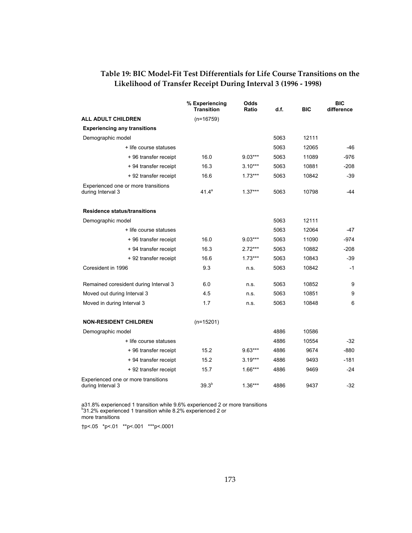|                                                          | % Experiencing<br><b>Transition</b> | Odds<br>Ratio | d.f. | <b>BIC</b> | <b>BIC</b><br>difference |
|----------------------------------------------------------|-------------------------------------|---------------|------|------------|--------------------------|
| <b>ALL ADULT CHILDREN</b>                                | $(n=16759)$                         |               |      |            |                          |
| <b>Experiencing any transitions</b>                      |                                     |               |      |            |                          |
| Demographic model                                        |                                     |               | 5063 | 12111      |                          |
| + life course statuses                                   |                                     |               | 5063 | 12065      | -46                      |
| + 96 transfer receipt                                    | 16.0                                | $9.03***$     | 5063 | 11089      | $-976$                   |
| + 94 transfer receipt                                    | 16.3                                | $3.10***$     | 5063 | 10881      | $-208$                   |
| + 92 transfer receipt                                    | 16.6<br>$1.73***$                   |               | 5063 | 10842      | $-39$                    |
| Experienced one or more transitions<br>during Interval 3 | $41.4^a$<br>$1.37***$               |               | 5063 | 10798      | -44                      |
| <b>Residence status/transitions</b>                      |                                     |               |      |            |                          |
| Demographic model                                        |                                     |               | 5063 | 12111      |                          |
| + life course statuses                                   |                                     |               | 5063 | 12064      | -47                      |
| + 96 transfer receipt                                    | 16.0                                | $9.03***$     | 5063 | 11090      | $-974$                   |
| + 94 transfer receipt                                    | 16.3                                | $2.72***$     | 5063 | 10882      | $-208$                   |
| + 92 transfer receipt                                    | 16.6                                | $1.73***$     | 5063 | 10843      | -39                      |
| Coresident in 1996                                       | 9.3                                 | n.s.          | 5063 | 10842      | $-1$                     |
| Remained coresident during Interval 3                    | 6.0                                 | n.s.          | 5063 | 10852      | 9                        |
| Moved out during Interval 3                              | 4.5                                 | n.s.          | 5063 | 10851      | 9                        |
| Moved in during Interval 3                               | 1.7<br>n.s.                         |               | 5063 | 10848      | 6                        |
| <b>NON-RESIDENT CHILDREN</b>                             | $(n=15201)$                         |               |      |            |                          |
| Demographic model                                        |                                     |               | 4886 | 10586      |                          |
| + life course statuses                                   |                                     |               | 4886 | 10554      | -32                      |
| +96 transfer receipt                                     | 15.2                                | $9.63***$     | 4886 | 9674       | $-880$                   |
| + 94 transfer receipt                                    | 15.2                                | $3.19***$     | 4886 | 9493       | $-181$                   |
| + 92 transfer receipt                                    | 15.7                                | $1.66***$     | 4886 | 9469       | $-24$                    |
| Experienced one or more transitions<br>during Interval 3 | 39.3 <sup>b</sup>                   | $1.36***$     | 4886 | 9437       | $-32$                    |

## **Table 19: BIC Model-Fit Test Differentials for Life Course Transitions on the Likelihood of Transfer Receipt During Interval 3 (1996 - 1998)**

a31.8% experienced 1 transition while 9.6% experienced 2 or more transitions b31.2% experienced 1 transition while 8.2% experienced 1 more transitions

†p<.05 \*p<.01 \*\*p<.001 \*\*\*p<.0001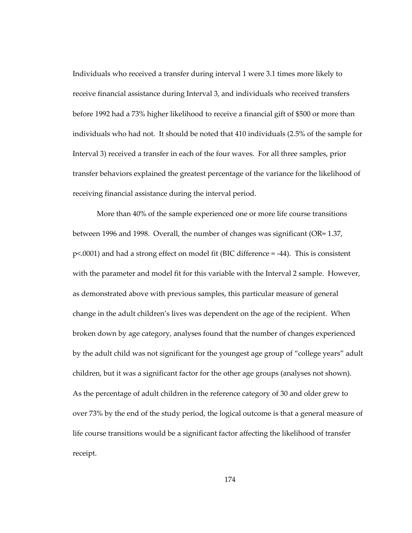Individuals who received a transfer during interval 1 were 3.1 times more likely to receive financial assistance during Interval 3, and individuals who received transfers before 1992 had a 73% higher likelihood to receive a financial gift of \$500 or more than individuals who had not. It should be noted that 410 individuals (2.5% of the sample for Interval 3) received a transfer in each of the four waves. For all three samples, prior transfer behaviors explained the greatest percentage of the variance for the likelihood of receiving financial assistance during the interval period.

More than 40% of the sample experienced one or more life course transitions between 1996 and 1998. Overall, the number of changes was significant (OR= 1.37, p<.0001) and had a strong effect on model fit (BIC difference = -44). This is consistent with the parameter and model fit for this variable with the Interval 2 sample. However, as demonstrated above with previous samples, this particular measure of general change in the adult children's lives was dependent on the age of the recipient. When broken down by age category, analyses found that the number of changes experienced by the adult child was not significant for the youngest age group of "college years" adult children, but it was a significant factor for the other age groups (analyses not shown). As the percentage of adult children in the reference category of 30 and older grew to over 73% by the end of the study period, the logical outcome is that a general measure of life course transitions would be a significant factor affecting the likelihood of transfer receipt.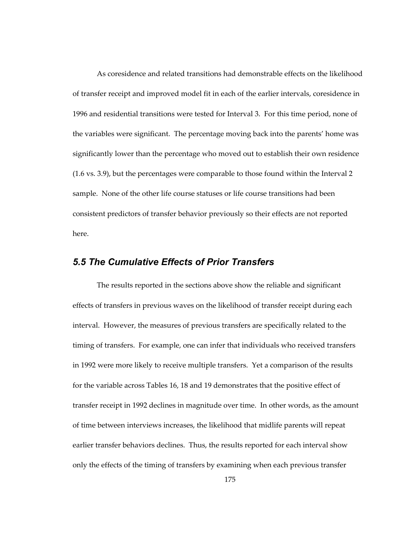As coresidence and related transitions had demonstrable effects on the likelihood of transfer receipt and improved model fit in each of the earlier intervals, coresidence in 1996 and residential transitions were tested for Interval 3. For this time period, none of the variables were significant. The percentage moving back into the parents' home was significantly lower than the percentage who moved out to establish their own residence (1.6 vs. 3.9), but the percentages were comparable to those found within the Interval 2 sample. None of the other life course statuses or life course transitions had been consistent predictors of transfer behavior previously so their effects are not reported here.

## *5.5 The Cumulative Effects of Prior Transfers*

The results reported in the sections above show the reliable and significant effects of transfers in previous waves on the likelihood of transfer receipt during each interval. However, the measures of previous transfers are specifically related to the timing of transfers. For example, one can infer that individuals who received transfers in 1992 were more likely to receive multiple transfers. Yet a comparison of the results for the variable across Tables 16, 18 and 19 demonstrates that the positive effect of transfer receipt in 1992 declines in magnitude over time. In other words, as the amount of time between interviews increases, the likelihood that midlife parents will repeat earlier transfer behaviors declines. Thus, the results reported for each interval show only the effects of the timing of transfers by examining when each previous transfer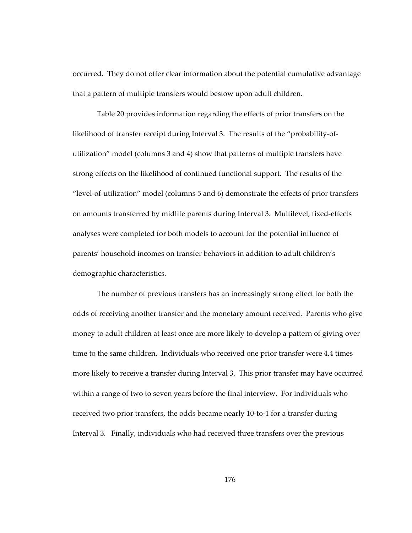occurred. They do not offer clear information about the potential cumulative advantage that a pattern of multiple transfers would bestow upon adult children.

Table 20 provides information regarding the effects of prior transfers on the likelihood of transfer receipt during Interval 3. The results of the "probability-ofutilization" model (columns 3 and 4) show that patterns of multiple transfers have strong effects on the likelihood of continued functional support. The results of the "level-of-utilization" model (columns 5 and 6) demonstrate the effects of prior transfers on amounts transferred by midlife parents during Interval 3. Multilevel, fixed-effects analyses were completed for both models to account for the potential influence of parents' household incomes on transfer behaviors in addition to adult children's demographic characteristics.

The number of previous transfers has an increasingly strong effect for both the odds of receiving another transfer and the monetary amount received. Parents who give money to adult children at least once are more likely to develop a pattern of giving over time to the same children. Individuals who received one prior transfer were 4.4 times more likely to receive a transfer during Interval 3. This prior transfer may have occurred within a range of two to seven years before the final interview. For individuals who received two prior transfers, the odds became nearly 10-to-1 for a transfer during Interval 3. Finally, individuals who had received three transfers over the previous

176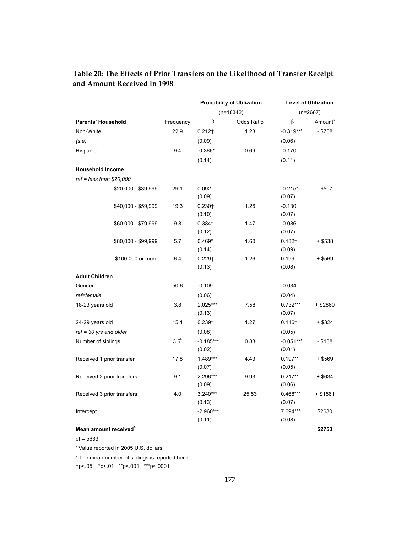|                                   |           | <b>Probability of Utilization</b> |            | <b>Level of Utilization</b> |                     |
|-----------------------------------|-----------|-----------------------------------|------------|-----------------------------|---------------------|
|                                   |           | $(n=18342)$                       |            | $(n=2667)$                  |                     |
| <b>Parents' Household</b>         | Frequency | $\beta$                           | Odds Ratio | $\beta$                     | Amount <sup>a</sup> |
| Non-White                         | 22.9      | $0.212+$                          | 1.23       | $-0.319***$                 | $- $708$            |
| (s.e)                             |           | (0.09)                            |            | (0.06)                      |                     |
| Hispanic                          | 9.4       | $-0.366*$                         | 0.69       | $-0.170$                    |                     |
|                                   |           | (0.14)                            |            | (0.11)                      |                     |
| <b>Household Income</b>           |           |                                   |            |                             |                     |
| $ref = less than $20,000$         |           |                                   |            |                             |                     |
| \$20,000 - \$39,999               | 29.1      | 0.092                             |            | $-0.215*$                   | - \$507             |
|                                   |           | (0.09)                            |            | (0.07)                      |                     |
| \$40,000 - \$59,999               | 19.3      | $0.230 +$                         | 1.26       | $-0.130$                    |                     |
|                                   |           | (0.10)                            |            | (0.07)                      |                     |
| \$60,000 - \$79,999               | 9.8       | $0.384*$                          | 1.47       | $-0.086$                    |                     |
|                                   |           | (0.12)                            |            | (0.07)                      |                     |
| \$80,000 - \$99,999               | 5.7       | $0.469*$                          | 1.60       | $0.182+$                    | + \$538             |
|                                   |           | (0.14)                            |            | (0.09)                      |                     |
| \$100,000 or more                 | 6.4       | $0.229 +$                         | 1.26       | $0.199+$                    | $+$ \$569           |
|                                   |           | (0.13)                            |            | (0.08)                      |                     |
| <b>Adult Children</b>             |           |                                   |            |                             |                     |
| Gender                            | 50.6      | $-0.109$                          |            | $-0.034$                    |                     |
| ref=female                        |           | (0.06)                            |            | (0.04)                      |                     |
| 18-23 years old                   | 3.8       | 2.025***                          | 7.58       | $0.732***$                  | + \$2860            |
|                                   |           | (0.13)                            |            | (0.07)                      |                     |
| 24-29 years old                   | 15.1      | $0.239*$                          | 1.27       | $0.116\dagger$              | + \$324             |
| $ref = 30$ yrs and older          |           | (0.08)                            |            | (0.05)                      |                     |
| Number of siblings                | $3.5^b$   | $-0.185***$                       | 0.83       | $-0.051***$                 | $- $138$            |
|                                   |           | (0.02)                            |            | (0.01)                      |                     |
| Received 1 prior transfer         | 17.8      | 1.489***                          | 4.43       | $0.197**$                   | $+$ \$569           |
|                                   |           | (0.07)                            |            | (0.05)                      |                     |
| Received 2 prior transfers        | 9.1       | 2.296***                          | 9.93       | $0.217**$                   | + \$634             |
|                                   |           | (0.09)                            |            | (0.06)                      |                     |
| Received 3 prior transfers        | 4.0       | $3.240***$                        | 25.53      | $0.468***$                  | + \$1561            |
|                                   |           | (0.13)                            |            | (0.07)                      |                     |
| Intercept                         |           | $-2.960***$<br>(0.11)             |            | 7.694***<br>(0.08)          | \$2630              |
| Mean amount received <sup>®</sup> |           |                                   |            |                             | \$2753              |
|                                   |           |                                   |            |                             |                     |

## **Table 20: The Effects of Prior Transfers on the Likelihood of Transfer Receipt and Amount Received in 1998**

df = 5633

<sup>a</sup> Value reported in 2005 U.S. dollars.

<sup>b</sup> The mean number of siblings is reported here.

†p<.05 \*p<.01 \*\*p<.001 \*\*\*p<.0001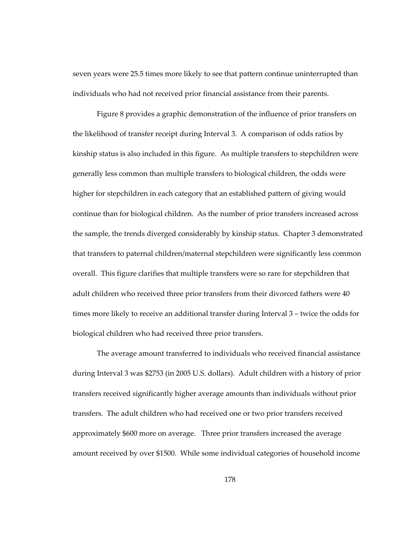seven years were 25.5 times more likely to see that pattern continue uninterrupted than individuals who had not received prior financial assistance from their parents.

Figure 8 provides a graphic demonstration of the influence of prior transfers on the likelihood of transfer receipt during Interval 3. A comparison of odds ratios by kinship status is also included in this figure. As multiple transfers to stepchildren were generally less common than multiple transfers to biological children, the odds were higher for stepchildren in each category that an established pattern of giving would continue than for biological children. As the number of prior transfers increased across the sample, the trends diverged considerably by kinship status. Chapter 3 demonstrated that transfers to paternal children/maternal stepchildren were significantly less common overall. This figure clarifies that multiple transfers were so rare for stepchildren that adult children who received three prior transfers from their divorced fathers were 40 times more likely to receive an additional transfer during Interval 3 – twice the odds for biological children who had received three prior transfers.

The average amount transferred to individuals who received financial assistance during Interval 3 was \$2753 (in 2005 U.S. dollars). Adult children with a history of prior transfers received significantly higher average amounts than individuals without prior transfers. The adult children who had received one or two prior transfers received approximately \$600 more on average. Three prior transfers increased the average amount received by over \$1500. While some individual categories of household income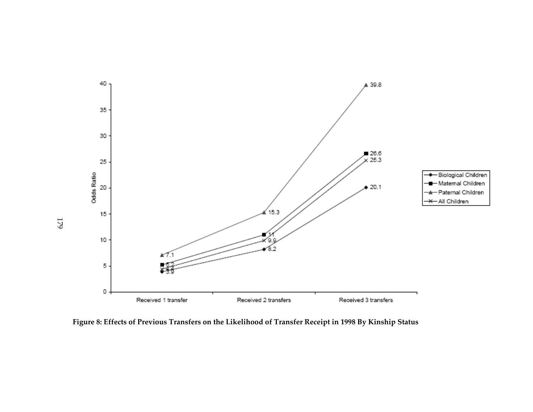

**Figure 8: Effects of Previous Transfers on the Likelihood of Transfer Receipt in 1998 By Kinship Status** 

179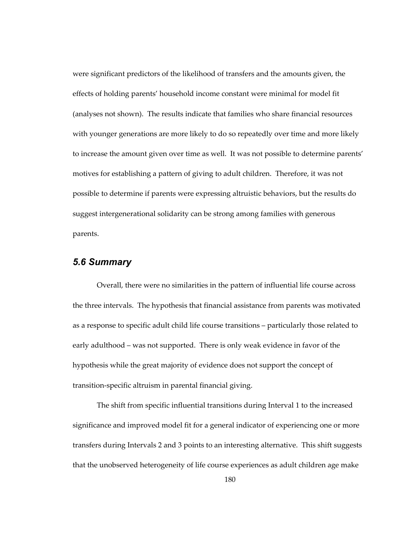were significant predictors of the likelihood of transfers and the amounts given, the effects of holding parents' household income constant were minimal for model fit (analyses not shown). The results indicate that families who share financial resources with younger generations are more likely to do so repeatedly over time and more likely to increase the amount given over time as well. It was not possible to determine parents' motives for establishing a pattern of giving to adult children. Therefore, it was not possible to determine if parents were expressing altruistic behaviors, but the results do suggest intergenerational solidarity can be strong among families with generous parents.

#### *5.6 Summary*

Overall, there were no similarities in the pattern of influential life course across the three intervals. The hypothesis that financial assistance from parents was motivated as a response to specific adult child life course transitions – particularly those related to early adulthood – was not supported. There is only weak evidence in favor of the hypothesis while the great majority of evidence does not support the concept of transition-specific altruism in parental financial giving.

The shift from specific influential transitions during Interval 1 to the increased significance and improved model fit for a general indicator of experiencing one or more transfers during Intervals 2 and 3 points to an interesting alternative. This shift suggests that the unobserved heterogeneity of life course experiences as adult children age make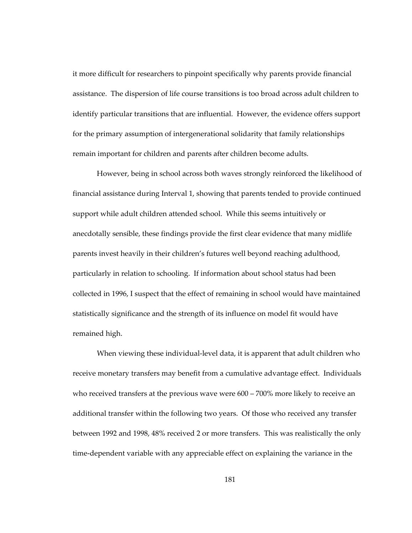it more difficult for researchers to pinpoint specifically why parents provide financial assistance. The dispersion of life course transitions is too broad across adult children to identify particular transitions that are influential. However, the evidence offers support for the primary assumption of intergenerational solidarity that family relationships remain important for children and parents after children become adults.

However, being in school across both waves strongly reinforced the likelihood of financial assistance during Interval 1, showing that parents tended to provide continued support while adult children attended school. While this seems intuitively or anecdotally sensible, these findings provide the first clear evidence that many midlife parents invest heavily in their children's futures well beyond reaching adulthood, particularly in relation to schooling. If information about school status had been collected in 1996, I suspect that the effect of remaining in school would have maintained statistically significance and the strength of its influence on model fit would have remained high.

When viewing these individual-level data, it is apparent that adult children who receive monetary transfers may benefit from a cumulative advantage effect. Individuals who received transfers at the previous wave were 600 – 700% more likely to receive an additional transfer within the following two years. Of those who received any transfer between 1992 and 1998, 48% received 2 or more transfers. This was realistically the only time-dependent variable with any appreciable effect on explaining the variance in the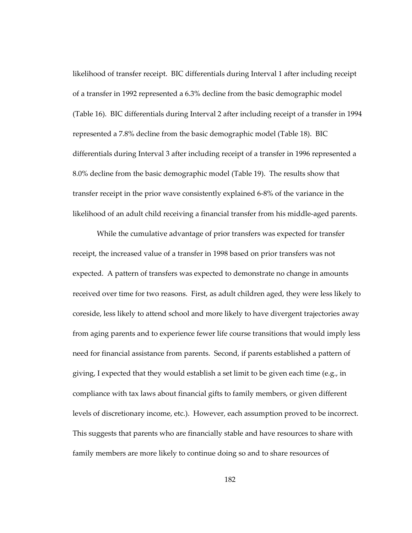likelihood of transfer receipt. BIC differentials during Interval 1 after including receipt of a transfer in 1992 represented a 6.3% decline from the basic demographic model (Table 16). BIC differentials during Interval 2 after including receipt of a transfer in 1994 represented a 7.8% decline from the basic demographic model (Table 18). BIC differentials during Interval 3 after including receipt of a transfer in 1996 represented a 8.0% decline from the basic demographic model (Table 19). The results show that transfer receipt in the prior wave consistently explained 6-8% of the variance in the likelihood of an adult child receiving a financial transfer from his middle-aged parents.

While the cumulative advantage of prior transfers was expected for transfer receipt, the increased value of a transfer in 1998 based on prior transfers was not expected. A pattern of transfers was expected to demonstrate no change in amounts received over time for two reasons. First, as adult children aged, they were less likely to coreside, less likely to attend school and more likely to have divergent trajectories away from aging parents and to experience fewer life course transitions that would imply less need for financial assistance from parents. Second, if parents established a pattern of giving, I expected that they would establish a set limit to be given each time (e.g., in compliance with tax laws about financial gifts to family members, or given different levels of discretionary income, etc.). However, each assumption proved to be incorrect. This suggests that parents who are financially stable and have resources to share with family members are more likely to continue doing so and to share resources of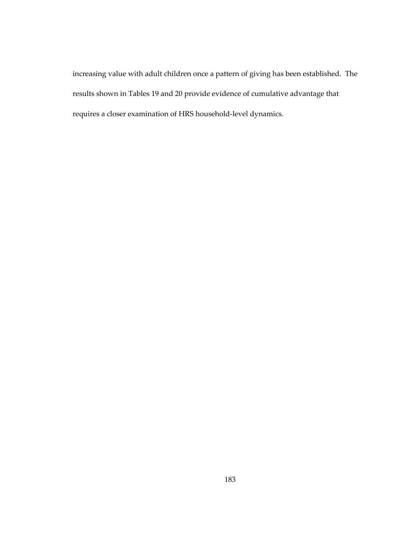increasing value with adult children once a pattern of giving has been established. The results shown in Tables 19 and 20 provide evidence of cumulative advantage that requires a closer examination of HRS household-level dynamics.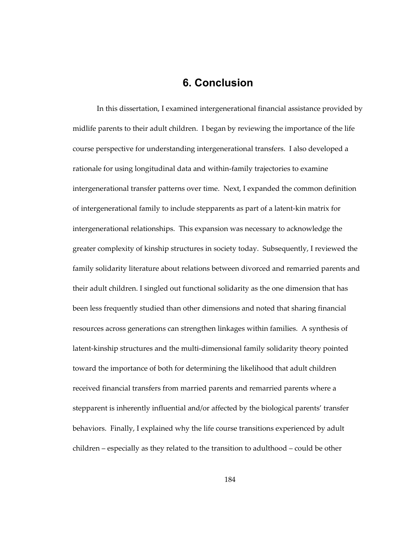# **6. Conclusion**

In this dissertation, I examined intergenerational financial assistance provided by midlife parents to their adult children. I began by reviewing the importance of the life course perspective for understanding intergenerational transfers. I also developed a rationale for using longitudinal data and within-family trajectories to examine intergenerational transfer patterns over time. Next, I expanded the common definition of intergenerational family to include stepparents as part of a latent-kin matrix for intergenerational relationships. This expansion was necessary to acknowledge the greater complexity of kinship structures in society today. Subsequently, I reviewed the family solidarity literature about relations between divorced and remarried parents and their adult children. I singled out functional solidarity as the one dimension that has been less frequently studied than other dimensions and noted that sharing financial resources across generations can strengthen linkages within families. A synthesis of latent-kinship structures and the multi-dimensional family solidarity theory pointed toward the importance of both for determining the likelihood that adult children received financial transfers from married parents and remarried parents where a stepparent is inherently influential and/or affected by the biological parents' transfer behaviors. Finally, I explained why the life course transitions experienced by adult children – especially as they related to the transition to adulthood – could be other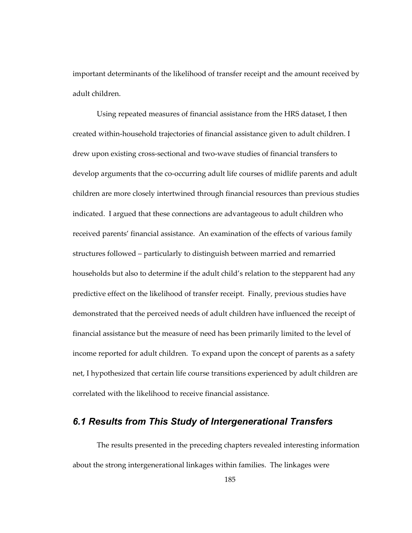important determinants of the likelihood of transfer receipt and the amount received by adult children.

Using repeated measures of financial assistance from the HRS dataset, I then created within-household trajectories of financial assistance given to adult children. I drew upon existing cross-sectional and two-wave studies of financial transfers to develop arguments that the co-occurring adult life courses of midlife parents and adult children are more closely intertwined through financial resources than previous studies indicated. I argued that these connections are advantageous to adult children who received parents' financial assistance. An examination of the effects of various family structures followed – particularly to distinguish between married and remarried households but also to determine if the adult child's relation to the stepparent had any predictive effect on the likelihood of transfer receipt. Finally, previous studies have demonstrated that the perceived needs of adult children have influenced the receipt of financial assistance but the measure of need has been primarily limited to the level of income reported for adult children. To expand upon the concept of parents as a safety net, I hypothesized that certain life course transitions experienced by adult children are correlated with the likelihood to receive financial assistance.

### *6.1 Results from This Study of Intergenerational Transfers*

The results presented in the preceding chapters revealed interesting information about the strong intergenerational linkages within families. The linkages were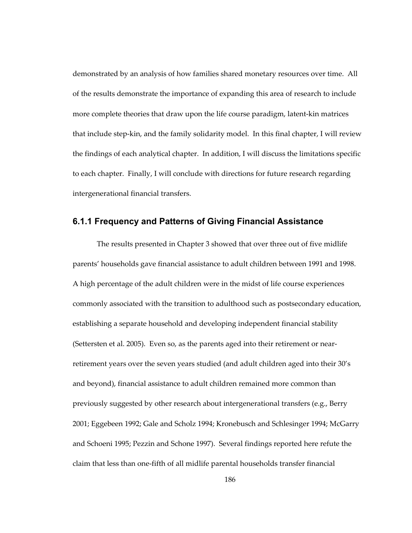demonstrated by an analysis of how families shared monetary resources over time. All of the results demonstrate the importance of expanding this area of research to include more complete theories that draw upon the life course paradigm, latent-kin matrices that include step-kin, and the family solidarity model. In this final chapter, I will review the findings of each analytical chapter. In addition, I will discuss the limitations specific to each chapter. Finally, I will conclude with directions for future research regarding intergenerational financial transfers.

#### **6.1.1 Frequency and Patterns of Giving Financial Assistance**

The results presented in Chapter 3 showed that over three out of five midlife parents' households gave financial assistance to adult children between 1991 and 1998. A high percentage of the adult children were in the midst of life course experiences commonly associated with the transition to adulthood such as postsecondary education, establishing a separate household and developing independent financial stability (Settersten et al. 2005). Even so, as the parents aged into their retirement or nearretirement years over the seven years studied (and adult children aged into their 30's and beyond), financial assistance to adult children remained more common than previously suggested by other research about intergenerational transfers (e.g., Berry 2001; Eggebeen 1992; Gale and Scholz 1994; Kronebusch and Schlesinger 1994; McGarry and Schoeni 1995; Pezzin and Schone 1997). Several findings reported here refute the claim that less than one-fifth of all midlife parental households transfer financial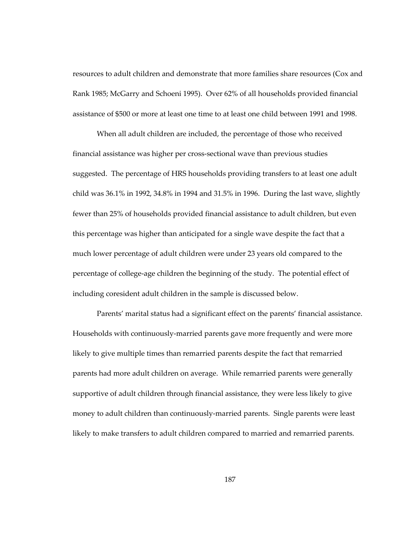resources to adult children and demonstrate that more families share resources (Cox and Rank 1985; McGarry and Schoeni 1995). Over 62% of all households provided financial assistance of \$500 or more at least one time to at least one child between 1991 and 1998.

When all adult children are included, the percentage of those who received financial assistance was higher per cross-sectional wave than previous studies suggested. The percentage of HRS households providing transfers to at least one adult child was 36.1% in 1992, 34.8% in 1994 and 31.5% in 1996. During the last wave, slightly fewer than 25% of households provided financial assistance to adult children, but even this percentage was higher than anticipated for a single wave despite the fact that a much lower percentage of adult children were under 23 years old compared to the percentage of college-age children the beginning of the study. The potential effect of including coresident adult children in the sample is discussed below.

Parents' marital status had a significant effect on the parents' financial assistance. Households with continuously-married parents gave more frequently and were more likely to give multiple times than remarried parents despite the fact that remarried parents had more adult children on average. While remarried parents were generally supportive of adult children through financial assistance, they were less likely to give money to adult children than continuously-married parents. Single parents were least likely to make transfers to adult children compared to married and remarried parents.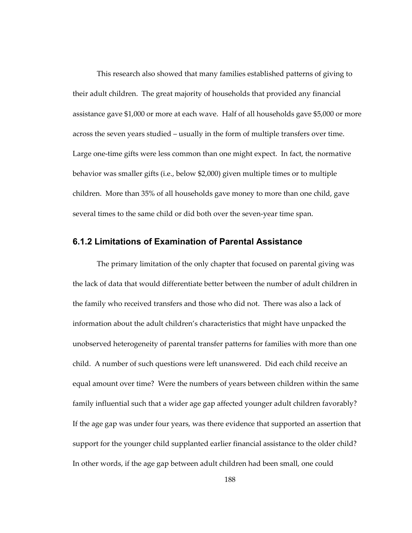This research also showed that many families established patterns of giving to their adult children. The great majority of households that provided any financial assistance gave \$1,000 or more at each wave. Half of all households gave \$5,000 or more across the seven years studied – usually in the form of multiple transfers over time. Large one-time gifts were less common than one might expect. In fact, the normative behavior was smaller gifts (i.e., below \$2,000) given multiple times or to multiple children. More than 35% of all households gave money to more than one child, gave several times to the same child or did both over the seven-year time span.

#### **6.1.2 Limitations of Examination of Parental Assistance**

The primary limitation of the only chapter that focused on parental giving was the lack of data that would differentiate better between the number of adult children in the family who received transfers and those who did not. There was also a lack of information about the adult children's characteristics that might have unpacked the unobserved heterogeneity of parental transfer patterns for families with more than one child. A number of such questions were left unanswered. Did each child receive an equal amount over time? Were the numbers of years between children within the same family influential such that a wider age gap affected younger adult children favorably? If the age gap was under four years, was there evidence that supported an assertion that support for the younger child supplanted earlier financial assistance to the older child? In other words, if the age gap between adult children had been small, one could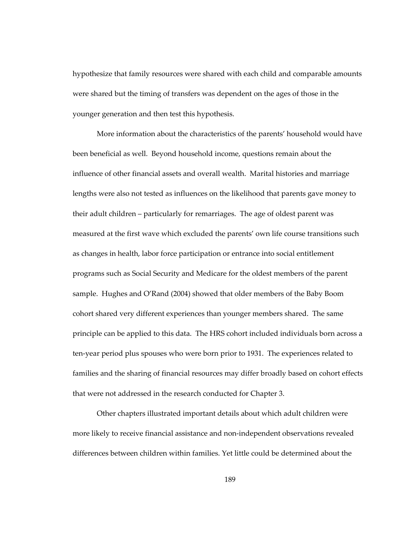hypothesize that family resources were shared with each child and comparable amounts were shared but the timing of transfers was dependent on the ages of those in the younger generation and then test this hypothesis.

More information about the characteristics of the parents' household would have been beneficial as well. Beyond household income, questions remain about the influence of other financial assets and overall wealth. Marital histories and marriage lengths were also not tested as influences on the likelihood that parents gave money to their adult children – particularly for remarriages. The age of oldest parent was measured at the first wave which excluded the parents' own life course transitions such as changes in health, labor force participation or entrance into social entitlement programs such as Social Security and Medicare for the oldest members of the parent sample. Hughes and O'Rand (2004) showed that older members of the Baby Boom cohort shared very different experiences than younger members shared. The same principle can be applied to this data. The HRS cohort included individuals born across a ten-year period plus spouses who were born prior to 1931. The experiences related to families and the sharing of financial resources may differ broadly based on cohort effects that were not addressed in the research conducted for Chapter 3.

Other chapters illustrated important details about which adult children were more likely to receive financial assistance and non-independent observations revealed differences between children within families. Yet little could be determined about the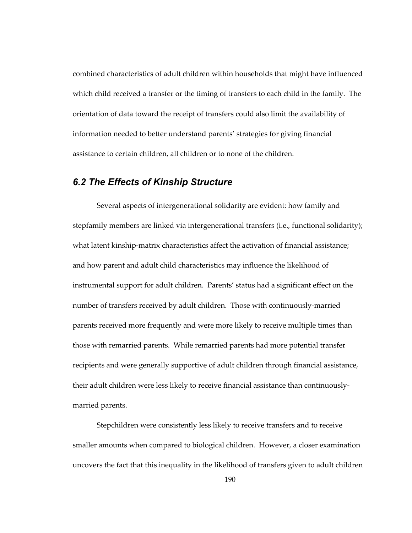combined characteristics of adult children within households that might have influenced which child received a transfer or the timing of transfers to each child in the family. The orientation of data toward the receipt of transfers could also limit the availability of information needed to better understand parents' strategies for giving financial assistance to certain children, all children or to none of the children.

## *6.2 The Effects of Kinship Structure*

Several aspects of intergenerational solidarity are evident: how family and stepfamily members are linked via intergenerational transfers (i.e., functional solidarity); what latent kinship-matrix characteristics affect the activation of financial assistance; and how parent and adult child characteristics may influence the likelihood of instrumental support for adult children. Parents' status had a significant effect on the number of transfers received by adult children. Those with continuously-married parents received more frequently and were more likely to receive multiple times than those with remarried parents. While remarried parents had more potential transfer recipients and were generally supportive of adult children through financial assistance, their adult children were less likely to receive financial assistance than continuouslymarried parents.

Stepchildren were consistently less likely to receive transfers and to receive smaller amounts when compared to biological children. However, a closer examination uncovers the fact that this inequality in the likelihood of transfers given to adult children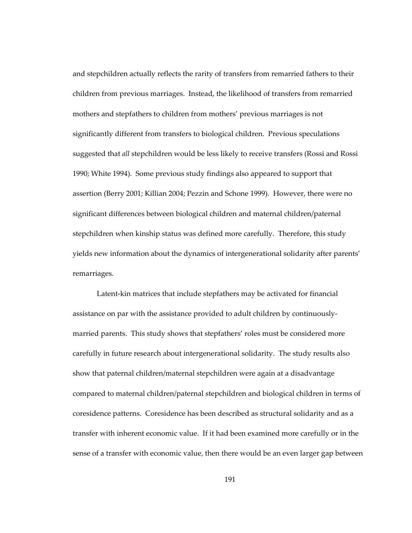and stepchildren actually reflects the rarity of transfers from remarried fathers to their children from previous marriages. Instead, the likelihood of transfers from remarried mothers and stepfathers to children from mothers' previous marriages is not significantly different from transfers to biological children. Previous speculations suggested that *all* stepchildren would be less likely to receive transfers (Rossi and Rossi 1990; White 1994). Some previous study findings also appeared to support that assertion (Berry 2001; Killian 2004; Pezzin and Schone 1999). However, there were no significant differences between biological children and maternal children/paternal stepchildren when kinship status was defined more carefully. Therefore, this study yields new information about the dynamics of intergenerational solidarity after parents' remarriages.

Latent-kin matrices that include stepfathers may be activated for financial assistance on par with the assistance provided to adult children by continuouslymarried parents. This study shows that stepfathers' roles must be considered more carefully in future research about intergenerational solidarity. The study results also show that paternal children/maternal stepchildren were again at a disadvantage compared to maternal children/paternal stepchildren and biological children in terms of coresidence patterns. Coresidence has been described as structural solidarity and as a transfer with inherent economic value. If it had been examined more carefully or in the sense of a transfer with economic value, then there would be an even larger gap between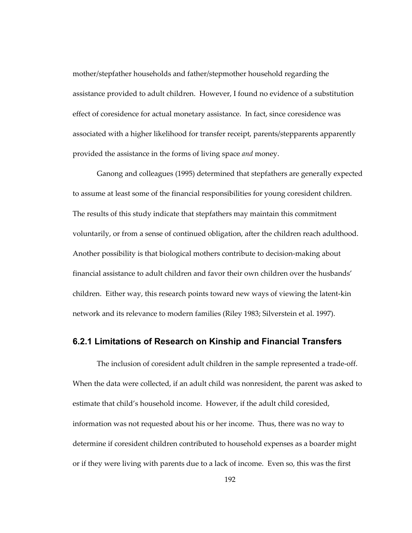mother/stepfather households and father/stepmother household regarding the assistance provided to adult children. However, I found no evidence of a substitution effect of coresidence for actual monetary assistance. In fact, since coresidence was associated with a higher likelihood for transfer receipt, parents/stepparents apparently provided the assistance in the forms of living space *and* money.

Ganong and colleagues (1995) determined that stepfathers are generally expected to assume at least some of the financial responsibilities for young coresident children. The results of this study indicate that stepfathers may maintain this commitment voluntarily, or from a sense of continued obligation, after the children reach adulthood. Another possibility is that biological mothers contribute to decision-making about financial assistance to adult children and favor their own children over the husbands' children. Either way, this research points toward new ways of viewing the latent-kin network and its relevance to modern families (Riley 1983; Silverstein et al. 1997).

#### **6.2.1 Limitations of Research on Kinship and Financial Transfers**

The inclusion of coresident adult children in the sample represented a trade-off. When the data were collected, if an adult child was nonresident, the parent was asked to estimate that child's household income. However, if the adult child coresided, information was not requested about his or her income. Thus, there was no way to determine if coresident children contributed to household expenses as a boarder might or if they were living with parents due to a lack of income. Even so, this was the first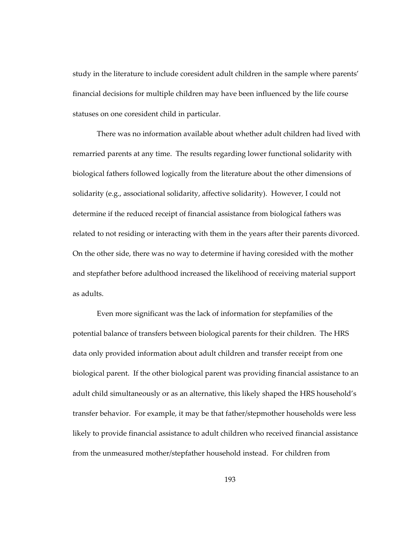study in the literature to include coresident adult children in the sample where parents' financial decisions for multiple children may have been influenced by the life course statuses on one coresident child in particular.

There was no information available about whether adult children had lived with remarried parents at any time. The results regarding lower functional solidarity with biological fathers followed logically from the literature about the other dimensions of solidarity (e.g., associational solidarity, affective solidarity). However, I could not determine if the reduced receipt of financial assistance from biological fathers was related to not residing or interacting with them in the years after their parents divorced. On the other side, there was no way to determine if having coresided with the mother and stepfather before adulthood increased the likelihood of receiving material support as adults.

Even more significant was the lack of information for stepfamilies of the potential balance of transfers between biological parents for their children. The HRS data only provided information about adult children and transfer receipt from one biological parent. If the other biological parent was providing financial assistance to an adult child simultaneously or as an alternative, this likely shaped the HRS household's transfer behavior. For example, it may be that father/stepmother households were less likely to provide financial assistance to adult children who received financial assistance from the unmeasured mother/stepfather household instead. For children from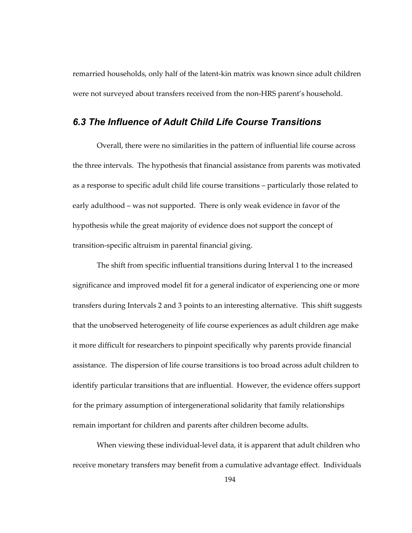remarried households, only half of the latent-kin matrix was known since adult children were not surveyed about transfers received from the non-HRS parent's household.

#### *6.3 The Influence of Adult Child Life Course Transitions*

Overall, there were no similarities in the pattern of influential life course across the three intervals. The hypothesis that financial assistance from parents was motivated as a response to specific adult child life course transitions – particularly those related to early adulthood – was not supported. There is only weak evidence in favor of the hypothesis while the great majority of evidence does not support the concept of transition-specific altruism in parental financial giving.

The shift from specific influential transitions during Interval 1 to the increased significance and improved model fit for a general indicator of experiencing one or more transfers during Intervals 2 and 3 points to an interesting alternative. This shift suggests that the unobserved heterogeneity of life course experiences as adult children age make it more difficult for researchers to pinpoint specifically why parents provide financial assistance. The dispersion of life course transitions is too broad across adult children to identify particular transitions that are influential. However, the evidence offers support for the primary assumption of intergenerational solidarity that family relationships remain important for children and parents after children become adults.

When viewing these individual-level data, it is apparent that adult children who receive monetary transfers may benefit from a cumulative advantage effect. Individuals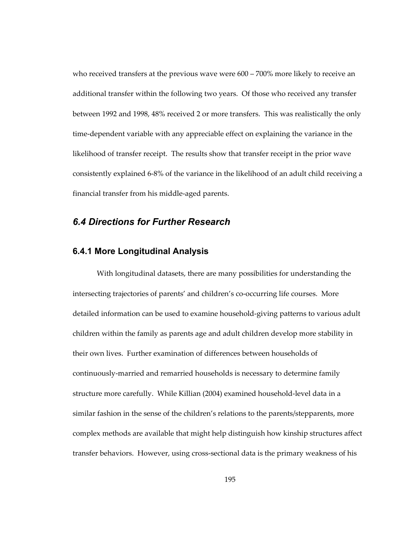who received transfers at the previous wave were 600 – 700% more likely to receive an additional transfer within the following two years. Of those who received any transfer between 1992 and 1998, 48% received 2 or more transfers. This was realistically the only time-dependent variable with any appreciable effect on explaining the variance in the likelihood of transfer receipt. The results show that transfer receipt in the prior wave consistently explained 6-8% of the variance in the likelihood of an adult child receiving a financial transfer from his middle-aged parents.

## *6.4 Directions for Further Research*

#### **6.4.1 More Longitudinal Analysis**

With longitudinal datasets, there are many possibilities for understanding the intersecting trajectories of parents' and children's co-occurring life courses. More detailed information can be used to examine household-giving patterns to various adult children within the family as parents age and adult children develop more stability in their own lives. Further examination of differences between households of continuously-married and remarried households is necessary to determine family structure more carefully. While Killian (2004) examined household-level data in a similar fashion in the sense of the children's relations to the parents/stepparents, more complex methods are available that might help distinguish how kinship structures affect transfer behaviors. However, using cross-sectional data is the primary weakness of his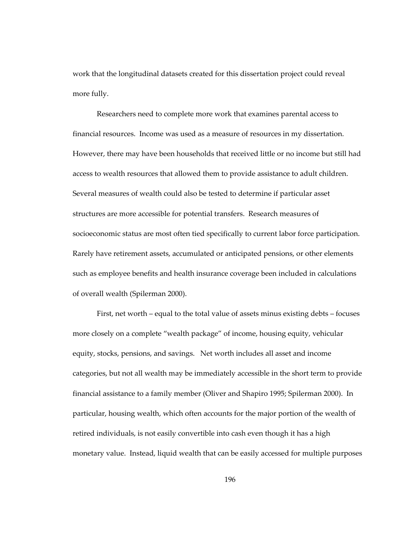work that the longitudinal datasets created for this dissertation project could reveal more fully.

Researchers need to complete more work that examines parental access to financial resources. Income was used as a measure of resources in my dissertation. However, there may have been households that received little or no income but still had access to wealth resources that allowed them to provide assistance to adult children. Several measures of wealth could also be tested to determine if particular asset structures are more accessible for potential transfers. Research measures of socioeconomic status are most often tied specifically to current labor force participation. Rarely have retirement assets, accumulated or anticipated pensions, or other elements such as employee benefits and health insurance coverage been included in calculations of overall wealth (Spilerman 2000).

First, net worth – equal to the total value of assets minus existing debts – focuses more closely on a complete "wealth package" of income, housing equity, vehicular equity, stocks, pensions, and savings. Net worth includes all asset and income categories, but not all wealth may be immediately accessible in the short term to provide financial assistance to a family member (Oliver and Shapiro 1995; Spilerman 2000). In particular, housing wealth, which often accounts for the major portion of the wealth of retired individuals, is not easily convertible into cash even though it has a high monetary value. Instead, liquid wealth that can be easily accessed for multiple purposes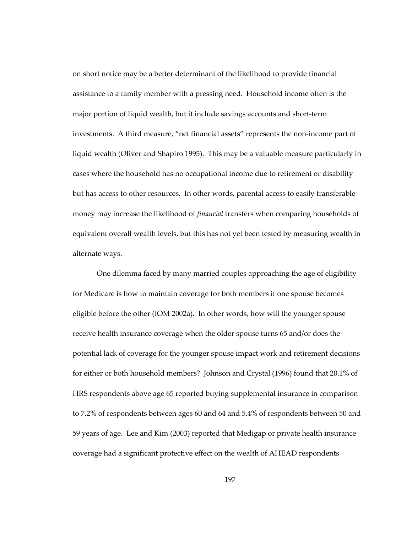on short notice may be a better determinant of the likelihood to provide financial assistance to a family member with a pressing need. Household income often is the major portion of liquid wealth, but it include savings accounts and short-term investments. A third measure, "net financial assets" represents the non-income part of liquid wealth (Oliver and Shapiro 1995). This may be a valuable measure particularly in cases where the household has no occupational income due to retirement or disability but has access to other resources. In other words, parental access to easily transferable money may increase the likelihood of *financial* transfers when comparing households of equivalent overall wealth levels, but this has not yet been tested by measuring wealth in alternate ways.

One dilemma faced by many married couples approaching the age of eligibility for Medicare is how to maintain coverage for both members if one spouse becomes eligible before the other (IOM 2002a). In other words, how will the younger spouse receive health insurance coverage when the older spouse turns 65 and/or does the potential lack of coverage for the younger spouse impact work and retirement decisions for either or both household members? Johnson and Crystal (1996) found that 20.1% of HRS respondents above age 65 reported buying supplemental insurance in comparison to 7.2% of respondents between ages 60 and 64 and 5.4% of respondents between 50 and 59 years of age. Lee and Kim (2003) reported that Medigap or private health insurance coverage had a significant protective effect on the wealth of AHEAD respondents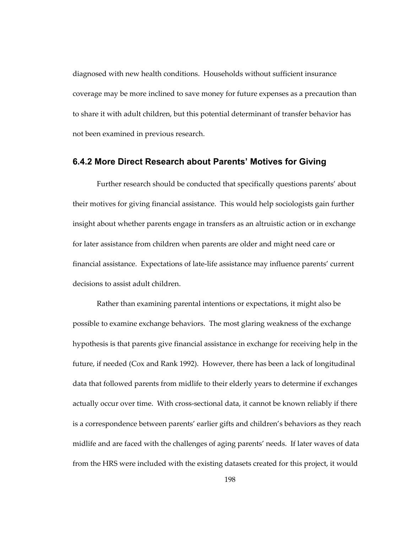diagnosed with new health conditions. Households without sufficient insurance coverage may be more inclined to save money for future expenses as a precaution than to share it with adult children, but this potential determinant of transfer behavior has not been examined in previous research.

#### **6.4.2 More Direct Research about Parents' Motives for Giving**

Further research should be conducted that specifically questions parents' about their motives for giving financial assistance. This would help sociologists gain further insight about whether parents engage in transfers as an altruistic action or in exchange for later assistance from children when parents are older and might need care or financial assistance. Expectations of late-life assistance may influence parents' current decisions to assist adult children.

Rather than examining parental intentions or expectations, it might also be possible to examine exchange behaviors. The most glaring weakness of the exchange hypothesis is that parents give financial assistance in exchange for receiving help in the future, if needed (Cox and Rank 1992). However, there has been a lack of longitudinal data that followed parents from midlife to their elderly years to determine if exchanges actually occur over time. With cross-sectional data, it cannot be known reliably if there is a correspondence between parents' earlier gifts and children's behaviors as they reach midlife and are faced with the challenges of aging parents' needs. If later waves of data from the HRS were included with the existing datasets created for this project, it would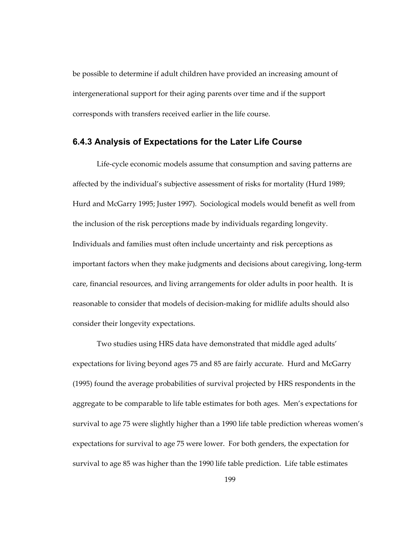be possible to determine if adult children have provided an increasing amount of intergenerational support for their aging parents over time and if the support corresponds with transfers received earlier in the life course.

#### **6.4.3 Analysis of Expectations for the Later Life Course**

Life-cycle economic models assume that consumption and saving patterns are affected by the individual's subjective assessment of risks for mortality (Hurd 1989; Hurd and McGarry 1995; Juster 1997). Sociological models would benefit as well from the inclusion of the risk perceptions made by individuals regarding longevity. Individuals and families must often include uncertainty and risk perceptions as important factors when they make judgments and decisions about caregiving, long-term care, financial resources, and living arrangements for older adults in poor health. It is reasonable to consider that models of decision-making for midlife adults should also consider their longevity expectations.

Two studies using HRS data have demonstrated that middle aged adults' expectations for living beyond ages 75 and 85 are fairly accurate. Hurd and McGarry (1995) found the average probabilities of survival projected by HRS respondents in the aggregate to be comparable to life table estimates for both ages. Men's expectations for survival to age 75 were slightly higher than a 1990 life table prediction whereas women's expectations for survival to age 75 were lower. For both genders, the expectation for survival to age 85 was higher than the 1990 life table prediction. Life table estimates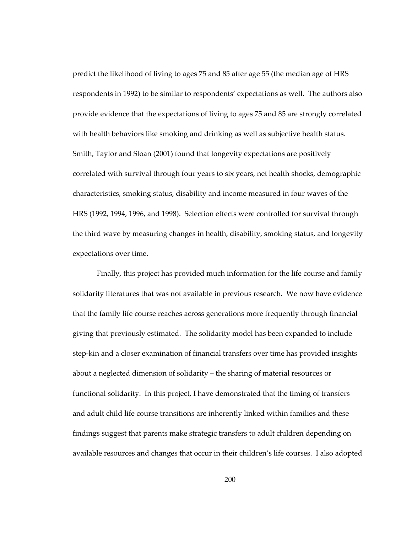predict the likelihood of living to ages 75 and 85 after age 55 (the median age of HRS respondents in 1992) to be similar to respondents' expectations as well. The authors also provide evidence that the expectations of living to ages 75 and 85 are strongly correlated with health behaviors like smoking and drinking as well as subjective health status. Smith, Taylor and Sloan (2001) found that longevity expectations are positively correlated with survival through four years to six years, net health shocks, demographic characteristics, smoking status, disability and income measured in four waves of the HRS (1992, 1994, 1996, and 1998). Selection effects were controlled for survival through the third wave by measuring changes in health, disability, smoking status, and longevity expectations over time.

Finally, this project has provided much information for the life course and family solidarity literatures that was not available in previous research. We now have evidence that the family life course reaches across generations more frequently through financial giving that previously estimated. The solidarity model has been expanded to include step-kin and a closer examination of financial transfers over time has provided insights about a neglected dimension of solidarity – the sharing of material resources or functional solidarity. In this project, I have demonstrated that the timing of transfers and adult child life course transitions are inherently linked within families and these findings suggest that parents make strategic transfers to adult children depending on available resources and changes that occur in their children's life courses. I also adopted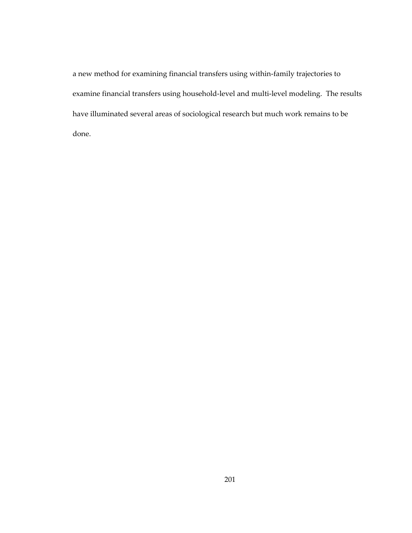a new method for examining financial transfers using within-family trajectories to examine financial transfers using household-level and multi-level modeling. The results have illuminated several areas of sociological research but much work remains to be done.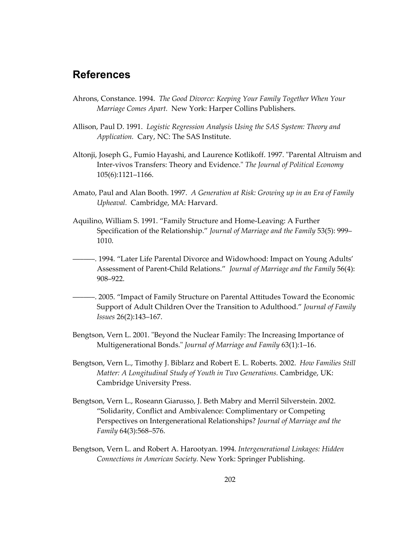## **References**

- Ahrons, Constance. 1994. *The Good Divorce: Keeping Your Family Together When Your Marriage Comes Apart.* New York: Harper Collins Publishers.
- Allison, Paul D. 1991. *Logistic Regression Analysis Using the SAS System: Theory and Application.* Cary, NC: The SAS Institute.
- Altonji, Joseph G., Fumio Hayashi, and Laurence Kotlikoff. 1997. "Parental Altruism and Inter-vivos Transfers: Theory and Evidence." *The Journal of Political Economy* 105(6):1121–1166.
- Amato, Paul and Alan Booth. 1997. *A Generation at Risk: Growing up in an Era of Family Upheaval.* Cambridge, MA: Harvard.
- Aquilino, William S. 1991. "Family Structure and Home-Leaving: A Further Specification of the Relationship." *Journal of Marriage and the Family* 53(5): 999– 1010.
- ––––––. 1994. "Later Life Parental Divorce and Widowhood: Impact on Young Adults' Assessment of Parent-Child Relations." *Journal of Marriage and the Family* 56(4): 908–922.
- ––––––. 2005. "Impact of Family Structure on Parental Attitudes Toward the Economic Support of Adult Children Over the Transition to Adulthood." *Journal of Family Issues* 26(2):143–167.
- Bengtson, Vern L. 2001. "Beyond the Nuclear Family: The Increasing Importance of Multigenerational Bonds." *Journal of Marriage and Family* 63(1):1–16.
- Bengtson, Vern L., Timothy J. Biblarz and Robert E. L. Roberts. 2002. *How Families Still Matter: A Longitudinal Study of Youth in Two Generations.* Cambridge, UK: Cambridge University Press.
- Bengtson, Vern L., Roseann Giarusso, J. Beth Mabry and Merril Silverstein. 2002. "Solidarity, Conflict and Ambivalence: Complimentary or Competing Perspectives on Intergenerational Relationships? *Journal of Marriage and the Family* 64(3):568–576.
- Bengtson, Vern L. and Robert A. Harootyan. 1994. *Intergenerational Linkages: Hidden Connections in American Society.* New York: Springer Publishing.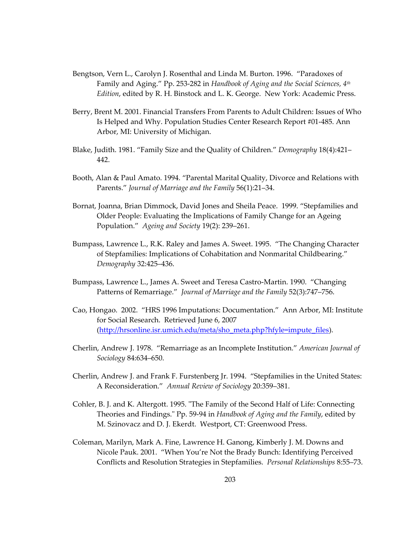- Bengtson, Vern L., Carolyn J. Rosenthal and Linda M. Burton. 1996. "Paradoxes of Family and Aging." Pp. 253-282 in *Handbook of Aging and the Social Sciences, 4th Edition*, edited by R. H. Binstock and L. K. George. New York: Academic Press.
- Berry, Brent M. 2001. Financial Transfers From Parents to Adult Children: Issues of Who Is Helped and Why. Population Studies Center Research Report #01-485. Ann Arbor, MI: University of Michigan.
- Blake, Judith. 1981. "Family Size and the Quality of Children." *Demography* 18(4):421– 442.
- Booth, Alan & Paul Amato. 1994. "Parental Marital Quality, Divorce and Relations with Parents." *Journal of Marriage and the Family* 56(1):21–34.
- Bornat, Joanna, Brian Dimmock, David Jones and Sheila Peace. 1999. "Stepfamilies and Older People: Evaluating the Implications of Family Change for an Ageing Population." *Ageing and Society* 19(2): 239–261.
- Bumpass, Lawrence L., R.K. Raley and James A. Sweet. 1995. "The Changing Character of Stepfamilies: Implications of Cohabitation and Nonmarital Childbearing." *Demography* 32:425–436.
- Bumpass, Lawrence L., James A. Sweet and Teresa Castro-Martin. 1990. "Changing Patterns of Remarriage." *Journal of Marriage and the Family* 52(3):747–756.
- Cao, Hongao. 2002. "HRS 1996 Imputations: Documentation." Ann Arbor, MI: Institute for Social Research. Retrieved June 6, 2007 ([http://hrsonline.isr.umich.edu/meta/sho\\_meta.php?hfyle=impute\\_files](http://hrsonline.isr.umich.edu/meta/sho_meta.php?hfyle=impute_files)).
- Cherlin, Andrew J. 1978. "Remarriage as an Incomplete Institution." *American Journal of Sociology* 84:634–650.
- Cherlin, Andrew J. and Frank F. Furstenberg Jr. 1994. "Stepfamilies in the United States: A Reconsideration." *Annual Review of Sociology* 20:359–381.
- Cohler, B. J. and K. Altergott. 1995. "The Family of the Second Half of Life: Connecting Theories and Findings." Pp. 59-94 in *Handbook of Aging and the Family*, edited by M. Szinovacz and D. J. Ekerdt. Westport, CT: Greenwood Press.
- Coleman, Marilyn, Mark A. Fine, Lawrence H. Ganong, Kimberly J. M. Downs and Nicole Pauk. 2001. "When You're Not the Brady Bunch: Identifying Perceived Conflicts and Resolution Strategies in Stepfamilies. *Personal Relationships* 8:55–73.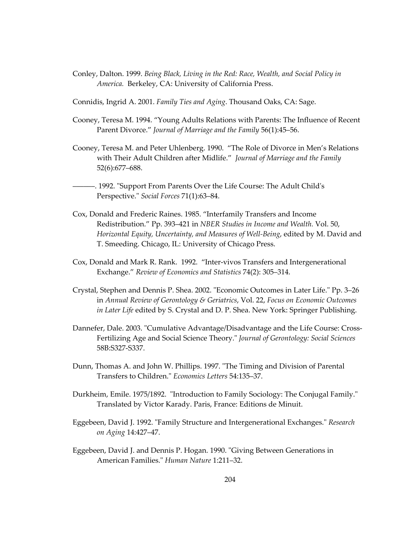Conley, Dalton. 1999. *Being Black, Living in the Red: Race, Wealth, and Social Policy in America.* Berkeley, CA: University of California Press.

Connidis, Ingrid A. 2001. *Family Ties and Aging*. Thousand Oaks, CA: Sage.

- Cooney, Teresa M. 1994. "Young Adults Relations with Parents: The Influence of Recent Parent Divorce." *Journal of Marriage and the Family* 56(1):45–56.
- Cooney, Teresa M. and Peter Uhlenberg. 1990. "The Role of Divorce in Men's Relations with Their Adult Children after Midlife." *Journal of Marriage and the Family*  52(6):677–688.
- ––––––. 1992. "Support From Parents Over the Life Course: The Adult Child's Perspective." *Social Forces* 71(1):63–84.
- Cox, Donald and Frederic Raines. 1985. "Interfamily Transfers and Income Redistribution." Pp. 393–421 in *NBER Studies in Income and Wealth.* Vol. 50, *Horizontal Equity, Uncertainty, and Measures of Well-Being*, edited by M. David and T. Smeeding. Chicago, IL: University of Chicago Press.
- Cox, Donald and Mark R. Rank. 1992. "Inter-vivos Transfers and Intergenerational Exchange." *Review of Economics and Statistics* 74(2): 305–314.
- Crystal, Stephen and Dennis P. Shea. 2002. "Economic Outcomes in Later Life." Pp. 3–26 in *Annual Review of Gerontology & Geriatrics*, Vol. 22, *Focus on Economic Outcomes in Later Life* edited by S. Crystal and D. P. Shea. New York: Springer Publishing.
- Dannefer, Dale. 2003. "Cumulative Advantage/Disadvantage and the Life Course: Cross-Fertilizing Age and Social Science Theory." *Journal of Gerontology: Social Sciences* 58B:S327-S337.
- Dunn, Thomas A. and John W. Phillips. 1997. "The Timing and Division of Parental Transfers to Children." *Economics Letters* 54:135–37.
- Durkheim, Emile. 1975/1892. "Introduction to Family Sociology: The Conjugal Family." Translated by Victor Karady. Paris, France: Editions de Minuit.
- Eggebeen, David J. 1992. "Family Structure and Intergenerational Exchanges." *Research on Aging* 14:427–47.
- Eggebeen, David J. and Dennis P. Hogan. 1990. "Giving Between Generations in American Families." *Human Nature* 1:211–32.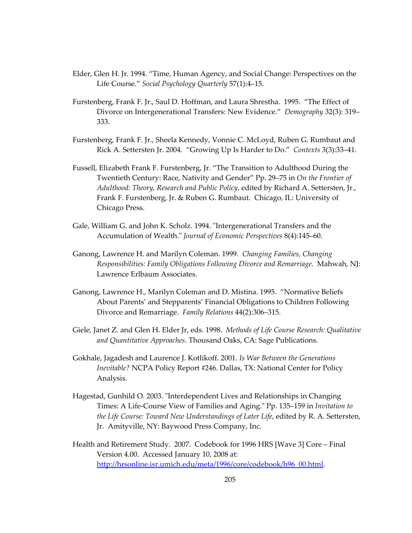- Elder, Glen H. Jr. 1994. "Time, Human Agency, and Social Change: Perspectives on the Life Course." *Social Psychology Quarterly* 57(1):4–15.
- Furstenberg, Frank F. Jr., Saul D. Hoffman, and Laura Shrestha. 1995. "The Effect of Divorce on Intergenerational Transfers: New Evidence." *Demography* 32(3): 319– 333.
- Furstenberg, Frank F. Jr., Sheela Kennedy, Vonnie C. McLoyd, Ruben G. Rumbaut and Rick A. Settersten Jr. 2004. "Growing Up Is Harder to Do." *Contexts* 3(3):33–41.
- Fussell, Elizabeth Frank F. Furstenberg, Jr. "The Transition to Adulthood During the Twentieth Century: Race, Nativity and Gender" Pp. 29–75 in *On the Frontier of Adulthood: Theory, Research and Public Policy*, edited by Richard A. Settersten, Jr., Frank F. Furstenberg, Jr. & Ruben G. Rumbaut. Chicago, IL: University of Chicago Press.
- Gale, William G. and John K. Scholz. 1994. "Intergenerational Transfers and the Accumulation of Wealth." *Journal of Economic Perspectives* 8(4):145–60.
- Ganong, Lawrence H. and Marilyn Coleman. 1999. *Changing Families, Changing Responsibilities: Family Obligations Following Divorce and Remarriage*. Mahwah, NJ: Lawrence Erlbaum Associates.
- Ganong, Lawrence H., Marilyn Coleman and D. Mistina. 1995. "Normative Beliefs About Parents' and Stepparents' Financial Obligations to Children Following Divorce and Remarriage. *Family Relations* 44(2):306–315.
- Giele, Janet Z. and Glen H. Elder Jr, eds. 1998. *Methods of Life Course Research: Qualitative and Quantitative Approaches*. Thousand Oaks, CA: Sage Publications.
- Gokhale, Jagadesh and Laurence J. Kotlikoff. 2001. *Is War Between the Generations Inevitable?* NCPA Policy Report #246. Dallas, TX: National Center for Policy Analysis.
- Hagestad, Gunhild O. 2003. "Interdependent Lives and Relationships in Changing Times: A Life-Course View of Families and Aging." Pp. 135–159 in *Invitation to the Life Course: Toward New Understandings of Later Life*, edited by R. A. Settersten, Jr. Amityville, NY: Baywood Press Company, Inc.
- Health and Retirement Study. 2007. Codebook for 1996 HRS [Wave 3] Core Final Version 4.00. Accessed January 10, 2008 at: [http://hrsonline.isr.umich.edu/meta/1996/core/codebook/h96\\_00.html.](http://hrsonline.isr.umich.edu/meta/1996/core/codebook/h96_00.html)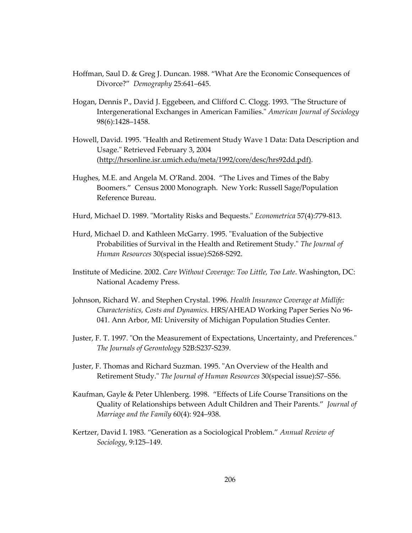- Hoffman, Saul D. & Greg J. Duncan. 1988. "What Are the Economic Consequences of Divorce?" *Demography* 25:641–645.
- Hogan, Dennis P., David J. Eggebeen, and Clifford C. Clogg. 1993. "The Structure of Intergenerational Exchanges in American Families." *American Journal of Sociology* 98(6):1428–1458.
- Howell, David. 1995. "Health and Retirement Study Wave 1 Data: Data Description and Usage." Retrieved February 3, 2004 (http://hrsonline.isr.umich.edu/meta/1992/core/desc/hrs92dd.pdf).
- Hughes, M.E. and Angela M. O'Rand. 2004. "The Lives and Times of the Baby Boomers." Census 2000 Monograph. New York: Russell Sage/Population Reference Bureau.
- Hurd, Michael D. 1989. "Mortality Risks and Bequests." *Econometrica* 57(4):779-813.
- Hurd, Michael D. and Kathleen McGarry. 1995. "Evaluation of the Subjective Probabilities of Survival in the Health and Retirement Study." *The Journal of Human Resources* 30(special issue):S268-S292.
- Institute of Medicine. 2002. *Care Without Coverage: Too Little, Too Late*. Washington, DC: National Academy Press.
- Johnson, Richard W. and Stephen Crystal. 1996. *Health Insurance Coverage at Midlife: Characteristics, Costs and Dynamics*. HRS/AHEAD Working Paper Series No 96- 041. Ann Arbor, MI: University of Michigan Population Studies Center.
- Juster, F. T. 1997. "On the Measurement of Expectations, Uncertainty, and Preferences." *The Journals of Gerontology* 52B:S237-S239.
- Juster, F. Thomas and Richard Suzman. 1995. "An Overview of the Health and Retirement Study." *The Journal of Human Resources* 30(special issue):S7–S56.
- Kaufman, Gayle & Peter Uhlenberg. 1998. "Effects of Life Course Transitions on the Quality of Relationships between Adult Children and Their Parents." *Journal of Marriage and the Family* 60(4): 924–938.
- Kertzer, David I. 1983. "Generation as a Sociological Problem." *Annual Review of Sociology*, 9:125–149.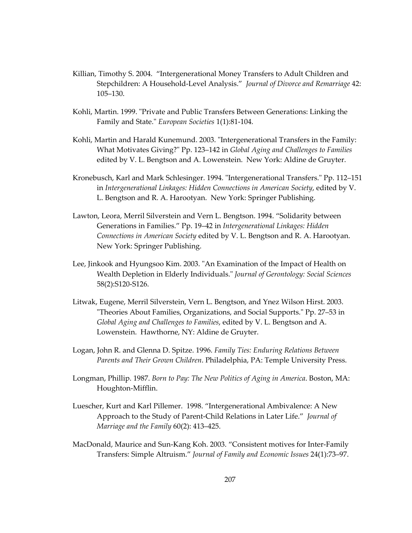- Killian, Timothy S. 2004. "Intergenerational Money Transfers to Adult Children and Stepchildren: A Household-Level Analysis." *Journal of Divorce and Remarriage* 42: 105–130.
- Kohli, Martin. 1999. "Private and Public Transfers Between Generations: Linking the Family and State." *European Societies* 1(1):81-104.
- Kohli, Martin and Harald Kunemund. 2003. "Intergenerational Transfers in the Family: What Motivates Giving?" Pp. 123–142 in *Global Aging and Challenges to Families* edited by V. L. Bengtson and A. Lowenstein. New York: Aldine de Gruyter.
- Kronebusch, Karl and Mark Schlesinger. 1994. "Intergenerational Transfers." Pp. 112–151 in *Intergenerational Linkages: Hidden Connections in American Society*, edited by V. L. Bengtson and R. A. Harootyan. New York: Springer Publishing.
- Lawton, Leora, Merril Silverstein and Vern L. Bengtson. 1994. "Solidarity between Generations in Families." Pp. 19–42 in *Intergenerational Linkages: Hidden Connections in American Society* edited by V. L. Bengtson and R. A. Harootyan. New York: Springer Publishing.
- Lee, Jinkook and Hyungsoo Kim. 2003. "An Examination of the Impact of Health on Wealth Depletion in Elderly Individuals." *Journal of Gerontology: Social Sciences* 58(2):S120-S126.
- Litwak, Eugene, Merril Silverstein, Vern L. Bengtson, and Ynez Wilson Hirst. 2003. "Theories About Families, Organizations, and Social Supports." Pp. 27–53 in *Global Aging and Challenges to Families*, edited by V. L. Bengtson and A. Lowenstein. Hawthorne, NY: Aldine de Gruyter.
- Logan, John R. and Glenna D. Spitze. 1996. *Family Ties: Enduring Relations Between Parents and Their Grown Children*. Philadelphia, PA: Temple University Press.
- Longman, Phillip. 1987. *Born to Pay: The New Politics of Aging in America*. Boston, MA: Houghton-Mifflin.
- Luescher, Kurt and Karl Pillemer. 1998. "Intergenerational Ambivalence: A New Approach to the Study of Parent-Child Relations in Later Life." *Journal of Marriage and the Family* 60(2): 413–425.
- MacDonald, Maurice and Sun-Kang Koh. 2003. "Consistent motives for Inter-Family Transfers: Simple Altruism." *Journal of Family and Economic Issues* 24(1):73–97.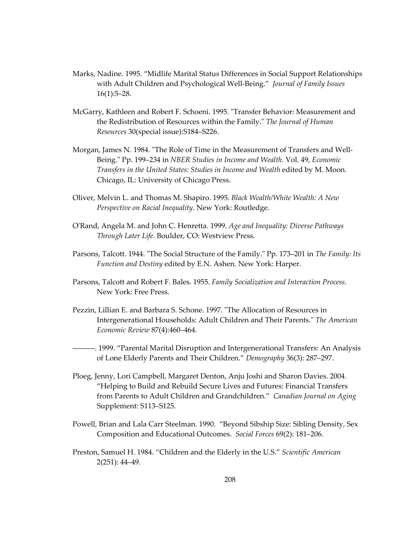- Marks, Nadine. 1995. "Midlife Marital Status Differences in Social Support Relationships with Adult Children and Psychological Well-Being." *Journal of Family Issues* 16(1):5–28.
- McGarry, Kathleen and Robert F. Schoeni. 1995. "Transfer Behavior: Measurement and the Redistribution of Resources within the Family." *The Journal of Human Resources* 30(special issue):S184–S226.
- Morgan, James N. 1984. "The Role of Time in the Measurement of Transfers and Well-Being." Pp. 199–234 in *NBER Studies in Income and Wealth.* Vol. 49, *Economic Transfers in the United States: Studies in Income and Wealth* edited by M. Moon. Chicago, IL: University of Chicago Press.
- Oliver, Melvin L. and Thomas M. Shapiro. 1995. *Black Wealth/White Wealth: A New Perspective on Racial Inequality*. New York: Routledge.
- O'Rand, Angela M. and John C. Henretta. 1999. *Age and Inequality: Diverse Pathways Through Later Life*. Boulder, CO: Westview Press.
- Parsons, Talcott. 1944. "The Social Structure of the Family." Pp. 173–201 in *The Family: Its Function and Destiny* edited by E.N. Ashen. New York: Harper.
- Parsons, Talcott and Robert F. Bales. 1955. *Family Socialization and Interaction Process*. New York: Free Press.
- Pezzin, Lillian E. and Barbara S. Schone. 1997. "The Allocation of Resources in Intergenerational Households: Adult Children and Their Parents." *The American Economic Review* 87(4):460–464.

––––––. 1999. "Parental Marital Disruption and Intergenerational Transfers: An Analysis of Lone Elderly Parents and Their Children." *Demography* 36(3): 287–297.

- Ploeg, Jenny, Lori Campbell, Margaret Denton, Anju Joshi and Sharon Davies. 2004. "Helping to Build and Rebuild Secure Lives and Futures: Financial Transfers from Parents to Adult Children and Grandchildren." *Canadian Journal on Aging* Supplement: S113–S125.
- Powell, Brian and Lala Carr Steelman. 1990. "Beyond Sibship Size: Sibling Density, Sex Composition and Educational Outcomes. *Social Forces* 69(2): 181–206.
- Preston, Samuel H. 1984. "Children and the Elderly in the U.S." *Scientific American* 2(251): 44–49.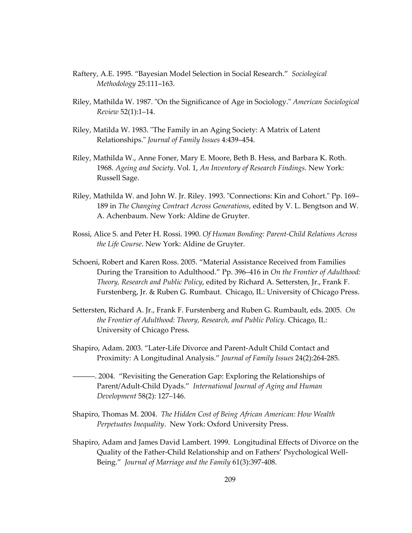- Raftery, A.E. 1995. "Bayesian Model Selection in Social Research." *Sociological Methodology* 25:111–163.
- Riley, Mathilda W. 1987. "On the Significance of Age in Sociology." *American Sociological Review* 52(1):1–14.
- Riley, Matilda W. 1983. "The Family in an Aging Society: A Matrix of Latent Relationships." *Journal of Family Issues* 4:439–454.
- Riley, Mathilda W., Anne Foner, Mary E. Moore, Beth B. Hess, and Barbara K. Roth. 1968. *Ageing and Society*. Vol. 1, *An Inventory of Research Findings*. New York: Russell Sage.
- Riley, Mathilda W. and John W. Jr. Riley. 1993. "Connections: Kin and Cohort." Pp. 169– 189 in *The Changing Contract Across Generations*, edited by V. L. Bengtson and W. A. Achenbaum. New York: Aldine de Gruyter.
- Rossi, Alice S. and Peter H. Rossi. 1990. *Of Human Bonding: Parent-Child Relations Across the Life Course*. New York: Aldine de Gruyter.
- Schoeni, Robert and Karen Ross. 2005. "Material Assistance Received from Families During the Transition to Adulthood." Pp. 396–416 in *On the Frontier of Adulthood: Theory, Research and Public Policy*, edited by Richard A. Settersten, Jr., Frank F. Furstenberg, Jr. & Ruben G. Rumbaut. Chicago, IL: University of Chicago Press.
- Settersten, Richard A. Jr., Frank F. Furstenberg and Ruben G. Rumbault, eds. 2005. *On the Frontier of Adulthood: Theory, Research, and Public Policy.* Chicago, IL: University of Chicago Press.
- Shapiro, Adam. 2003. "Later-Life Divorce and Parent-Adult Child Contact and Proximity: A Longitudinal Analysis." *Journal of Family Issues* 24(2):264-285.
- ––––––. 2004. "Revisiting the Generation Gap: Exploring the Relationships of Parent/Adult-Child Dyads." *International Journal of Aging and Human Development* 58(2): 127–146.
- Shapiro, Thomas M. 2004. *The Hidden Cost of Being African American: How Wealth Perpetuates Inequality*. New York: Oxford University Press.
- Shapiro, Adam and James David Lambert. 1999. Longitudinal Effects of Divorce on the Quality of the Father-Child Relationship and on Fathers' Psychological Well-Being." *Journal of Marriage and the Family* 61(3):397-408.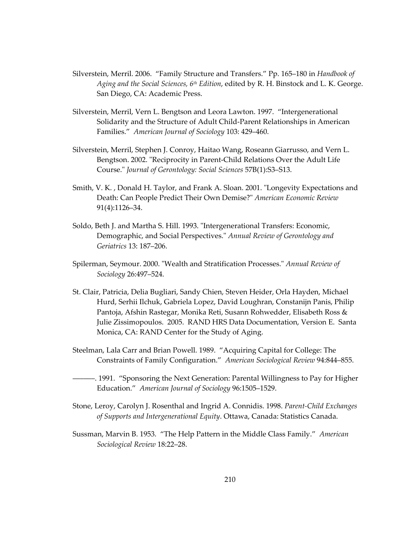- Silverstein, Merril. 2006. "Family Structure and Transfers." Pp. 165–180 in *Handbook of Aging and the Social Sciences, 6th Edition*, edited by R. H. Binstock and L. K. George. San Diego, CA: Academic Press.
- Silverstein, Merril, Vern L. Bengtson and Leora Lawton. 1997. "Intergenerational Solidarity and the Structure of Adult Child-Parent Relationships in American Families." *American Journal of Sociology* 103: 429–460.
- Silverstein, Merril, Stephen J. Conroy, Haitao Wang, Roseann Giarrusso, and Vern L. Bengtson. 2002. "Reciprocity in Parent-Child Relations Over the Adult Life Course." *Journal of Gerontology: Social Sciences* 57B(1):S3–S13.
- Smith, V. K. , Donald H. Taylor, and Frank A. Sloan. 2001. "Longevity Expectations and Death: Can People Predict Their Own Demise?" *American Economic Review* 91(4):1126–34.
- Soldo, Beth J. and Martha S. Hill. 1993. "Intergenerational Transfers: Economic, Demographic, and Social Perspectives." *Annual Review of Gerontology and Geriatrics* 13: 187–206.
- Spilerman, Seymour. 2000. "Wealth and Stratification Processes." *Annual Review of Sociology* 26:497–524.
- St. Clair, Patricia, Delia Bugliari, Sandy Chien, Steven Heider, Orla Hayden, Michael Hurd, Serhii Ilchuk, Gabriela Lopez, David Loughran, Constanijn Panis, Philip Pantoja, Afshin Rastegar, Monika Reti, Susann Rohwedder, Elisabeth Ross & Julie Zissimopoulos. 2005. RAND HRS Data Documentation, Version E. Santa Monica, CA: RAND Center for the Study of Aging.
- Steelman, Lala Carr and Brian Powell. 1989. "Acquiring Capital for College: The Constraints of Family Configuration." *American Sociological Review* 94:844–855.
- ––––––. 1991. "Sponsoring the Next Generation: Parental Willingness to Pay for Higher Education." *American Journal of Sociology* 96:1505–1529.
- Stone, Leroy, Carolyn J. Rosenthal and Ingrid A. Connidis. 1998. *Parent-Child Exchanges of Supports and Intergenerational Equity*. Ottawa, Canada: Statistics Canada.
- Sussman, Marvin B. 1953. "The Help Pattern in the Middle Class Family." *American Sociological Review* 18:22–28.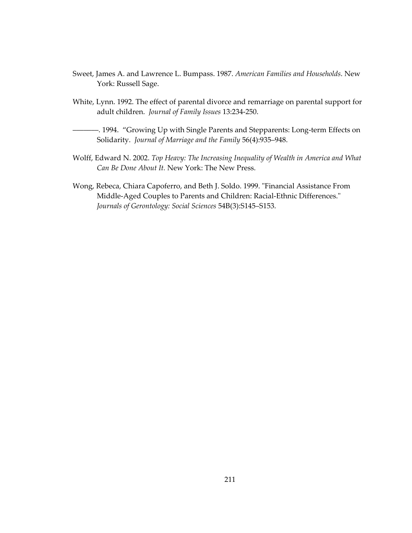- Sweet, James A. and Lawrence L. Bumpass. 1987. *American Families and Households*. New York: Russell Sage.
- White, Lynn. 1992. The effect of parental divorce and remarriage on parental support for adult children. *Journal of Family Issues* 13:234-250.
- $-$ . 1994. "Growing Up with Single Parents and Stepparents: Long-term Effects on Solidarity. *Journal of Marriage and the Family* 56(4):935–948.
- Wolff, Edward N. 2002. *Top Heavy: The Increasing Inequality of Wealth in America and What Can Be Done About It.* New York: The New Press.
- Wong, Rebeca, Chiara Capoferro, and Beth J. Soldo. 1999. "Financial Assistance From Middle-Aged Couples to Parents and Children: Racial-Ethnic Differences." *Journals of Gerontology: Social Sciences* 54B(3):S145–S153.